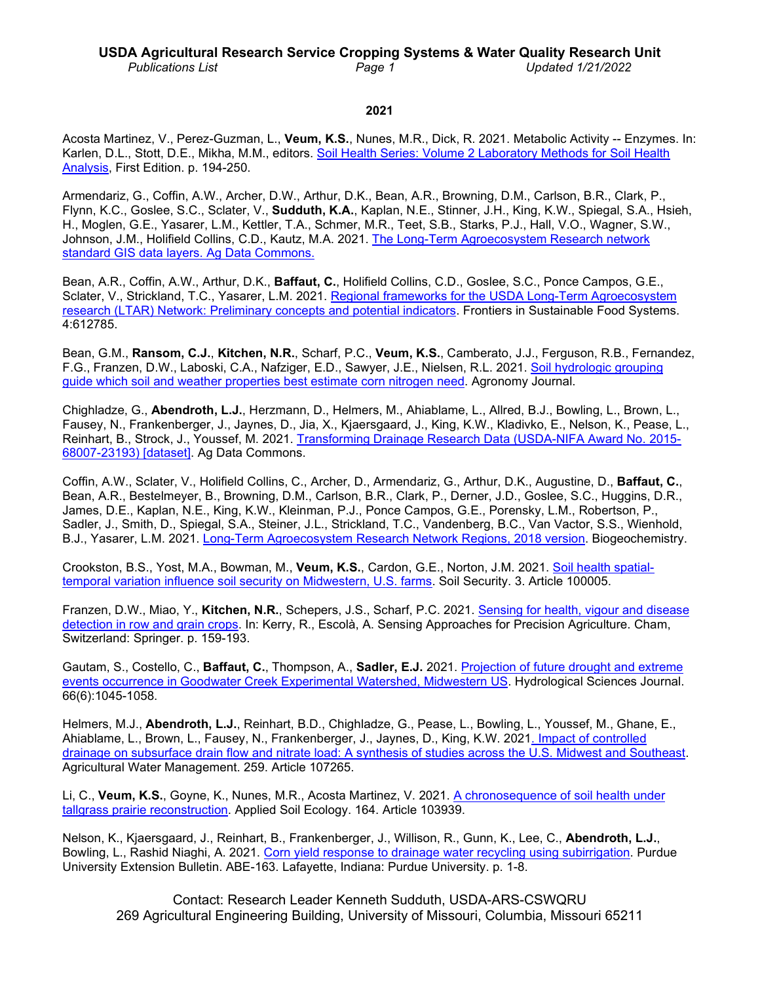#### **USDA Agricultural Research Service Cropping Systems & Water Quality Research Unit** *Publications List Page 1 Updated 1/21/2022*

#### **2021**

Acosta Martinez, V., Perez-Guzman, L., **Veum, K.S.**, Nunes, M.R., Dick, R. 2021. Metabolic Activity -- Enzymes. In: Karlen, D.L., Stott, D.E., Mikha, M.M., editors. [Soil Health Series: Volume 2 Laboratory Methods for Soil Health](https://www.wiley.com/en-us/Laboratory+Methods+for+Soil+Health+Analysis%2C+Volume+2-p-9780891189862)  [Analysis,](https://www.wiley.com/en-us/Laboratory+Methods+for+Soil+Health+Analysis%2C+Volume+2-p-9780891189862) First Edition. p. 194-250.

Armendariz, G., Coffin, A.W., Archer, D.W., Arthur, D.K., Bean, A.R., Browning, D.M., Carlson, B.R., Clark, P., Flynn, K.C., Goslee, S.C., Sclater, V., **Sudduth, K.A.**, Kaplan, N.E., Stinner, J.H., King, K.W., Spiegal, S.A., Hsieh, H., Moglen, G.E., Yasarer, L.M., Kettler, T.A., Schmer, M.R., Teet, S.B., Starks, P.J., Hall, V.O., Wagner, S.W., Johnson, J.M., Holifield Collins, C.D., Kautz, M.A. 2021. [The Long-Term Agroecosystem Research network](https://doi.org/10.15482/USDA.ADC/1521161)  [standard GIS data layers. Ag Data Commons.](https://doi.org/10.15482/USDA.ADC/1521161)

Bean, A.R., Coffin, A.W., Arthur, D.K., **Baffaut, C.**, Holifield Collins, C.D., Goslee, S.C., Ponce Campos, G.E., Sclater, V., Strickland, T.C., Yasarer, L.M. 2021. [Regional frameworks for the USDA Long-Term Agroecosystem](https://doi.org/10.3389/fsufs.2020.612785)  [research \(LTAR\) Network: Preliminary concepts and potential indicators.](https://doi.org/10.3389/fsufs.2020.612785) Frontiers in Sustainable Food Systems. 4:612785.

Bean, G.M., **Ransom, C.J.**, **Kitchen, N.R.**, Scharf, P.C., **Veum, K.S.**, Camberato, J.J., Ferguson, R.B., Fernandez, F.G., Franzen, D.W., Laboski, C.A., Nafziger, E.D., Sawyer, J.E., Nielsen, R.L. 2021. [Soil hydrologic grouping](https://doi.org/10.1002/agj2.20888)  [guide which soil and weather properties best estimate corn nitrogen need.](https://doi.org/10.1002/agj2.20888) Agronomy Journal.

Chighladze, G., **Abendroth, L.J.**, Herzmann, D., Helmers, M., Ahiablame, L., Allred, B.J., Bowling, L., Brown, L., Fausey, N., Frankenberger, J., Jaynes, D., Jia, X., Kjaersgaard, J., King, K.W., Kladivko, E., Nelson, K., Pease, L., Reinhart, B., Strock, J., Youssef, M. 2021. [Transforming Drainage Research Data \(USDA-NIFA Award No. 2015-](https://doi.org/10.15482/USDA.ADC/1521092) [68007-23193\) \[dataset\].](https://doi.org/10.15482/USDA.ADC/1521092) Ag Data Commons.

Coffin, A.W., Sclater, V., Holifield Collins, C., Archer, D., Armendariz, G., Arthur, D.K., Augustine, D., **Baffaut, C.**, Bean, A.R., Bestelmeyer, B., Browning, D.M., Carlson, B.R., Clark, P., Derner, J.D., Goslee, S.C., Huggins, D.R., James, D.E., Kaplan, N.E., King, K.W., Kleinman, P.J., Ponce Campos, G.E., Porensky, L.M., Robertson, P., Sadler, J., Smith, D., Spiegal, S.A., Steiner, J.L., Strickland, T.C., Vandenberg, B.C., Van Vactor, S.S., Wienhold, B.J., Yasarer, L.M. 2021. [Long-Term Agroecosystem Research Network Regions, 2018 version.](https://doi.org/10.15482/USDA.ADC/1520632) Biogeochemistry.

Crookston, B.S., Yost, M.A., Bowman, M., **Veum, K.S.**, Cardon, G.E., Norton, J.M. 2021. [Soil health spatial](https://doi.org/10.1016/j.soisec.2021.100005)[temporal variation influence soil security on Midwestern, U.S. farms.](https://doi.org/10.1016/j.soisec.2021.100005) Soil Security. 3. Article 100005.

Franzen, D.W., Miao, Y., **Kitchen, N.R.**, Schepers, J.S., Scharf, P.C. 2021. [Sensing for health, vigour and disease](https://doi.org/10.1007/978-3-030-78431-7_6)  [detection in row and grain crops.](https://doi.org/10.1007/978-3-030-78431-7_6) In: Kerry, R., Escolà, A. Sensing Approaches for Precision Agriculture. Cham, Switzerland: Springer. p. 159-193.

Gautam, S., Costello, C., **Baffaut, C.**, Thompson, A., **Sadler, E.J.** 2021. [Projection of future drought and extreme](https://doi.org/10.1080/02626667.2021.1906878)  [events occurrence in Goodwater Creek Experimental Watershed, Midwestern US.](https://doi.org/10.1080/02626667.2021.1906878) Hydrological Sciences Journal. 66(6):1045-1058.

Helmers, M.J., **Abendroth, L.J.**, Reinhart, B.D., Chighladze, G., Pease, L., Bowling, L., Youssef, M., Ghane, E., Ahiablame, L., Brown, L., Fausey, N., Frankenberger, J., Jaynes, D., King, K.W. 202[1. Impact of controlled](https://doi.org/10.1016/j.agwat.2021.107265)  [drainage on subsurface drain flow and nitrate load: A synthesis of studies across the U.S. Midwest and Southeast.](https://doi.org/10.1016/j.agwat.2021.107265) Agricultural Water Management. 259. Article 107265.

Li, C., **Veum, K.S.**, Goyne, K., Nunes, M.R., Acosta Martinez, V. 2021. [A chronosequence of soil health under](https://doi.org/10.1016/j.apsoil.2021.103939)  [tallgrass prairie reconstruction.](https://doi.org/10.1016/j.apsoil.2021.103939) Applied Soil Ecology. 164. Article 103939.

Nelson, K., Kjaersgaard, J., Reinhart, B., Frankenberger, J., Willison, R., Gunn, K., Lee, C., **Abendroth, L.J.**, Bowling, L., Rashid Niaghi, A. 2021. [Corn yield response to drainage water recycling using subirrigation.](https://www.extension.purdue.edu/extmedia/ABE/ABE-163-W.pdf) Purdue University Extension Bulletin. ABE-163. Lafayette, Indiana: Purdue University. p. 1-8.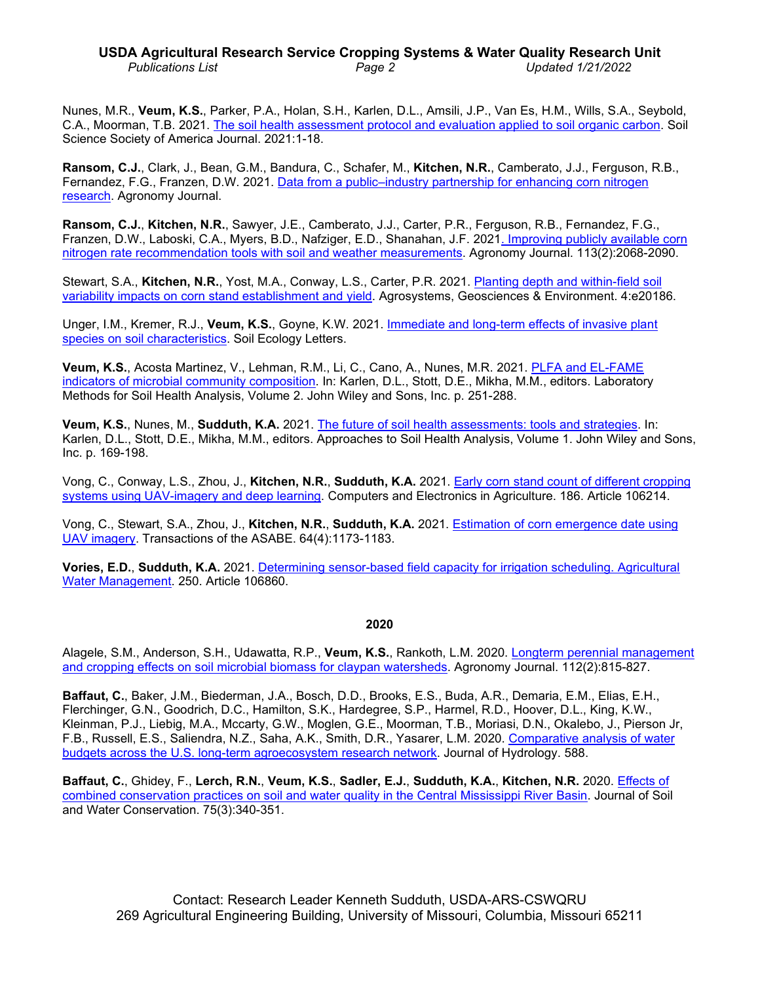# **USDA Agricultural Research Service Cropping Systems & Water Quality Research Unit** *Publications List Page 2 Updated 1/21/2022*

Nunes, M.R., **Veum, K.S.**, Parker, P.A., Holan, S.H., Karlen, D.L., Amsili, J.P., Van Es, H.M., Wills, S.A., Seybold, C.A., Moorman, T.B. 2021. [The soil health assessment protocol and evaluation applied to soil organic carbon.](https://doi.org/10.1002/saj2.20244) Soil Science Society of America Journal. 2021:1-18.

**Ransom, C.J.**, Clark, J., Bean, G.M., Bandura, C., Schafer, M., **Kitchen, N.R.**, Camberato, J.J., Ferguson, R.B., Fernandez, F.G., Franzen, D.W. 2021. [Data from a public–industry partnership for enhancing corn nitrogen](https://doi.org/10.1002/agj2.20812)  [research.](https://doi.org/10.1002/agj2.20812) Agronomy Journal.

**Ransom, C.J.**, **Kitchen, N.R.**, Sawyer, J.E., Camberato, J.J., Carter, P.R., Ferguson, R.B., Fernandez, F.G., Franzen, D.W., Laboski, C.A., Myers, B.D., Nafziger, E.D., Shanahan, J.F. 202[1. Improving publicly available corn](https://doi.org/10.1002/agj2.20627)  [nitrogen rate recommendation tools with soil and weather measurements.](https://doi.org/10.1002/agj2.20627) Agronomy Journal. 113(2):2068-2090.

Stewart, S.A., **Kitchen, N.R.**, Yost, M.A., Conway, L.S., Carter, P.R. 2021. [Planting depth and within-field soil](https://doi.org/10.1002/agg2.20186)  [variability impacts on corn stand establishment and yield.](https://doi.org/10.1002/agg2.20186) Agrosystems, Geosciences & Environment. 4:e20186.

Unger, I.M., Kremer, R.J., **Veum, K.S.**, Goyne, K.W. 2021. [Immediate and long-term effects of invasive plant](https://doi.org/10.1007/s42832-021-0104-4)  [species on soil characteristics.](https://doi.org/10.1007/s42832-021-0104-4) Soil Ecology Letters.

**Veum, K.S.**, Acosta Martinez, V., Lehman, R.M., Li, C., Cano, A., Nunes, M.R. 2021. [PLFA and EL-FAME](https://doi.org/10.1002/9780891189831.ch12)  [indicators of microbial community composition.](https://doi.org/10.1002/9780891189831.ch12) In: Karlen, D.L., Stott, D.E., Mikha, M.M., editors. Laboratory Methods for Soil Health Analysis, Volume 2. John Wiley and Sons, Inc. p. 251-288.

**Veum, K.S.**, Nunes, M., **Sudduth, K.A.** 2021. [The future of soil health assessments: tools and strategies.](https://doi.org/10.1002/9780891189817.ch8) In: Karlen, D.L., Stott, D.E., Mikha, M.M., editors. Approaches to Soil Health Analysis, Volume 1. John Wiley and Sons, Inc. p. 169-198.

Vong, C., Conway, L.S., Zhou, J., **Kitchen, N.R.**, **Sudduth, K.A.** 2021. [Early corn stand count of different cropping](https://doi.org/10.1016/j.compag.2021.106214)  [systems using UAV-imagery and deep learning.](https://doi.org/10.1016/j.compag.2021.106214) Computers and Electronics in Agriculture. 186. Article 106214.

Vong, C., Stewart, S.A., Zhou, J., **Kitchen, N.R.**, **Sudduth, K.A.** 2021. [Estimation of corn emergence date using](https://doi.org/10.13031/trans.14145)  [UAV imagery.](https://doi.org/10.13031/trans.14145) Transactions of the ASABE. 64(4):1173-1183.

**Vories, E.D.**, **Sudduth, K.A.** 2021. [Determining sensor-based field capacity for irrigation scheduling. Agricultural](https://doi.org/10.1016/j.agwat.2021.106860)  [Water Management.](https://doi.org/10.1016/j.agwat.2021.106860) 250. Article 106860.

# **2020**

Alagele, S.M., Anderson, S.H., Udawatta, R.P., **Veum, K.S.**, Rankoth, L.M. 2020. Longterm [perennial management](https://doi.org/10.1002/agj2.20116)  and [cropping effects on soil microbial biomass for claypan](https://doi.org/10.1002/agj2.20116) watersheds. Agronomy Journal. 112(2):815-827.

**Baffaut, C.**, Baker, J.M., Biederman, J.A., Bosch, D.D., Brooks, E.S., Buda, A.R., Demaria, E.M., Elias, E.H., Flerchinger, G.N., Goodrich, D.C., Hamilton, S.K., Hardegree, S.P., Harmel, R.D., Hoover, D.L., King, K.W., Kleinman, P.J., Liebig, M.A., Mccarty, G.W., Moglen, G.E., Moorman, T.B., Moriasi, D.N., Okalebo, J., Pierson Jr, F.B., Russell, E.S., Saliendra, N.Z., Saha, A.K., Smith, D.R., Yasarer, L.M. 2020. [Comparative analysis of water](https://doi.org/10.1016/j.jhydrol.2020.125021)  [budgets across the U.S. long-term](https://doi.org/10.1016/j.jhydrol.2020.125021) agroecosystem research network. Journal of Hydrology. 588.

**Baffaut, C.**, Ghidey, F., **Lerch, R.N.**, **Veum, K.S.**, **Sadler, E.J.**, **Sudduth, K.A.**, **Kitchen, N.R.** 2020. [Effects of](https://doi.org/10.2489/jswc.75.3.340)  [combined conservation practices on soil and water quality in the](https://doi.org/10.2489/jswc.75.3.340) Central Mississippi River Basin. Journal of Soil and Water Conservation. 75(3):340-351.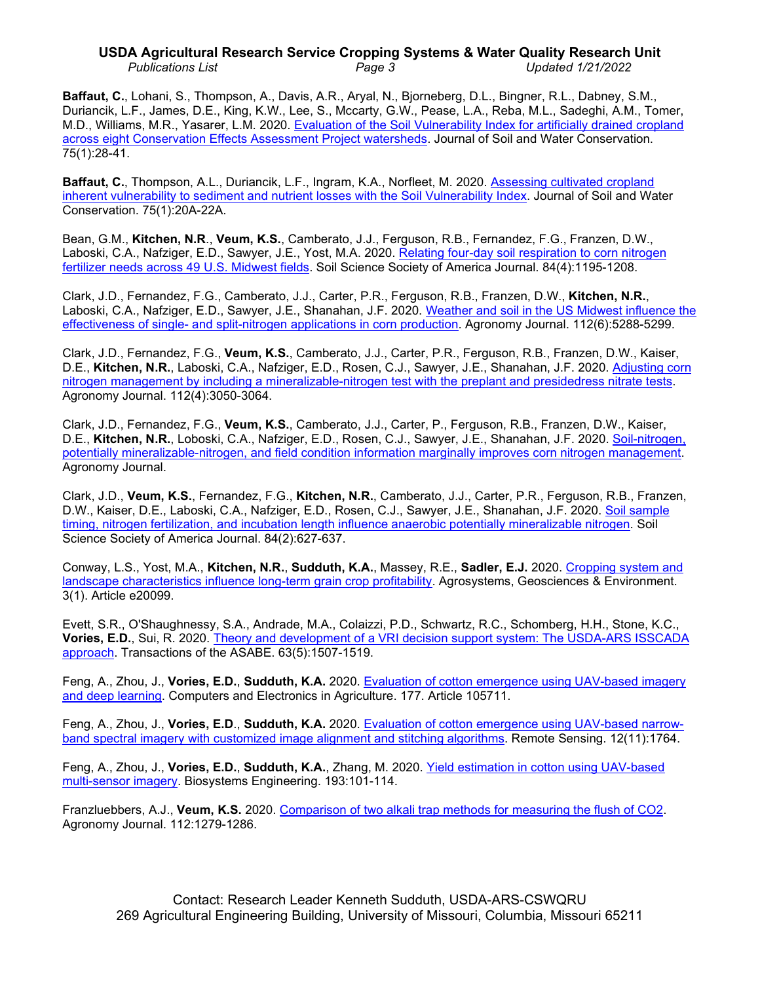## **USDA Agricultural Research Service Cropping Systems & Water Quality Research Unit** *Publications List Page 3 Updated 1/21/2022*

**Baffaut, C.**, Lohani, S., Thompson, A., Davis, A.R., Aryal, N., Bjorneberg, D.L., Bingner, R.L., Dabney, S.M., Duriancik, L.F., James, D.E., King, K.W., Lee, S., Mccarty, G.W., Pease, L.A., Reba, M.L., Sadeghi, A.M., Tomer, M.D., Williams, M.R., Yasarer, L.M. 2020. Evaluation of the Soil [Vulnerability Index for artificially drained](https://doi.org/10.2489/jswc.75.1.28) cropland [across eight Conservation Effects Assessment Project watersheds.](https://doi.org/10.2489/jswc.75.1.28) Journal of Soil and Water Conservation. 75(1):28-41.

**Baffaut, C.**, Thompson, A.L., Duriancik, L.F., Ingram, K.A., Norfleet, M. 2020. [Assessing cultivated cropland](https://doi.org/10.2489/jswc.75.1.20A)  [inherent vulnerability to sediment and nutrient losses](https://doi.org/10.2489/jswc.75.1.20A) with the Soil Vulnerability Index. Journal of Soil and Water Conservation. 75(1):20A-22A.

Bean, G.M., **Kitchen, N.R**., **Veum, K.S.**, Camberato, J.J., Ferguson, R.B., Fernandez, F.G., Franzen, D.W., Laboski, C.A., Nafziger, E.D., Sawyer, J.E., Yost, M.A. 2020. [Relating four-day soil respiration to corn nitrogen](https://doi.org/10.1002/saj2.20091)  [fertilizer needs across 49 U.S.](https://doi.org/10.1002/saj2.20091) Midwest fields. Soil Science Society of America Journal. 84(4):1195-1208.

Clark, J.D., Fernandez, F.G., Camberato, J.J., Carter, P.R., Ferguson, R.B., Franzen, D.W., **Kitchen, N.R.**, Laboski, C.A., Nafziger, E.D., Sawyer, J.E., Shanahan, J.F. 2020. [Weather and soil in the US Midwest influence the](https://doi.org/10.1002/agj2.20446)  effectiveness of single- [and split-nitrogen applications in corn production.](https://doi.org/10.1002/agj2.20446) Agronomy Journal. 112(6):5288-5299.

Clark, J.D., Fernandez, F.G., **Veum, K.S.**, Camberato, J.J., Carter, P.R., Ferguson, R.B., Franzen, D.W., Kaiser, D.E., **Kitchen, N.R.**, Laboski, C.A., Nafziger, E.D., Rosen, C.J., Sawyer, J.E., Shanahan, J.F. 2020. [Adjusting corn](https://doi.org/10.1002/agj2.20228)  nitrogen management by [including a mineralizable-nitrogen test with the preplant and presidedress nitrate](https://doi.org/10.1002/agj2.20228) tests. Agronomy Journal. 112(4):3050-3064.

Clark, J.D., Fernandez, F.G., **Veum, K.S.**, Camberato, J.J., Carter, P., Ferguson, R.B., Franzen, D.W., Kaiser, D.E., **Kitchen, N.R.**, Loboski, C.A., Nafziger, E.D., Rosen, C.J., Sawyer, J.E., Shanahan, J.F. 2020. [Soil-nitrogen,](https://doi.org/10.1002/agj2.20335)  [potentially mineralizable-nitrogen, and field condition information marginally improves corn nitrogen management.](https://doi.org/10.1002/agj2.20335) Agronomy Journal.

Clark, J.D., **Veum, K.S.**, Fernandez, F.G., **Kitchen, N.R.**, Camberato, J.J., Carter, P.R., Ferguson, R.B., Franzen, D.W., Kaiser, D.E., Laboski, C.A., Nafziger, E.D., Rosen, C.J., Sawyer, J.E., Shanahan, J.F. 2020. [Soil sample](https://doi.org/10.1002/saj2.20050)  timing, nitrogen fertilization, [and incubation length influence anaerobic potentially mineralizable nitrogen.](https://doi.org/10.1002/saj2.20050) Soil Science Society of America Journal. 84(2):627-637.

Conway, L.S., Yost, M.A., **Kitchen, N.R.**, **Sudduth, K.A.**, Massey, R.E., **Sadler, E.J.** 2020. [Cropping system and](https://doi.org/10.1002/agg2.20099)  [landscape characteristics influence long-term grain crop profitability.](https://doi.org/10.1002/agg2.20099) Agrosystems, Geosciences & Environment. 3(1). Article e20099.

Evett, S.R., O'Shaughnessy, S.A., Andrade, M.A., Colaizzi, P.D., Schwartz, R.C., Schomberg, H.H., Stone, K.C., **Vories, E.D.**, Sui, R. 2020. Theory [and development of a VRI decision support system: The USDA-ARS ISSCADA](https://doi.org/10.13031/trans.13922)  [approach.](https://doi.org/10.13031/trans.13922) Transactions of the ASABE. 63(5):1507-1519.

Feng, A., Zhou, J., **Vories, E.D.**, **Sudduth, K.A.** 2020. [Evaluation of cotton emergence using UAV-based imagery](https://doi.org/10.1016/j.compag.2020.105711)  [and deep learning.](https://doi.org/10.1016/j.compag.2020.105711) Computers and Electronics in Agriculture. 177. Article 105711.

Feng, A., Zhou, J., **Vories, E.D**., **Sudduth, K.A.** 2020. [Evaluation of cotton emergence](https://doi.org/10.3390/rs12111764) using UAV-based narrow[band spectral imagery with customized image](https://doi.org/10.3390/rs12111764) alignment and stitching algorithms. Remote Sensing. 12(11):1764.

Feng, A., Zhou, J., **Vories, E.D.**, **Sudduth, K.A.**, Zhang, M. 2020. Yield estimation in [cotton using UAV-based](https://doi.org/10.1016/j.biosystemseng.2020.02.014)  [multi-sensor imagery.](https://doi.org/10.1016/j.biosystemseng.2020.02.014) Biosystems Engineering. 193:101-114.

Franzluebbers, A.J., **Veum, K.S.** 2020. Comparison of two alkali trap methods for [measuring the flush of CO2.](https://doi.org/10.1002/agj2.20141) Agronomy Journal. 112:1279-1286.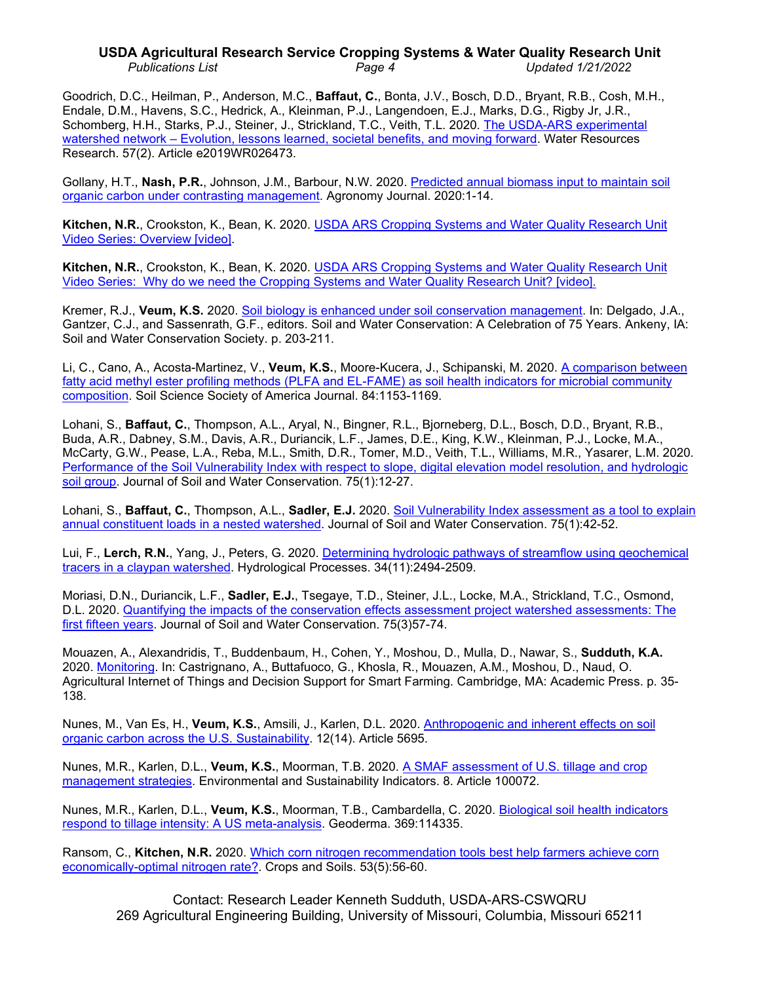# **USDA Agricultural Research Service Cropping Systems & Water Quality Research Unit** *Publications List Page 4 Updated 1/21/2022*

Goodrich, D.C., Heilman, P., Anderson, M.C., **Baffaut, C.**, Bonta, J.V., Bosch, D.D., Bryant, R.B., Cosh, M.H., Endale, D.M., Havens, S.C., Hedrick, A., Kleinman, P.J., Langendoen, E.J., Marks, D.G., Rigby Jr, J.R., Schomberg, H.H., Starks, P.J., Steiner, J., Strickland, T.C., Veith, T.L. 2020. [The USDA-ARS experimental](https://doi.org/10.1029/2019WR026473)  watershed network – [Evolution, lessons learned, societal benefits, and moving forward.](https://doi.org/10.1029/2019WR026473) Water Resources Research. 57(2). Article e2019WR026473.

Gollany, H.T., **Nash, P.R.**, Johnson, J.M., Barbour, N.W. 2020. [Predicted annual biomass](https://doi.org/10.1002/agj2.20068) input to maintain soil [organic carbon under contrasting management.](https://doi.org/10.1002/agj2.20068) Agronomy Journal. 2020:1-14.

**Kitchen, N.R.**, Crookston, K., Bean, K. 2020. [USDA ARS Cropping Systems and Water Quality Research Unit](https://youtu.be/YHWTw8gi3XE)  [Video Series: Overview \[video\].](https://youtu.be/YHWTw8gi3XE)

**Kitchen, N.R.**, Crookston, K., Bean, K. 2020. [USDA ARS Cropping Systems and Water Quality Research Unit](https://youtu.be/d8oQ9i3AMxE)  [Video Series: Why do we need the Cropping Systems and Water Quality Research Unit? \[video\].](https://youtu.be/d8oQ9i3AMxE)

Kremer, R.J., **Veum, K.S.** 2020. Soil [biology is enhanced under soil conservation management.](https://www.swcs.org/static/media/cms/75th_Book__Chapter_19_6FBA8F9340376.pdf) In: Delgado, J.A., Gantzer, C.J., and Sassenrath, G.F., editors. Soil and Water Conservation: A Celebration of 75 Years. Ankeny, IA: Soil and Water Conservation Society. p. 203-211.

Li, C., Cano, A., Acosta-Martinez, V., **Veum, K.S.**, Moore-Kucera, J., Schipanski, M. 2020. [A comparison between](https://doi.org/10.1002/saj2.20118)  [fatty acid methyl ester profiling methods \(PLFA and EL-FAME\) as soil health indicators for microbial community](https://doi.org/10.1002/saj2.20118)  [composition.](https://doi.org/10.1002/saj2.20118) Soil Science Society of America Journal. 84:1153-1169.

Lohani, S., **Baffaut, C.**, Thompson, A.L., Aryal, N., Bingner, R.L., Bjorneberg, D.L., Bosch, D.D., Bryant, R.B., Buda, A.R., Dabney, S.M., Davis, A.R., Duriancik, L.F., James, D.E., King, K.W., Kleinman, P.J., Locke, M.A., McCarty, G.W., Pease, L.A., Reba, M.L., Smith, D.R., Tomer, M.D., Veith, T.L., Williams, M.R., Yasarer, L.M. 2020. [Performance of the Soil Vulnerability Index with respect to slope, digital elevation](https://doi.org/10.2489/jswc.75.1.12) model resolution, and hydrologic [soil group.](https://doi.org/10.2489/jswc.75.1.12) Journal of Soil and Water Conservation. 75(1):12-27.

Lohani, S., **Baffaut, C.**, Thompson, A.L., **Sadler, E.J.** 2020. Soil Vulnerability Index [assessment as a tool to explain](https://doi.org/10.2489/jswc.75.1.42)  [annual constituent loads in a nested watershed.](https://doi.org/10.2489/jswc.75.1.42) Journal of Soil and Water Conservation. 75(1):42-52.

Lui, F., **Lerch, R.N.**, Yang, J., Peters, G. 2020. [Determining hydrologic pathways of](https://doi.org/10.1002/hyp.13743) streamflow using geochemical [tracers in a claypan watershed.](https://doi.org/10.1002/hyp.13743) Hydrological Processes. 34(11):2494-2509.

Moriasi, D.N., Duriancik, L.F., **Sadler, E.J.**, Tsegaye, T.D., Steiner, J.L., Locke, M.A., Strickland, T.C., Osmond, D.L. 2020. Quantifying the impacts of the conservation [effects assessment project watershed assessments: The](https://doi.org/10.2489/jswc.75.3.57A)  [first fifteen years.](https://doi.org/10.2489/jswc.75.3.57A) Journal of Soil and Water Conservation. 75(3)57-74.

Mouazen, A., Alexandridis, T., Buddenbaum, H., Cohen, Y., Moshou, D., Mulla, D., Nawar, S., **Sudduth, K.A.** 2020. [Monitoring.](https://doi.org/10.1016/B978-0-12-818373-1.00002-0) In: Castrignano, A., Buttafuoco, G., Khosla, R., Mouazen, A.M., Moshou, D., Naud, O. Agricultural Internet of Things and Decision Support for Smart Farming. Cambridge, MA: Academic Press. p. 35- 138.

Nunes, M., Van Es, H., **Veum, K.S.**, Amsili, J., Karlen, D.L. 2020. [Anthropogenic and inherent effects on soil](https://doi.org/10.3390/su12145695)  [organic carbon across the U.S. Sustainability.](https://doi.org/10.3390/su12145695) 12(14). Article 5695.

Nunes, M.R., Karlen, D.L., **Veum, K.S.**, Moorman, T.B. 2020. [A SMAF assessment of U.S. tillage and crop](https://doi.org/10.1016/j.indic.2020.100072)  [management strategies.](https://doi.org/10.1016/j.indic.2020.100072) Environmental and Sustainability Indicators. 8. Article 100072.

Nunes, M.R., Karlen, D.L., **Veum, K.S.**, Moorman, T.B., Cambardella, C. 2020. Biological [soil health indicators](https://doi.org/10.1016/j.geoderma.2020.114335)  [respond to tillage intensity: A US meta-analysis.](https://doi.org/10.1016/j.geoderma.2020.114335) Geoderma. 369:114335.

Ransom, C., **Kitchen, N.R.** 2020. [Which corn nitrogen recommendation tools best help farmers achieve corn](https://doi.org/10.1002/crso.20069)  [economically-optimal nitrogen rate?.](https://doi.org/10.1002/crso.20069) Crops and Soils. 53(5):56-60.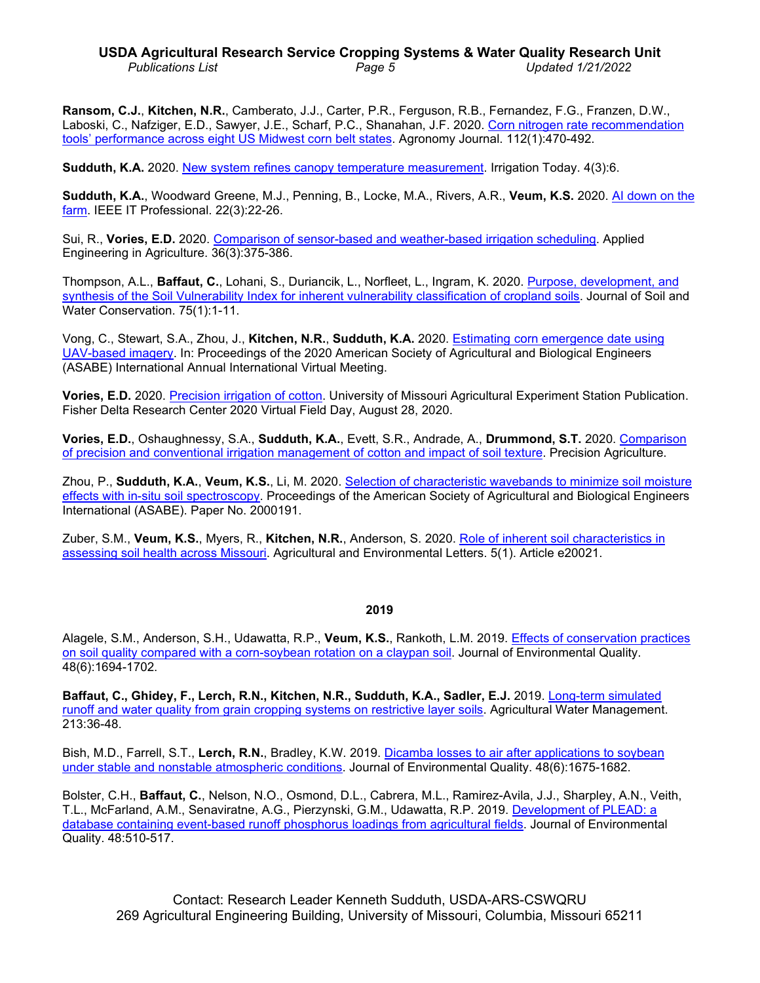## **USDA Agricultural Research Service Cropping Systems & Water Quality Research Unit** *Publications List Page 5 Updated 1/21/2022*

**Ransom, C.J.**, **Kitchen, N.R.**, Camberato, J.J., Carter, P.R., Ferguson, R.B., Fernandez, F.G., Franzen, D.W., Laboski, C., Nafziger, E.D., Sawyer, J.E., Scharf, P.C., Shanahan, J.F. 2020. [Corn nitrogen rate recommendation](https://doi.org/10.1002/agj2.20035)  tools' performance [across eight US Midwest](https://doi.org/10.1002/agj2.20035) corn belt states. Agronomy Journal. 112(1):470-492.

**Sudduth, K.A.** 2020. [New system refines canopy temperature measurement.](http://www.modernpubsonline.com/0A406ys/ITWinter2019/html/index.html?origin=reader) Irrigation Today. 4(3):6.

**Sudduth, K.A.**, Woodward Greene, M.J., Penning, B., Locke, M.A., Rivers, A.R., **Veum, K.S.** 2020. [AI down on the](https://doi.org/10.1109/MITP.2020.2986104)  [farm.](https://doi.org/10.1109/MITP.2020.2986104) IEEE IT Professional. 22(3):22-26.

Sui, R., **Vories, E.D.** 2020. [Comparison of sensor-based and weather-based irrigation](https://doi.org/10.13031/aea.13678) scheduling. Applied Engineering in Agriculture. 36(3):375-386.

Thompson, A.L., **Baffaut, C.**, Lohani, S., Duriancik, L., Norfleet, L., Ingram, K. 2020. [Purpose, development,](https://doi.org/10.2489/jswc.75.1.1) and [synthesis of the Soil Vulnerability Index for inherent](https://doi.org/10.2489/jswc.75.1.1) vulnerability classification of cropland soils. Journal of Soil and Water Conservation. 75(1):1-11.

Vong, C., Stewart, S.A., Zhou, J., **Kitchen, N.R.**, **Sudduth, K.A.** 2020. Estimating corn [emergence date using](https://doi.org/10.13031/aim.202000473)  [UAV-based imagery.](https://doi.org/10.13031/aim.202000473) In: Proceedings of the 2020 American Society of Agricultural and Biological Engineers (ASABE) International Annual International Virtual Meeting.

**Vories, E.D.** 2020. [Precision irrigation of cotton.](https://www.youtube.com/watch?v=-EeCIrqnR-E) University of Missouri Agricultural Experiment Station Publication. Fisher Delta Research Center 2020 Virtual Field Day, August 28, 2020.

**Vories, E.D.**, Oshaughnessy, S.A., **Sudduth, K.A.**, Evett, S.R., Andrade, A., **Drummond, S.T.** 2020. [Comparison](https://doi.org/10.1007/s11119-020-09741-3)  [of precision and conventional irrigation management of cotton and impact of soil texture.](https://doi.org/10.1007/s11119-020-09741-3) Precision Agriculture.

Zhou, P., **Sudduth, K.A.**, **Veum, K.S.**, Li, M. 2020. [Selection of characteristic wavebands](https://doi.org/10.13031/aim.202000191) to minimize soil moisture [effects with in-situ soil spectroscopy.](https://doi.org/10.13031/aim.202000191) Proceedings of the American Society of Agricultural and Biological Engineers International (ASABE). Paper No. 2000191.

Zuber, S.M., **Veum, K.S.**, Myers, R., **Kitchen, N.R.**, Anderson, S. 2020. [Role of inherent soil characteristics in](https://doi.org/10.1002/ael2.20021)  [assessing soil health across Missouri.](https://doi.org/10.1002/ael2.20021) Agricultural and Environmental Letters. 5(1). Article e20021.

#### **2019**

Alagele, S.M., Anderson, S.H., Udawatta, R.P., **Veum, K.S.**, Rankoth, L.M. 2019. Effects [of conservation practices](https://doi.org/10.2134/jeq2019.03.0121)  [on soil quality compared with a corn-soybean rotation on](https://doi.org/10.2134/jeq2019.03.0121) a claypan soil. Journal of Environmental Quality. 48(6):1694-1702.

**Baffaut, C., Ghidey, F., Lerch, R.N., Kitchen, N.R., Sudduth, K.A., Sadler, E.J.** 2019. [Long-term simulated](https://doi.org/10.1016/j.agwat.2018.09.032)  [runoff and water quality from grain cropping systems](https://doi.org/10.1016/j.agwat.2018.09.032) on restrictive layer soils. Agricultural Water Management. 213:36-48.

Bish, M.D., Farrell, S.T., **Lerch, R.N.**, Bradley, K.W. 2019. [Dicamba losses to air after](https://doi.org/10.2134/jeq2019.05.0197) applications to soybean [under stable and nonstable atmospheric conditions.](https://doi.org/10.2134/jeq2019.05.0197) Journal of Environmental Quality. 48(6):1675-1682.

Bolster, C.H., **Baffaut, C.**, Nelson, N.O., Osmond, D.L., Cabrera, M.L., Ramirez-Avila, J.J., Sharpley, A.N., Veith, T.L., McFarland, A.M., Senaviratne, A.G., Pierzynski, G.M., Udawatta, R.P. 2019. [Development of PLEAD: a](https://doi.org/10.2134/jeq2018.09.0337)  database containing event-based [runoff phosphorus loadings from agricultural fields.](https://doi.org/10.2134/jeq2018.09.0337) Journal of Environmental Quality. 48:510-517.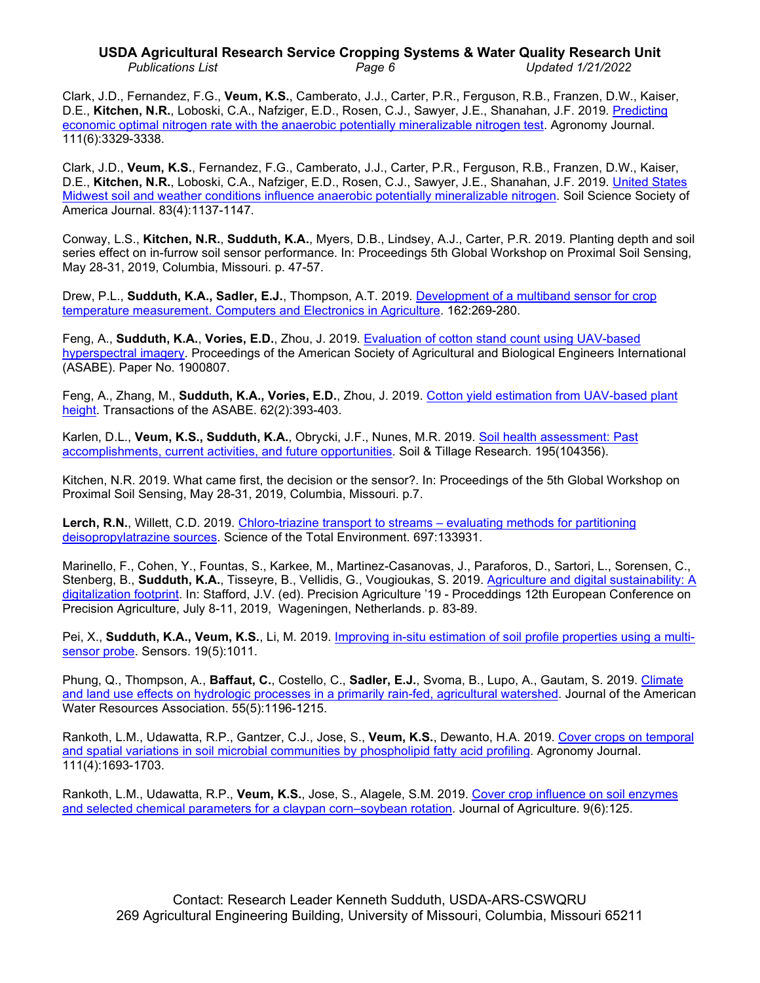# **USDA Agricultural Research Service Cropping Systems & Water Quality Research Unit** *Publications List Page 6 Updated 1/21/2022*

Clark, J.D., Fernandez, F.G., **Veum, K.S.**, Camberato, J.J., Carter, P.R., Ferguson, R.B., Franzen, D.W., Kaiser, D.E., **Kitchen, N.R.**, Loboski, C.A., Nafziger, E.D., Rosen, C.J., Sawyer, J.E., Shanahan, J.F. 2019. [Predicting](https://doi.org/10.2134/agronj2019.03.0224)  economic optimal nitrogen rate with [the anaerobic potentially mineralizable nitrogen test.](https://doi.org/10.2134/agronj2019.03.0224) Agronomy Journal. 111(6):3329-3338.

Clark, J.D., **Veum, K.S.**, Fernandez, F.G., Camberato, J.J., Carter, P.R., Ferguson, R.B., Franzen, D.W., Kaiser, D.E., **Kitchen, N.R.**, Loboski, C.A., Nafziger, E.D., Rosen, C.J., Sawyer, J.E., Shanahan, J.F. 2019. United [States](https://doi.org/10.2136/sssaj2019.02.0047)  Midwest soil and weather [conditions influence anaerobic potentially mineralizable nitrogen.](https://doi.org/10.2136/sssaj2019.02.0047) Soil Science Society of America Journal. 83(4):1137-1147.

Conway, L.S., **Kitchen, N.R.**, **Sudduth, K.A.**, Myers, D.B., Lindsey, A.J., Carter, P.R. 2019. Planting depth and soil series effect on in-furrow soil sensor performance. In: Proceedings 5th Global Workshop on Proximal Soil Sensing, May 28-31, 2019, Columbia, Missouri. p. 47-57.

Drew, P.L., **Sudduth, K.A., Sadler, E.J.**, Thompson, A.T. 2019. Development of a multiband [sensor for crop](https://doi.org/10.1016/j.compag.2019.04.007)  [temperature measurement. Computers and Electronics in Agriculture.](https://doi.org/10.1016/j.compag.2019.04.007) 162:269-280.

Feng, A., **Sudduth, K.A.**, **Vories, E.D.**, Zhou, J. 2019. [Evaluation of cotton stand count](https://doi.org/10.13031/aim.201900807) using UAV-based [hyperspectral](https://doi.org/10.13031/aim.201900807) imagery. Proceedings of the American Society of Agricultural and Biological Engineers International (ASABE). Paper No. 1900807.

Feng, A., Zhang, M., **Sudduth, K.A., Vories, E.D.**, Zhou, J. 2019. Cotton yield [estimation from UAV-based plant](https://doi.org/10.13031/trans.13067)  [height.](https://doi.org/10.13031/trans.13067) Transactions of the ASABE. 62(2):393-403.

Karlen, D.L., **Veum, K.S., Sudduth, K.A.**, Obrycki, J.F., Nunes, M.R. 2019. Soil health [assessment: Past](https://doi.org/10.1016/j.still.2019.104365)  [accomplishments, current activities, and future opportunities.](https://doi.org/10.1016/j.still.2019.104365) Soil & Tillage Research. 195(104356).

Kitchen, N.R. 2019. What came first, the decision or the sensor?. In: Proceedings of the 5th Global Workshop on Proximal Soil Sensing, May 28-31, 2019, Columbia, Missouri. p.7.

**Lerch, R.N.**, Willett, C.D. 2019. [Chloro-triazine transport to streams –](https://doi.org/10.1016/j.scitotenv.2019.133931) evaluating methods for partitioning [deisopropylatrazine sources.](https://doi.org/10.1016/j.scitotenv.2019.133931) Science of the Total Environment. 697:133931.

Marinello, F., Cohen, Y., Fountas, S., Karkee, M., Martinez-Casanovas, J., Paraforos, D., Sartori, L., Sorensen, C., Stenberg, B., **Sudduth, K.A.**, Tisseyre, B., Vellidis, G., Vougioukas, S. 2019. [Agriculture and digital sustainability: A](https://doi.org/10.3920/978-90-8686-888-9_9)  [digitalization footprint.](https://doi.org/10.3920/978-90-8686-888-9_9) In: Stafford, J.V. (ed). Precision Agriculture '19 - Proceddings 12th European Conference on Precision Agriculture, July 8-11, 2019, Wageningen, Netherlands. p. 83-89.

Pei, X., **Sudduth, K.A., Veum, K.S.**, Li, M. 2019. [Improving in-situ estimation of soil](https://doi.org/10.3390/s19051011) profile properties using a multi[sensor probe.](https://doi.org/10.3390/s19051011) Sensors. 19(5):1011.

Phung, Q., Thompson, A., **Baffaut, C.**, Costello, C., **Sadler, E.J.**, Svoma, B., Lupo, A., Gautam, S. 2019. [Climate](https://doi.org/10.1111/1752-1688.12764)  [and land use effects on hydrologic](https://doi.org/10.1111/1752-1688.12764) processes in a primarily rain-fed, agricultural watershed. Journal of the American Water Resources Association. 55(5):1196-1215.

Rankoth, L.M., Udawatta, R.P., Gantzer, C.J., Jose, S., **Veum, K.S.**, Dewanto, H.A. 2019. [Cover crops on temporal](https://doi.org/10.2134/agronj2018.12.0789)  and spatial variations [in soil microbial communities by](https://doi.org/10.2134/agronj2018.12.0789) phospholipid fatty acid profiling. Agronomy Journal. 111(4):1693-1703.

Rankoth, L.M., Udawatta, R.P., **Veum, K.S.**, Jose, S., Alagele, S.M. 2019. Cover crop influence [on soil enzymes](https://doi.org/10.3390/agriculture9060125)  and selected [chemical parameters for a claypan corn–soybean](https://doi.org/10.3390/agriculture9060125) rotation. Journal of Agriculture. 9(6):125.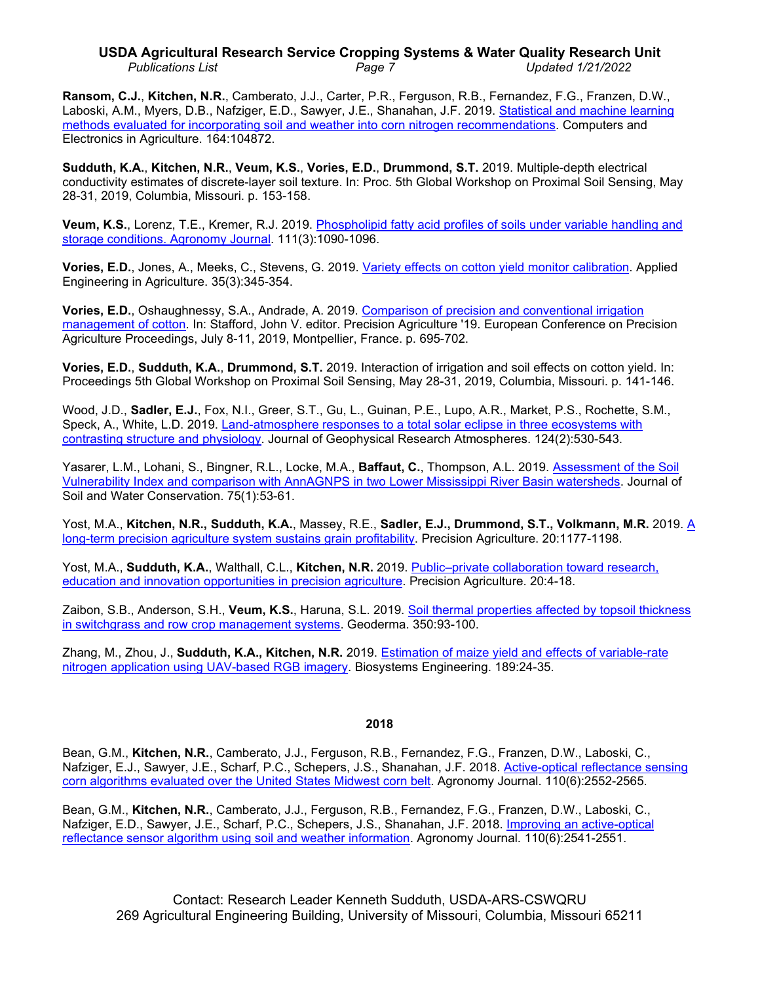# **USDA Agricultural Research Service Cropping Systems & Water Quality Research Unit** *Publications List Page 7 Updated 1/21/2022*

**Ransom, C.J.**, **Kitchen, N.R.**, Camberato, J.J., Carter, P.R., Ferguson, R.B., Fernandez, F.G., Franzen, D.W., Laboski, A.M., Myers, D.B., Nafziger, E.D., Sawyer, J.E., Shanahan, J.F. 2019. [Statistical and machine learning](https://doi.org/10.1016/j.compag.2019.104872)  methods evaluated for [incorporating soil and weather into corn nitrogen recommendations.](https://doi.org/10.1016/j.compag.2019.104872) Computers and Electronics in Agriculture. 164:104872.

**Sudduth, K.A.**, **Kitchen, N.R.**, **Veum, K.S.**, **Vories, E.D.**, **Drummond, S.T.** 2019. Multiple-depth electrical conductivity estimates of discrete-layer soil texture. In: Proc. 5th Global Workshop on Proximal Soil Sensing, May 28-31, 2019, Columbia, Missouri. p. 153-158.

**Veum, K.S.**, Lorenz, T.E., Kremer, R.J. 2019. [Phospholipid fatty acid profiles of soils](https://doi.org/10.2134/agronj2018.09.0628) under variable handling and [storage conditions. Agronomy Journal.](https://doi.org/10.2134/agronj2018.09.0628) 111(3):1090-1096.

**Vories, E.D.**, Jones, A., Meeks, C., Stevens, G. 2019. [Variety effects on cotton yield](https://doi.org/10.13031/aea.13144) monitor calibration. Applied Engineering in Agriculture. 35(3):345-354.

**Vories, E.D.**, Oshaughnessy, S.A., Andrade, A. 2019. [Comparison of precision and](https://doi.org/10.3920/978-90-8686-888-9_86) conventional irrigation [management of cotton.](https://doi.org/10.3920/978-90-8686-888-9_86) In: Stafford, John V. editor. Precision Agriculture '19. European Conference on Precision Agriculture Proceedings, July 8-11, 2019, Montpellier, France. p. 695-702.

**Vories, E.D.**, **Sudduth, K.A.**, **Drummond, S.T.** 2019. Interaction of irrigation and soil effects on cotton yield. In: Proceedings 5th Global Workshop on Proximal Soil Sensing, May 28-31, 2019, Columbia, Missouri. p. 141-146.

Wood, J.D., **Sadler, E.J.**, Fox, N.I., Greer, S.T., Gu, L., Guinan, P.E., Lupo, A.R., Market, P.S., Rochette, S.M., Speck, A., White, L.D. 2019. Land-atmosphere responses to a total solar [eclipse in three ecosystems with](https://doi.org/10.1029/2018JD029630)  [contrasting structure and physiology.](https://doi.org/10.1029/2018JD029630) Journal of Geophysical Research Atmospheres. 124(2):530-543.

Yasarer, L.M., Lohani, S., Bingner, R.L., Locke, M.A., **Baffaut, C.**, Thompson, A.L. 2019. [Assessment of the Soil](https://doi.org/10.2489/jswc.75.1.53)  [Vulnerability Index and comparison with AnnAGNPS in two](https://doi.org/10.2489/jswc.75.1.53) Lower Mississippi River Basin watersheds. Journal of Soil and Water Conservation. 75(1):53-61.

Yost, M.A., **Kitchen, N.R., Sudduth, K.A.**, Massey, R.E., **Sadler, E.J., Drummond, S.T., Volkmann, M.R.** 2019. [A](https://doi.org/10.1007/s11119-019-09649-7)  [long-term precision agriculture system sustains grain](https://doi.org/10.1007/s11119-019-09649-7) profitability. Precision Agriculture. 20:1177-1198.

Yost, M.A., **Sudduth, K.A.**, Walthall, C.L., **Kitchen, N.R.** 2019. Public–private [collaboration toward research,](https://doi.org/10.1007/s11119-018-9583-4)  [education and innovation opportunities in precision](https://doi.org/10.1007/s11119-018-9583-4) agriculture. Precision Agriculture. 20:4-18.

Zaibon, S.B., Anderson, S.H., **Veum, K.S.**, Haruna, S.L. 2019. Soil thermal properties [affected by topsoil thickness](https://doi.org/10.1016/j.geoderma.2019.05.005)  [in switchgrass and row crop management systems.](https://doi.org/10.1016/j.geoderma.2019.05.005) Geoderma. 350:93-100.

Zhang, M., Zhou, J., **Sudduth, K.A., Kitchen, N.R.** 2019. [Estimation of maize yield and](https://doi.org/10.1016/j.biosystemseng.2019.11.001) effects of variable-rate [nitrogen application using UAV-based RGB imagery.](https://doi.org/10.1016/j.biosystemseng.2019.11.001) Biosystems Engineering. 189:24-35.

## **2018**

Bean, G.M., **Kitchen, N.R.**, Camberato, J.J., Ferguson, R.B., Fernandez, F.G., Franzen, D.W., Laboski, C., Nafziger, E.J., Sawyer, J.E., Scharf, P.C., Schepers, J.S., Shanahan, J.F. 2018. [Active-optical reflectance sensing](https://doi.org/10.2134/agronj2018.03.0217)  corn algorithms evaluated over [the United States Midwest corn belt.](https://doi.org/10.2134/agronj2018.03.0217) Agronomy Journal. 110(6):2552-2565.

Bean, G.M., **Kitchen, N.R.**, Camberato, J.J., Ferguson, R.B., Fernandez, F.G., Franzen, D.W., Laboski, C., Nafziger, E.D., Sawyer, J.E., Scharf, P.C., Schepers, J.S., Shanahan, J.F. 2018. [Improving an active-optical](https://doi.org/10.2134/agronj2017.12.0733)  [reflectance sensor algorithm using](https://doi.org/10.2134/agronj2017.12.0733) soil and weather information. Agronomy Journal. 110(6):2541-2551.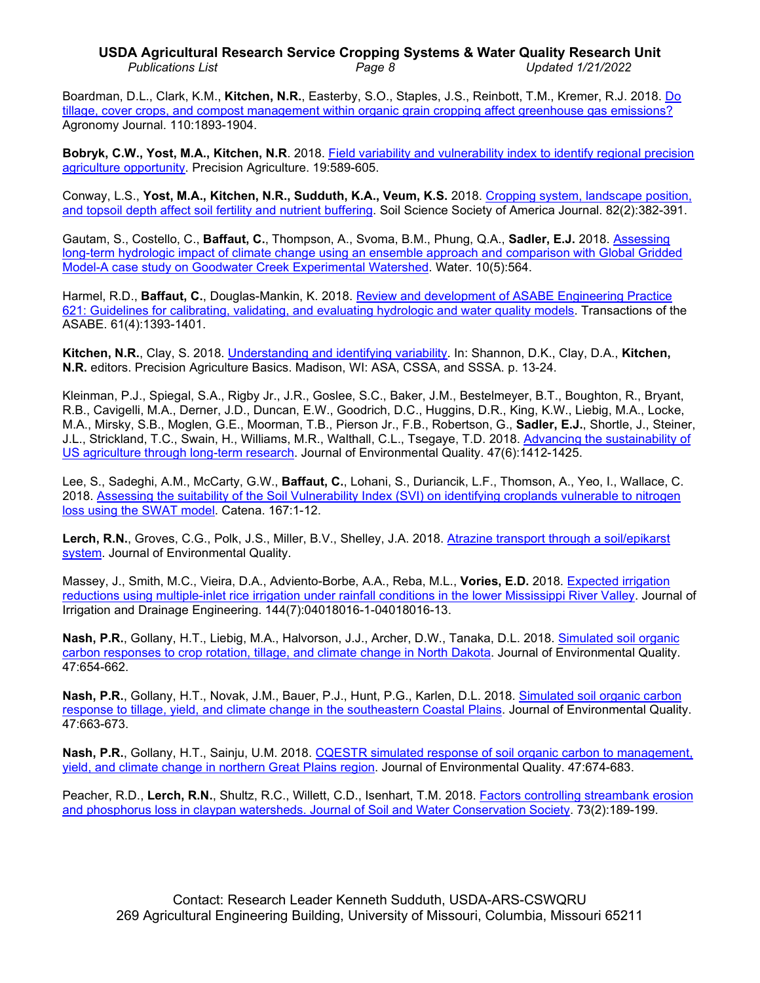# **USDA Agricultural Research Service Cropping Systems & Water Quality Research Unit** *Publications List Page 8 Updated 1/21/2022*

Boardman, D.L., Clark, K.M., **Kitchen, N.R.**, Easterby, S.O., Staples, J.S., Reinbott, T.M., Kremer, R.J. 2018. [Do](https://doi.org/10.2134/agronj2018.01.0023)  [tillage, cover crops, and compost management within organic](https://doi.org/10.2134/agronj2018.01.0023) grain cropping affect greenhouse gas emissions? Agronomy Journal. 110:1893-1904.

**Bobryk, C.W., Yost, M.A., Kitchen, N.R**. 2018. [Field variability and vulnerability index](https://doi.org/10.1007/s11119-017-9541-6) to identify regional precision [agriculture opportunity.](https://doi.org/10.1007/s11119-017-9541-6) Precision Agriculture. 19:589-605.

Conway, L.S., **Yost, M.A., Kitchen, N.R., Sudduth, K.A., Veum, K.S.** 2018. Cropping [system, landscape position,](https://doi.org/10.2136/sssaj2017.08.0288)  [and topsoil depth affect soil fertility and nutrient](https://doi.org/10.2136/sssaj2017.08.0288) buffering. Soil Science Society of America Journal. 82(2):382-391.

Gautam, S., Costello, C., **Baffaut, C.**, Thompson, A., Svoma, B.M., Phung, Q.A., **Sadler, E.J.** 2018. [Assessing](https://doi.org/10.3390/w10050564)  [long-term hydrologic impact of climate change using an ensemble approach and](https://doi.org/10.3390/w10050564) comparison with Global Gridded Model-A case [study on Goodwater Creek Experimental Watershed.](https://doi.org/10.3390/w10050564) Water. 10(5):564.

Harmel, R.D., **Baffaut, C.**, Douglas-Mankin, K. 2018. [Review and development of ASABE Engineering Practice](https://doi.org/10.13031/trans.12806)  [621: Guidelines for calibrating, validating, and evaluating hydrologic and water quality models.](https://doi.org/10.13031/trans.12806) Transactions of the ASABE. 61(4):1393-1401.

**Kitchen, N.R.**, Clay, S. 2018. [Understanding and identifying variability.](https://doi.org/10.2134/precisionagbasics.2016.0033) In: Shannon, D.K., Clay, D.A., **Kitchen, N.R.** editors. Precision Agriculture Basics. Madison, WI: ASA, CSSA, and SSSA. p. 13-24.

Kleinman, P.J., Spiegal, S.A., Rigby Jr., J.R., Goslee, S.C., Baker, J.M., Bestelmeyer, B.T., Boughton, R., Bryant, R.B., Cavigelli, M.A., Derner, J.D., Duncan, E.W., Goodrich, D.C., Huggins, D.R., King, K.W., Liebig, M.A., Locke, M.A., Mirsky, S.B., Moglen, G.E., Moorman, T.B., Pierson Jr., F.B., Robertson, G., **Sadler, E.J.**, Shortle, J., Steiner, J.L., Strickland, T.C., Swain, H., Williams, M.R., Walthall, C.L., Tsegaye, T.D. 2018. [Advancing the sustainability of](https://doi.org/doi:10.2134/jeq2018.05.0171)  [US agriculture through](https://doi.org/doi:10.2134/jeq2018.05.0171) long-term research. Journal of Environmental Quality. 47(6):1412-1425.

Lee, S., Sadeghi, A.M., McCarty, G.W., **Baffaut, C.**, Lohani, S., Duriancik, L.F., Thomson, A., Yeo, I., Wallace, C. 2018. [Assessing the suitability of the Soil Vulnerability Index \(SVI\) on identifying croplands vulnerable to nitrogen](https://doi.org/10.1016/j.catena.2018.04.021)  [loss using the SWAT model.](https://doi.org/10.1016/j.catena.2018.04.021) Catena. 167:1-12.

**Lerch, R.N.**, Groves, C.G., Polk, J.S., Miller, B.V., Shelley, J.A. 2018. Atrazine [transport through a soil/epikarst](https://doi.org/10.2134/jeq2017.12.0492)  [system.](https://doi.org/10.2134/jeq2017.12.0492) Journal of Environmental Quality.

Massey, J., Smith, M.C., Vieira, D.A., Adviento-Borbe, A.A., Reba, M.L., **Vories, E.D.** 2018. [Expected irrigation](https://doi.org/10.1061/(ASCE)IR.1943-4774.0001303)  reductions using multiple-inlet rice irrigation under [rainfall conditions in the lower Mississippi River Valley.](https://doi.org/10.1061/(ASCE)IR.1943-4774.0001303) Journal of Irrigation and Drainage Engineering. 144(7):04018016-1-04018016-13.

**Nash, P.R.**, Gollany, H.T., Liebig, M.A., Halvorson, J.J., Archer, D.W., Tanaka, D.L. 2018. [Simulated soil organic](https://doi.org/10.2134/jeq2017.04.0161)  [carbon responses to crop rotation, tillage, and climate](https://doi.org/10.2134/jeq2017.04.0161) change in North Dakota. Journal of Environmental Quality. 47:654-662.

**Nash, P.R.**, Gollany, H.T., Novak, J.M., Bauer, P.J., Hunt, P.G., Karlen, D.L. 2018. [Simulated soil organic](https://doi.org/10.2134/jeq2017.05.0190) carbon response to tillage, yield, and climate change in the [southeastern Coastal Plains.](https://doi.org/10.2134/jeq2017.05.0190) Journal of Environmental Quality. 47:663-673.

**Nash, P.R.**, Gollany, H.T., Sainju, U.M. 2018. [CQESTR simulated response of soil organic](https://doi.org/10.2134/jeq2017.07.0273) carbon to management, [yield, and climate change in northern Great Plains region.](https://doi.org/10.2134/jeq2017.07.0273) Journal of Environmental Quality. 47:674-683.

Peacher, R.D., **Lerch, R.N.**, Shultz, R.C., Willett, C.D., Isenhart, T.M. 2018. Factors [controlling streambank erosion](https://doi.org/10.2489/jswc.73.2.189) [and phosphorus loss in claypan watersheds. Journal of](https://doi.org/10.2489/jswc.73.2.189) Soil and Water Conservation Society. 73(2):189-199.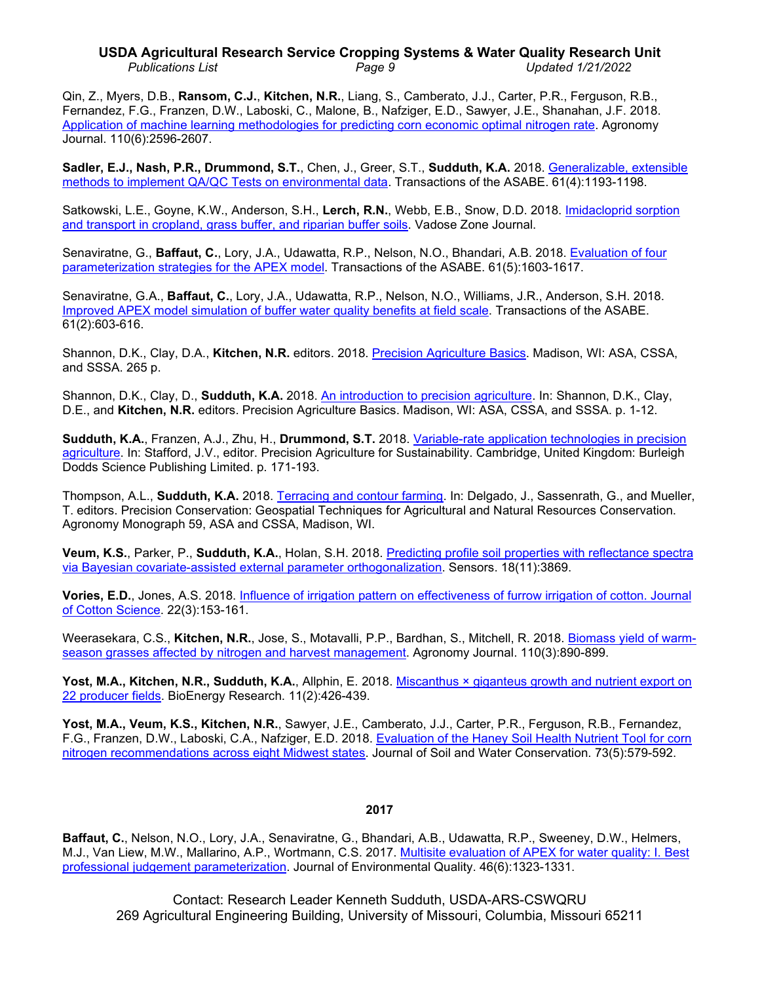# **USDA Agricultural Research Service Cropping Systems & Water Quality Research Unit** *Publications List Page 9 Updated 1/21/2022*

Qin, Z., Myers, D.B., **Ransom, C.J.**, **Kitchen, N.R.**, Liang, S., Camberato, J.J., Carter, P.R., Ferguson, R.B., Fernandez, F.G., Franzen, D.W., Laboski, C., Malone, B., Nafziger, E.D., Sawyer, J.E., Shanahan, J.F. 2018. Application of machine learning [methodologies for predicting corn economic optimal nitrogen rate.](https://doi.org/10.2134/agronj2018.03.0222) Agronomy Journal. 110(6):2596-2607.

**Sadler, E.J., Nash, P.R., Drummond, S.T.**, Chen, J., Greer, S.T., **Sudduth, K.A.** 2018. [Generalizable, extensible](https://doi.org/10.13031/trans.12641)  [methods to implement QA/QC Tests on environmental data.](https://doi.org/10.13031/trans.12641) Transactions of the ASABE. 61(4):1193-1198.

Satkowski, L.E., Goyne, K.W., Anderson, S.H., **Lerch, R.N.**, Webb, E.B., Snow, D.D. 2018. [Imidacloprid sorption](https://doi.org/10.2136/vzj2017.07.0139)  [and transport in cropland, grass buffer, and riparian buffer](https://doi.org/10.2136/vzj2017.07.0139) soils. Vadose Zone Journal.

Senaviratne, G., **Baffaut, C.**, Lory, J.A., Udawatta, R.P., Nelson, N.O., Bhandari, A.B. 2018. [Evaluation of four](https://doi.org/10.13031/trans.12656)  [parameterization strategies for the APEX model.](https://doi.org/10.13031/trans.12656) Transactions of the ASABE. 61(5):1603-1617.

Senaviratne, G.A., **Baffaut, C.**, Lory, J.A., Udawatta, R.P., Nelson, N.O., Williams, J.R., Anderson, S.H. 2018. [Improved APEX model simulation of buffer water quality benefits at field scale.](https://doi.org/10.13031/trans.12655) Transactions of the ASABE. 61(2):603-616.

Shannon, D.K., Clay, D.A., **Kitchen, N.R.** editors. 2018. [Precision Agriculture Basics.](https://acsess.onlinelibrary.wiley.com/doi/book/10.2134/precisionagbasics) Madison, WI: ASA, CSSA, and SSSA. 265 p.

Shannon, D.K., Clay, D., **Sudduth, K.A.** 2018. [An introduction to precision agriculture.](https://doi.org/10.2134/precisionagbasics.2016.0084) In: Shannon, D.K., Clay, D.E., and **Kitchen, N.R.** editors. Precision Agriculture Basics. Madison, WI: ASA, CSSA, and SSSA. p. 1-12.

**Sudduth, K.A.**, Franzen, A.J., Zhu, H., **Drummond, S.T.** 2018. [Variable-rate application technologies in precision](https://doi.org/10.1201/9781351114592)  [agriculture.](https://doi.org/10.1201/9781351114592) In: Stafford, J.V., editor. Precision Agriculture for Sustainability. Cambridge, United Kingdom: Burleigh Dodds Science Publishing Limited. p. 171-193.

Thompson, A.L., **Sudduth, K.A.** 2018. [Terracing and contour](https://doi.org/10.2134/agronmonogr59.2016.0010) farming. In: Delgado, J., Sassenrath, G., and Mueller, T. editors. Precision Conservation: Geospatial Techniques for Agricultural and Natural Resources Conservation. Agronomy Monograph 59, ASA and CSSA, Madison, WI.

**Veum, K.S.**, Parker, P., **Sudduth, K.A.**, Holan, S.H. 2018. Predicting profile soil [properties with reflectance spectra](https://doi.org/10.3390/s18113869)  [via Bayesian covariate-assisted external parameter](https://doi.org/10.3390/s18113869) orthogonalization. Sensors. 18(11):3869.

**Vories, E.D.**, Jones, A.S. 2018. [Influence of irrigation pattern on effectiveness of](https://doi.org/10.1061/9780784479858.003) furrow irrigation of cotton. Journal [of Cotton Science.](https://doi.org/10.1061/9780784479858.003) 22(3):153-161.

Weerasekara, C.S., **Kitchen, N.R.**, Jose, S., Motavalli, P.P., Bardhan, S., Mitchell, R. 2018. [Biomass yield of warm](https://doi.org/10.2134/agronj2017.04.0196)[season grasses affected by nitrogen and harvest management.](https://doi.org/10.2134/agronj2017.04.0196) Agronomy Journal. 110(3):890-899.

**Yost, M.A., Kitchen, N.R., Sudduth, K.A.**, Allphin, E. 2018. Miscanthus × giganteus growth and nutrient export on [22 producer fields.](https://doi.org/10.1007/s12155-018-9907-2) BioEnergy Research. 11(2):426-439.

**Yost, M.A., Veum, K.S., Kitchen, N.R.**, Sawyer, J.E., Camberato, J.J., Carter, P.R., Ferguson, R.B., Fernandez, F.G., Franzen, D.W., Laboski, C.A., Nafziger, E.D. 2018. [Evaluation of the Haney Soil Health Nutrient Tool for corn](https://doi.org/10.2489/jswc.73.5.587)  nitrogen recommendations [across eight Midwest states.](https://doi.org/10.2489/jswc.73.5.587) Journal of Soil and Water Conservation. 73(5):579-592.

## **2017**

**Baffaut, C.**, Nelson, N.O., Lory, J.A., Senaviratne, G., Bhandari, A.B., Udawatta, R.P., Sweeney, D.W., Helmers, M.J., Van Liew, M.W., Mallarino, A.P., Wortmann, C.S. 2017. Multisite evaluation of APEX for water quality: I. Best [professional judgement parameterization.](http://dx.doi.org/10.2134/jeq2016.06.0226) Journal of Environmental Quality. 46(6):1323-1331.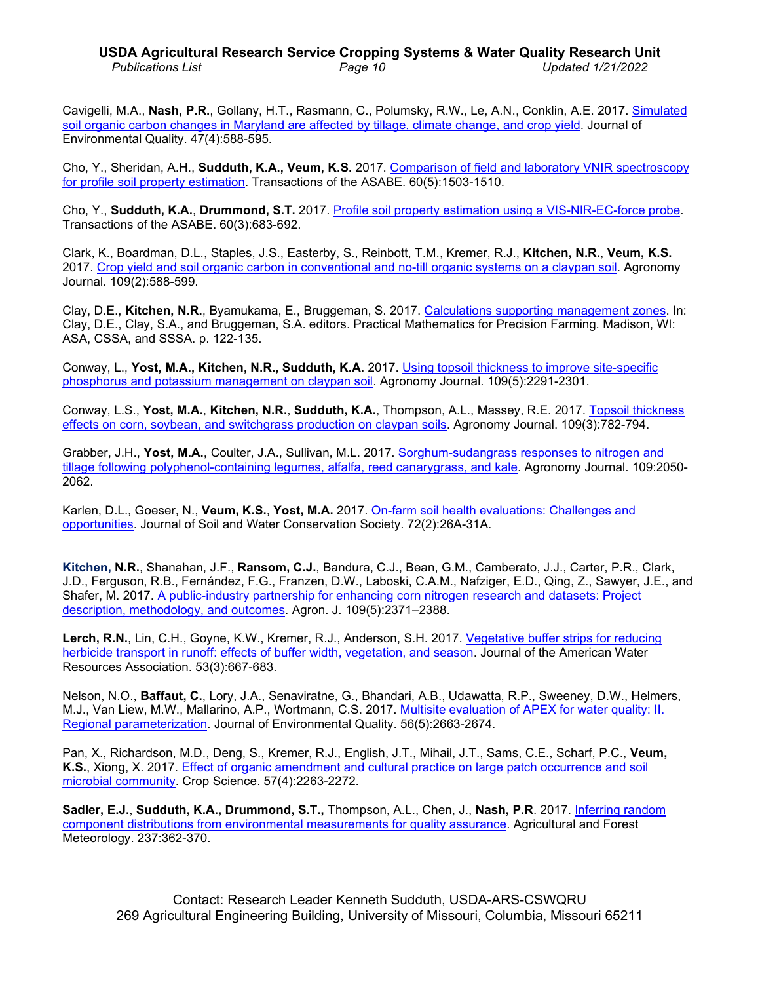# **USDA Agricultural Research Service Cropping Systems & Water Quality Research Unit** *Publications List Page 10 Updated 1/21/2022*

Cavigelli, M.A., **Nash, P.R.**, Gollany, H.T., Rasmann, C., Polumsky, R.W., Le, A.N., Conklin, A.E. 2017. [Simulated](https://doi.org/10.2134/jeq2017.07.0291)  [soil organic carbon changes in Maryland are affected by tillage, climate change, and crop yield.](https://doi.org/10.2134/jeq2017.07.0291) Journal of Environmental Quality. 47(4):588-595.

Cho, Y., Sheridan, A.H., **Sudduth, K.A., Veum, K.S.** 2017. Comparison of field [and laboratory VNIR spectroscopy](https://doi.org/10.13031/trans.12299) [for profile soil property estimation.](https://doi.org/10.13031/trans.12299) Transactions of the ASABE. 60(5):1503-1510.

Cho, Y., **Sudduth, K.A.**, **Drummond, S.T.** 2017. Profile soil property estimation [using a VIS-NIR-EC-force probe.](http://dx.doi.org/10.13031/trans.12049) Transactions of the ASABE. 60(3):683-692.

Clark, K., Boardman, D.L., Staples, J.S., Easterby, S., Reinbott, T.M., Kremer, R.J., **Kitchen, N.R.**, **Veum, K.S.** 2017. Crop [yield and soil organic carbon in conventional and no-till organic systems on a claypan soil.](http://dx.doi.org/10.2134/agronj2016.06.0367) Agronomy Journal. 109(2):588-599.

Clay, D.E., **Kitchen, N.R.**, Byamukama, E., Bruggeman, S. 2017. [Calculations supporting](https://doi.org/10.2134/practicalmath2017.0024) management zones. In: Clay, D.E., Clay, S.A., and Bruggeman, S.A. editors. Practical Mathematics for Precision Farming. Madison, WI: ASA, CSSA, and SSSA. p. 122-135.

Conway, L., **Yost, M.A., Kitchen, N.R., Sudduth, K.A.** 2017. [Using topsoil thickness to improve](https://doi.org/10.2134/agronj2017.01.0038) site-specific phosphorus and [potassium management on claypan soil.](https://doi.org/10.2134/agronj2017.01.0038) Agronomy Journal. 109(5):2291-2301.

Conway, L.S., **Yost, M.A.**, **Kitchen, N.R.**, **Sudduth, K.A.**, Thompson, A.L., Massey, R.E. 2017. [Topsoil thickness](http://dx.doi.org/10.2134/agronj2016.06.0365)  [effects on corn, soybean, and switchgrass production on claypan soils.](http://dx.doi.org/10.2134/agronj2016.06.0365) Agronomy Journal. 109(3):782-794.

Grabber, J.H., **Yost, M.A.**, Coulter, J.A., Sullivan, M.L. 2017. [Sorghum-sudangrass responses to nitrogen and](https://doi.org/10.2134/agronj2016.09.0550)  tillage [following polyphenol-containing legumes, alfalfa, reed canarygrass, and kale.](https://doi.org/10.2134/agronj2016.09.0550) Agronomy Journal. 109:2050- 2062.

Karlen, D.L., Goeser, N., **Veum, K.S.**, **Yost, M.A.** 2017. [On-farm soil health evaluations: Challenges and](http://dx.doi.org/10.2489/jswc.72.2.26A)  [opportunities.](http://dx.doi.org/10.2489/jswc.72.2.26A) Journal of Soil and Water Conservation Society. 72(2):26A-31A.

**Kitchen, N.R.**, Shanahan, J.F., **Ransom, C.J.**, Bandura, C.J., Bean, G.M., Camberato, J.J., Carter, P.R., Clark, J.D., Ferguson, R.B., Fernández, F.G., Franzen, D.W., Laboski, C.A.M., Nafziger, E.D., Qing, Z., Sawyer, J.E., and Shafer, M. 2017. [A public-industry partnership for enhancing corn nitrogen research and datasets: Project](http://dx.doi.org/10.2134/agronj2017.04.0207)  [description, methodology, and outcomes.](http://dx.doi.org/10.2134/agronj2017.04.0207) Agron. J. 109(5):2371–2388.

**Lerch, R.N.**, Lin, C.H., Goyne, K.W., Kremer, R.J., Anderson, S.H. 2017. [Vegetative buffer strips for reducing](http://dx.doi.org/10.1111/1752-1688.12526)  [herbicide transport in runoff: effects of buffer width, vegetation, and season.](http://dx.doi.org/10.1111/1752-1688.12526) Journal of the American Water Resources Association. 53(3):667-683.

Nelson, N.O., **Baffaut, C.**, Lory, J.A., Senaviratne, G., Bhandari, A.B., Udawatta, R.P., Sweeney, D.W., Helmers, M.J., Van Liew, M.W., Mallarino, A.P., Wortmann, C.S. 2017. [Multisite evaluation of APEX for water quality: II.](http://dx.doi.org/10.2134/jeq2016.07.0254)  [Regional parameterization.](http://dx.doi.org/10.2134/jeq2016.07.0254) Journal of Environmental Quality. 56(5):2663-2674.

Pan, X., Richardson, M.D., Deng, S., Kremer, R.J., English, J.T., Mihail, J.T., Sams, C.E., Scharf, P.C., **Veum, K.S.**, Xiong, X. 2017. [Effect of organic amendment and cultural practice on large patch occurrence and soil](https://doi.org/10.2135/cropsci2016.09.0809)  [microbial community.](https://doi.org/10.2135/cropsci2016.09.0809) Crop Science. 57(4):2263-2272.

**Sadler, E.J.**, **Sudduth, K.A., Drummond, S.T.,** Thompson, A.L., Chen, J., **Nash, P.R**. 2017. [Inferring random](http://dx.doi.org/10.1016/j.agrformet.2017.02.021)  component distributions from [environmental measurements](http://dx.doi.org/10.1016/j.agrformet.2017.02.021) for quality assurance. Agricultural and Forest Meteorology. 237:362-370.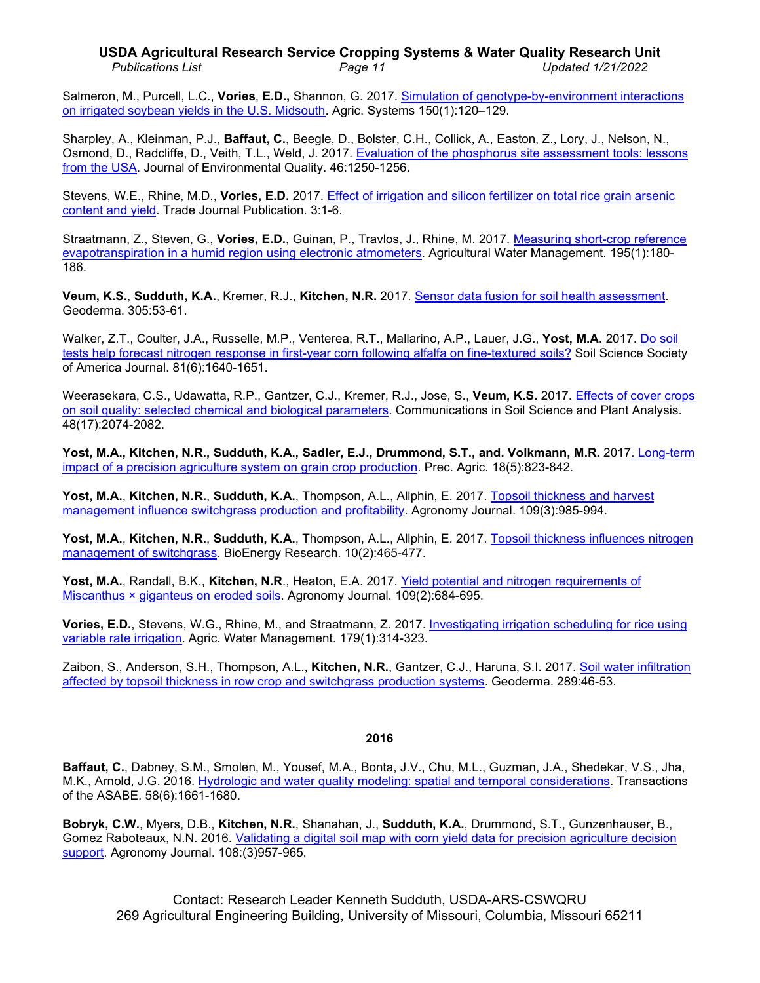## **USDA Agricultural Research Service Cropping Systems & Water Quality Research Unit** *Publications List Page 11 Updated 1/21/2022*

Salmeron, M., Purcell, L.C., **Vories**, **E.D.,** Shannon, G. 2017. Simulation of [genotype-by-environment interactions](https://doi.org/10.1016/j.agsy.2016.10.008)  on [irrigated soybean yields](https://doi.org/10.1016/j.agsy.2016.10.008) in the U.S. Midsouth. Agric. Systems 150(1):120–129.

Sharpley, A., Kleinman, P.J., **Baffaut, C.**, Beegle, D., Bolster, C.H., Collick, A., Easton, Z., Lory, J., Nelson, N., Osmond, D., Radcliffe, D., Veith, T.L., Weld, J. 2017. [Evaluation of the phosphorus site assessment tools: lessons](http://dx.doi.org/10.2134/jeq2016.11.0427) [from the USA.](http://dx.doi.org/10.2134/jeq2016.11.0427) Journal of Environmental Quality. 46:1250-1256.

Stevens, W.E., Rhine, M.D., **Vories, E.D.** 2017. [Effect of irrigation and silicon fertilizer on total rice grain arsenic](http://dx.doi.org/10.2134/cftm2016.12.0083)  [content and yield.](http://dx.doi.org/10.2134/cftm2016.12.0083) Trade Journal Publication. 3:1-6.

Straatmann, Z., Steven, G., **Vories, E.D.**, Guinan, P., Travlos, J., Rhine, M. 2017. [Measuring short-crop reference](https://doi.org/10.1016/j.agwat.2017.10.007)  [evapotranspiration in a humid region using electronic atmometers.](https://doi.org/10.1016/j.agwat.2017.10.007) Agricultural Water Management. 195(1):180- 186.

**Veum, K.S.**, **Sudduth, K.A.**, Kremer, R.J., **Kitchen, N.R.** 2017. [Sensor data fusion for soil health assessment.](http://dx.doi.org/10.1016/j.geoderma.2017.05.031) Geoderma. 305:53-61.

Walker, Z.T., Coulter, J.A., Russelle, M.P., Venterea, R.T., Mallarino, A.P., Lauer, J.G., **Yost, M.A.** 2017. [Do soil](https://doi.org/10.2136/sssaj2017.06.0183)  tests help forecast nitrogen response in [first-year corn following alfalfa on fine-textured soils?](https://doi.org/10.2136/sssaj2017.06.0183) Soil Science Society of America Journal. 81(6):1640-1651.

Weerasekara, C.S., Udawatta, R.P., Gantzer, C.J., Kremer, R.J., Jose, S., **Veum, K.S.** 2017. [Effects of cover crops](https://doi.org/10.1080/00103624.2017.1406103)  [on soil quality: selected chemical and biological parameters.](https://doi.org/10.1080/00103624.2017.1406103) Communications in Soil Science and Plant Analysis. 48(17):2074-2082.

**Yost, M.A., Kitchen, N.R., Sudduth, K.A., Sadler, E.J., Drummond, S.T., and. Volkmann, M.R.** 201[7. Long-term](http://dx.doi.org/10.1007/s11119-016-9490-5)  [impact of a precision agriculture system on grain crop production.](http://dx.doi.org/10.1007/s11119-016-9490-5) Prec. Agric. 18(5):823-842.

**Yost, M.A.**, **Kitchen, N.R.**, **Sudduth, K.A.**, Thompson, A.L., Allphin, E. 2017. [Topsoil thickness and harvest](http://dx.doi.org/10.2134/agronj2016.09.0561)  [management influence switchgrass production and profitability.](http://dx.doi.org/10.2134/agronj2016.09.0561) Agronomy Journal. 109(3):985-994.

**Yost, M.A.**, **Kitchen, N.R.**, **Sudduth, K.A.**, Thompson, A.L., Allphin, E. 2017. [Topsoil thickness influences nitrogen](http://dx.doi.org/10.1007/s12155-016-9811-6)  [management of switchgrass.](http://dx.doi.org/10.1007/s12155-016-9811-6) BioEnergy Research. 10(2):465-477.

**Yost, M.A.**, Randall, B.K., **Kitchen, N.R**., Heaton, E.A. 2017. [Yield potential and nitrogen requirements of](http://dx.doi.org/10.2134/agronj2016.10.0582) Miscanthus × [giganteus on eroded soils.](http://dx.doi.org/10.2134/agronj2016.10.0582) Agronomy Journal. 109(2):684-695.

**Vories, E.D.**, Stevens, W.G., Rhine, M., and Straatmann, Z. 2017. [Investigating irrigation scheduling for rice using](https://doi.org/10.1016/j.agwat.2016.05.032)  [variable rate irrigation.](https://doi.org/10.1016/j.agwat.2016.05.032) Agric. Water Management. 179(1):314-323.

Zaibon, S., Anderson, S.H., Thompson, A.L., **Kitchen, N.R.**, Gantzer, C.J., Haruna, S.I. 2017. Soil [water infiltration](http://dx.doi.org/10.1016/j.geoderma.2016.10.016)  [affected by topsoil thickness in row crop and switchgrass production](http://dx.doi.org/10.1016/j.geoderma.2016.10.016) systems. Geoderma. 289:46-53.

## **2016**

**Baffaut, C.**, Dabney, S.M., Smolen, M., Yousef, M.A., Bonta, J.V., Chu, M.L., Guzman, J.A., Shedekar, V.S., Jha, M.K., Arnold, J.G. 2016. [Hydrologic and water quality modeling: spatial and temporal considerations.](http://dx.doi.org/10.13031/trans.58.10714) Transactions of the ASABE. 58(6):1661-1680.

**Bobryk, C.W.**, Myers, D.B., **Kitchen, N.R.**, Shanahan, J., **Sudduth, K.A.**, Drummond, S.T., Gunzenhauser, B., Gomez Raboteaux, N.N. 2016. [Validating a digital soil map with corn yield data for precision agriculture decision](http://dx.doi.org/10.2134/agronj2015.0381)  [support.](http://dx.doi.org/10.2134/agronj2015.0381) Agronomy Journal. 108:(3)957-965.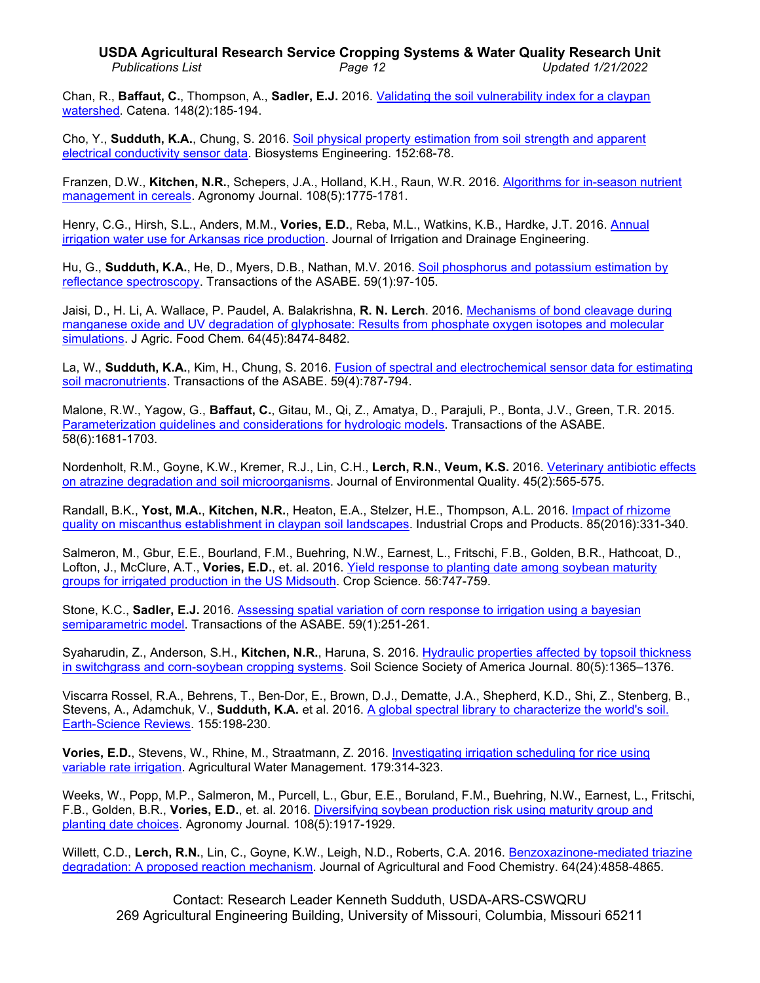# **USDA Agricultural Research Service Cropping Systems & Water Quality Research Unit** *Publications List Page 12 Updated 1/21/2022*

Chan, R., **Baffaut, C.**, Thompson, A., **Sadler, E.J.** 2016. [Validating the soil vulnerability](http://dx.doi.org/10.1016/j.catena.2016.03.009) index for a claypan [watershed.](http://dx.doi.org/10.1016/j.catena.2016.03.009) Catena. 148(2):185-194.

Cho, Y., **Sudduth, K.A.**, Chung, S. 2016. [Soil physical property estimation from soil strength and apparent](http://dx.doi.org/10.1016/j.biosystemseng.2016.07.003)  [electrical conductivity sensor data.](http://dx.doi.org/10.1016/j.biosystemseng.2016.07.003) Biosystems Engineering. 152:68-78.

Franzen, D.W., **Kitchen, N.R.**, Schepers, J.A., Holland, K.H., Raun, W.R. 2016. [Algorithms for in-season nutrient](http://dx.doi.org/10.2134/agronj2016.01.0041)  [management in cereals.](http://dx.doi.org/10.2134/agronj2016.01.0041) Agronomy Journal. 108(5):1775-1781.

Henry, C.G., Hirsh, S.L., Anders, M.M., **Vories, E.D.**, Reba, M.L., Watkins, K.B., Hardke, J.T. 2016. [Annual](http://dx.doi.org/10.1061/(ASCE)IR.1943-4774.0001068)  [irrigation water use for Arkansas rice production.](http://dx.doi.org/10.1061/(ASCE)IR.1943-4774.0001068) Journal of Irrigation and Drainage Engineering.

Hu, G., **Sudduth, K.A.**, He, D., Myers, D.B., Nathan, M.V. 2016. [Soil phosphorus and potassium estimation by](http://dx.doi.org/10.13031/trans.59.11048)  [reflectance spectroscopy.](http://dx.doi.org/10.13031/trans.59.11048) Transactions of the ASABE. 59(1):97-105.

Jaisi, D., H. Li, A. Wallace, P. Paudel, A. Balakrishna, **R. N. Lerch**. 2016. [Mechanisms of bond cleavage](http://dx.doi.org/10.1021/acs.jafc.6b02608) during manganese oxide [and UV degradation of glyphosate: Results from phosphate oxygen isotopes and molecular](http://dx.doi.org/10.1021/acs.jafc.6b02608)  [simulations.](http://dx.doi.org/10.1021/acs.jafc.6b02608) J Agric. Food Chem. 64(45):8474-8482.

La, W., **Sudduth, K.A.**, Kim, H., Chung, S. 2016. [Fusion of spectral and electrochemical sensor data for estimating](http://dx.doi.org/10.13031/trans.59.11562)  [soil macronutrients.](http://dx.doi.org/10.13031/trans.59.11562) Transactions of the ASABE. 59(4):787-794.

Malone, R.W., Yagow, G., **Baffaut, C.**, Gitau, M., Qi, Z., Amatya, D., Parajuli, P., Bonta, J.V., Green, T.R. 2015. [Parameterization guidelines and considerations for hydrologic models.](http://dx.doi.org/10.13031/trans.58.10709) Transactions of the ASABE. 58(6):1681-1703.

Nordenholt, R.M., Goyne, K.W., Kremer, R.J., Lin, C.H., **Lerch, R.N.**, **Veum, K.S.** 2016. [Veterinary antibiotic effects](http://dx.doi.org/10.2134/jeq2015.05.0235)  [on atrazine degradation and soil microorganisms.](http://dx.doi.org/10.2134/jeq2015.05.0235) Journal of Environmental Quality. 45(2):565-575.

Randall, B.K., **Yost, M.A.**, **Kitchen, N.R.**, Heaton, E.A., Stelzer, H.E., Thompson, A.L. 2016. [Impact of rhizome](http://dx.doi.org/10.1016/j.indcrop.2015.12.040)  quality on [miscanthus establishment in claypan](http://dx.doi.org/10.1016/j.indcrop.2015.12.040) soil landscapes. Industrial Crops and Products. 85(2016):331-340.

Salmeron, M., Gbur, E.E., Bourland, F.M., Buehring, N.W., Earnest, L., Fritschi, F.B., Golden, B.R., Hathcoat, D., Lofton, J., McClure, A.T., **Vories, E.D.**, et. al. 2016. [Yield response to planting date among soybean maturity](http://dx.doi.org/10.2135/cropsci2015.07.0466)  [groups for irrigated production in the US Midsouth.](http://dx.doi.org/10.2135/cropsci2015.07.0466) Crop Science. 56:747-759.

Stone, K.C., **Sadler, E.J.** 2016. [Assessing spatial variation of corn response to irrigation using a bayesian](http://dx.doi.org/10.13031/irrig.20152142961)  [semiparametric model.](http://dx.doi.org/10.13031/irrig.20152142961) Transactions of the ASABE. 59(1):251-261.

Syaharudin, Z., Anderson, S.H., **Kitchen, N.R.**, Haruna, S. 2016. [Hydraulic properties affected by topsoil thickness](http://dx.doi.org/10.2136/sssaj2016.04.0111)  in switchgrass and [corn-soybean cropping systems.](http://dx.doi.org/10.2136/sssaj2016.04.0111) Soil Science Society of America Journal. 80(5):1365–1376.

Viscarra Rossel, R.A., Behrens, T., Ben-Dor, E., Brown, D.J., Dematte, J.A., Shepherd, K.D., Shi, Z., Stenberg, B., Stevens, A., Adamchuk, V., **Sudduth, K.A.** et al. 2016. A global spectral library to characterize the world's soil. [Earth-Science Reviews.](http://hdl.handle.net/10568/70992) 155:198-230.

**Vories, E.D.**, Stevens, W., Rhine, M., Straatmann, Z. 2016. [Investigating irrigation scheduling for rice using](http://dx.doi.org/10.1016/j.agwat.2016.05.032)  [variable rate irrigation.](http://dx.doi.org/10.1016/j.agwat.2016.05.032) Agricultural Water Management. 179:314-323.

Weeks, W., Popp, M.P., Salmeron, M., Purcell, L., Gbur, E.E., Boruland, F.M., Buehring, N.W., Earnest, L., Fritschi, F.B., Golden, B.R., **Vories, E.D.**, et. al. 2016. [Diversifying soybean production risk using maturity group and](http://dx.doi.org/10.2134/agronj2016.01.0056)  [planting date choices.](http://dx.doi.org/10.2134/agronj2016.01.0056) Agronomy Journal. 108(5):1917-1929.

Willett, C.D., Lerch, R.N., Lin, C., Goyne, K.W., Leigh, N.D., Roberts, C.A. 2016. Benzoxazinone-mediated triazine [degradation: A proposed reaction](http://dx.doi.org/10.1021/acs.jafc.6b01017) mechanism. Journal of Agricultural and Food Chemistry. 64(24):4858-4865.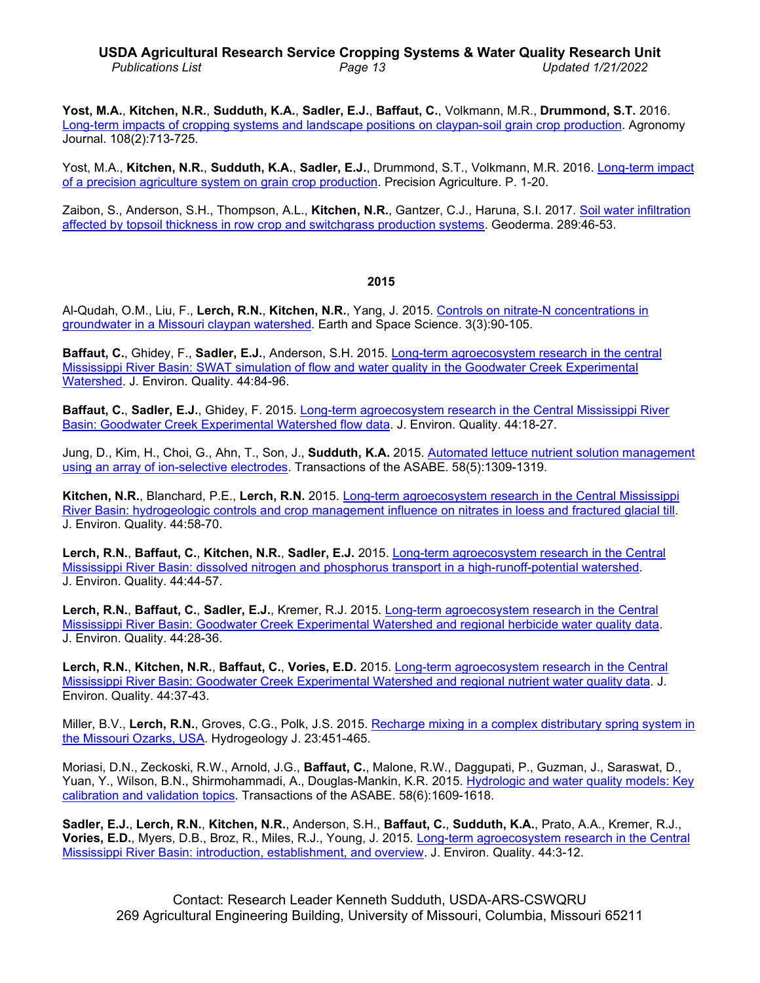# **USDA Agricultural Research Service Cropping Systems & Water Quality Research Unit** *Publications List Page 13 Updated 1/21/2022*

**Yost, M.A.**, **Kitchen, N.R.**, **Sudduth, K.A.**, **Sadler, E.J.**, **Baffaut, C.**, Volkmann, M.R., **Drummond, S.T.** 2016. [Long-term impacts of cropping systems and landscape positions on claypan-soil grain crop production.](http://dx.doi.org/10.2134/agronj2015.0413) Agronomy Journal. 108(2):713-725.

Yost, M.A., **Kitchen, N.R.**, **Sudduth, K.A.**, **Sadler, E.J.**, Drummond, S.T., Volkmann, M.R. 2016. [Long-term impact](http://dx.doi.org/10.1007/s11119-016-9490-5)  [of a precision agriculture system on grain crop production.](http://dx.doi.org/10.1007/s11119-016-9490-5) Precision Agriculture. P. 1-20.

Zaibon, S., Anderson, S.H., Thompson, A.L., **Kitchen, N.R.**, Gantzer, C.J., Haruna, S.I. 2017. [Soil water infiltration](http://dx.doi.org/10.1016/j.geoderma.2016.10.016)  [affected by topsoil thickness in row crop and switchgrass production systems.](http://dx.doi.org/10.1016/j.geoderma.2016.10.016) Geoderma. 289:46-53.

#### **2015**

Al-Qudah, O.M., Liu, F., **Lerch, R.N.**, **Kitchen, N.R.**, Yang, J. 2015. [Controls on nitrate-N concentrations in](http://dx.doi.org/10.1002/2015EA000117)  [groundwater in a Missouri claypan watershed.](http://dx.doi.org/10.1002/2015EA000117) Earth and Space Science. 3(3):90-105.

**Baffaut, C.**, Ghidey, F., **Sadler, E.J.**, Anderson, S.H. 2015. [Long-term agroecosystem research in the central](http://dx.doi.org/10.2134/jeq2014.02.0068) [Mississippi River Basin: SWAT simulation of flow and water](http://dx.doi.org/10.2134/jeq2014.02.0068) quality in the Goodwater Creek Experimental [Watershed.](http://dx.doi.org/10.2134/jeq2014.02.0068) J. Environ. Quality. 44:84-96.

**Baffaut, C.**, **Sadler, E.J.**, Ghidey, F. 2015. [Long-term agroecosystem research in the Central Mississippi River](http://dx.doi.org/10.2134/jeq2014.01.0008) [Basin: Goodwater Creek Experimental Watershed flow data.](http://dx.doi.org/10.2134/jeq2014.01.0008) J. Environ. Quality. 44:18-27.

Jung, D., Kim, H., Choi, G., Ahn, T., Son, J., **Sudduth, K.A.** 2015. [Automated lettuce nutrient solution management](http://dx.doi.org/10.13031/trans.58.11228)  [using an array of ion-selective electrodes.](http://dx.doi.org/10.13031/trans.58.11228) Transactions of the ASABE. 58(5):1309-1319.

**Kitchen, N.R.**, Blanchard, P.E., **Lerch, R.N.** 2015. [Long-term agroecosystem research in the Central Mississippi](http://dx.doi.org/10.2134/jeq2014.09.0405)  [River Basin: hydrogeologic controls and crop management influence on nitrates in loess and fractured glacial till.](http://dx.doi.org/10.2134/jeq2014.09.0405) J. Environ. Quality. 44:58-70.

**Lerch, R.N.**, **Baffaut, C.**, **Kitchen, N.R.**, **Sadler, E.J.** 2015. [Long-term agroecosystem research in the Central](http://dx.doi.org/10.2134/jeq2014.02.0059)  [Mississippi River Basin: dissolved nitrogen and phosphorus transport in a high-runoff-potential watershed.](http://dx.doi.org/10.2134/jeq2014.02.0059) J. Environ. Quality. 44:44-57.

**Lerch, R.N.**, **Baffaut, C.**, **Sadler, E.J.**, Kremer, R.J. 2015. [Long-term agroecosystem research in](http://dx.doi.org/10.2134/jeq2013.12.0516) the Central [Mississippi River Basin: Goodwater Creek Experimental Watershed and regional herbicide water quality data.](http://dx.doi.org/10.2134/jeq2013.12.0516) J. Environ. Quality. 44:28-36.

**Lerch, R.N.**, **Kitchen, N.R.**, **Baffaut, C.**, **Vories, E.D.** 2015. [Long-term agroecosystem research in the Central](http://dx.doi.org/10.2134/jeq2013.12.0518)  [Mississippi River Basin: Goodwater Creek](http://dx.doi.org/10.2134/jeq2013.12.0518) Experimental Watershed and regional nutrient water quality data. J. Environ. Quality. 44:37-43.

Miller, B.V., **Lerch, R.N.**, Groves, C.G., Polk, J.S. 2015. Recharge mixing in a [complex distributary spring system in](http://dx.doi.org/10.1007/s10040-014-1225-y)  [the Missouri Ozarks, USA.](http://dx.doi.org/10.1007/s10040-014-1225-y) Hydrogeology J. 23:451-465.

Moriasi, D.N., Zeckoski, R.W., Arnold, J.G., **Baffaut, C.**, Malone, R.W., Daggupati, P., Guzman, J., Saraswat, D., Yuan, Y., Wilson, B.N., Shirmohammadi, A., Douglas-Mankin, K.R. 2015. [Hydrologic and water quality models: Key](http://dx.doi.org/10.13031/trans.58.11075)  [calibration and validation topics.](http://dx.doi.org/10.13031/trans.58.11075) Transactions of the ASABE. 58(6):1609-1618.

**Sadler, E.J.**, **Lerch, R.N.**, **Kitchen, N.R.**, Anderson, S.H., **Baffaut, C.**, **Sudduth, K.A.**, Prato, A.A., Kremer, R.J., **Vories, E.D.**, Myers, D.B., Broz, R., Miles, R.J., Young, J. 2015. [Long-term agroecosystem research in the Central](http://dx.doi.org/10.2134/jeq2014.11.0481)  [Mississippi River Basin: introduction, establishment, and overview.](http://dx.doi.org/10.2134/jeq2014.11.0481) J. Environ. Quality. 44:3-12.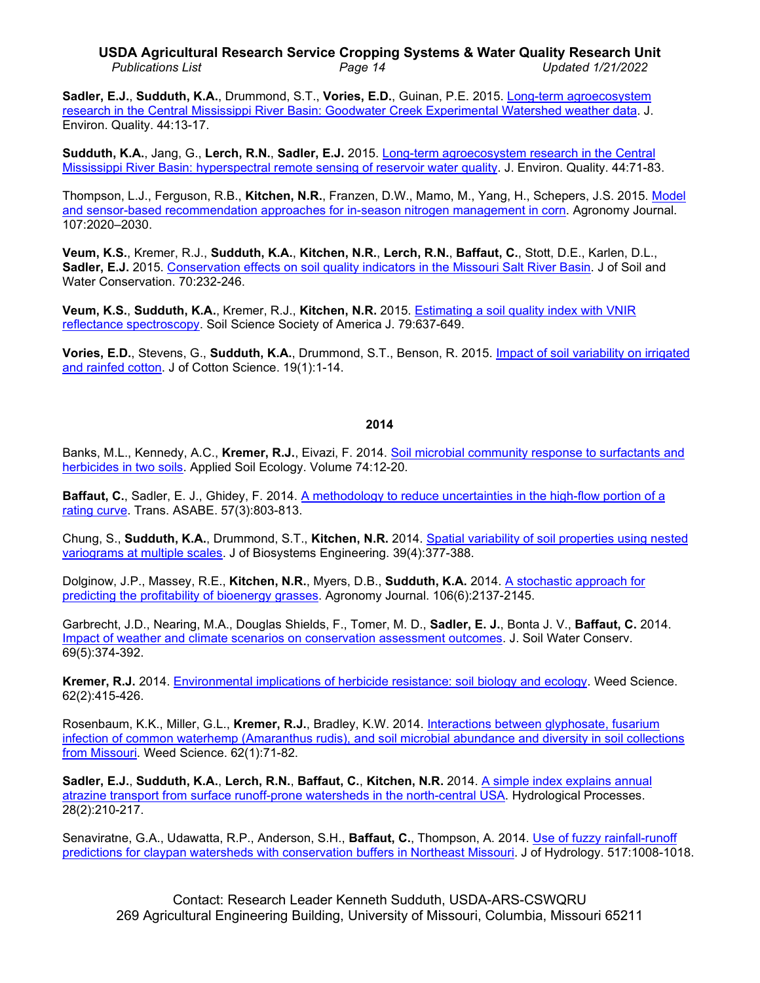# **USDA Agricultural Research Service Cropping Systems & Water Quality Research Unit** *Publications List Page 14 Updated 1/21/2022*

**Sadler, E.J.**, **Sudduth, K.A.**, Drummond, S.T., **Vories, E.D.**, Guinan, P.E. 2015. [Long-term agroecosystem](http://dx.doi.org/10.2134/jeq2013.12.0515)  [research in the Central Mississippi River Basin: Goodwater Creek Experimental Watershed weather data.](http://dx.doi.org/10.2134/jeq2013.12.0515) J. Environ. Quality. 44:13-17.

**Sudduth, K.A.**, Jang, G., **Lerch, R.N.**, **Sadler, E.J.** 2015. [Long-term agroecosystem research in the Central](http://dx.doi.org/10.2134/jeq2014.02.0060)  [Mississippi River Basin: hyperspectral remote sensing of reservoir water quality.](http://dx.doi.org/10.2134/jeq2014.02.0060) J. Environ. Quality. 44:71-83.

Thompson, L.J., Ferguson, R.B., **Kitchen, N.R.**, Franzen, D.W., Mamo, M., Yang, H., Schepers, J.S. 2015. [Model](http://dx.doi.org/10.2134/agronj15.0116)  [and sensor-based recommendation approaches for in-season nitrogen management in corn.](http://dx.doi.org/10.2134/agronj15.0116) Agronomy Journal. 107:2020–2030.

**Veum, K.S.**, Kremer, R.J., **Sudduth, K.A.**, **Kitchen, N.R.**, **Lerch, R.N.**, **Baffaut, C.**, Stott, D.E., Karlen, D.L., **Sadler, E.J.** 2015. [Conservation effects on soil quality indicators in the Missouri Salt River Basin.](http://dx.doi.org/10.2489/jswc.70.4.232) J of Soil and Water Conservation. 70:232-246.

**Veum, K.S.**, **Sudduth, K.A.**, Kremer, R.J., **Kitchen, N.R.** 2015. [Estimating a soil quality index with VNIR](http://dx.doi.org/10.2136/sssaj2014.09.0390)  [reflectance spectroscopy.](http://dx.doi.org/10.2136/sssaj2014.09.0390) Soil Science Society of America J. 79:637-649.

**Vories, E.D.**, Stevens, G., **Sudduth, K.A.**, Drummond, S.T., Benson, R. 2015. [Impact of soil variability on irrigated](http://www.cotton.org/journal/2015-19/1/upload/JCS19-1.pdf)  [and rainfed cotton.](http://www.cotton.org/journal/2015-19/1/upload/JCS19-1.pdf) J of Cotton Science. 19(1):1-14.

# **2014**

Banks, M.L., Kennedy, A.C., **Kremer, R.J.**, Eivazi, F. 2014. [Soil microbial community response to surfactants and](http://dx.doi.org/10.1016/j.apsoil.2013.08.018)  [herbicides in two soils.](http://dx.doi.org/10.1016/j.apsoil.2013.08.018) Applied Soil Ecology. Volume 74:12-20.

**Baffaut, C.**, Sadler, E. J., Ghidey, F. 2014. A methodology to reduce [uncertainties in the high-flow portion of a](http://dx.doi.org/10.13031/trans.57.10383)  [rating curve.](http://dx.doi.org/10.13031/trans.57.10383) Trans. ASABE. 57(3):803-813.

Chung, S., **Sudduth, K.A.**, Drummond, S.T., **Kitchen, N.R.** 2014. [Spatial variability of soil properties using nested](https://doi.org/10.5307/JBE.2014.39.4.377)  [variograms at multiple scales.](https://doi.org/10.5307/JBE.2014.39.4.377) J of Biosystems Engineering. 39(4):377-388.

Dolginow, J.P., Massey, R.E., **Kitchen, N.R.**, Myers, D.B., **Sudduth, K.A.** 2014. [A stochastic approach for](http://dx.doi.org/10.2134/agronj14.0110)  [predicting the profitability of bioenergy grasses.](http://dx.doi.org/10.2134/agronj14.0110) Agronomy Journal. 106(6):2137-2145.

Garbrecht, J.D., Nearing, M.A., Douglas Shields, F., Tomer, M. D., **Sadler, E. J.**, Bonta J. V., **Baffaut, C.** 2014. [Impact of weather and climate scenarios on conservation assessment outcomes.](http://dx.doi.org/10.2489/jswc.69.5.374) J. Soil Water Conserv. 69(5):374-392.

**Kremer, R.J.** 2014. [Environmental implications of herbicide resistance: soil biology and ecology.](http://dx.doi.org/10.1614/WS-D-13-00114.1) Weed Science. 62(2):415-426.

Rosenbaum, K.K., Miller, G.L., **Kremer, R.J.**, Bradley, K.W. 2014. [Interactions between glyphosate,](http://dx.doi.org/10.1614/WS-D-13-00071.1) fusarium [infection of common waterhemp \(Amaranthus rudis\), and soil](http://dx.doi.org/10.1614/WS-D-13-00071.1) microbial abundance and diversity in soil collections [from Missouri.](http://dx.doi.org/10.1614/WS-D-13-00071.1) Weed Science. 62(1):71-82.

**Sadler, E.J.**, **Sudduth, K.A.**, **Lerch, R.N.**, **Baffaut, C.**, **Kitchen, N.R.** 2014. [A simple index explains annual](http://dx.doi.org/10.1002/hyp.9544)  [atrazine transport from surface runoff-prone watersheds](http://dx.doi.org/10.1002/hyp.9544) in the north-central USA. Hydrological Processes. 28(2):210-217.

Senaviratne, G.A., Udawatta, R.P., Anderson, S.H., **Baffaut, C.**, Thompson, A. 2014. [Use of fuzzy rainfall-runoff](http://dx.doi.org/10.1016/j.jhydrol.2014.06.023)  predictions [for claypan watersheds with conservation buffers in Northeast Missouri.](http://dx.doi.org/10.1016/j.jhydrol.2014.06.023) J of Hydrology. 517:1008-1018.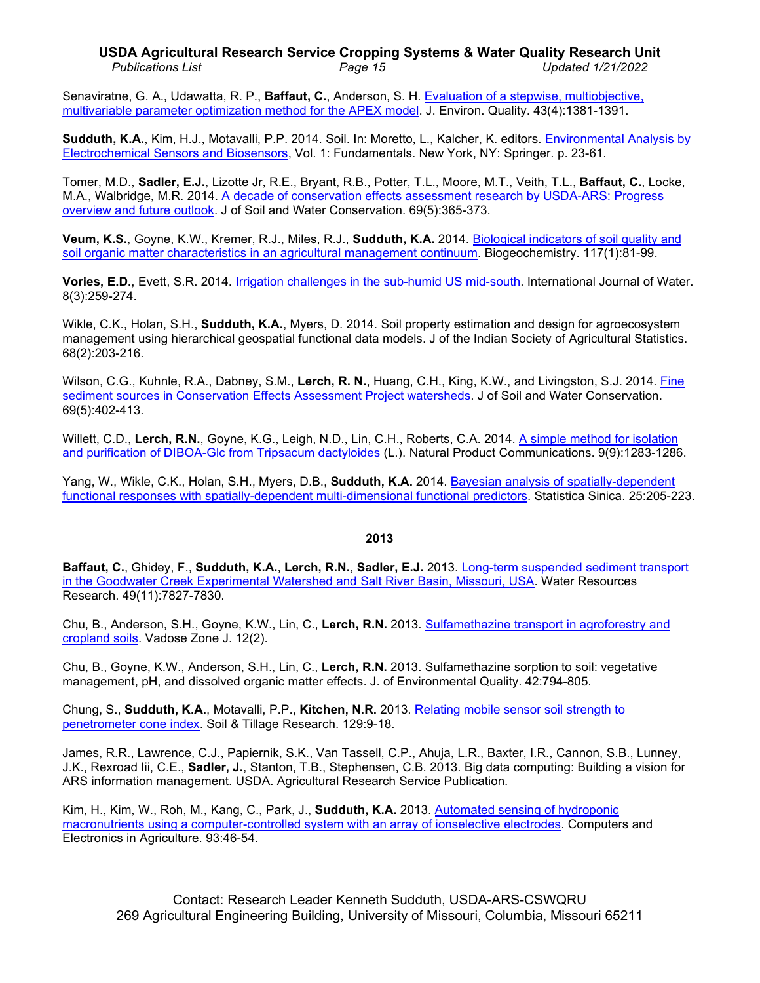## **USDA Agricultural Research Service Cropping Systems & Water Quality Research Unit** *Publications List Page 15 Updated 1/21/2022*

Senaviratne, G. A., Udawatta, R. P., **Baffaut, C.**, Anderson, S. H. [Evaluation of a stepwise, multiobjective,](http://dx.doi.org/10.2134/jeq2013.12.0509)  multivariable [parameter optimization method for the APEX model.](http://dx.doi.org/10.2134/jeq2013.12.0509) J. Environ. Quality. 43(4):1381-1391.

**Sudduth, K.A.**, Kim, H.J., Motavalli, P.P. 2014. Soil. In: Moretto, L., Kalcher, K. editors. [Environmental Analysis by](https://doi.org/10.1007/978-1-4939-0676-5_2)  [Electrochemical Sensors and Biosensors,](https://doi.org/10.1007/978-1-4939-0676-5_2) Vol. 1: Fundamentals. New York, NY: Springer. p. 23-61.

Tomer, M.D., **Sadler, E.J.**, Lizotte Jr, R.E., Bryant, R.B., Potter, T.L., Moore, M.T., Veith, T.L., **Baffaut, C.**, Locke, M.A., Walbridge, M.R. 2014. [A decade of conservation](https://doi.org/10.2489/jswc.69.5.365) effects assessment research by USDA-ARS: Progress [overview and future outlook.](https://doi.org/10.2489/jswc.69.5.365) J of Soil and Water Conservation. 69(5):365-373.

**Veum, K.S.**, Goyne, K.W., Kremer, R.J., Miles, R.J., **Sudduth, K.A.** 2014. [Biological indicators of soil](http://dx.doi.org/10.1007/s10533-013-9868-7) quality and [soil organic matter characteristics in an agricultural management continuum.](http://dx.doi.org/10.1007/s10533-013-9868-7) Biogeochemistry. 117(1):81-99.

**Vories, E.D.**, Evett, S.R. 2014. [Irrigation challenges in the sub-humid US mid-south.](https://doi.org/10.1504/ijw.2014.064220) International Journal of Water. 8(3):259-274.

Wikle, C.K., Holan, S.H., **Sudduth, K.A.**, Myers, D. 2014. Soil property estimation and design for agroecosystem management using hierarchical geospatial functional data models. J of the Indian Society of Agricultural Statistics. 68(2):203-216.

Wilson, C.G., Kuhnle, R.A., Dabney, S.M., Lerch, R. N., Huang, C.H., King, K.W., and Livingston, S.J. 2014. Fine sediment sources [in Conservation Effects Assessment Project watersheds.](http://dx.doi.org/10.2489/jswc.69.5.402) J of Soil and Water Conservation. 69(5):402-413.

Willett, C.D., **Lerch, R.N.**, Goyne, K.G., Leigh, N.D., Lin, C.H., Roberts, C.A. 2014. [A simple method for isolation](https://pubmed.ncbi.nlm.nih.gov/25918792/)  [and purification of DIBOA-Glc from](https://pubmed.ncbi.nlm.nih.gov/25918792/) Tripsacum dactyloides (L.). Natural Product Communications. 9(9):1283-1286.

Yang, W., Wikle, C.K., Holan, S.H., Myers, D.B., **Sudduth, K.A.** 2014. [Bayesian analysis of spatially-dependent](http://dx.doi.org/10.5705/ss.2013.245w)  [functional responses with spatially-dependent multi-dimensional functional predictors.](http://dx.doi.org/10.5705/ss.2013.245w) Statistica Sinica. 25:205-223.

## **2013**

**Baffaut, C.**, Ghidey, F., **Sudduth, K.A.**, **Lerch, R.N.**, **Sadler, E.J.** 2013. [Long-term suspended sediment transport](http://dx.doi.org/10.1002/wrcr.20511)  [in the Goodwater Creek Experimental Watershed and Salt River Basin, Missouri, USA.](http://dx.doi.org/10.1002/wrcr.20511) Water Resources Research. 49(11):7827-7830.

Chu, B., Anderson, S.H., Goyne, K.W., Lin, C., **Lerch, R.N.** 2013. [Sulfamethazine transport in agroforestry and](http://dx.doi.org/10.2136/vzj2012.0124)  [cropland soils.](http://dx.doi.org/10.2136/vzj2012.0124) Vadose Zone J. 12(2).

Chu, B., Goyne, K.W., Anderson, S.H., Lin, C., **Lerch, R.N.** 2013. Sulfamethazine sorption to soil: vegetative management, pH, and dissolved organic matter effects. J. of Environmental Quality. 42:794-805.

Chung, S., **Sudduth, K.A.**, Motavalli, P.P., **Kitchen, N.R.** 2013. [Relating mobile sensor soil](http://dx.doi.org/10.1016/j.still.2012.12.004) strength to [penetrometer cone](http://dx.doi.org/10.1016/j.still.2012.12.004) index. Soil & Tillage Research. 129:9-18.

James, R.R., Lawrence, C.J., Papiernik, S.K., Van Tassell, C.P., Ahuja, L.R., Baxter, I.R., Cannon, S.B., Lunney, J.K., Rexroad Iii, C.E., **Sadler, J.**, Stanton, T.B., Stephensen, C.B. 2013. Big data computing: Building a vision for ARS information management. USDA. Agricultural Research Service Publication.

Kim, H., Kim, W., Roh, M., Kang, C., Park, J., **Sudduth, K.A.** 2013. [Automated sensing of hydroponic](http://dx.doi.org/10.1016/j.compag.2013.01.011)  [macronutrients using a computer-controlled system with an array of ionselective electrodes.](http://dx.doi.org/10.1016/j.compag.2013.01.011) Computers and Electronics in Agriculture. 93:46-54.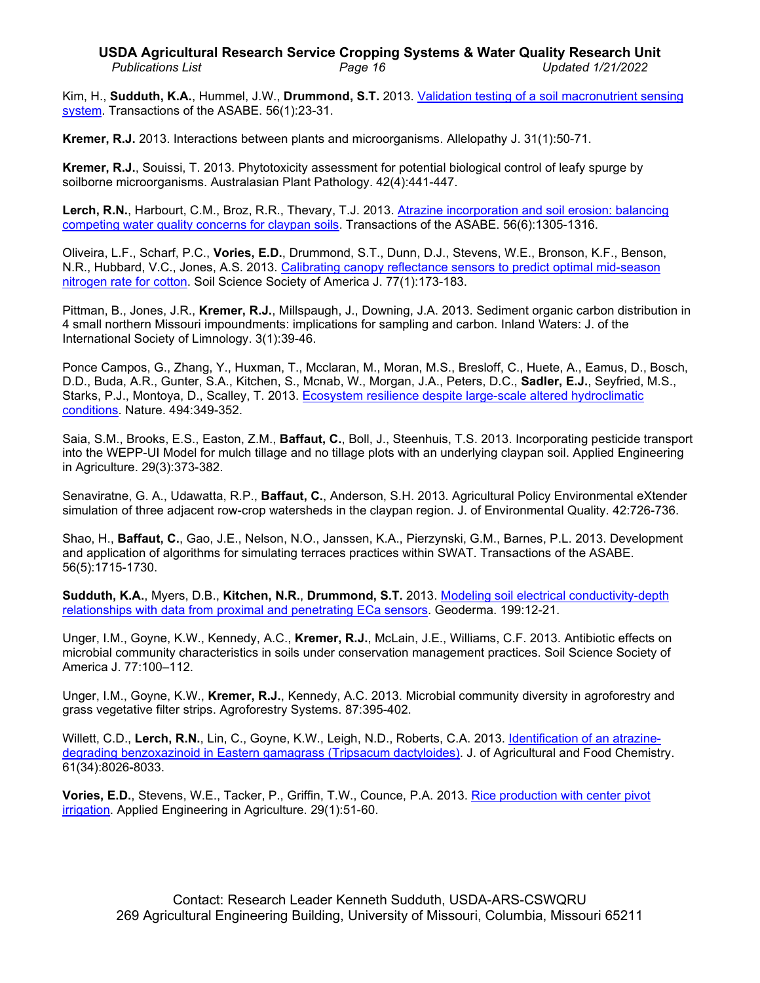# **USDA Agricultural Research Service Cropping Systems & Water Quality Research Unit** *Publications List Page 16 Updated 1/21/2022*

Kim, H., **Sudduth, K.A.**, Hummel, J.W., **Drummond, S.T.** 2013. [Validation testing of a soil macronutrient sensing](http://www.ars.usda.gov/sp2UserFiles/Place/50701000/kim071004.pdf)  [system.](http://www.ars.usda.gov/sp2UserFiles/Place/50701000/kim071004.pdf) Transactions of the ASABE. 56(1):23-31.

**Kremer, R.J.** 2013. Interactions between plants and microorganisms. Allelopathy J. 31(1):50-71.

**Kremer, R.J.**, Souissi, T. 2013. Phytotoxicity assessment for potential biological control of leafy spurge by soilborne microorganisms. Australasian Plant Pathology. 42(4):441-447.

Lerch, R.N., Harbourt, C.M., Broz, R.R., Thevary, T.J. 2013. Atrazine incorporation and soil erosion: balancing [competing water quality concerns for claypan soils.](http://dx.doi.org/10.13031/trans.56.10272) Transactions of the ASABE. 56(6):1305-1316.

Oliveira, L.F., Scharf, P.C., **Vories, E.D.**, Drummond, S.T., Dunn, D.J., Stevens, W.E., Bronson, K.F., Benson, N.R., Hubbard, V.C., Jones, A.S. 2013. Calibrating canopy reflectance sensors to predict optimal mid-season [nitrogen rate for cotton.](http://dx.doi.org/10.2136/sssaj2012.0154) Soil Science Society of America J. 77(1):173-183.

Pittman, B., Jones, J.R., **Kremer, R.J.**, Millspaugh, J., Downing, J.A. 2013. Sediment organic carbon distribution in 4 small northern Missouri impoundments: implications for sampling and carbon. Inland Waters: J. of the International Society of Limnology. 3(1):39-46.

Ponce Campos, G., Zhang, Y., Huxman, T., Mcclaran, M., Moran, M.S., Bresloff, C., Huete, A., Eamus, D., Bosch, D.D., Buda, A.R., Gunter, S.A., Kitchen, S., Mcnab, W., Morgan, J.A., Peters, D.C., **Sadler, E.J.**, Seyfried, M.S., Starks, P.J., Montoya, D., Scalley, T. 2013. [Ecosystem resilience despite large-scale altered hydroclimatic](http://dx.doi.org/10.1038/nature11836)  [conditions.](http://dx.doi.org/10.1038/nature11836) Nature. 494:349-352.

Saia, S.M., Brooks, E.S., Easton, Z.M., **Baffaut, C.**, Boll, J., Steenhuis, T.S. 2013. Incorporating pesticide transport into the WEPP-UI Model for mulch tillage and no tillage plots with an underlying claypan soil. Applied Engineering in Agriculture. 29(3):373-382.

Senaviratne, G. A., Udawatta, R.P., **Baffaut, C.**, Anderson, S.H. 2013. Agricultural Policy Environmental eXtender simulation of three adjacent row-crop watersheds in the claypan region. J. of Environmental Quality. 42:726-736.

Shao, H., **Baffaut, C.**, Gao, J.E., Nelson, N.O., Janssen, K.A., Pierzynski, G.M., Barnes, P.L. 2013. Development and application of algorithms for simulating terraces practices within SWAT. Transactions of the ASABE. 56(5):1715-1730.

**Sudduth, K.A.**, Myers, D.B., **Kitchen, N.R.**, **Drummond, S.T.** 2013. [Modeling soil electrical conductivity-depth](http://dx.doi.org/10.1016/j.geoderma.2012.10.006)  [relationships with data from proximal and penetrating ECa sensors.](http://dx.doi.org/10.1016/j.geoderma.2012.10.006) Geoderma. 199:12-21.

Unger, I.M., Goyne, K.W., Kennedy, A.C., **Kremer, R.J.**, McLain, J.E., Williams, C.F. 2013. Antibiotic effects on microbial community characteristics in soils under conservation management practices. Soil Science Society of America J. 77:100–112.

Unger, I.M., Goyne, K.W., **Kremer, R.J.**, Kennedy, A.C. 2013. Microbial community diversity in agroforestry and grass vegetative filter strips. Agroforestry Systems. 87:395-402.

Willett, C.D., **Lerch, R.N.**, Lin, C., Goyne, K.W., Leigh, N.D., Roberts, C.A. 2013. [Identification of an atrazine](http://dx.doi.org/10.1021/jf402271h)degrading [benzoxazinoid in Eastern gamagrass \(Tripsacum dactyloides\).](http://dx.doi.org/10.1021/jf402271h) J. of Agricultural and Food Chemistry. 61(34):8026-8033.

**Vories, E.D.**, Stevens, W.E., Tacker, P., Griffin, T.W., Counce, P.A. 2013. [Rice production with center pivot](http://www.ars.usda.gov/sp2UserFiles/Place/36221500/6910_Vories.pdf)  [irrigation.](http://www.ars.usda.gov/sp2UserFiles/Place/36221500/6910_Vories.pdf) Applied Engineering in Agriculture. 29(1):51-60.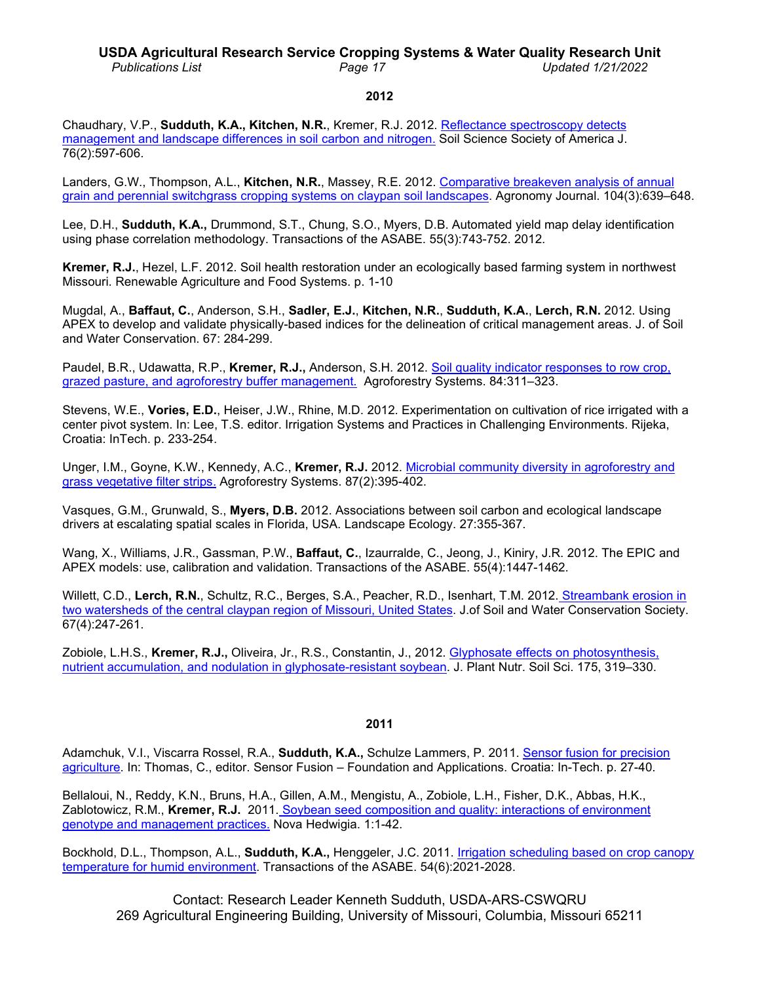# **USDA Agricultural Research Service Cropping Systems & Water Quality Research Unit**

*Publications List Page 17 Updated 1/21/2022*

#### **2012**

Chaudhary, V.P., **Sudduth, K.A., Kitchen, N.R.**, Kremer, R.J. 2012. [Reflectance spectroscopy detects](http://www.ars.usda.gov/sp2UserFiles/Place/36221500/cswq-0478-chaudary.pdf)  [management and landscape differences in soil carbon](http://www.ars.usda.gov/sp2UserFiles/Place/36221500/cswq-0478-chaudary.pdf) and nitrogen. Soil Science Society of America J. 76(2):597-606.

Landers, G.W., Thompson, A.L., **Kitchen, N.R.**, Massey, R.E. 2012. Comparative [breakeven analysis](http://dx.doi.org/10.2134/agronj2011.0229) of annual [grain and perennial switchgrass cropping systems](http://dx.doi.org/10.2134/agronj2011.0229) on claypan soil landscapes. Agronomy Journal. 104(3):639–648.

Lee, D.H., **Sudduth, K.A.,** Drummond, S.T., Chung, S.O., Myers, D.B. Automated yield map delay identification using phase correlation methodology. Transactions of the ASABE. 55(3):743-752. 2012.

**Kremer, R.J.**, Hezel, L.F. 2012. Soil health restoration under an ecologically based farming system in northwest Missouri. Renewable Agriculture and Food Systems. p. 1-10

Mugdal, A., **Baffaut, C.**, Anderson, S.H., **Sadler, E.J.**, **Kitchen, N.R.**, **Sudduth, K.A.**, **Lerch, R.N.** 2012. Using APEX to develop and validate physically-based indices for the delineation of critical management areas. J. of Soil and Water Conservation. 67: 284-299.

Paudel, B.R., Udawatta, R.P., **Kremer, R.J.,** Anderson, S.H. 2012. [Soil quality indicator responses to row crop,](http://www.ars.usda.gov/sp2UserFiles/Place/36221500/cswq-0490-paudel.pdf)  grazed pasture, and [agroforestry buffer management.](http://www.ars.usda.gov/sp2UserFiles/Place/36221500/cswq-0490-paudel.pdf) Agroforestry Systems. 84:311–323.

Stevens, W.E., **Vories, E.D.**, Heiser, J.W., Rhine, M.D. 2012. Experimentation on cultivation of rice irrigated with a center pivot system. In: Lee, T.S. editor. Irrigation Systems and Practices in Challenging Environments. Rijeka, Croatia: InTech. p. 233-254.

Unger, I.M., Goyne, K.W., Kennedy, A.C., **Kremer, R.J.** 2012. Microbial community [diversity in agroforestry and](http://dx.doi.org/10.1007/s10457-012-9559-8)  [grass vegetative filter strips.](http://dx.doi.org/10.1007/s10457-012-9559-8) Agroforestry Systems. 87(2):395-402.

Vasques, G.M., Grunwald, S., **Myers, D.B.** 2012. Associations between soil carbon and ecological landscape drivers at escalating spatial scales in Florida, USA. Landscape Ecology. 27:355-367.

Wang, X., Williams, J.R., Gassman, P.W., **Baffaut, C.**, Izaurralde, C., Jeong, J., Kiniry, J.R. 2012. The EPIC and APEX models: use, calibration and validation. Transactions of the ASABE. 55(4):1447-1462.

Willett, C.D., **Lerch, R.N.**, Schultz, R.C., Berges, S.A., Peacher, R.D., Isenhart, T.M. 2012. [Streambank erosion in](http://dx.doi.org/10.2489/jswc.67.4.249)  [two watersheds of the central claypan region](http://dx.doi.org/10.2489/jswc.67.4.249) of Missouri, United States. J.of Soil and Water Conservation Society. 67(4):247-261.

Zobiole, L.H.S., **Kremer, R.J.,** Oliveira, Jr., R.S., Constantin, J., 2012. [Glyphosate effects on photosynthesis,](http://www.ars.usda.gov/sp2UserFiles/Place/36221500/cswq-0491-zobiole.pdf)  [nutrient accumulation, and nodulation in glyphosate-resistant soybean.](http://www.ars.usda.gov/sp2UserFiles/Place/36221500/cswq-0491-zobiole.pdf) J. Plant Nutr. Soil Sci. 175, 319–330.

## **2011**

Adamchuk, V.I., Viscarra Rossel, R.A., **Sudduth, K.A.,** Schulze Lammers, P. 2011. [Sensor fusion for precision](http://dx.doi.org/10.5772/19983) [agriculture.](http://dx.doi.org/10.5772/19983) In: Thomas, C., editor. Sensor Fusion – Foundation and Applications. Croatia: In-Tech. p. 27-40.

Bellaloui, N., Reddy, K.N., Bruns, H.A., Gillen, A.M., Mengistu, A., Zobiole, L.H., Fisher, D.K., Abbas, H.K., Zablotowicz, R.M., **Kremer, R.J.** 2011. Soybean seed composition [and quality: interactions of environment](https://www.novapublishers.com/catalog/product_info.php?products_id=25973) [genotype and management practices.](https://www.novapublishers.com/catalog/product_info.php?products_id=25973) Nova Hedwigia. 1:1-42.

Bockhold, D.L., Thompson, A.L., **Sudduth, K.A.,** Henggeler, J.C. 2011. [Irrigation scheduling based on crop canopy](http://www.ars.usda.gov/sp2UserFiles/Place/36221500/cswq-0477-bockhold.pdf)  [temperature for humid environment.](http://www.ars.usda.gov/sp2UserFiles/Place/36221500/cswq-0477-bockhold.pdf) Transactions of the ASABE. 54(6):2021-2028.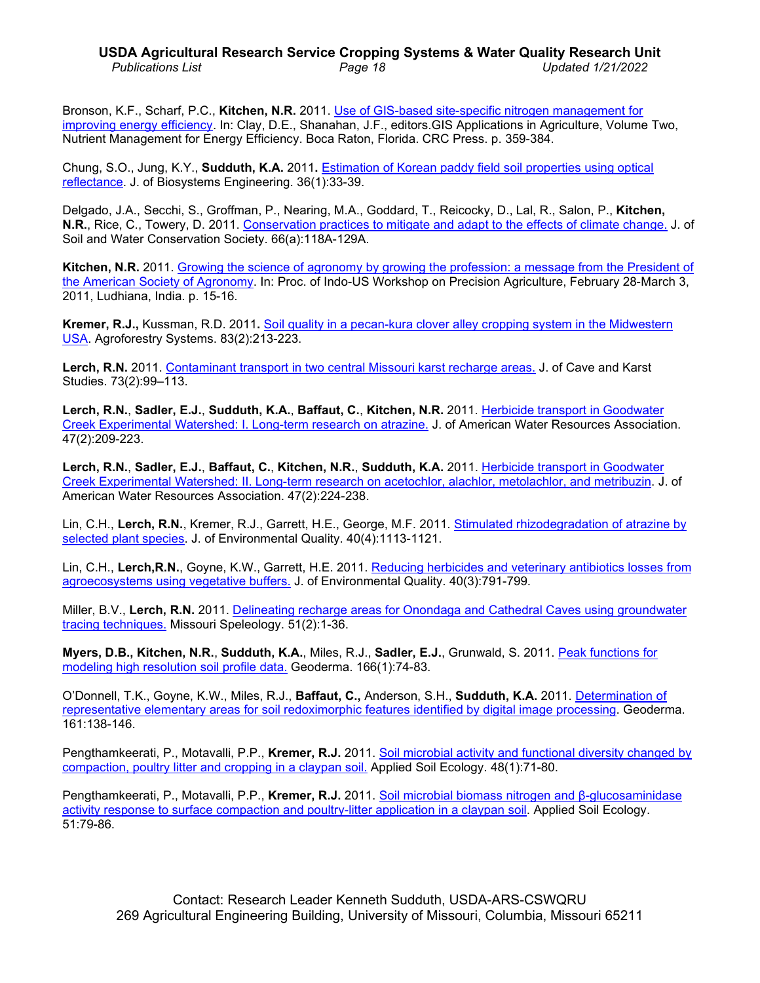# **USDA Agricultural Research Service Cropping Systems & Water Quality Research Unit** *Publications List Page 18 Updated 1/21/2022*

Bronson, K.F., Scharf, P.C., **Kitchen, N.R.** 2011. [Use of GIS-based site-specific](http://digitalcommons.unl.edu/usdaarsfacpub/677/?utm_source=digitalcommons.unl.edu%2Fusdaarsfacpub%2F677&utm_medium=PDF&utm_campaign=PDFCoverPages) nitrogen management for [improving energy efficiency.](http://digitalcommons.unl.edu/usdaarsfacpub/677/?utm_source=digitalcommons.unl.edu%2Fusdaarsfacpub%2F677&utm_medium=PDF&utm_campaign=PDFCoverPages) In: Clay, D.E., Shanahan, J.F., editors.GIS Applications in Agriculture, Volume Two, Nutrient Management for Energy Efficiency. Boca Raton, Florida. CRC Press. p. 359-384.

Chung, S.O., Jung, K.Y., **Sudduth, K.A.** 2011**.** [Estimation of Korean paddy field soil properties using optical](http://www.ars.usda.gov/sp2UserFiles/Place/36221500/cswq-0451-chung.pdf)  [reflectance.](http://www.ars.usda.gov/sp2UserFiles/Place/36221500/cswq-0451-chung.pdf) J. of Biosystems Engineering. 36(1):33-39.

Delgado, J.A., Secchi, S., Groffman, P., Nearing, M.A., Goddard, T., Reicocky, D., Lal, R., Salon, P., **Kitchen, N.R.**, Rice, C., Towery, D. 2011. [Conservation practices to mitigate and adapt to the effects of climate change.](http://www.ars.usda.gov/sp2UserFiles/Place/36221500/cswq-0456-delgado.pdf) J. of Soil and Water Conservation Society. 66(a):118A-129A.

**Kitchen, N.R.** 2011. [Growing the science of agronomy by growing the profession: a message from the](http://www.ars.usda.gov/sp2UserFiles/Place/36221500/cswq-0457-kitchen.pdf) President of [the American Society](http://www.ars.usda.gov/sp2UserFiles/Place/36221500/cswq-0457-kitchen.pdf) of Agronomy. In: Proc. of Indo-US Workshop on Precision Agriculture, February 28-March 3, 2011, Ludhiana, India. p. 15-16.

**Kremer, R.J.,** Kussman, R.D. 2011**.** [Soil quality in a pecan-kura clover alley cropping system in the Midwestern](http://www.springerlink.com/content/m25k56hk61487t49/)  [USA.](http://www.springerlink.com/content/m25k56hk61487t49/) Agroforestry Systems. 83(2):213-223.

**Lerch, R.N.** 2011. Contaminant transport in [two central Missouri karst](http://www.ars.usda.gov/sp2UserFiles/Place/36221500/cswq-0489-lerch.pdf) recharge areas. J. of Cave and Karst Studies. 73(2):99–113.

**Lerch, R.N.**, **Sadler, E.J.**, **Sudduth, K.A.**, **Baffaut, C.**, **Kitchen, N.R.** 2011. [Herbicide transport in Goodwater](http://www.ars.usda.gov/sp2UserFiles/Place/36221500/cswq-0459-lerch.pdf)  [Creek Experimental Watershed: I. Long-term research on atrazine.](http://www.ars.usda.gov/sp2UserFiles/Place/36221500/cswq-0459-lerch.pdf) J. of American Water Resources Association. 47(2):209-223.

**Lerch, R.N.**, **Sadler, E.J.**, **Baffaut, C.**, **Kitchen, N.R.**, **Sudduth, K.A.** 2011. [Herbicide transport in Goodwater](http://www.ars.usda.gov/sp2UserFiles/Place/36221500/cswq-0460-lerch.pdf)  [Creek Experimental Watershed: II. Long-term research on](http://www.ars.usda.gov/sp2UserFiles/Place/36221500/cswq-0460-lerch.pdf) acetochlor, alachlor, metolachlor, and metribuzin. J. of American Water Resources Association. 47(2):224-238.

Lin, C.H., **Lerch, R.N.**, Kremer, R.J., Garrett, H.E., George, M.F. 2011. [Stimulated rhizodegradation of atrazine by](http://www.ars.usda.gov/sp2UserFiles/Place/36221500/cswq-0464-lin.pdf)  [selected plant species.](http://www.ars.usda.gov/sp2UserFiles/Place/36221500/cswq-0464-lin.pdf) J. of Environmental Quality. 40(4):1113-1121.

Lin, C.H., **Lerch,R.N.**, Goyne, K.W., Garrett, H.E. 2011. [Reducing herbicides and veterinary antibiotics losses from](http://www.ars.usda.gov/sp2UserFiles/Place/36221500/cswq-0462-lin.pdf)  [agroecosystems using vegetative buffers.](http://www.ars.usda.gov/sp2UserFiles/Place/36221500/cswq-0462-lin.pdf) J. of Environmental Quality. 40(3):791-799.

Miller, B.V., **Lerch, R.N.** 2011. [Delineating recharge areas for Onondaga and Cathedral](http://www.ars.usda.gov/sp2UserFiles/Place/36221500/cswq-0461-miller.pdf) Caves using groundwater [tracing techniques.](http://www.ars.usda.gov/sp2UserFiles/Place/36221500/cswq-0461-miller.pdf) Missouri Speleology. 51(2):1-36.

**Myers, D.B., Kitchen, N.R.**, **Sudduth, K.A.**, Miles, R.J., **Sadler, E.J.**, Grunwald, S. 2011. [Peak functions for](http://www.sciencedirect.com/science/article/pii/S0016706111002163)  [modeling high resolution soil profile data.](http://www.sciencedirect.com/science/article/pii/S0016706111002163) Geoderma. 166(1):74-83.

O'Donnell, T.K., Goyne, K.W., Miles, R.J., **Baffaut, C.,** Anderson, S.H., **Sudduth, K.A.** 2011. [Determination of](http://www.ars.usda.gov/sp2UserFiles/Place/36221500/cswq-0480-odonnell.pdf)  representative elementary areas for soil [redoximorphic features identified by digital image processing.](http://www.ars.usda.gov/sp2UserFiles/Place/36221500/cswq-0480-odonnell.pdf) Geoderma. 161:138-146.

Pengthamkeerati, P., Motavalli, P.P., **Kremer, R.J.** 2011. Soil microbial activity and [functional diversity changed by](http://www.sciencedirect.com/science/article/pii/S0929139311000205)  [compaction, poultry litter and cropping in a claypan soil.](http://www.sciencedirect.com/science/article/pii/S0929139311000205) Applied Soil Ecology. 48(1):71-80.

Pengthamkeerati, P., Motavalli, P.P., **Kremer, R.J.** 2011. [Soil microbial biomass nitrogen and](http://www.sciencedirect.com/science/article/pii/S0929139311001958) β-glucosaminidase [activity response to surface compaction and poultry-litter application in a claypan soil.](http://www.sciencedirect.com/science/article/pii/S0929139311001958) Applied Soil Ecology. 51:79-86.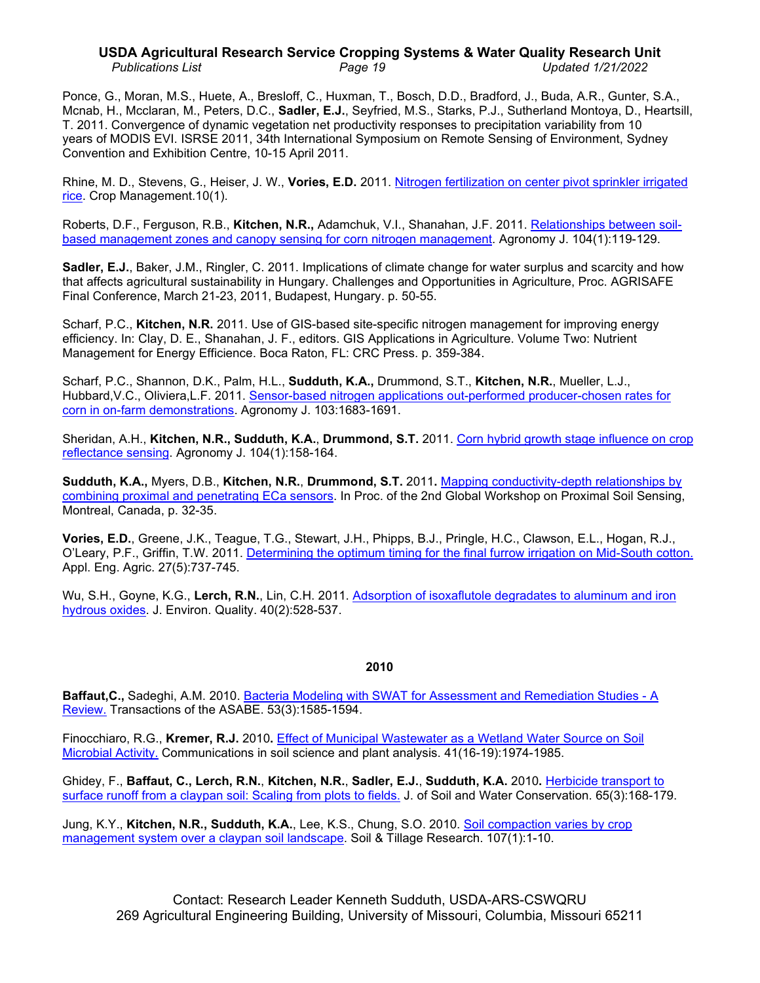# **USDA Agricultural Research Service Cropping Systems & Water Quality Research Unit** *Publications List Page 19 Updated 1/21/2022*

Ponce, G., Moran, M.S., Huete, A., Bresloff, C., Huxman, T., Bosch, D.D., Bradford, J., Buda, A.R., Gunter, S.A., Mcnab, H., Mcclaran, M., Peters, D.C., **Sadler, E.J.**, Seyfried, M.S., Starks, P.J., Sutherland Montoya, D., Heartsill, T. 2011. Convergence of dynamic vegetation net productivity responses to precipitation variability from 10 years of MODIS EVI. ISRSE 2011, 34th International Symposium on Remote Sensing of Environment, Sydney Convention and Exhibition Centre, 10-15 April 2011.

Rhine, M. D., Stevens, G., Heiser, J. W., **Vories, E.D.** 2011. [Nitrogen fertilization on center pivot sprinkler irrigated](http://dx.doi.org/10.1094/CM-2011-1021-01-RS)  [rice.](http://dx.doi.org/10.1094/CM-2011-1021-01-RS) Crop Management.10(1).

Roberts, D.F., Ferguson, R.B., **Kitchen, N.R.,** Adamchuk, V.I., Shanahan, J.F. 2011. [Relationships between soil](http://www.ars.usda.gov/sp2UserFiles/Place/36221500/cswq-0475-roberts.pdf)based management zones and canopy [sensing for corn nitrogen management.](http://www.ars.usda.gov/sp2UserFiles/Place/36221500/cswq-0475-roberts.pdf) Agronomy J. 104(1):119-129.

**Sadler, E.J.**, Baker, J.M., Ringler, C. 2011. Implications of climate change for water surplus and scarcity and how that affects agricultural sustainability in Hungary. Challenges and Opportunities in Agriculture, Proc. AGRISAFE Final Conference, March 21-23, 2011, Budapest, Hungary. p. 50-55.

Scharf, P.C., **Kitchen, N.R.** 2011. Use of GIS-based site-specific nitrogen management for improving energy efficiency. In: Clay, D. E., Shanahan, J. F., editors. GIS Applications in Agriculture. Volume Two: Nutrient Management for Energy Efficience. Boca Raton, FL: CRC Press. p. 359-384.

Scharf, P.C., Shannon, D.K., Palm, H.L., **Sudduth, K.A.,** Drummond, S.T., **Kitchen, N.R.**, Mueller, L.J., Hubbard,V.C., Oliviera,L.F. 2011. [Sensor-based nitrogen applications out-performed producer-chosen rates for](http://www.ars.usda.gov/sp2UserFiles/Place/36221500/cswq-0473-scharf.pdf)  corn in on-farm [demonstrations.](http://www.ars.usda.gov/sp2UserFiles/Place/36221500/cswq-0473-scharf.pdf) Agronomy J. 103:1683-1691.

Sheridan, A.H., **Kitchen, N.R., Sudduth, K.A.**, **Drummond, S.T.** 2011. [Corn hybrid growth stage influence on crop](http://www.ars.usda.gov/sp2UserFiles/Place/36221500/cswq-0493-sheridan.pdf)  [reflectance sensing.](http://www.ars.usda.gov/sp2UserFiles/Place/36221500/cswq-0493-sheridan.pdf) Agronomy J. 104(1):158-164.

**Sudduth, K.A.,** Myers, D.B., **Kitchen, N.R.**, **Drummond, S.T.** 2011**.** [Mapping conductivity-depth relationships by](http://www.ars.usda.gov/sp2UserFiles/Place/36221500/cswq-0455-sudduth.pdf)  [combining proximal and penetrating ECa sensors.](http://www.ars.usda.gov/sp2UserFiles/Place/36221500/cswq-0455-sudduth.pdf) In Proc. of the 2nd Global Workshop on Proximal Soil Sensing, Montreal, Canada, p. 32-35.

**Vories, E.D.**, Greene, J.K., Teague, T.G., Stewart, J.H., Phipps, B.J., Pringle, H.C., Clawson, E.L., Hogan, R.J., O'Leary, P.F., Griffin, T.W. 2011. [Determining the optimum timing for the final furrow irrigation on Mid-South cotton.](http://www.ars.usda.gov/sp2UserFiles/Place/36221500/cswq-0494-vories.pdf) Appl. Eng. Agric. 27(5):737-745.

Wu, S.H., Goyne, K.G., **Lerch, R.N.**, Lin, C.H. 2011. [Adsorption of isoxaflutole degradates to aluminum and iron](http://dx.doi.org/10.2134/jeq2010.0338)  [hydrous oxides.](http://dx.doi.org/10.2134/jeq2010.0338) J. Environ. Quality. 40(2):528-537.

## **2010**

Baffaut, C., Sadeghi, A.M. 2010. [Bacteria Modeling with SWAT for Assessment and Remediation Studies -](http://www.ars.usda.gov/sp2UserFiles/Place/36221500/cswq-0444-baffaut.pdf) A [Review.](http://www.ars.usda.gov/sp2UserFiles/Place/36221500/cswq-0444-baffaut.pdf) Transactions of the ASABE. 53(3):1585-1594.

Finocchiaro, R.G., **Kremer, R.J.** 2010**.** [Effect of Municipal Wastewater as a Wetland Water Source on Soil](http://hdl.handle.net/10113/47387)  [Microbial Activity.](http://hdl.handle.net/10113/47387) Communications in soil science and plant analysis. 41(16-19):1974-1985.

Ghidey, F., **Baffaut, C., Lerch, R.N.**, **Kitchen, N.R.**, **Sadler, E.J.**, **Sudduth, K.A.** 2010**.** [Herbicide transport to](http://hdl.handle.net/10113/43547)  [surface runoff from a claypan soil: Scaling from plots to fields.](http://hdl.handle.net/10113/43547) J. of Soil and Water Conservation. 65(3):168-179.

Jung, K.Y., **Kitchen, N.R., Sudduth, K.A.**, Lee, K.S., Chung, S.O. 2010. [Soil compaction varies](http://www.ars.usda.gov/sp2UserFiles/Place/36221500/cswq-0436-jung.pdf) by crop [management system over a claypan soil landscape.](http://www.ars.usda.gov/sp2UserFiles/Place/36221500/cswq-0436-jung.pdf) Soil & Tillage Research. 107(1):1-10.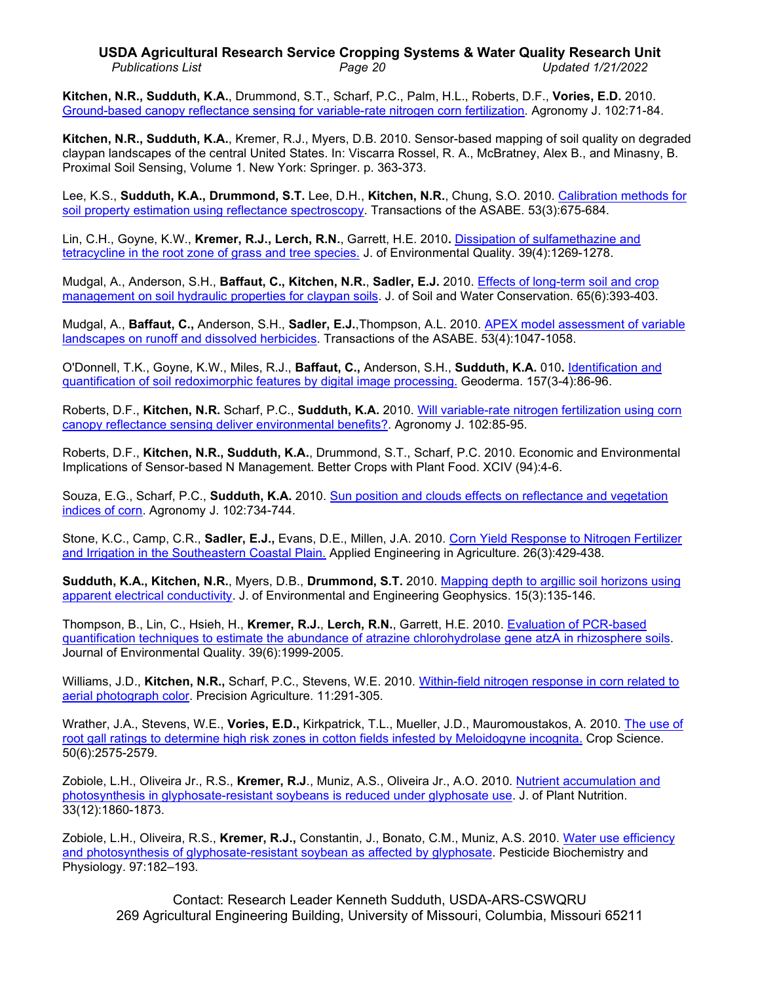# **USDA Agricultural Research Service Cropping Systems & Water Quality Research Unit** *Publications List Page 20 Updated 1/21/2022*

**Kitchen, N.R., Sudduth, K.A.**, Drummond, S.T., Scharf, P.C., Palm, H.L., Roberts, D.F., **Vories, E.D.** 2010. [Ground-based canopy reflectance sensing for variable-rate nitrogen corn fertilization.](http://www.ars.usda.gov/sp2UserFiles/Place/36221500/cswq-0421-kitchen.pdf) Agronomy J. 102:71-84.

**Kitchen, N.R., Sudduth, K.A.**, Kremer, R.J., Myers, D.B. 2010. Sensor-based mapping of soil quality on degraded claypan landscapes of the central United States. In: Viscarra Rossel, R. A., McBratney, Alex B., and Minasny, B. Proximal Soil Sensing, Volume 1. New York: Springer. p. 363-373.

Lee, K.S., **Sudduth, K.A., Drummond, S.T.** Lee, D.H., **Kitchen, N.R.**, Chung, S.O. 2010. [Calibration methods for](http://www.ars.usda.gov/sp2UserFiles/Place/36221500/cswq-0437-lee.pdf)  soil property [estimation using reflectance spectroscopy.](http://www.ars.usda.gov/sp2UserFiles/Place/36221500/cswq-0437-lee.pdf) Transactions of the ASABE. 53(3):675-684.

Lin, C.H., Goyne, K.W., **Kremer, R.J., Lerch, R.N.**, Garrett, H.E. 2010**.** [Dissipation of sulfamethazine and](http://ddr.nal.usda.gov/handle/10113/45082)  [tetracycline in the root zone of grass and tree species.](http://ddr.nal.usda.gov/handle/10113/45082) J. of Environmental Quality. 39(4):1269-1278.

Mudgal, A., Anderson, S.H., **Baffaut, C., Kitchen, N.R.**, **Sadler, E.J.** 2010. [Effects of long-term soil and crop](http://www.ars.usda.gov/sp2UserFiles/Place/36221500/cswq-0443-mudgal.pdf)  [management on soil hydraulic properties for claypan soils.](http://www.ars.usda.gov/sp2UserFiles/Place/36221500/cswq-0443-mudgal.pdf) J. of Soil and Water Conservation. 65(6):393-403.

Mudgal, A., **Baffaut, C.,** Anderson, S.H., **Sadler, E.J.**,Thompson, A.L. 2010. [APEX model assessment of variable](http://www.ars.usda.gov/sp2UserFiles/Place/36221500/cswq-0438-mudgal.pdf)  [landscapes on runoff and dissolved herbicides.](http://www.ars.usda.gov/sp2UserFiles/Place/36221500/cswq-0438-mudgal.pdf) Transactions of the ASABE. 53(4):1047-1058.

O'Donnell, T.K., Goyne, K.W., Miles, R.J., **Baffaut, C.,** Anderson, S.H., **Sudduth, K.A.** 010**.** [Identification and](http://hdl.handle.net/10113/44389)  [quantification of soil redoximorphic features by digital image processing.](http://hdl.handle.net/10113/44389) Geoderma. 157(3-4):86-96.

Roberts, D.F., **Kitchen, N.R.** Scharf, P.C., **Sudduth, K.A.** 2010. [Will variable-rate nitrogen fertilization using corn](http://www.ars.usda.gov/sp2UserFiles/Place/36221500/cswq-0422-roberts.pdf)  [canopy reflectance sensing deliver environmental benefits?.](http://www.ars.usda.gov/sp2UserFiles/Place/36221500/cswq-0422-roberts.pdf) Agronomy J. 102:85-95.

Roberts, D.F., **Kitchen, N.R., Sudduth, K.A.**, Drummond, S.T., Scharf, P.C. 2010. Economic and Environmental Implications of Sensor-based N Management. Better Crops with Plant Food. XCIV (94):4-6.

Souza, E.G., Scharf, P.C., **Sudduth, K.A.** 2010. [Sun position and clouds effects on reflectance and vegetation](http://www.ars.usda.gov/sp2UserFiles/Place/36221500/cswq-0479-souza.pdf)  [indices of corn.](http://www.ars.usda.gov/sp2UserFiles/Place/36221500/cswq-0479-souza.pdf) Agronomy J. 102:734-744.

Stone, K.C., Camp, C.R., **Sadler, E.J.,** Evans, D.E., Millen, J.A. 2010. [Corn Yield Response to Nitrogen Fertilizer](http://ddr.nal.usda.gov/handle/10113/44314)  [and Irrigation in the Southeastern Coastal Plain.](http://ddr.nal.usda.gov/handle/10113/44314) Applied Engineering in Agriculture. 26(3):429-438.

**Sudduth, K.A., Kitchen, N.R.**, Myers, D.B., **Drummond, S.T.** 2010. [Mapping depth to argillic soil horizons using](http://www.ars.usda.gov/sp2UserFiles/Place/36221500/cswq-0442-sudduth.pdf)  [apparent electrical conductivity.](http://www.ars.usda.gov/sp2UserFiles/Place/36221500/cswq-0442-sudduth.pdf) J. of Environmental and Engineering Geophysics. 15(3):135-146.

Thompson, B., Lin, C., Hsieh, H., **Kremer, R.J.**, **Lerch, R.N.**, Garrett, H.E. 2010. [Evaluation of PCR-based](http://dx.doi.org/10.2134/jeq2010.0192)  [quantification techniques to estimate the abundance of atrazine chlorohydrolase gene atzA in rhizosphere soils.](http://dx.doi.org/10.2134/jeq2010.0192) Journal of Environmental Quality. 39(6):1999-2005.

Williams, J.D., **Kitchen, N.R.,** Scharf, P.C., Stevens, W.E. 2010. [Within-field nitrogen response in corn related to](http://www.ars.usda.gov/sp2UserFiles/Place/36221500/cswq-0435-williams.pdf)  [aerial photograph color.](http://www.ars.usda.gov/sp2UserFiles/Place/36221500/cswq-0435-williams.pdf) Precision Agriculture. 11:291-305.

Wrather, J.A., Stevens, W.E., **Vories, E.D.,** Kirkpatrick, T.L., Mueller, J.D., Mauromoustakos, A. 2010. [The use of](http://hdl.handle.net/10113/48727)  root gall ratings to determine high risk [zones in cotton fields infested by Meloidogyne incognita.](http://hdl.handle.net/10113/48727) Crop Science. 50(6):2575-2579.

Zobiole, L.H., Oliveira Jr., R.S., **Kremer, R.J**., Muniz, A.S., Oliveira Jr., A.O. 2010. [Nutrient accumulation and](http://dx.doi.org/10.1080/01904167.2010.491890)  [photosynthesis in glyphosate-resistant soybeans is reduced under glyphosate use.](http://dx.doi.org/10.1080/01904167.2010.491890) J. of Plant Nutrition. 33(12):1860-1873.

Zobiole, L.H., Oliveira, R.S., **Kremer, R.J.,** Constantin, J., Bonato, C.M., Muniz, A.S. 2010. [Water use efficiency](http://www.ars.usda.gov/sp2UserFiles/Place/36221500/cswq-0492-zobiole.pdf)  [and photosynthesis of glyphosate-resistant soybean](http://www.ars.usda.gov/sp2UserFiles/Place/36221500/cswq-0492-zobiole.pdf) as affected by glyphosate. Pesticide Biochemistry and Physiology. 97:182–193.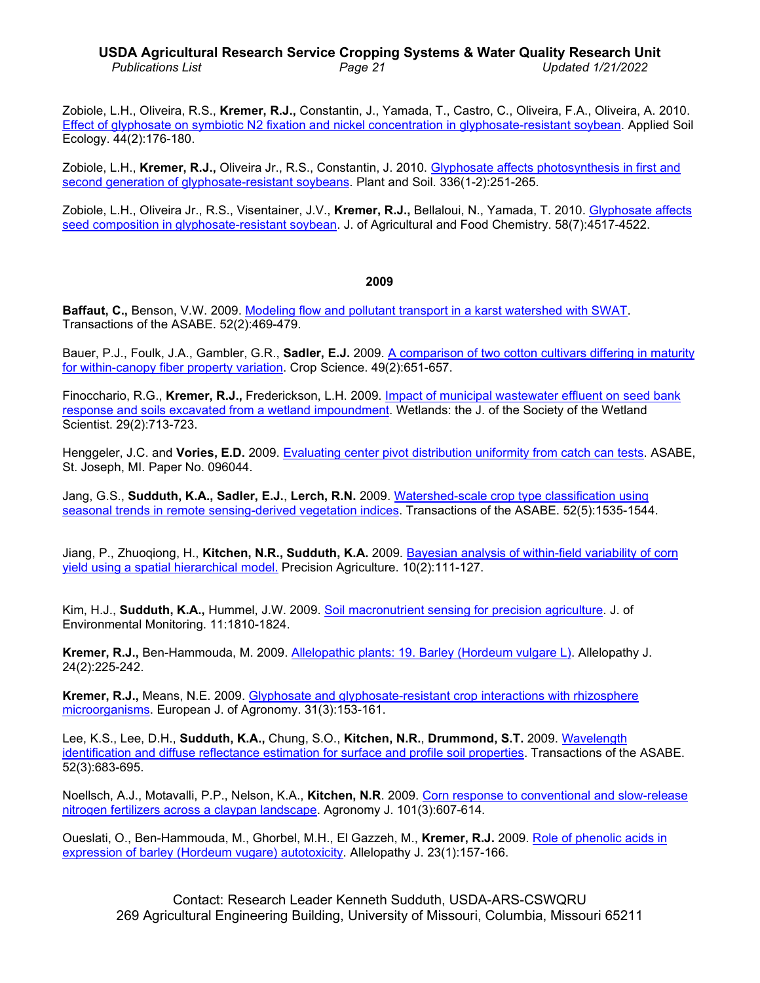# **USDA Agricultural Research Service Cropping Systems & Water Quality Research Unit** *Publications List Page 21 Updated 1/21/2022*

Zobiole, L.H., Oliveira, R.S., **Kremer, R.J.,** Constantin, J., Yamada, T., Castro, C., Oliveira, F.A., Oliveira, A. 2010. [Effect of glyphosate on symbiotic N2 fixation and nickel](http://www.ars.usda.gov/sp2UserFiles/Place/36221500/cswq-0427-zobiole.pdf) concentration in glyphosate-resistant soybean. Applied Soil Ecology. 44(2):176-180.

Zobiole, L.H., **Kremer, R.J.,** Oliveira Jr., R.S., Constantin, J. 2010. [Glyphosate affects photosynthesis in first and](http://dx.doi.org/10.1007/s11104-010-0474-3)  [second generation of glyphosate-resistant soybeans.](http://dx.doi.org/10.1007/s11104-010-0474-3) Plant and Soil. 336(1-2):251-265.

Zobiole, L.H., Oliveira Jr., R.S., Visentainer, J.V., **Kremer, R.J.,** Bellaloui, N., Yamada, T. 2010. [Glyphosate affects](http://dx.doi.org/10.1021/jf904342t)  [seed composition in glyphosate-resistant soybean.](http://dx.doi.org/10.1021/jf904342t) J. of Agricultural and Food Chemistry. 58(7):4517-4522.

#### **2009**

**Baffaut, C.,** Benson, V.W. 2009. [Modeling flow and pollutant transport in a karst watershed with SWAT.](http://dx.doi.org/10.13031/2013.26840) Transactions of the ASABE. 52(2):469-479.

Bauer, P.J., Foulk, J.A., Gambler, G.R., **Sadler, E.J.** 2009. [A comparison of two cotton cultivars differing in maturity](http://hdl.handle.net/10113/29905)  for within-canopy [fiber property variation.](http://hdl.handle.net/10113/29905) Crop Science. 49(2):651-657.

Finocchario, R.G., **Kremer, R.J.,** Frederickson, L.H. 2009. [Impact of municipal wastewater effluent on seed bank](http://dx.doi.org/10.1672/08-58.1)  [response and soils excavated from a wetland impoundment.](http://dx.doi.org/10.1672/08-58.1) Wetlands: the J. of the Society of the Wetland Scientist. 29(2):713-723.

Henggeler, J.C. and **Vories, E.D.** 2009. [Evaluating center pivot distribution uniformity from catch can tests.](http://www.ars.usda.gov/sp2UserFiles/Place/36221500/6909_Vories.pdf) ASABE, St. Joseph, MI. Paper No. 096044.

Jang, G.S., **Sudduth, K.A., Sadler, E.J.**, **Lerch, R.N.** 2009. Watershed-scale crop [type classification using](http://dx.doi.org/10.13031/2013.29142)  seasonal trends in remote [sensing-derived vegetation indices.](http://dx.doi.org/10.13031/2013.29142) Transactions of the ASABE. 52(5):1535-1544.

Jiang, P., Zhuoqiong, H., **Kitchen, N.R., Sudduth, K.A.** 2009. Bayesian analysis [of within-field variability of corn](http://dx.doi.org/10.1007/s11119-008-9070-4) [yield using a spatial hierarchical model.](http://dx.doi.org/10.1007/s11119-008-9070-4) Precision Agriculture. 10(2):111-127.

Kim, H.J., **Sudduth, K.A.,** Hummel, J.W. 2009. [Soil macronutrient sensing for precision agriculture.](http://www.ars.usda.gov/sp2UserFiles/Place/36221500/cswq-0419-kim.pdf) J. of Environmental Monitoring. 11:1810-1824.

**Kremer, R.J.,** Ben-Hammouda, M. 2009. [Allelopathic plants: 19. Barley \(Hordeum vulgare L\).](http://www.ars.usda.gov/sp2UserFiles/Place/36221500/cswq-0424-kremer.pdf) Allelopathy J. 24(2):225-242.

**Kremer, R.J.,** Means, N.E. 2009. [Glyphosate and glyphosate-resistant crop interactions with rhizosphere](http://hdl.handle.net/10113/35795)  [microorganisms.](http://hdl.handle.net/10113/35795) European J. of Agronomy. 31(3):153-161.

Lee, K.S., Lee, D.H., **Sudduth, K.A.,** Chung, S.O., **Kitchen, N.R.**, **Drummond, S.T.** 2009. [Wavelength](http://dx.doi.org/10.13031/2013.27385) [identification and diffuse reflectance estimation](http://dx.doi.org/10.13031/2013.27385) for surface and profile soil properties. Transactions of the ASABE. 52(3):683-695.

Noellsch, A.J., Motavalli, P.P., Nelson, K.A., **Kitchen, N.R**. 2009. [Corn response to conventional and slow-release](http://hdl.handle.net/10113/31418)  [nitrogen fertilizers across a claypan landscape.](http://hdl.handle.net/10113/31418) Agronomy J. 101(3):607-614.

Oueslati, O., Ben-Hammouda, M., Ghorbel, M.H., El Gazzeh, M., **Kremer, R.J.** 2009. [Role of phenolic acids in](http://www.ars.usda.gov/sp2UserFiles/Place/36221500/cswq-0425-oueslati.pdf)  [expression of barley \(Hordeum vugare\) autotoxicity.](http://www.ars.usda.gov/sp2UserFiles/Place/36221500/cswq-0425-oueslati.pdf) Allelopathy J. 23(1):157-166.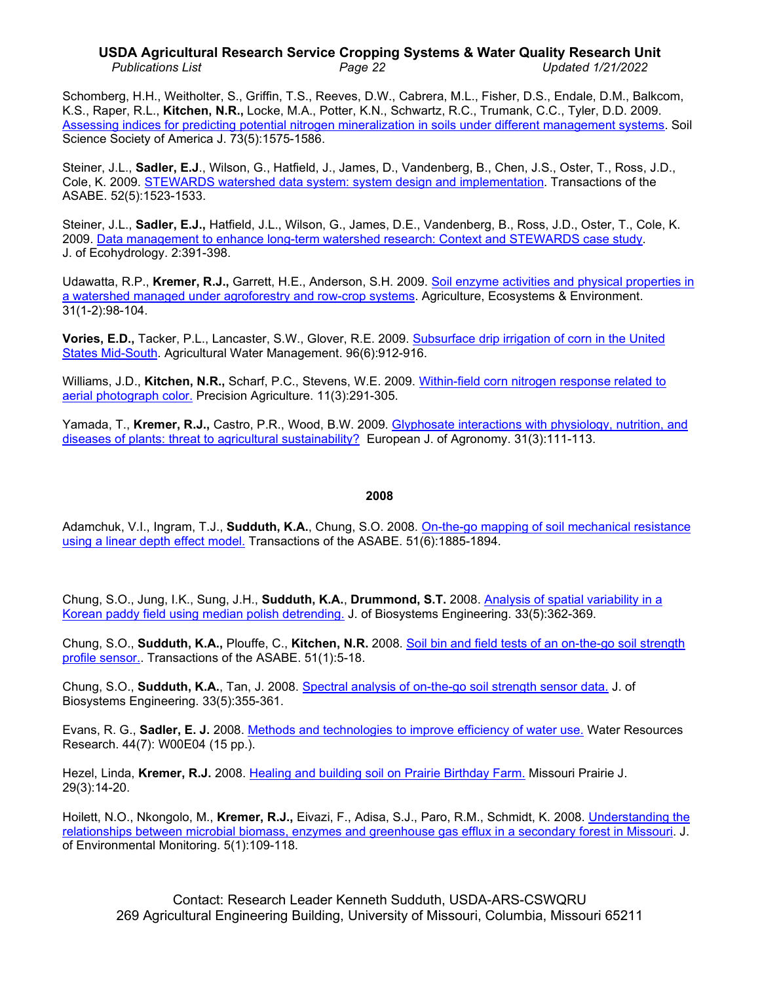# **USDA Agricultural Research Service Cropping Systems & Water Quality Research Unit** *Publications List Page 22 Updated 1/21/2022*

Schomberg, H.H., Weitholter, S., Griffin, T.S., Reeves, D.W., Cabrera, M.L., Fisher, D.S., Endale, D.M., Balkcom, K.S., Raper, R.L., **Kitchen, N.R.,** Locke, M.A., Potter, K.N., Schwartz, R.C., Trumank, C.C., Tyler, D.D. 2009. [Assessing indices for predicting potential nitrogen mineralization in soils under different](http://hdl.handle.net/10113/36062) management systems. Soil Science Society of America J. 73(5):1575-1586.

Steiner, J.L., **Sadler, E.J**., Wilson, G., Hatfield, J., James, D., Vandenberg, B., Chen, J.S., Oster, T., Ross, J.D., Cole, K. 2009. [STEWARDS watershed data system: system design and implementation.](http://hdl.handle.net/10113/37984) Transactions of the ASABE. 52(5):1523-1533.

Steiner, J.L., **Sadler, E.J.,** Hatfield, J.L., Wilson, G., James, D.E., Vandenberg, B., Ross, J.D., Oster, T., Cole, K. 2009. [Data management to enhance long-term watershed research: Context and STEWARDS case study.](http://hdl.handle.net/10113/38988) J. of Ecohydrology. 2:391-398.

Udawatta, R.P., **Kremer, R.J.,** Garrett, H.E., Anderson, S.H. 2009. [Soil enzyme activities and physical properties in](http://hdl.handle.net/10113/29016)  a watershed managed under [agroforestry and row-crop systems.](http://hdl.handle.net/10113/29016) Agriculture, Ecosystems & Environment. 31(1-2):98-104.

**Vories, E.D.,** Tacker, P.L., Lancaster, S.W., Glover, R.E. 2009. [Subsurface drip irrigation of corn in the United](http://hdl.handle.net/10113/29737)  [States Mid-South.](http://hdl.handle.net/10113/29737) Agricultural Water Management. 96(6):912-916.

Williams, J.D., **Kitchen, N.R.,** Scharf, P.C., Stevens, W.E. 2009. [Within-field corn nitrogen response related to](http://www.springerlink.com/content/m603376219m352p7/)  [aerial photograph color.](http://www.springerlink.com/content/m603376219m352p7/) Precision Agriculture. 11(3):291-305.

Yamada, T., **Kremer, R.J.,** Castro, P.R., Wood, B.W. 2009. [Glyphosate interactions with physiology, nutrition, and](http://www.ars.usda.gov/sp2UserFiles/Place/36221500/cswq-0426-yamada.pdf)  [diseases of plants: threat to agricultural sustainability?](http://www.ars.usda.gov/sp2UserFiles/Place/36221500/cswq-0426-yamada.pdf) European J. of Agronomy. 31(3):111-113.

#### **2008**

Adamchuk, V.I., Ingram, T.J., **Sudduth, K.A.**, Chung, S.O. 2008. [On-the-go mapping of soil mechanical resistance](http://www.ars.usda.gov/sp2UserFiles/Place/36221500/cswq-0395-adamchuk.pdf)  [using a linear depth effect model.](http://www.ars.usda.gov/sp2UserFiles/Place/36221500/cswq-0395-adamchuk.pdf) Transactions of the ASABE. 51(6):1885-1894.

Chung, S.O., Jung, I.K., Sung, J.H., **Sudduth, K.A.**, **Drummond, S.T.** 2008. Analysis of [spatial variability in a](http://www.ars.usda.gov/sp2UserFiles/Place/36221500/cswq-0396-chung.pdf)  Korean paddy field [using median polish detrending.](http://www.ars.usda.gov/sp2UserFiles/Place/36221500/cswq-0396-chung.pdf) J. of Biosystems Engineering. 33(5):362-369.

Chung, S.O., **Sudduth, K.A.,** Plouffe, C., **Kitchen, N.R.** 2008. [Soil bin and field tests of an on-the-go soil strength](http://www.ars.usda.gov/sp2UserFiles/Place/36221500/cswq-0320-202275.pdf)  [profile sensor..](http://www.ars.usda.gov/sp2UserFiles/Place/36221500/cswq-0320-202275.pdf) Transactions of the ASABE. 51(1):5-18.

Chung, S.O., **Sudduth, K.A.**, Tan, J. 2008. [Spectral analysis of on-the-go soil strength sensor data.](http://www.ars.usda.gov/sp2UserFiles/Place/36221500/cswq-0397-chung.pdf) J. of Biosystems Engineering. 33(5):355-361.

Evans, R. G., **Sadler, E. J.** 2008. [Methods and technologies to improve efficiency of water use.](http://ddr.nal.usda.gov/handle/10113/21462) Water Resources Research. 44(7): W00E04 (15 pp.).

Hezel, Linda, **Kremer, R.J.** 2008. [Healing and building soil on](http://www.ars.usda.gov/sp2UserFiles/Place/36221500/cswq-0400-hezel.pdf) Prairie Birthday Farm. Missouri Prairie J. 29(3):14-20.

Hoilett, N.O., Nkongolo, M., **Kremer, R.J.,** Eivazi, F., Adisa, S.J., Paro, R.M., Schmidt, K. 2008. [Understanding the](http://www.ars.usda.gov/sp2UserFiles/Place/36221500/cswq-0423-hoilett.pdf)  [relationships between microbial biomass, enzymes and greenhouse gas efflux in a secondary](http://www.ars.usda.gov/sp2UserFiles/Place/36221500/cswq-0423-hoilett.pdf) forest in Missouri. J. of Environmental Monitoring. 5(1):109-118.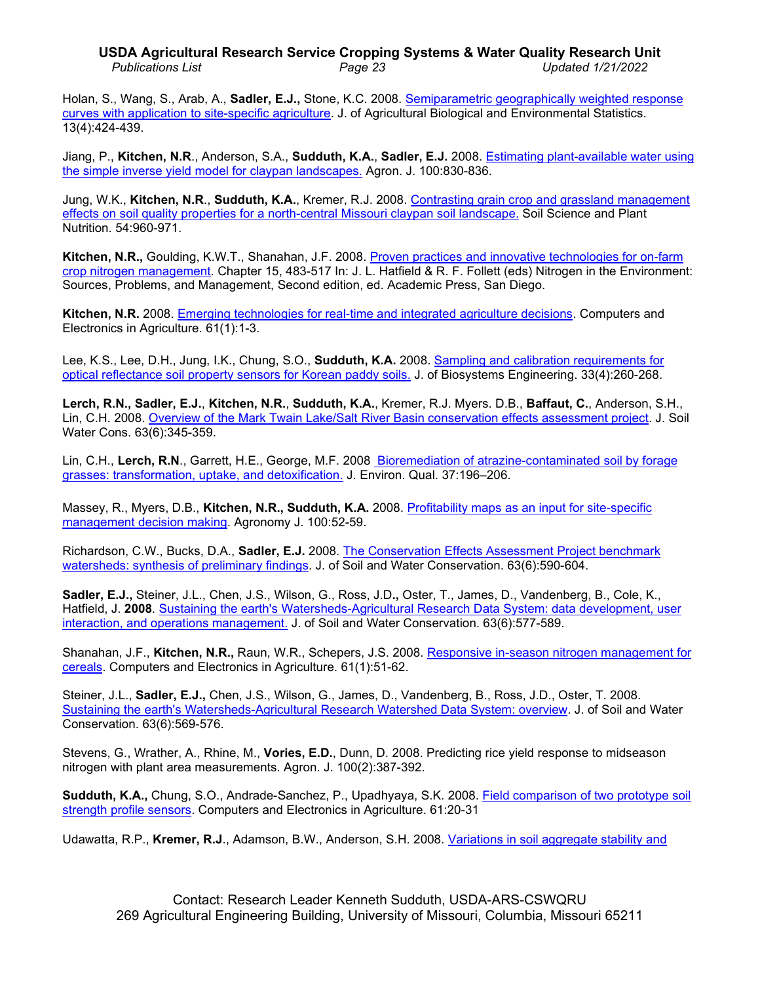## **USDA Agricultural Research Service Cropping Systems & Water Quality Research Unit** *Publications List Page 23 Updated 1/21/2022*

Holan, S., Wang, S., Arab, A., **Sadler, E.J.,** Stone, K.C. 2008. [Semiparametric geographically weighted response](http://www.ars.usda.gov/sp2UserFiles/Place/36221500/cswq-0394-holan.pdf)  [curves with application to site-specific](http://www.ars.usda.gov/sp2UserFiles/Place/36221500/cswq-0394-holan.pdf) agriculture. J. of Agricultural Biological and Environmental Statistics. 13(4):424-439.

Jiang, P., **Kitchen, N.R**., Anderson, S.A., **Sudduth, K.A.**, **Sadler, E.J.** 2008. [Estimating plant-available water using](http://hdl.handle.net/10113/18491)  [the simple inverse yield model for claypan landscapes.](http://hdl.handle.net/10113/18491) Agron. J. 100:830-836.

Jung, W.K., **Kitchen, N.R**., **Sudduth, K.A.**, Kremer, R.J. 2008. [Contrasting grain crop and grassland management](http://dx.doi.org/10.1111/j.1747-0765.2008.00314.x)  [effects on soil quality properties for a north-central Missouri claypan soil landscape.](http://dx.doi.org/10.1111/j.1747-0765.2008.00314.x) Soil Science and Plant Nutrition. 54:960-971.

**Kitchen, N.R.,** Goulding, K.W.T., Shanahan, J.F. 2008. [Proven practices and innovative technologies for on-farm](http://dx.doi.org/10.1016/B978-0-12-374347-3.00015-9)  [crop nitrogen management.](http://dx.doi.org/10.1016/B978-0-12-374347-3.00015-9) Chapter 15, 483-517 In: J. L. Hatfield & R. F. Follett (eds) Nitrogen in the Environment: Sources, Problems, and Management, Second edition, ed. Academic Press, San Diego.

**Kitchen, N.R.** 2008. [Emerging technologies for real-time and integrated agriculture decisions.](http://www.ars.usda.gov/sp2UserFiles/Place/36221500/cswq-0318-kitchen.pdf) Computers and Electronics in Agriculture. 61(1):1-3.

Lee, K.S., Lee, D.H., Jung, I.K., Chung, S.O., **Sudduth, K.A.** 2008. [Sampling and calibration requirements for](http://www.ars.usda.gov/sp2UserFiles/Place/36221500/cswq-0398-lee.pdf)  optical reflectance soil [property sensors for Korean paddy soils.](http://www.ars.usda.gov/sp2UserFiles/Place/36221500/cswq-0398-lee.pdf) J. of Biosystems Engineering. 33(4):260-268.

**Lerch, R.N., Sadler, E.J.**, **Kitchen, N.R.**, **Sudduth, K.A.**, Kremer, R.J. Myers. D.B., **Baffaut, C.**, Anderson, S.H., Lin, C.H. 2008. [Overview of the Mark Twain Lake/Salt River Basin conservation effects assessment project.](http://dx.doi.org/10.2489/jswc.63.6.345) J. Soil Water Cons. 63(6):345-359.

Lin, C.H., **Lerch, R.N**., Garrett, H.E., George, M.F. 2008 [Bioremediation of atrazine-contaminated soil by forage](http://www.ars.usda.gov/sp2UserFiles/Place/36221500/cswq-0383-lin.pdf)  [grasses: transformation, uptake, and detoxification.](http://www.ars.usda.gov/sp2UserFiles/Place/36221500/cswq-0383-lin.pdf) J. Environ. Qual. 37:196–206.

Massey, R., Myers, D.B., **Kitchen, N.R., Sudduth, K.A.** 2008. [Profitability maps as an input for site-specific](http://www.ars.usda.gov/sp2UserFiles/Place/36221500/cswq-0316-massey.pdf)  [management decision making.](http://www.ars.usda.gov/sp2UserFiles/Place/36221500/cswq-0316-massey.pdf) Agronomy J. 100:52-59.

Richardson, C.W., Bucks, D.A., **Sadler, E.J.** 2008. [The Conservation Effects Assessment Project benchmark](http://hdl.handle.net/10113/22767)  [watersheds: synthesis of preliminary findings.](http://hdl.handle.net/10113/22767) J. of Soil and Water Conservation. 63(6):590-604.

**Sadler, E.J.,** Steiner, J.L., Chen, J.S., Wilson, G., Ross, J.D**.,** Oster, T., James, D., Vandenberg, B., Cole, K., Hatfield, J. **2008**. [Sustaining the earth's Watersheds-Agricultural Research Data System: data](http://hdl.handle.net/10113/22766) development, user [interaction, and operations management.](http://hdl.handle.net/10113/22766) J. of Soil and Water Conservation. 63(6):577-589.

Shanahan, J.F., **Kitchen, N.R.,** Raun, W.R., Schepers, J.S. 2008. [Responsive in-season nitrogen management for](http://hdl.handle.net/10113/15637)  [cereals.](http://hdl.handle.net/10113/15637) Computers and Electronics in Agriculture. 61(1):51-62.

Steiner, J.L., **Sadler, E.J.,** Chen, J.S., Wilson, G., James, D., Vandenberg, B., Ross, J.D., Oster, T. 2008. [Sustaining the earth's Watersheds-Agricultural Research Watershed Data System: overview.](http://hdl.handle.net/10113/22765) J. of Soil and Water Conservation. 63(6):569-576.

Stevens, G., Wrather, A., Rhine, M., **Vories, E.D.**, Dunn, D. 2008. Predicting rice yield response to midseason nitrogen with plant area measurements. Agron. J. 100(2):387-392.

**Sudduth, K.A.,** Chung, S.O., Andrade-Sanchez, P., Upadhyaya, S.K. 2008. [Field comparison of two prototype soil](http://www.ars.usda.gov/sp2UserFiles/Place/36221500/cswq-0371-sudduth.pdf)  [strength profile sensors.](http://www.ars.usda.gov/sp2UserFiles/Place/36221500/cswq-0371-sudduth.pdf) Computers and Electronics in Agriculture. 61:20-31

Udawatta, R.P., **Kremer, R.J**., Adamson, B.W., Anderson, S.H. 2008. [Variations in soil aggregate stability and](http://www.ars.usda.gov/sp2UserFiles/Place/36221500/cswq-0373-udawatta.pdf)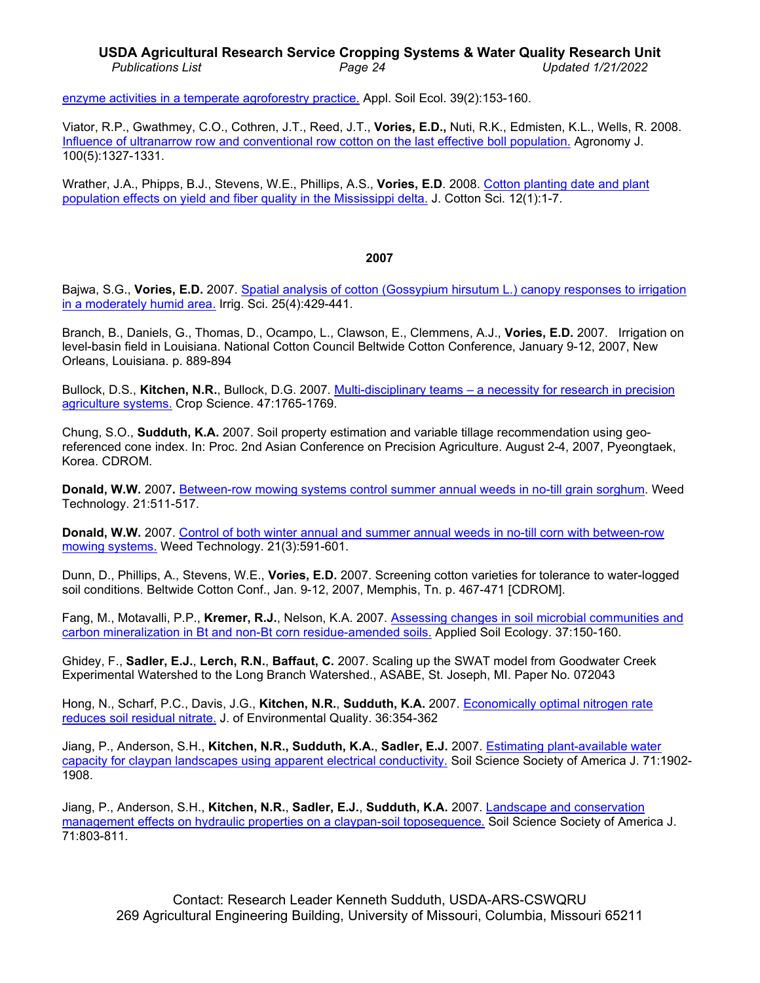# **USDA Agricultural Research Service Cropping Systems & Water Quality Research Unit** *Publications List Page 24 Updated 1/21/2022*

[enzyme activities in a temperate agroforestry practice.](http://www.ars.usda.gov/sp2UserFiles/Place/36221500/cswq-0373-udawatta.pdf) Appl. Soil Ecol. 39(2):153-160.

Viator, R.P., Gwathmey, C.O., Cothren, J.T., Reed, J.T., **Vories, E.D.,** Nuti, R.K., Edmisten, K.L., Wells, R. 2008. [Influence of ultranarrow row and conventional row cotton on the last effective boll](http://hdl.handle.net/10113/48931) population. Agronomy J. 100(5):1327-1331.

Wrather, J.A., Phipps, B.J., Stevens, W.E., Phillips, A.S., **Vories, E.D**. 2008. [Cotton planting date and plant](http://hdl.handle.net/10113/18637)  population effects on [yield and fiber quality in the Mississippi](http://hdl.handle.net/10113/18637) delta. J. Cotton Sci. 12(1):1-7.

#### **2007**

Bajwa, S.G., **Vories, E.D.** 2007. [Spatial analysis of cotton \(Gossypium hirsutum L.\) canopy responses to irrigation](http://www.springerlink.com/content/nx774v0j860m144v/fulltext.pdf)  in a [moderately humid area.](http://www.springerlink.com/content/nx774v0j860m144v/fulltext.pdf) Irrig. Sci. 25(4):429-441.

Branch, B., Daniels, G., Thomas, D., Ocampo, L., Clawson, E., Clemmens, A.J., **Vories, E.D.** 2007. Irrigation on level-basin field in Louisiana. National Cotton Council Beltwide Cotton Conference, January 9-12, 2007, New Orleans, Louisiana. p. 889-894

Bullock, D.S., **Kitchen, N.R.**, Bullock, D.G. 2007. Multi-disciplinary teams – [a necessity for research in precision](http://www.ars.usda.gov/sp2UserFiles/Place/36221500/cswq-0329-211892.pdf)  [agriculture systems.](http://www.ars.usda.gov/sp2UserFiles/Place/36221500/cswq-0329-211892.pdf) Crop Science. 47:1765-1769.

Chung, S.O., **Sudduth, K.A.** 2007. Soil property estimation and variable tillage recommendation using georeferenced cone index. In: Proc. 2nd Asian Conference on Precision Agriculture. August 2-4, 2007, Pyeongtaek, Korea. CDROM.

**Donald, W.W.** 2007**.** [Between-row mowing systems control summer annual weeds in no-till grain sorghum.](http://www.ars.usda.gov/sp2UserFiles/Place/36221500/cswq-0313-donald.pdf) Weed Technology. 21:511-517.

**Donald, W.W.** 2007. [Control of both winter annual and summer annual weeds in no-till corn with between-row](http://www.ars.usda.gov/sp2UserFiles/Place/36221500/cswq-0321-185953.pdf)  [mowing systems.](http://www.ars.usda.gov/sp2UserFiles/Place/36221500/cswq-0321-185953.pdf) Weed Technology. 21(3):591-601.

Dunn, D., Phillips, A., Stevens, W.E., **Vories, E.D.** 2007. Screening cotton varieties for tolerance to water-logged soil conditions. Beltwide Cotton Conf., Jan. 9-12, 2007, Memphis, Tn. p. 467-471 [CDROM].

Fang, M., Motavalli, P.P., **Kremer, R.J.**, Nelson, K.A. 2007. [Assessing changes in soil microbial communities and](http://www.ars.usda.gov/sp2UserFiles/Place/36221500/cswq-0322-214010.pdf)  [carbon mineralization in Bt and non-Bt corn residue-amended soils.](http://www.ars.usda.gov/sp2UserFiles/Place/36221500/cswq-0322-214010.pdf) Applied Soil Ecology. 37:150-160.

Ghidey, F., **Sadler, E.J.**, **Lerch, R.N.**, **Baffaut, C.** 2007. Scaling up the SWAT model from Goodwater Creek Experimental Watershed to the Long Branch Watershed., ASABE, St. Joseph, MI. Paper No. 072043

Hong, N., Scharf, P.C., Davis, J.G., **Kitchen, N.R.**, **Sudduth, K.A.** 2007. [Economically optimal nitrogen rate](http://www.ars.usda.gov/sp2UserFiles/Place/36221500/cswq-0330-195693.pdf)  [reduces soil residual](http://www.ars.usda.gov/sp2UserFiles/Place/36221500/cswq-0330-195693.pdf) nitrate. J. of Environmental Quality. 36:354-362

Jiang, P., Anderson, S.H., **Kitchen, N.R., Sudduth, K.A.**, **Sadler, E.J.** 2007. [Estimating plant-available water](http://www.ars.usda.gov/sp2UserFiles/Place/36221500/cswq-0315-jiang.pdf)  [capacity for claypan landscapes using apparent electrical conductivity.](http://www.ars.usda.gov/sp2UserFiles/Place/36221500/cswq-0315-jiang.pdf) Soil Science Society of America J. 71:1902- 1908.

Jiang, P., Anderson, S.H., **Kitchen, N.R.**, **Sadler, E.J.**, **Sudduth, K.A.** 2007. [Landscape and conservation](http://www.ars.usda.gov/sp2UserFiles/Place/36221500/cswq-0323-197468.pdf) management [effects on hydraulic properties on a claypan-soil toposequence.](http://www.ars.usda.gov/sp2UserFiles/Place/36221500/cswq-0323-197468.pdf) Soil Science Society of America J. 71:803-811.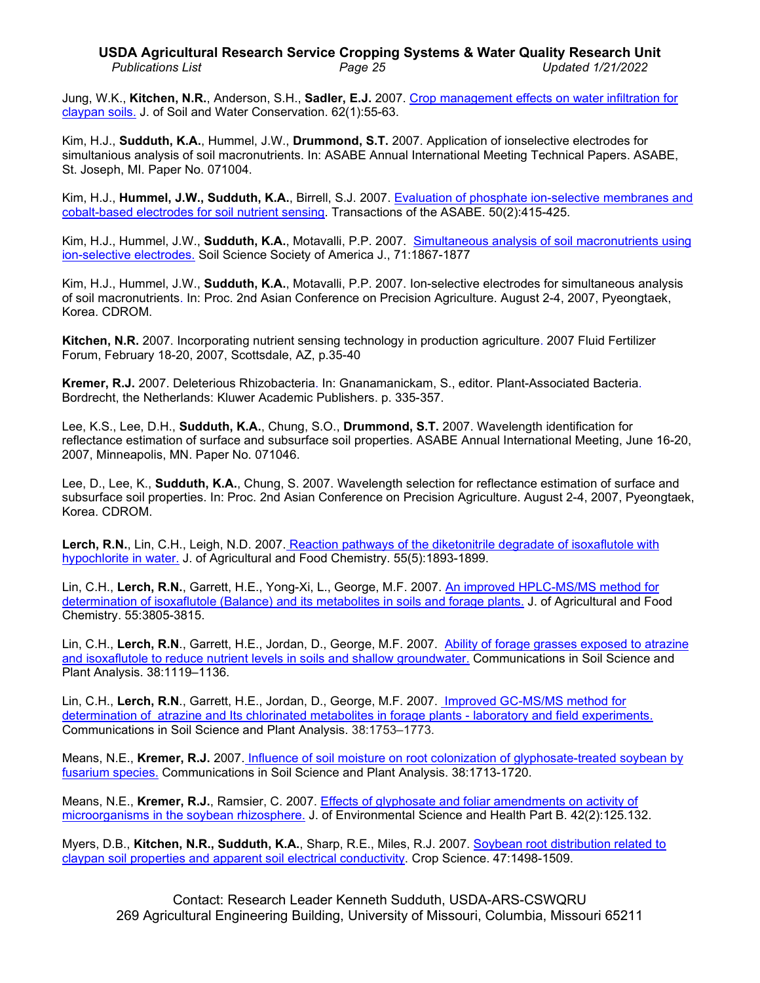# **USDA Agricultural Research Service Cropping Systems & Water Quality Research Unit** *Publications List Page 25 Updated 1/21/2022*

Jung, W.K., **Kitchen, N.R.**, Anderson, S.H., **Sadler, E.J.** 2007. Crop management [effects on water infiltration for](http://www.ars.usda.gov/sp2UserFiles/Place/36221500/cswq-0319-jung.pdf)  [claypan soils.](http://www.ars.usda.gov/sp2UserFiles/Place/36221500/cswq-0319-jung.pdf) J. of Soil and Water Conservation. 62(1):55-63.

Kim, H.J., **Sudduth, K.A.**, Hummel, J.W., **Drummond, S.T.** 2007. Application of ionselective electrodes for simultanious analysis of soil macronutrients. In: ASABE Annual International Meeting Technical Papers. ASABE, St. Joseph, MI. Paper No. 071004.

Kim, H.J., **Hummel, J.W., Sudduth, K.A.**, Birrell, S.J. 2007. [Evaluation of phosphate ion-selective membranes and](http://www.ars.usda.gov/sp2UserFiles/Place/36221500/cswq-0293-201375.pdf)  [cobalt-based electrodes for soil nutrient sensing.](http://www.ars.usda.gov/sp2UserFiles/Place/36221500/cswq-0293-201375.pdf) Transactions of the ASABE. 50(2):415-425.

Kim, H.J., Hummel, J.W., **Sudduth, K.A.**, Motavalli, P.P. 2007. [Simultaneous analysis of soil macronutrients using](http://www.ars.usda.gov/sp2UserFiles/Place/36221500/cswq-0324-406667.pdf)  [ion-selective electrodes.](http://www.ars.usda.gov/sp2UserFiles/Place/36221500/cswq-0324-406667.pdf) Soil Science Society of America J., 71:1867-1877

Kim, H.J., Hummel, J.W., **Sudduth, K.A.**, Motavalli, P.P. 2007. Ion-selective electrodes for simultaneous analysis of soil macronutrients. In: Proc. 2nd Asian Conference on Precision Agriculture. August 2-4, 2007, Pyeongtaek, Korea. CDROM.

**Kitchen, N.R.** 2007. Incorporating nutrient sensing technology in production agriculture. 2007 Fluid Fertilizer Forum, February 18-20, 2007, Scottsdale, AZ, p.35-40

**Kremer, R.J.** 2007. Deleterious Rhizobacteria. In: Gnanamanickam, S., editor. Plant-Associated Bacteria. Bordrecht, the Netherlands: Kluwer Academic Publishers. p. 335-357.

Lee, K.S., Lee, D.H., **Sudduth, K.A.**, Chung, S.O., **Drummond, S.T.** 2007. Wavelength identification for reflectance estimation of surface and subsurface soil properties. ASABE Annual International Meeting, June 16-20, 2007, Minneapolis, MN. Paper No. 071046.

Lee, D., Lee, K., **Sudduth, K.A.**, Chung, S. 2007. Wavelength selection for reflectance estimation of surface and subsurface soil properties. In: Proc. 2nd Asian Conference on Precision Agriculture. August 2-4, 2007, Pyeongtaek, Korea. CDROM.

**Lerch, R.N.**, Lin, C.H., Leigh, N.D. 2007. [Reaction pathways of the diketonitrile degradate of isoxaflutole with](http://www.ars.usda.gov/sp2UserFiles/Place/36221500/cswq-0326-201114.pdf)  [hypochlorite in water.](http://www.ars.usda.gov/sp2UserFiles/Place/36221500/cswq-0326-201114.pdf) J. of Agricultural and Food Chemistry. 55(5):1893-1899.

Lin, C.H., **Lerch, R.N.**, Garrett, H.E., Yong-Xi, L., George, M.F. 2007. [An improved HPLC-MS/MS](http://www.ars.usda.gov/sp2UserFiles/Place/36221500/cswq-0327-205120.pdf) method for [determination of isoxaflutole \(Balance\) and its metabolites in soils and forage plants.](http://www.ars.usda.gov/sp2UserFiles/Place/36221500/cswq-0327-205120.pdf) J. of Agricultural and Food Chemistry. 55:3805-3815.

Lin, C.H., **Lerch, R.N**., Garrett, H.E., Jordan, D., George, M.F. 2007. Ability [of forage grasses exposed to atrazine](http://www.ars.usda.gov/sp2UserFiles/Place/36221500/cswq-0384-lin.pdf)  [and isoxaflutole to reduce nutrient levels in soils and shallow groundwater.](http://www.ars.usda.gov/sp2UserFiles/Place/36221500/cswq-0384-lin.pdf) Communications in Soil Science and Plant Analysis. 38:1119–1136.

Lin, C.H., Lerch, R.N., Garrett, H.E., Jordan, D., George, M.F. 2007. Improved GC-MS/MS method for [determination of atrazine and Its chlorinated metabolites in forage plants -](http://www.ars.usda.gov/sp2UserFiles/Place/36221500/cswq-0385-lin.pdf) laboratory and field experiments. Communications in Soil Science and Plant Analysis. 38:1753–1773.

Means, N.E., **Kremer, R.J.** 2007. [Influence of soil moisture on root colonization of glyphosate-treated soybean by](http://www.ars.usda.gov/sp2UserFiles/Place/36221500/cswq-0375-means.pdf)  [fusarium](http://www.ars.usda.gov/sp2UserFiles/Place/36221500/cswq-0375-means.pdf) species. Communications in Soil Science and Plant Analysis. 38:1713-1720.

Means, N.E., **Kremer, R.J.**, Ramsier, C. 2007. [Effects of glyphosate and foliar amendments on](http://www.ars.usda.gov/sp2UserFiles/Place/36221500/cswq-0374-means.pdf) activity of [microorganisms in the soybean rhizosphere.](http://www.ars.usda.gov/sp2UserFiles/Place/36221500/cswq-0374-means.pdf) J. of Environmental Science and Health Part B. 42(2):125.132.

Myers, D.B., **Kitchen, N.R., Sudduth, K.A.**, Sharp, R.E., Miles, R.J. 2007. [Soybean root distribution related to](http://www.ars.usda.gov/sp2UserFiles/Place/36221500/cswq-0317-myers.pdf)  [claypan soil properties and apparent soil electrical conductivity.](http://www.ars.usda.gov/sp2UserFiles/Place/36221500/cswq-0317-myers.pdf) Crop Science. 47:1498-1509.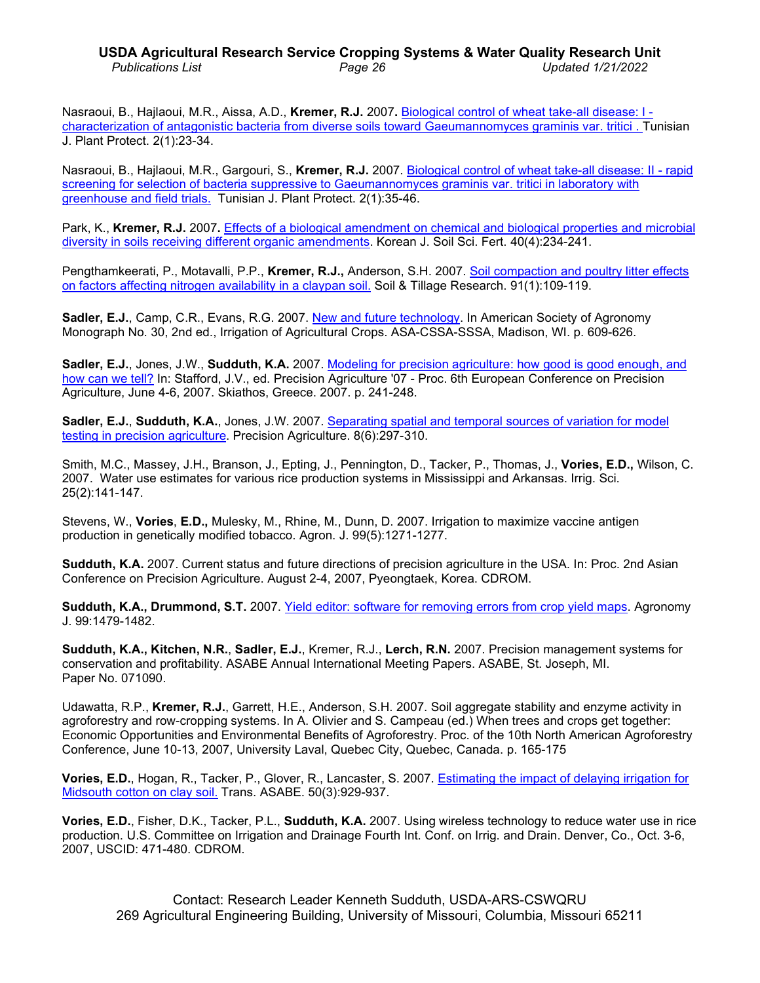# **USDA Agricultural Research Service Cropping Systems & Water Quality Research Unit** *Publications List Page 26 Updated 1/21/2022*

Nasraoui, B., Hajlaoui, M.R., Aissa, A.D., **Kremer, R.J.** 2007**.** [Biological control of wheat take-all disease: I](http://www.ars.usda.gov/sp2UserFiles/Place/36221500/cswq-0376-nasraoui.pdf)  [characterization of antagonistic bacteria from diverse soils toward Gaeumannomyces graminis var. tritici . T](http://www.ars.usda.gov/sp2UserFiles/Place/36221500/cswq-0376-nasraoui.pdf)unisian J. Plant Protect. 2(1):23-34.

Nasraoui, B., Hajlaoui, M.R., Gargouri, S., **Kremer, R.J.** 2007. [Biological control of wheat take-all disease: II -](http://www.ars.usda.gov/sp2UserFiles/Place/36221500/cswq-0377-nasraoui.pdf) rapid screening for selection of bacteria suppressive to Gaeumannomyces graminis var. tritici in laboratory with [greenhouse and field trials.](http://www.ars.usda.gov/sp2UserFiles/Place/36221500/cswq-0377-nasraoui.pdf) Tunisian J. Plant Protect. 2(1):35-46.

Park, K., **Kremer, R.J.** 2007**.** Effects of [a biological amendment on chemical and biological properties and microbial](http://www.ars.usda.gov/sp2UserFiles/Place/36221500/cswq-0378-park.pdf)  diversity in [soils receiving different organic amendments.](http://www.ars.usda.gov/sp2UserFiles/Place/36221500/cswq-0378-park.pdf) Korean J. Soil Sci. Fert. 40(4):234-241.

Pengthamkeerati, P., Motavalli, P.P., **Kremer, R.J.,** Anderson, S.H. 2007. [Soil compaction and poultry litter effects](http://www.ars.usda.gov/sp2UserFiles/Place/36221500/cswq-0328-207290.pdf)  on factors [affecting nitrogen availability in a claypan soil.](http://www.ars.usda.gov/sp2UserFiles/Place/36221500/cswq-0328-207290.pdf) Soil & Tillage Research. 91(1):109-119.

**Sadler, E.J.**, Camp, C.R., Evans, R.G. 2007. [New and future technology.](http://www.ars.usda.gov/sp2UserFiles/Place/36221500/cswq-0305-157334.pdf) In American Society of Agronomy Monograph No. 30, 2nd ed., Irrigation of Agricultural Crops. ASA-CSSA-SSSA, Madison, WI. p. 609-626.

**Sadler, E.J.**, Jones, J.W., **Sudduth, K.A.** 2007. [Modeling for precision agriculture: how good is good](http://www.ars.usda.gov/sp2UserFiles/Place/36221500/cswq-0314-sadler.pdf) enough, and [how can we tell?](http://www.ars.usda.gov/sp2UserFiles/Place/36221500/cswq-0314-sadler.pdf) In: Stafford, J.V., ed. Precision Agriculture '07 - Proc. 6th European Conference on Precision Agriculture, June 4-6, 2007. Skiathos, Greece. 2007. p. 241-248.

**Sadler, E.J.**, **Sudduth, K.A.**, Jones, J.W. 2007. [Separating spatial and temporal sources of variation for model](http://link.springer.com/article/10.1007%2Fs11119-007-9046-9)  [testing in precision agriculture.](http://link.springer.com/article/10.1007%2Fs11119-007-9046-9) Precision Agriculture. 8(6):297-310.

Smith, M.C., Massey, J.H., Branson, J., Epting, J., Pennington, D., Tacker, P., Thomas, J., **Vories, E.D.,** Wilson, C. 2007. Water use estimates for various rice production systems in Mississippi and Arkansas. Irrig. Sci. 25(2):141-147.

Stevens, W., **Vories**, **E.D.,** Mulesky, M., Rhine, M., Dunn, D. 2007. Irrigation to maximize vaccine antigen production in genetically modified tobacco. Agron. J. 99(5):1271-1277.

**Sudduth, K.A.** 2007. Current status and future directions of precision agriculture in the USA. In: Proc. 2nd Asian Conference on Precision Agriculture. August 2-4, 2007, Pyeongtaek, Korea. CDROM.

**Sudduth, K.A., Drummond, S.T.** 2007. Yield editor: software [for removing errors from crop yield maps.](http://www.ars.usda.gov/sp2UserFiles/Place/36221500/cswq-0372-sudduth.pdf) Agronomy J. 99:1479-1482.

**Sudduth, K.A., Kitchen, N.R.**, **Sadler, E.J.**, Kremer, R.J., **Lerch, R.N.** 2007. Precision management systems for conservation and profitability. ASABE Annual International Meeting Papers. ASABE, St. Joseph, MI. Paper No. 071090.

Udawatta, R.P., **Kremer, R.J.**, Garrett, H.E., Anderson, S.H. 2007. Soil aggregate stability and enzyme activity in agroforestry and row-cropping systems. In A. Olivier and S. Campeau (ed.) When trees and crops get together: Economic Opportunities and Environmental Benefits of Agroforestry. Proc. of the 10th North American Agroforestry Conference, June 10-13, 2007, University Laval, Quebec City, Quebec, Canada. p. 165-175

**Vories, E.D.**, Hogan, R., Tacker, P., Glover, R., Lancaster, S. 2007. [Estimating the impact of delaying irrigation](http://www.ars.usda.gov/sp2UserFiles/Place/36221500/cswq-0493-vories.pdf) for [Midsouth cotton on clay soil.](http://www.ars.usda.gov/sp2UserFiles/Place/36221500/cswq-0493-vories.pdf) Trans. ASABE. 50(3):929-937.

**Vories, E.D.**, Fisher, D.K., Tacker, P.L., **Sudduth, K.A.** 2007. Using wireless technology to reduce water use in rice production. U.S. Committee on Irrigation and Drainage Fourth Int. Conf. on Irrig. and Drain. Denver, Co., Oct. 3-6, 2007, USCID: 471-480. CDROM.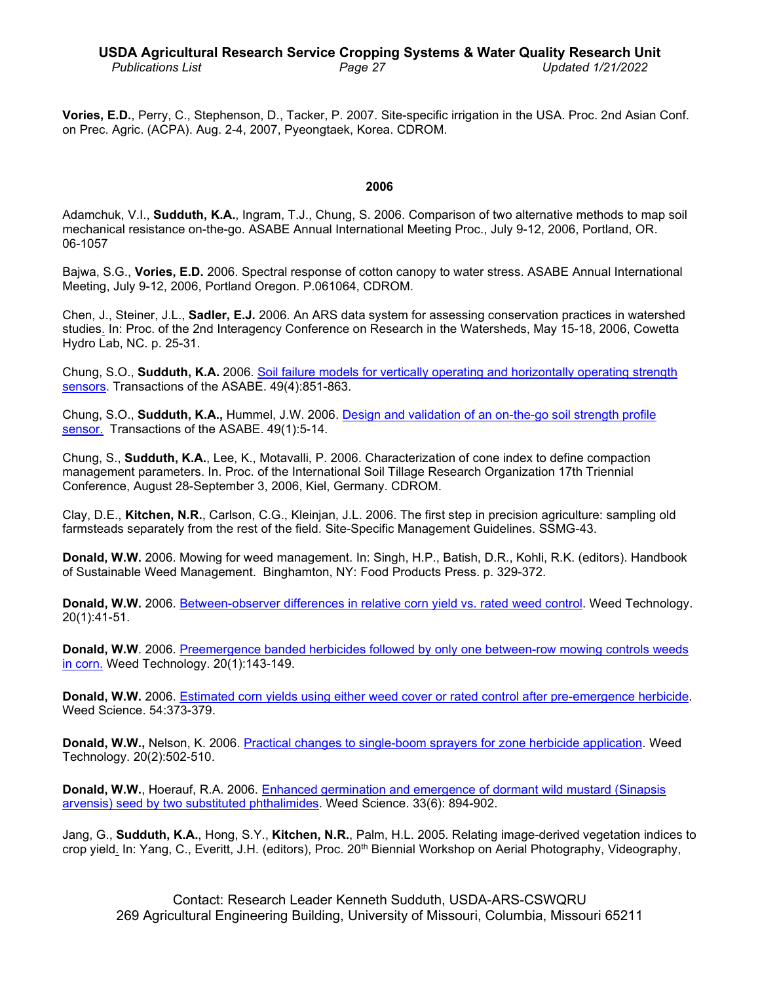**Vories, E.D.**, Perry, C., Stephenson, D., Tacker, P. 2007. Site-specific irrigation in the USA. Proc. 2nd Asian Conf. on Prec. Agric. (ACPA). Aug. 2-4, 2007, Pyeongtaek, Korea. CDROM.

#### **2006**

Adamchuk, V.I., **Sudduth, K.A.**, Ingram, T.J., Chung, S. 2006. Comparison of two alternative methods to map soil mechanical resistance on-the-go. ASABE Annual International Meeting Proc., July 9-12, 2006, Portland, OR. 06-1057

Bajwa, S.G., **Vories, E.D.** 2006. Spectral response of cotton canopy to water stress. ASABE Annual International Meeting, July 9-12, 2006, Portland Oregon. P.061064, CDROM.

Chen, J., Steiner, J.L., **Sadler, E.J.** 2006. An ARS data system for assessing conservation practices in watershed studies. In: Proc. of the 2nd Interagency Conference on Research in the Watersheds, May 15-18, 2006, Cowetta Hydro Lab, NC. p. 25-31.

Chung, S.O., **Sudduth, K.A.** 2006. Soil failure models for vertically [operating and horizontally operating strength](http://www.ars.usda.gov/sp2UserFiles/Place/36221500/cswq-0266-178927.pdf)  [sensors.](http://www.ars.usda.gov/sp2UserFiles/Place/36221500/cswq-0266-178927.pdf) Transactions of the ASABE. 49(4):851-863.

Chung, S.O., **Sudduth, K.A.,** Hummel, J.W. 2006. Design and validation of an [on-the-go soil strength profile](http://www.ars.usda.gov/sp2UserFiles/Place/36221500/cswq-0195-174270.pdf)  [sensor.](http://www.ars.usda.gov/sp2UserFiles/Place/36221500/cswq-0195-174270.pdf) Transactions of the ASABE. 49(1):5-14.

Chung, S., **Sudduth, K.A.**, Lee, K., Motavalli, P. 2006. Characterization of cone index to define compaction management parameters. In. Proc. of the International Soil Tillage Research Organization 17th Triennial Conference, August 28-September 3, 2006, Kiel, Germany. CDROM.

Clay, D.E., **Kitchen, N.R.**, Carlson, C.G., Kleinjan, J.L. 2006. The first step in precision agriculture: sampling old farmsteads separately from the rest of the field. Site-Specific Management Guidelines. SSMG-43.

**Donald, W.W.** 2006. Mowing for weed management. In: Singh, H.P., Batish, D.R., Kohli, R.K. (editors). Handbook of Sustainable Weed Management. Binghamton, NY: Food Products Press. p. 329-372.

**Donald, W.W.** 2006. [Between-observer differences in relative corn](http://www.ars.usda.gov/sp2UserFiles/Place/36221500/cswq-0232-157889.pdf) yield vs. rated weed control. Weed Technology. 20(1):41-51.

**Donald, W.W**. 2006. [Preemergence banded herbicides followed by only one between-row mowing controls weeds](http://www.ars.usda.gov/sp2UserFiles/Place/36221500/cswq-0233-174173.pdf) [in corn.](http://www.ars.usda.gov/sp2UserFiles/Place/36221500/cswq-0233-174173.pdf) Weed Technology. 20(1):143-149.

**Donald, W.W.** 2006. [Estimated corn yields using either weed cover or rated control after pre-emergence herbicide.](http://www.ars.usda.gov/sp2UserFiles/Place/36221500/cswq-0236-173579.pdf) Weed Science. 54:373-379.

**Donald, W.W.,** Nelson, K. 2006. [Practical changes to single-boom sprayers for zone herbicide application.](http://www.ars.usda.gov/sp2UserFiles/Place/36221500/cswq-0237-184542.pdf) Weed Technology. 20(2):502-510.

**Donald, W.W.**, Hoerauf, R.A. 2006. [Enhanced germination and emergence of dormant wild mustard \(Sinapsis](http://www.jstor.org/stable/4044117)  [arvensis\) seed by two substituted phthalimides.](http://www.jstor.org/stable/4044117) Weed Science. 33(6): 894-902.

Jang, G., **Sudduth, K.A.**, Hong, S.Y., **Kitchen, N.R.**, Palm, H.L. 2005. Relating image-derived vegetation indices to crop yield. In: Yang, C., Everitt, J.H. (editors), Proc. 20<sup>th</sup> Biennial Workshop on Aerial Photography, Videography,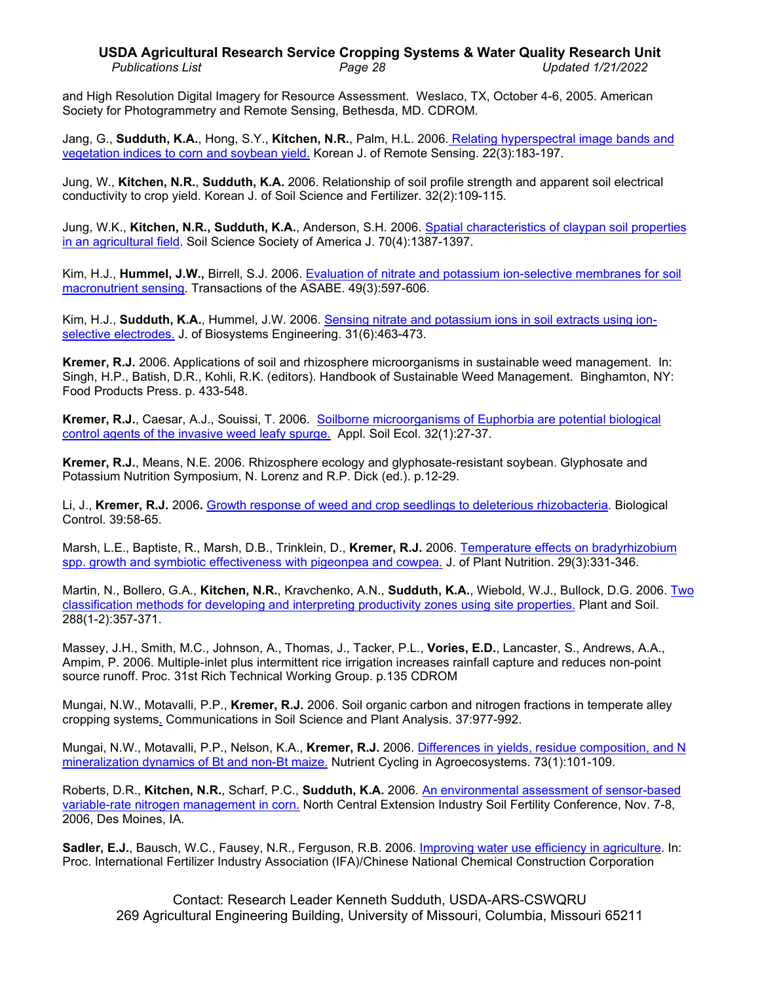# **USDA Agricultural Research Service Cropping Systems & Water Quality Research Unit** *Publications List Page 28 Updated 1/21/2022*

and High Resolution Digital Imagery for Resource Assessment. Weslaco, TX, October 4-6, 2005. American Society for Photogrammetry and Remote Sensing, Bethesda, MD. CDROM.

Jang, G., **Sudduth, K.A.**, Hong, S.Y., **Kitchen, N.R.**, Palm, H.L. 2006. [Relating hyperspectral image bands](http://www.ars.usda.gov/sp2UserFiles/Place/36221500/cswq-0269-jang.pdf) and [vegetation indices to corn and soybean yield.](http://www.ars.usda.gov/sp2UserFiles/Place/36221500/cswq-0269-jang.pdf) Korean J. of Remote Sensing. 22(3):183-197.

Jung, W., **Kitchen, N.R.**, **Sudduth, K.A.** 2006. Relationship of soil profile strength and apparent soil electrical conductivity to crop yield. Korean J. of Soil Science and Fertilizer. 32(2):109-115.

Jung, W.K., **Kitchen, N.R., Sudduth, K.A.**, Anderson, S.H. 2006. [Spatial characteristics of claypan soil properties](http://www.ars.usda.gov/sp2UserFiles/Place/36221500/cswq-0235-184494.pdf)  [in an agricultural field.](http://www.ars.usda.gov/sp2UserFiles/Place/36221500/cswq-0235-184494.pdf) Soil Science Society of America J. 70(4):1387-1397.

Kim, H.J., **Hummel, J.W.,** Birrell, S.J. 2006. [Evaluation of nitrate and potassium ion-selective membranes for soil](http://www.ars.usda.gov/sp2UserFiles/Place/36221500/cswq-0234-173278.pdf)  [macronutrient sensing.](http://www.ars.usda.gov/sp2UserFiles/Place/36221500/cswq-0234-173278.pdf) Transactions of the ASABE. 49(3):597-606.

Kim, H.J., **Sudduth, K.A.**, Hummel, J.W. 2006. [Sensing nitrate and potassium ions](http://ksci.kisti.re.kr/browse/browDetail.ksci?browseBean.totalCnt=11&browseBean.artSeq=NOGGB5_2006_v31n6s119_463&browseBean.curNo=2) in soil extracts using ion[selective electrodes.](http://ksci.kisti.re.kr/browse/browDetail.ksci?browseBean.totalCnt=11&browseBean.artSeq=NOGGB5_2006_v31n6s119_463&browseBean.curNo=2) J. of Biosystems Engineering. 31(6):463-473.

**Kremer, R.J.** 2006. Applications of soil and rhizosphere microorganisms in sustainable weed management. In: Singh, H.P., Batish, D.R., Kohli, R.K. (editors). Handbook of Sustainable Weed Management. Binghamton, NY: Food Products Press. p. 433-548.

**Kremer, R.J.**, Caesar, A.J., Souissi, T. 2006. [Soilborne microorganisms of Euphorbia are potential biological](http://www.ars.usda.gov/sp2UserFiles/Place/36221500/cswq-0207-160709.pdf)  [control agents of the invasive](http://www.ars.usda.gov/sp2UserFiles/Place/36221500/cswq-0207-160709.pdf) weed leafy spurge. Appl. Soil Ecol. 32(1):27-37.

**Kremer, R.J.**, Means, N.E. 2006. Rhizosphere ecology and glyphosate-resistant soybean. Glyphosate and Potassium Nutrition Symposium, N. Lorenz and R.P. Dick (ed.). p.12-29.

Li, J., **Kremer, R.J.** 2006**.** Growth response of weed and crop [seedlings to deleterious rhizobacteria.](http://www.ars.usda.gov/sp2UserFiles/Place/36221500/cswq-0295-li.pdf) Biological Control. 39:58-65.

Marsh, L.E., Baptiste, R., Marsh, D.B., Trinklein, D., **Kremer, R.J.** 2006. [Temperature effects on bradyrhizobium](http://www.ars.usda.gov/sp2UserFiles/Place/36221500/cswq-0296-199274.pdf)  [spp. growth and symbiotic effectiveness](http://www.ars.usda.gov/sp2UserFiles/Place/36221500/cswq-0296-199274.pdf) with pigeonpea and cowpea. J. of Plant Nutrition. 29(3):331-346.

Martin, N., Bollero, G.A., **Kitchen, N.R.**, Kravchenko, A.N., **Sudduth, K.A.**, Wiebold, W.J., Bullock, D.G. 2006. [Two](http://dx.doi.org/10.1007/s11104-006-9126-z)  [classification methods for developing and interpreting productivity zones using site](http://dx.doi.org/10.1007/s11104-006-9126-z) properties. Plant and Soil. 288(1-2):357-371.

Massey, J.H., Smith, M.C., Johnson, A., Thomas, J., Tacker, P.L., **Vories, E.D.**, Lancaster, S., Andrews, A.A., Ampim, P. 2006. Multiple-inlet plus intermittent rice irrigation increases rainfall capture and reduces non-point source runoff. Proc. 31st Rich Technical Working Group. p.135 CDROM

Mungai, N.W., Motavalli, P.P., **Kremer, R.J.** 2006. Soil organic carbon and nitrogen fractions in temperate alley cropping systems. Communications in Soil Science and Plant Analysis. 37:977-992.

Mungai, N.W., Motavalli, P.P., Nelson, K.A., **Kremer, R.J.** 2006. [Differences in yields, residue](http://www.ars.usda.gov/sp2UserFiles/Place/36221500/cswq-0291-192657.pdf) composition, and N [mineralization dynamics of Bt and non-Bt maize.](http://www.ars.usda.gov/sp2UserFiles/Place/36221500/cswq-0291-192657.pdf) Nutrient Cycling in Agroecosystems. 73(1):101-109.

Roberts, D.R., **Kitchen, N.R.**, Scharf, P.C., **Sudduth, K.A.** 2006. [An environmental assessment of sensor-based](http://www.ars.usda.gov/sp2UserFiles/Place/36221500/cswq-0283-202265.pdf)  [variable-rate nitrogen management in corn.](http://www.ars.usda.gov/sp2UserFiles/Place/36221500/cswq-0283-202265.pdf) North Central Extension Industry Soil Fertility Conference, Nov. 7-8, 2006, Des Moines, IA.

**Sadler, E.J.**, Bausch, W.C., Fausey, N.R., Ferguson, R.B. 2006. [Improving water use efficiency in agriculture.](http://www.ars.usda.gov/sp2UserFiles/Place/36221500/cswq-0220-sadler.pdf) In: Proc. International Fertilizer Industry Association (IFA)/Chinese National Chemical Construction Corporation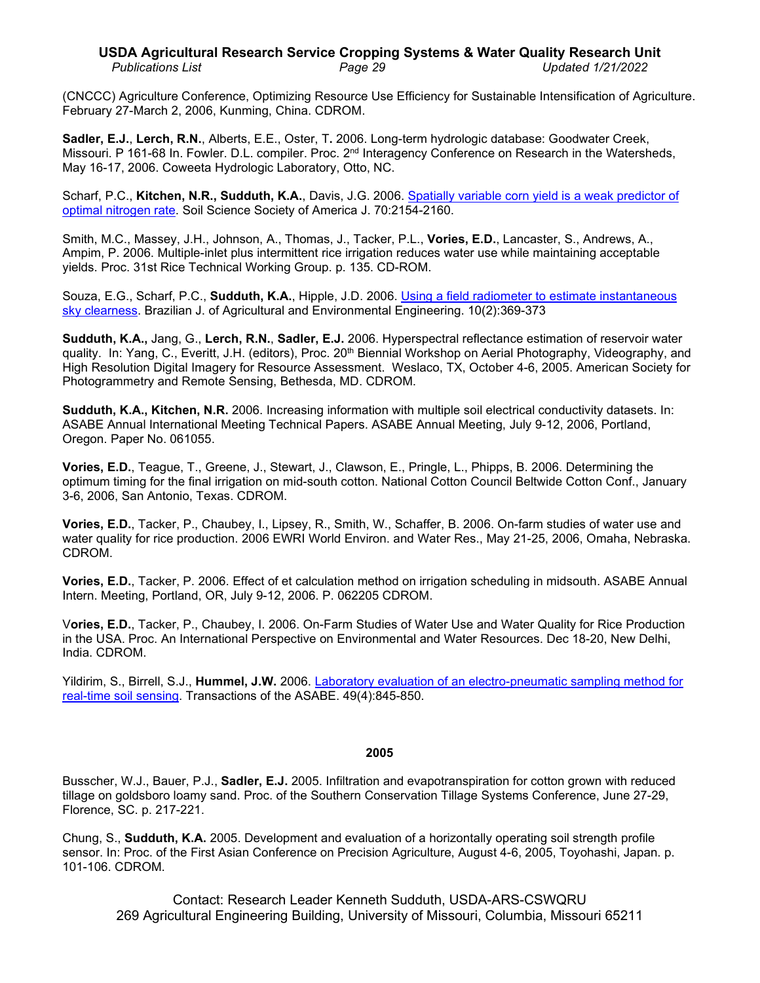# **USDA Agricultural Research Service Cropping Systems & Water Quality Research Unit** *Publications List Page 29 Updated 1/21/2022*

(CNCCC) Agriculture Conference, Optimizing Resource Use Efficiency for Sustainable Intensification of Agriculture. February 27-March 2, 2006, Kunming, China. CDROM.

**Sadler, E.J.**, **Lerch, R.N.**, Alberts, E.E., Oster, T**.** 2006. Long-term hydrologic database: Goodwater Creek, Missouri. P 161-68 In. Fowler. D.L. compiler. Proc. 2<sup>nd</sup> Interagency Conference on Research in the Watersheds, May 16-17, 2006. Coweeta Hydrologic Laboratory, Otto, NC.

Scharf, P.C., **Kitchen, N.R., Sudduth, K.A.**, Davis, J.G. 2006. [Spatially variable corn yield is a](http://www.ars.usda.gov/sp2UserFiles/Place/36221500/cswq-0217-163333.pdf) weak predictor of [optimal nitrogen rate.](http://www.ars.usda.gov/sp2UserFiles/Place/36221500/cswq-0217-163333.pdf) Soil Science Society of America J. 70:2154-2160.

Smith, M.C., Massey, J.H., Johnson, A., Thomas, J., Tacker, P.L., **Vories, E.D.**, Lancaster, S., Andrews, A., Ampim, P. 2006. Multiple-inlet plus intermittent rice irrigation reduces water use while maintaining acceptable yields. Proc. 31st Rice Technical Working Group. p. 135. CD-ROM.

Souza, E.G., Scharf, P.C., **Sudduth, K.A.**, Hipple, J.D. 2006. [Using a field radiometer to estimate](http://www.ars.usda.gov/sp2UserFiles/Place/36221500/cswq-0280-202359.pdf) instantaneous [sky clearness.](http://www.ars.usda.gov/sp2UserFiles/Place/36221500/cswq-0280-202359.pdf) Brazilian J. of Agricultural and Environmental Engineering. 10(2):369-373

**Sudduth, K.A.,** Jang, G., **Lerch, R.N.**, **Sadler, E.J.** 2006. Hyperspectral reflectance estimation of reservoir water quality. In: Yang, C., Everitt, J.H. (editors), Proc. 20<sup>th</sup> Biennial Workshop on Aerial Photography, Videography, and High Resolution Digital Imagery for Resource Assessment. Weslaco, TX, October 4-6, 2005. American Society for Photogrammetry and Remote Sensing, Bethesda, MD. CDROM.

**Sudduth, K.A., Kitchen, N.R.** 2006. Increasing information with multiple soil electrical conductivity datasets. In: ASABE Annual International Meeting Technical Papers. ASABE Annual Meeting, July 9-12, 2006, Portland, Oregon. Paper No. 061055.

**Vories, E.D.**, Teague, T., Greene, J., Stewart, J., Clawson, E., Pringle, L., Phipps, B. 2006. Determining the optimum timing for the final irrigation on mid-south cotton. National Cotton Council Beltwide Cotton Conf., January 3-6, 2006, San Antonio, Texas. CDROM.

**Vories, E.D.**, Tacker, P., Chaubey, I., Lipsey, R., Smith, W., Schaffer, B. 2006. On-farm studies of water use and water quality for rice production. 2006 EWRI World Environ. and Water Res., May 21-25, 2006, Omaha, Nebraska. CDROM.

**Vories, E.D.**, Tacker, P. 2006. Effect of et calculation method on irrigation scheduling in midsouth. ASABE Annual Intern. Meeting, Portland, OR, July 9-12, 2006. P. 062205 CDROM.

V**ories, E.D.**, Tacker, P., Chaubey, I. 2006. On-Farm Studies of Water Use and Water Quality for Rice Production in the USA. Proc. An International Perspective on Environmental and Water Resources. Dec 18-20, New Delhi, India. CDROM.

Yildirim, S., Birrell, S.J., **Hummel, J.W.** 2006. Laboratory evaluation of an [electro-pneumatic sampling method](http://www.ars.usda.gov/sp2UserFiles/Place/36221500/cswq-0268-155850.pdf) for [real-time soil sensing.](http://www.ars.usda.gov/sp2UserFiles/Place/36221500/cswq-0268-155850.pdf) Transactions of the ASABE. 49(4):845-850.

## **2005**

Busscher, W.J., Bauer, P.J., **Sadler, E.J.** 2005. Infiltration and evapotranspiration for cotton grown with reduced tillage on goldsboro loamy sand. Proc. of the Southern Conservation Tillage Systems Conference, June 27-29, Florence, SC. p. 217-221.

Chung, S., **Sudduth, K.A.** 2005. Development and evaluation of a horizontally operating soil strength profile sensor. In: Proc. of the First Asian Conference on Precision Agriculture, August 4-6, 2005, Toyohashi, Japan. p. 101-106. CDROM.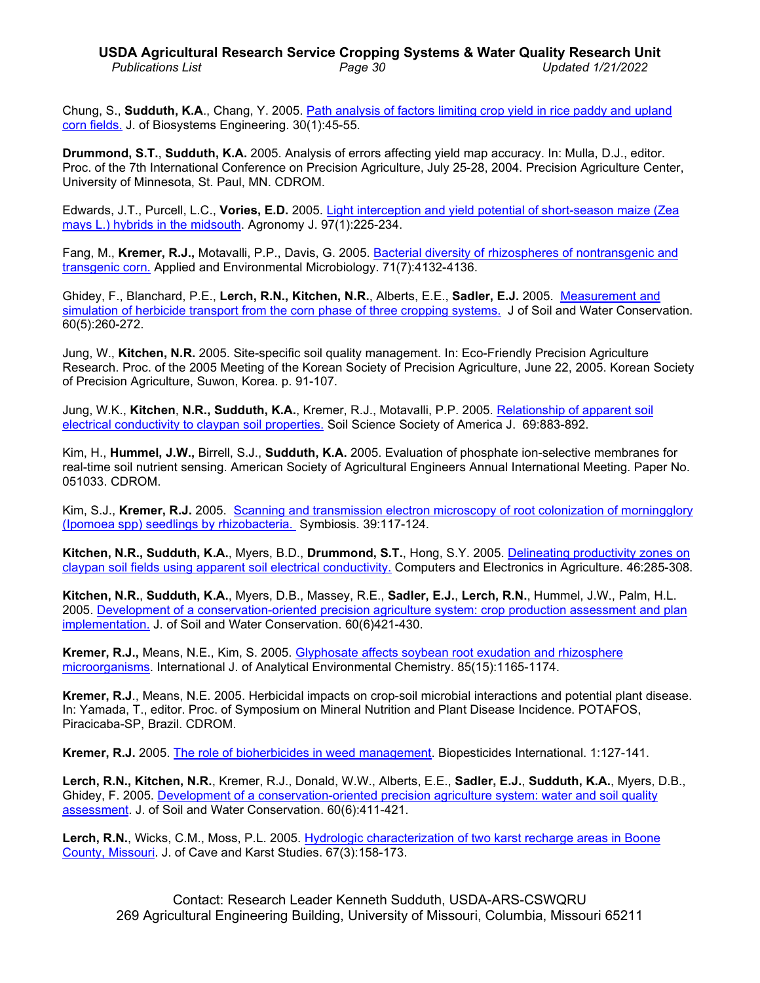# **USDA Agricultural Research Service Cropping Systems & Water Quality Research Unit** *Publications List Page 30 Updated 1/21/2022*

Chung, S., **Sudduth, K.A**., Chang, Y. 2005. [Path analysis of factors limiting crop yield in rice paddy and upland](http://www.ars.usda.gov/sp2UserFiles/Place/36221500/cswq-0222-173979.pdf)  [corn fields.](http://www.ars.usda.gov/sp2UserFiles/Place/36221500/cswq-0222-173979.pdf) J. of Biosystems Engineering. 30(1):45-55.

**Drummond, S.T.**, **Sudduth, K.A.** 2005. Analysis of errors affecting yield map accuracy. In: Mulla, D.J., editor. Proc. of the 7th International Conference on Precision Agriculture, July 25-28, 2004. Precision Agriculture Center, University of Minnesota, St. Paul, MN. CDROM.

Edwards, J.T., Purcell, L.C., **Vories, E.D.** 2005. [Light interception and yield potential of short-season maize \(Zea](http://www.ars.usda.gov/sp2UserFiles/Place/36221500/cswq-0165-edwards.pdf)  [mays L.\) hybrids in the midsouth.](http://www.ars.usda.gov/sp2UserFiles/Place/36221500/cswq-0165-edwards.pdf) Agronomy J. 97(1):225-234.

Fang, M., **Kremer, R.J.,** Motavalli, P.P., Davis, G. 2005. [Bacterial diversity of rhizospheres of nontransgenic and](http://www.ars.usda.gov/sp2UserFiles/Place/36221500/cswq-0211-176539.pdf)  [transgenic corn.](http://www.ars.usda.gov/sp2UserFiles/Place/36221500/cswq-0211-176539.pdf) Applied and Environmental Microbiology. 71(7):4132-4136.

Ghidey, F., Blanchard, P.E., **Lerch, R.N., Kitchen, N.R.**, Alberts, E.E., **Sadler, E.J.** 2005. [Measurement and](http://www.ars.usda.gov/sp2UserFiles/Place/36221500/cswq-0185-174337.pdf)  simulation of [herbicide transport from the corn phase of three cropping systems.](http://www.ars.usda.gov/sp2UserFiles/Place/36221500/cswq-0185-174337.pdf) J of Soil and Water Conservation. 60(5):260-272.

Jung, W., **Kitchen, N.R.** 2005. Site-specific soil quality management. In: Eco-Friendly Precision Agriculture Research. Proc. of the 2005 Meeting of the Korean Society of Precision Agriculture, June 22, 2005. Korean Society of Precision Agriculture, Suwon, Korea. p. 91-107.

Jung, W.K., **Kitchen**, **N.R., Sudduth, K.A.**, Kremer, R.J., Motavalli, P.P. 2005. [Relationship of apparent soil](http://www.ars.usda.gov/sp2UserFiles/Place/36221500/cswq-0212-166139.pdf)  [electrical conductivity to claypan soil properties.](http://www.ars.usda.gov/sp2UserFiles/Place/36221500/cswq-0212-166139.pdf) Soil Science Society of America J. 69:883-892.

Kim, H., **Hummel, J.W.,** Birrell, S.J., **Sudduth, K.A.** 2005. Evaluation of phosphate ion-selective membranes for real-time soil nutrient sensing. American Society of Agricultural Engineers Annual International Meeting. Paper No. 051033. CDROM.

Kim, S.J., **Kremer, R.J.** 2005. [Scanning and transmission electron microscopy of root colonization of morningglory](http://www.ars.usda.gov/sp2UserFiles/Place/36221500/cswq-0221-kim.pdf)  (Ipomoea [spp\) seedlings by rhizobacteria.](http://www.ars.usda.gov/sp2UserFiles/Place/36221500/cswq-0221-kim.pdf) Symbiosis. 39:117-124.

**Kitchen, N.R., Sudduth, K.A.**, Myers, B.D., **Drummond, S.T.**, Hong, S.Y. 2005. [Delineating productivity zones](http://www.ars.usda.gov/sp2UserFiles/Place/36221500/cswq-0168-150157.pdf) on claypan soil fields using [apparent soil electrical conductivity.](http://www.ars.usda.gov/sp2UserFiles/Place/36221500/cswq-0168-150157.pdf) Computers and Electronics in Agriculture. 46:285-308.

**Kitchen, N.R.**, **Sudduth, K.A.**, Myers, D.B., Massey, R.E., **Sadler, E.J.**, **Lerch, R.N.**, Hummel, J.W., Palm, H.L. 2005. [Development of a conservation-oriented precision agriculture](http://www.ars.usda.gov/sp2UserFiles/Place/36221500/cswq-0186-174377.pdf) system: crop production assessment and plan [implementation.](http://www.ars.usda.gov/sp2UserFiles/Place/36221500/cswq-0186-174377.pdf) J. of Soil and Water Conservation. 60(6)421-430.

**Kremer, R.J.,** Means, N.E., Kim, S. 2005. [Glyphosate affects soybean root exudation and rhizosphere](http://www.ars.usda.gov/sp2UserFiles/Place/36221500/cswq-0210-170287.pdf)  [microorganisms.](http://www.ars.usda.gov/sp2UserFiles/Place/36221500/cswq-0210-170287.pdf) International J. of Analytical Environmental Chemistry. 85(15):1165-1174.

**Kremer, R.J**., Means, N.E. 2005. Herbicidal impacts on crop-soil microbial interactions and potential plant disease. In: Yamada, T., editor. Proc. of Symposium on Mineral Nutrition and Plant Disease Incidence. POTAFOS, Piracicaba-SP, Brazil. CDROM.

**Kremer, R.J.** 2005. [The role of bioherbicides in weed management.](http://www.ars.usda.gov/sp2UserFiles/Place/36221500/cswq-0294-193032.pdf) Biopesticides International. 1:127-141.

**Lerch, R.N., Kitchen, N.R.**, Kremer, R.J., Donald, W.W., Alberts, E.E., **Sadler, E.J.**, **Sudduth, K.A.**, Myers, D.B., Ghidey, F. 2005. [Development of a conservation-oriented precision agriculture system: water](http://www.ars.usda.gov/sp2UserFiles/Place/36221500/cswq-0187-179145.pdf) and soil quality [assessment.](http://www.ars.usda.gov/sp2UserFiles/Place/36221500/cswq-0187-179145.pdf) J. of Soil and Water Conservation. 60(6):411-421.

**Lerch, R.N.**, Wicks, C.M., Moss, P.L. 2005. [Hydrologic characterization of two karst recharge areas in Boone](http://www.ars.usda.gov/sp2UserFiles/Place/36221500/cswq-0304-179033.pdf)  [County, Missouri.](http://www.ars.usda.gov/sp2UserFiles/Place/36221500/cswq-0304-179033.pdf) J. of Cave and Karst Studies. 67(3):158-173.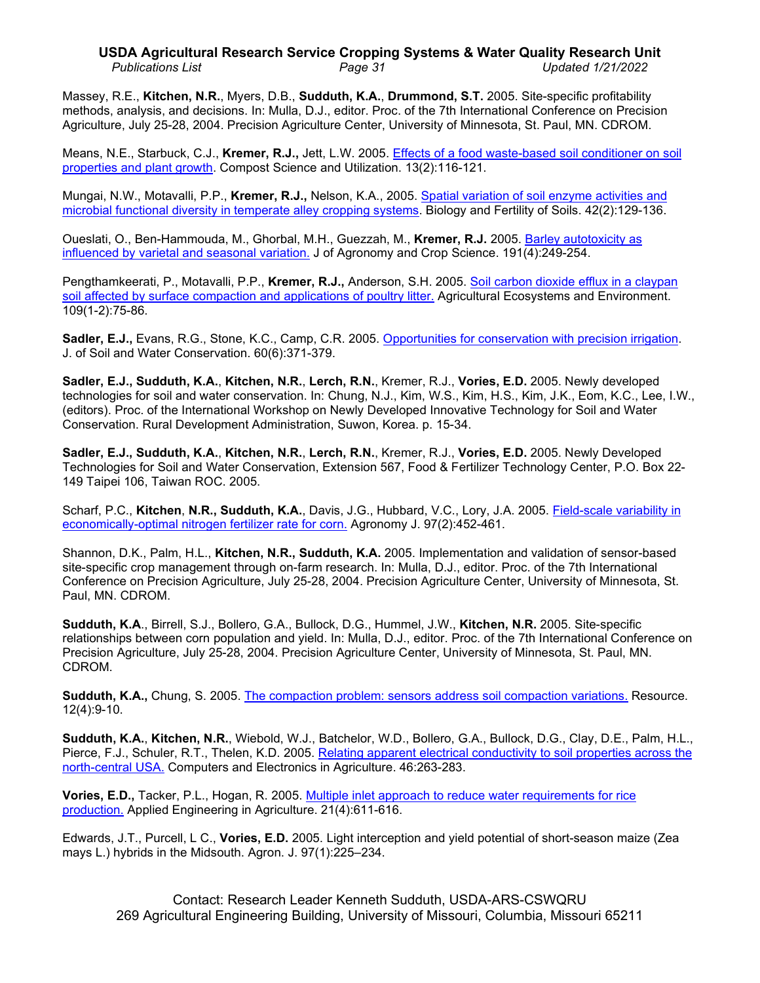# **USDA Agricultural Research Service Cropping Systems & Water Quality Research Unit** *Publications List Page 31 Updated 1/21/2022*

Massey, R.E., **Kitchen, N.R.**, Myers, D.B., **Sudduth, K.A.**, **Drummond, S.T.** 2005. Site-specific profitability methods, analysis, and decisions. In: Mulla, D.J., editor. Proc. of the 7th International Conference on Precision Agriculture, July 25-28, 2004. Precision Agriculture Center, University of Minnesota, St. Paul, MN. CDROM.

Means, N.E., Starbuck, C.J., **Kremer, R.J.,** Jett, L.W. 2005. Effects of a food [waste-based soil conditioner on soil](http://dx.doi.org/10.1080/1065657X.2005.10702227)  [properties and](http://dx.doi.org/10.1080/1065657X.2005.10702227) plant growth. Compost Science and Utilization. 13(2):116-121.

Mungai, N.W., Motavalli, P.P., **Kremer, R.J.,** Nelson, K.A., 2005. Spatial variation of [soil enzyme activities and](http://www.ars.usda.gov/sp2UserFiles/Place/36221500/cswq-0230-mungai.pdf)  [microbial functional diversity in temperate alley cropping systems.](http://www.ars.usda.gov/sp2UserFiles/Place/36221500/cswq-0230-mungai.pdf) Biology and Fertility of Soils. 42(2):129-136.

Oueslati, O., Ben-Hammouda, M., Ghorbal, M.H., Guezzah, M., **Kremer, R.J.** 2005. [Barley autotoxicity as](http://www.ars.usda.gov/sp2UserFiles/Place/36221500/cswq-0213-171745.pdf)  [influenced by varietal and seasonal variation.](http://www.ars.usda.gov/sp2UserFiles/Place/36221500/cswq-0213-171745.pdf) J of Agronomy and Crop Science. 191(4):249-254.

Pengthamkeerati, P., Motavalli, P.P., **Kremer, R.J.,** Anderson, S.H. 2005. [Soil carbon dioxide efflux in a claypan](http://www.ars.usda.gov/sp2UserFiles/Place/36221500/cswq-0227-181393.pdf)  [soil affected by surface compaction and applications of poultry litter.](http://www.ars.usda.gov/sp2UserFiles/Place/36221500/cswq-0227-181393.pdf) Agricultural Ecosystems and Environment. 109(1-2):75-86.

**Sadler, E.J.,** Evans, R.G., Stone, K.C., Camp, C.R. 2005. [Opportunities for conservation with precision irrigation.](http://www.ars.usda.gov/sp2UserFiles/Place/36221500/cswq-0191-172880.pdf) J. of Soil and Water Conservation. 60(6):371-379.

**Sadler, E.J., Sudduth, K.A.**, **Kitchen, N.R.**, **Lerch, R.N.**, Kremer, R.J., **Vories, E.D.** 2005. Newly developed technologies for soil and water conservation. In: Chung, N.J., Kim, W.S., Kim, H.S., Kim, J.K., Eom, K.C., Lee, I.W., (editors). Proc. of the International Workshop on Newly Developed Innovative Technology for Soil and Water Conservation. Rural Development Administration, Suwon, Korea. p. 15-34.

**Sadler, E.J., Sudduth, K.A.**, **Kitchen, N.R.**, **Lerch, R.N.**, Kremer, R.J., **Vories, E.D.** 2005. Newly Developed Technologies for Soil and Water Conservation, Extension 567, Food & Fertilizer Technology Center, P.O. Box 22- 149 Taipei 106, Taiwan ROC. 2005.

Scharf, P.C., **Kitchen**, **N.R., Sudduth, K.A.**, Davis, J.G., Hubbard, V.C., Lory, J.A. 2005. [Field-scale variability in](http://www.ars.usda.gov/sp2UserFiles/Place/36221500/cswq-0166-158348.pdf)  [economically-optimal nitrogen](http://www.ars.usda.gov/sp2UserFiles/Place/36221500/cswq-0166-158348.pdf) fertilizer rate for corn. Agronomy J. 97(2):452-461.

Shannon, D.K., Palm, H.L., **Kitchen, N.R., Sudduth, K.A.** 2005. Implementation and validation of sensor-based site-specific crop management through on-farm research. In: Mulla, D.J., editor. Proc. of the 7th International Conference on Precision Agriculture, July 25-28, 2004. Precision Agriculture Center, University of Minnesota, St. Paul, MN. CDROM.

**Sudduth, K.A**., Birrell, S.J., Bollero, G.A., Bullock, D.G., Hummel, J.W., **Kitchen, N.R.** 2005. Site-specific relationships between corn population and yield. In: Mulla, D.J., editor. Proc. of the 7th International Conference on Precision Agriculture, July 25-28, 2004. Precision Agriculture Center, University of Minnesota, St. Paul, MN. CDROM.

**Sudduth, K.A.,** Chung, S. 2005. [The compaction problem: sensors address soil compaction variations.](http://www.ars.usda.gov/sp2UserFiles/Place/36221500/cswq-0190-sudduth.pdf) Resource. 12(4):9-10.

**Sudduth, K.A.**, **Kitchen, N.R.**, Wiebold, W.J., Batchelor, W.D., Bollero, G.A., Bullock, D.G., Clay, D.E., Palm, H.L., Pierce, F.J., Schuler, R.T., Thelen, K.D. 2005. [Relating apparent electrical conductivity to soil properties across the](http://www.ars.usda.gov/sp2UserFiles/Place/36221500/cswq-0167-148589.pdf)  [north-central USA.](http://www.ars.usda.gov/sp2UserFiles/Place/36221500/cswq-0167-148589.pdf) Computers and Electronics in Agriculture. 46:263-283.

**Vories, E.D.,** Tacker, P.L., Hogan, R. 2005. Multiple inlet approach to [reduce water requirements for rice](http://www.ars.usda.gov/sp2UserFiles/Place/36221500/cswq-0215-174368.pdf)  [production.](http://www.ars.usda.gov/sp2UserFiles/Place/36221500/cswq-0215-174368.pdf) Applied Engineering in Agriculture. 21(4):611-616.

Edwards, J.T., Purcell, L C., **Vories, E.D.** 2005. Light interception and yield potential of short-season maize (Zea mays L.) hybrids in the Midsouth. Agron. J. 97(1):225–234.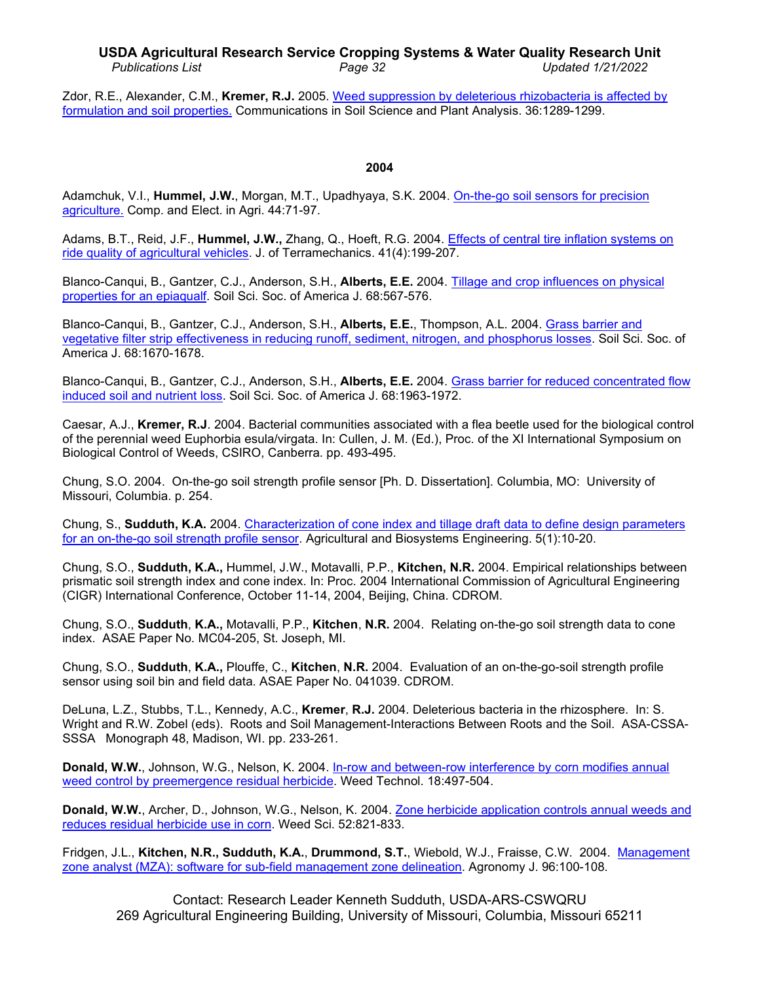# **USDA Agricultural Research Service Cropping Systems & Water Quality Research Unit** *Publications List Page 32 Updated 1/21/2022*

Zdor, R.E., Alexander, C.M., **Kremer, R.J.** 2005. [Weed suppression by deleterious rhizobacteria is affected by](http://www.ars.usda.gov/sp2UserFiles/Place/36221500/cswq-0214-147110.pdf)  [formulation and soil properties.](http://www.ars.usda.gov/sp2UserFiles/Place/36221500/cswq-0214-147110.pdf) Communications in Soil Science and Plant Analysis. 36:1289-1299.

#### **2004**

Adamchuk, V.I., **Hummel, J.W.**, Morgan, M.T., Upadhyaya, S.K. 2004. [On-the-go soil sensors for precision](http://www.ars.usda.gov/sp2UserFiles/Place/36221500/cswq-0170-adamchuk.pdf)  [agriculture.](http://www.ars.usda.gov/sp2UserFiles/Place/36221500/cswq-0170-adamchuk.pdf) Comp. and Elect. in Agri. 44:71-97.

Adams, B.T., Reid, J.F., **Hummel, J.W.,** Zhang, Q., Hoeft, R.G. 2004. [Effects of central tire inflation systems on](http://www.ars.usda.gov/sp2UserFiles/Place/36221500/cswq-0169-153500.pdf)  [ride quality of agricultural vehicles.](http://www.ars.usda.gov/sp2UserFiles/Place/36221500/cswq-0169-153500.pdf) J. of Terramechanics. 41(4):199-207.

Blanco-Canqui, B., Gantzer, C.J., Anderson, S.H., **Alberts, E.E.** 2004. [Tillage and crop influences on physical](http://www.ars.usda.gov/sp2UserFiles/Place/36221500/cswq-0016-blancocanqui.pdf)  [properties for an epiaqualf.](http://www.ars.usda.gov/sp2UserFiles/Place/36221500/cswq-0016-blancocanqui.pdf) Soil Sci. Soc. of America J. 68:567-576.

Blanco-Canqui, B., Gantzer, C.J., Anderson, S.H., **Alberts, E.E.**, Thompson, A.L. 2004. [Grass barrier and](http://www.ars.usda.gov/sp2UserFiles/Place/36221500/cswq-0007-154368.pdf)  [vegetative filter strip effectiveness in reducing runoff, sediment, nitrogen, and phosphorus losses.](http://www.ars.usda.gov/sp2UserFiles/Place/36221500/cswq-0007-154368.pdf) Soil Sci. Soc. of America J. 68:1670-1678.

Blanco-Canqui, B., Gantzer, C.J., Anderson, S.H., **Alberts, E.E.** 2004. [Grass barrier for reduced concentrated flow](http://www.ars.usda.gov/sp2UserFiles/Place/36221500/cswq-0002-157100.pdf)  induced [soil and nutrient loss.](http://www.ars.usda.gov/sp2UserFiles/Place/36221500/cswq-0002-157100.pdf) Soil Sci. Soc. of America J. 68:1963-1972.

Caesar, A.J., **Kremer, R.J**. 2004. Bacterial communities associated with a flea beetle used for the biological control of the perennial weed Euphorbia esula/virgata. In: Cullen, J. M. (Ed.), Proc. of the XI International Symposium on Biological Control of Weeds, CSIRO, Canberra. pp. 493-495.

Chung, S.O. 2004. On-the-go soil strength profile sensor [Ph. D. Dissertation]. Columbia, MO: University of Missouri, Columbia. p. 254.

Chung, S., **Sudduth, K.A.** 2004. Characterization of cone [index and tillage draft data to define design parameters](http://www.ars.usda.gov/sp2UserFiles/Place/36221500/cswq-0188-171381.pdf)  [for an on-the-go soil strength profile sensor.](http://www.ars.usda.gov/sp2UserFiles/Place/36221500/cswq-0188-171381.pdf) Agricultural and Biosystems Engineering. 5(1):10-20.

Chung, S.O., **Sudduth, K.A.,** Hummel, J.W., Motavalli, P.P., **Kitchen, N.R.** 2004. Empirical relationships between prismatic soil strength index and cone index. In: Proc. 2004 International Commission of Agricultural Engineering (CIGR) International Conference, October 11-14, 2004, Beijing, China. CDROM.

Chung, S.O., **Sudduth**, **K.A.,** Motavalli, P.P., **Kitchen**, **N.R.** 2004. Relating on-the-go soil strength data to cone index. ASAE Paper No. MC04-205, St. Joseph, MI.

Chung, S.O., **Sudduth**, **K.A.,** Plouffe, C., **Kitchen**, **N.R.** 2004. Evaluation of an on-the-go-soil strength profile sensor using soil bin and field data. ASAE Paper No. 041039. CDROM.

DeLuna, L.Z., Stubbs, T.L., Kennedy, A.C., **Kremer**, **R.J.** 2004. Deleterious bacteria in the rhizosphere. In: S. Wright and R.W. Zobel (eds). Roots and Soil Management-Interactions Between Roots and the Soil. ASA-CSSA-SSSA Monograph 48, Madison, WI. pp. 233-261.

**Donald, W.W.**, Johnson, W.G., Nelson, K. 2004. [In-row and between-row interference by corn modifies annual](http://www.ars.usda.gov/sp2UserFiles/Place/36221500/cswq-0005-141921.pdf)  weed [control by preemergence residual herbicide.](http://www.ars.usda.gov/sp2UserFiles/Place/36221500/cswq-0005-141921.pdf) Weed Technol. 18:497-504.

**Donald, W.W.**, Archer, D., Johnson, W.G., Nelson, K. 2004. [Zone herbicide application controls annual weeds and](http://www.ars.usda.gov/sp2UserFiles/Place/36221500/cswq-0006-157891.pdf)  [reduces residual herbicide use in corn.](http://www.ars.usda.gov/sp2UserFiles/Place/36221500/cswq-0006-157891.pdf) Weed Sci. 52:821-833.

Fridgen, J.L., **Kitchen, N.R., Sudduth, K.A.**, **Drummond, S.T.**, Wiebold, W.J., Fraisse, C.W. 2004. [Management](http://www.ars.usda.gov/sp2UserFiles/Place/36221500/cswq-0018-138934.pdf)  [zone analyst \(MZA\): software for sub-field management zone delineation.](http://www.ars.usda.gov/sp2UserFiles/Place/36221500/cswq-0018-138934.pdf) Agronomy J. 96:100-108.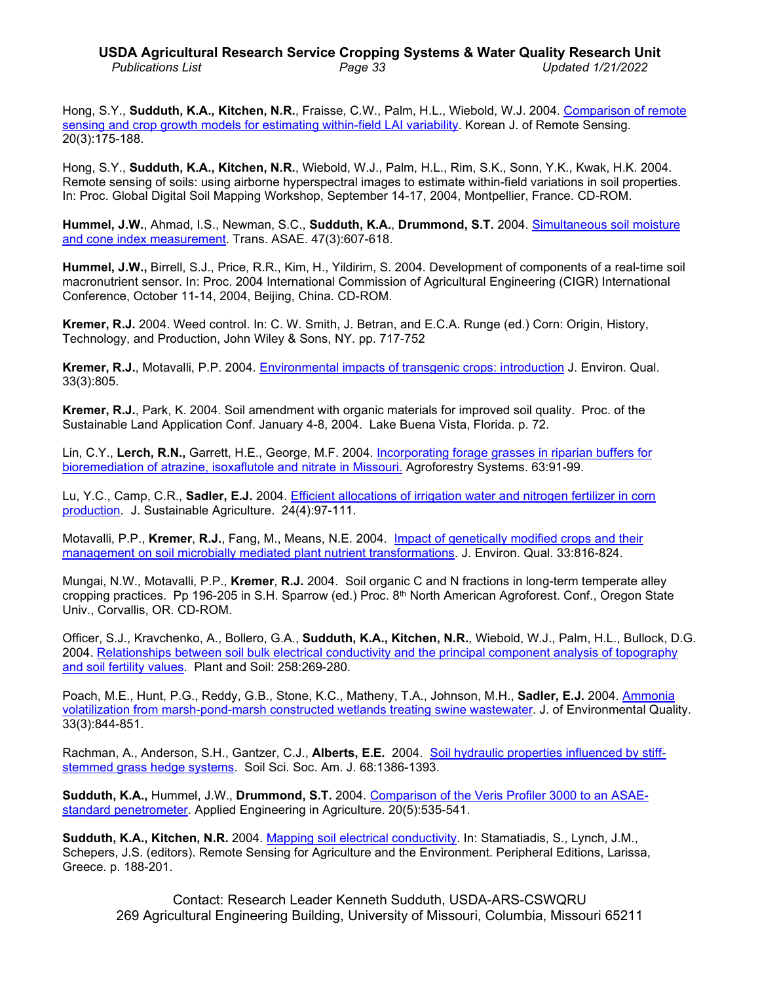# **USDA Agricultural Research Service Cropping Systems & Water Quality Research Unit** *Publications List Page 33 Updated 1/21/2022*

Hong, S.Y., **Sudduth, K.A., Kitchen, N.R.**, Fraisse, C.W., Palm, H.L., Wiebold, W.J. 2004. [Comparison of remote](http://www.ars.usda.gov/sp2UserFiles/Place/36221500/cswq-0219-165588.pdf)  sensing and [crop growth models for estimating within-field LAI variability.](http://www.ars.usda.gov/sp2UserFiles/Place/36221500/cswq-0219-165588.pdf) Korean J. of Remote Sensing. 20(3):175-188.

Hong, S.Y., **Sudduth, K.A., Kitchen, N.R.**, Wiebold, W.J., Palm, H.L., Rim, S.K., Sonn, Y.K., Kwak, H.K. 2004. Remote sensing of soils: using airborne hyperspectral images to estimate within-field variations in soil properties. In: Proc. Global Digital Soil Mapping Workshop, September 14-17, 2004, Montpellier, France. CD-ROM.

**Hummel, J.W.**, Ahmad, I.S., Newman, S.C., **Sudduth, K.A.**, **Drummond, S.T.** 2004. [Simultaneous soil moisture](http://www.ars.usda.gov/sp2UserFiles/Place/36221500/cswq-0008-143155.pdf)  and cone [index measurement.](http://www.ars.usda.gov/sp2UserFiles/Place/36221500/cswq-0008-143155.pdf) Trans. ASAE. 47(3):607-618.

**Hummel, J.W.,** Birrell, S.J., Price, R.R., Kim, H., Yildirim, S. 2004. Development of components of a real-time soil macronutrient sensor. In: Proc. 2004 International Commission of Agricultural Engineering (CIGR) International Conference, October 11-14, 2004, Beijing, China. CD-ROM.

**Kremer, R.J.** 2004. Weed control. In: C. W. Smith, J. Betran, and E.C.A. Runge (ed.) Corn: Origin, History, Technology, and Production, John Wiley & Sons, NY. pp. 717-752

**Kremer, R.J.**, Motavalli, P.P. 2004. [Environmental impacts of transgenic crops: introduction](http://www.ars.usda.gov/sp2UserFiles/Place/36221500/cswq-0228-kremer.pdf) J. Environ. Qual. 33(3):805.

**Kremer, R.J.**, Park, K. 2004. Soil amendment with organic materials for improved soil quality. Proc. of the Sustainable Land Application Conf. January 4-8, 2004. Lake Buena Vista, Florida. p. 72.

Lin, C.Y., **Lerch, R.N.,** Garrett, H.E., George, M.F. 2004. Incorporating forage [grasses in riparian buffers for](http://www.ars.usda.gov/sp2UserFiles/Place/36221500/cswq-0003-128242.pdf)  [bioremediation of atrazine, isoxaflutole and nitrate in Missouri.](http://www.ars.usda.gov/sp2UserFiles/Place/36221500/cswq-0003-128242.pdf) Agroforestry Systems. 63:91-99.

Lu, Y.C., Camp, C.R., **Sadler, E.J.** 2004. [Efficient allocations of irrigation water and nitrogen fertilizer in corn](http://www.ars.usda.gov/sp2UserFiles/Place/36221500/cswq-0001-sadler.pdf)  [production.](http://www.ars.usda.gov/sp2UserFiles/Place/36221500/cswq-0001-sadler.pdf) J. Sustainable Agriculture. 24(4):97-111.

Motavalli, P.P., **Kremer**, **R.J.**, Fang, M., Means, N.E. 2004. [Impact of genetically modified](http://www.ars.usda.gov/sp2UserFiles/Place/36221500/cswq-0012-158141.pdf) crops and their [management on soil microbially mediated plant nutrient transformations.](http://www.ars.usda.gov/sp2UserFiles/Place/36221500/cswq-0012-158141.pdf) J. Environ. Qual. 33:816-824.

Mungai, N.W., Motavalli, P.P., **Kremer**, **R.J.** 2004. Soil organic C and N fractions in long-term temperate alley cropping practices. Pp 196-205 in S.H. Sparrow (ed.) Proc. 8th North American Agroforest. Conf., Oregon State Univ., Corvallis, OR. CD-ROM.

Officer, S.J., Kravchenko, A., Bollero, G.A., **Sudduth, K.A., Kitchen, N.R.**, Wiebold, W.J., Palm, H.L., Bullock, D.G. 2004. Relationships between soil bulk electrical conductivity and the principal component analysis of topography [and soil fertility values.](http://www.ars.usda.gov/sp2UserFiles/Place/36221500/cswq-0017-128245.pdf) Plant and Soil: 258:269-280.

Poach, M.E., Hunt, P.G., Reddy, G.B., Stone, K.C., Matheny, T.A., Johnson, M.H., Sadler, E.J. 2004. Ammonia volatilization from marsh-pond-marsh [constructed wetlands treating swine wastewater.](http://www.ars.usda.gov/sp2UserFiles/Place/36221500/cswq-0013-sadler.pdf) J. of Environmental Quality. 33(3):844-851.

Rachman, A., Anderson, S.H., Gantzer, C.J., **Alberts, E.E.** 2004. [Soil hydraulic properties influenced by stiff](http://www.ars.usda.gov/sp2UserFiles/Place/36221500/cswq-0010-154490.pdf)[stemmed grass hedge systems.](http://www.ars.usda.gov/sp2UserFiles/Place/36221500/cswq-0010-154490.pdf) Soil Sci. Soc. Am. J. 68:1386-1393.

**Sudduth, K.A.,** Hummel, J.W., **Drummond, S.T.** 2004. [Comparison of the Veris Profiler 3000 to an ASAE](http://www.ars.usda.gov/sp2UserFiles/Place/36221500/cswq-0004-143496.pdf)[standard penetrometer.](http://www.ars.usda.gov/sp2UserFiles/Place/36221500/cswq-0004-143496.pdf) Applied Engineering in Agriculture. 20(5):535-541.

**Sudduth, K.A., Kitchen, N.R.** 2004. [Mapping soil electrical conductivity.](http://www.ars.usda.gov/sp2UserFiles/Place/36221500/cswq-0297-sudduth.pdf) In: Stamatiadis, S., Lynch, J.M., Schepers, J.S. (editors). Remote Sensing for Agriculture and the Environment. Peripheral Editions, Larissa, Greece. p. 188-201.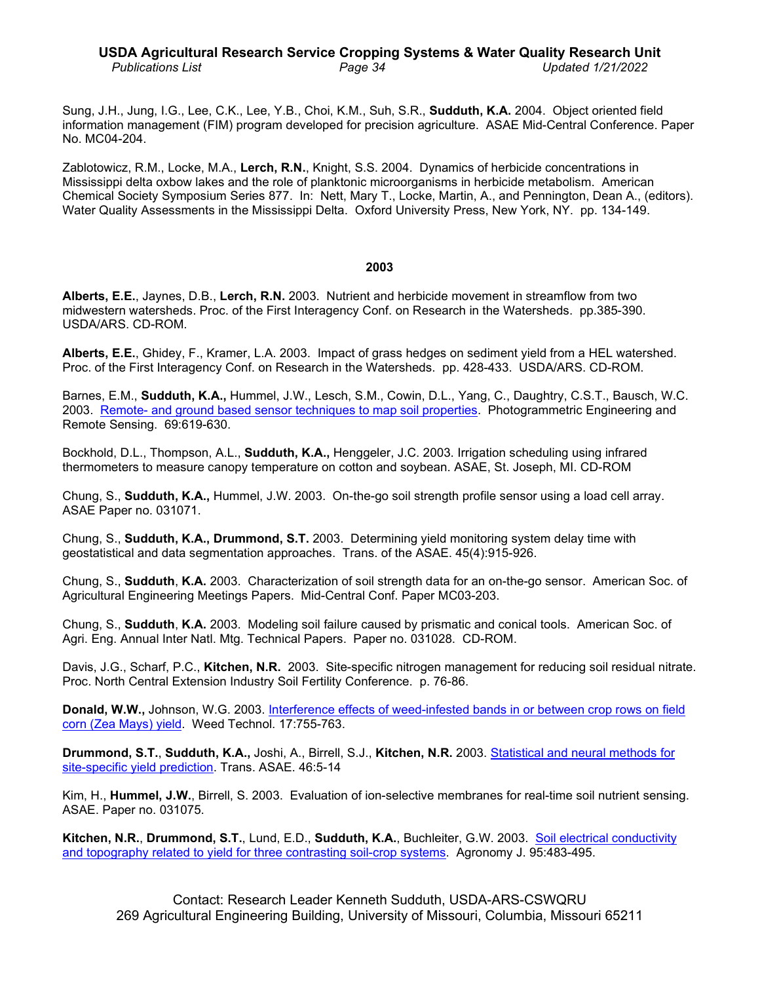## **USDA Agricultural Research Service Cropping Systems & Water Quality Research Unit** *Publications List Page 34 Updated 1/21/2022*

Sung, J.H., Jung, I.G., Lee, C.K., Lee, Y.B., Choi, K.M., Suh, S.R., **Sudduth, K.A.** 2004. Object oriented field information management (FIM) program developed for precision agriculture. ASAE Mid-Central Conference. Paper No. MC04-204.

Zablotowicz, R.M., Locke, M.A., **Lerch, R.N.**, Knight, S.S. 2004. Dynamics of herbicide concentrations in Mississippi delta oxbow lakes and the role of planktonic microorganisms in herbicide metabolism. American Chemical Society Symposium Series 877. In: Nett, Mary T., Locke, Martin, A., and Pennington, Dean A., (editors). Water Quality Assessments in the Mississippi Delta. Oxford University Press, New York, NY. pp. 134-149.

## **2003**

**Alberts, E.E.**, Jaynes, D.B., **Lerch, R.N.** 2003. Nutrient and herbicide movement in streamflow from two midwestern watersheds. Proc. of the First Interagency Conf. on Research in the Watersheds.pp.385-390. USDA/ARS. CD-ROM.

**Alberts, E.E.**, Ghidey, F., Kramer, L.A. 2003. Impact of grass hedges on sediment yield from a HEL watershed. Proc. of the First Interagency Conf. on Research in the Watersheds. pp. 428-433. USDA/ARS. CD-ROM.

Barnes, E.M., **Sudduth, K.A.,** Hummel, J.W., Lesch, S.M., Cowin, D.L., Yang, C., Daughtry, C.S.T., Bausch, W.C. 2003. Remote- [and ground based sensor techniques to map soil properties.](http://www.ars.usda.gov/sp2UserFiles/Place/36221500/cswq-0014-124518.pdf) Photogrammetric Engineering and Remote Sensing. 69:619-630.

Bockhold, D.L., Thompson, A.L., **Sudduth, K.A.,** Henggeler, J.C. 2003. Irrigation scheduling using infrared thermometers to measure canopy temperature on cotton and soybean. ASAE, St. Joseph, MI. CD-ROM

Chung, S., **Sudduth, K.A.,** Hummel, J.W. 2003. On-the-go soil strength profile sensor using a load cell array. ASAE Paper no. 031071.

Chung, S., **Sudduth, K.A., Drummond, S.T.** 2003. Determining yield monitoring system delay time with geostatistical and data segmentation approaches. Trans. of the ASAE. 45(4):915-926.

Chung, S., **Sudduth**, **K.A.** 2003. Characterization of soil strength data for an on-the-go sensor. American Soc. of Agricultural Engineering Meetings Papers. Mid-Central Conf. Paper MC03-203.

Chung, S., **Sudduth**, **K.A.** 2003. Modeling soil failure caused by prismatic and conical tools. American Soc. of Agri. Eng. Annual Inter Natl. Mtg. Technical Papers. Paper no. 031028. CD-ROM.

Davis, J.G., Scharf, P.C., **Kitchen, N.R.** 2003. Site-specific nitrogen management for reducing soil residual nitrate. Proc. North Central Extension Industry Soil Fertility Conference. p. 76-86.

**Donald, W.W.,** Johnson, W.G. 2003. Interference effects of [weed-infested bands in or between crop rows](http://www.ars.usda.gov/sp2UserFiles/Place/36221500/cswq-0019-138292.pdf) on field [corn \(Zea Mays\) yield.](http://www.ars.usda.gov/sp2UserFiles/Place/36221500/cswq-0019-138292.pdf) Weed Technol. 17:755-763.

**Drummond, S.T.**, **Sudduth, K.A.,** Joshi, A., Birrell, S.J., **Kitchen, N.R.** 2003. Statistical [and neural methods for](http://www.ars.usda.gov/sp2UserFiles/Place/36221500/cswq-0031-131434.pdf)  [site-specific yield prediction.](http://www.ars.usda.gov/sp2UserFiles/Place/36221500/cswq-0031-131434.pdf) Trans. ASAE. 46:5-14

Kim, H., **Hummel, J.W.**, Birrell, S. 2003. Evaluation of ion-selective membranes for real-time soil nutrient sensing. ASAE. Paper no. 031075.

**Kitchen, N.R.**, **Drummond, S.T.**, Lund, E.D., **Sudduth, K.A.**, Buchleiter, G.W. 2003. [Soil electrical conductivity](http://www.ars.usda.gov/sp2UserFiles/Place/36221500/cswq-0027-123811.pdf)  [and topography related to yield for three contrasting soil-crop](http://www.ars.usda.gov/sp2UserFiles/Place/36221500/cswq-0027-123811.pdf) systems. Agronomy J. 95:483-495.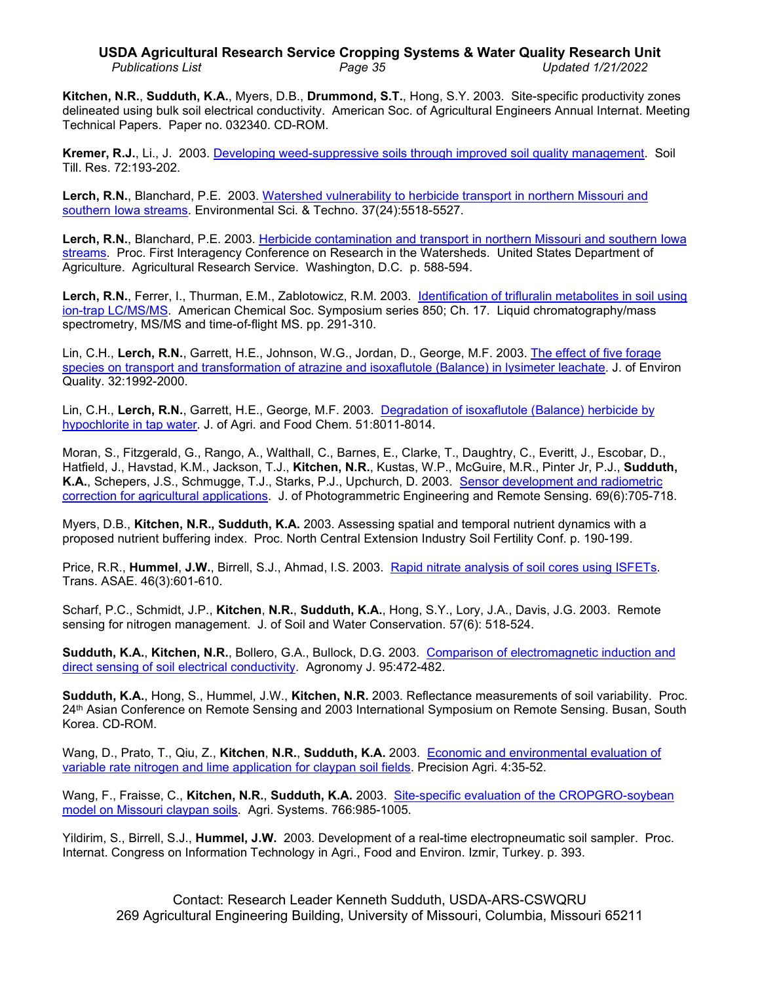# **USDA Agricultural Research Service Cropping Systems & Water Quality Research Unit** *Publications List Page 35 Updated 1/21/2022*

**Kitchen, N.R.**, **Sudduth, K.A.**, Myers, D.B., **Drummond, S.T.**, Hong, S.Y. 2003. Site-specific productivity zones delineated using bulk soil electrical conductivity. American Soc. of Agricultural Engineers Annual Internat. Meeting Technical Papers. Paper no. 032340. CD-ROM.

**Kremer, R.J.**, Li., J. 2003. Developing [weed-suppressive soils through improved soil quality management.](http://www.ars.usda.gov/sp2UserFiles/Place/36221500/cswq-0024-133235.pdf) Soil Till. Res. 72:193-202.

**Lerch, R.N.**, Blanchard, P.E. 2003. [Watershed vulnerability to herbicide transport in northern](http://www.ars.usda.gov/sp2UserFiles/Place/36221500/cswq-0021-148060.pdf) Missouri and [southern Iowa streams.](http://www.ars.usda.gov/sp2UserFiles/Place/36221500/cswq-0021-148060.pdf) Environmental Sci. & Techno. 37(24):5518-5527.

**Lerch, R.N.**, Blanchard, P.E. 2003. [Herbicide contamination and transport in northern Missouri and southern Iowa](http://www.ars.usda.gov/sp2UserFiles/Place/50701000/ARS_588_lerch.pdf)  [streams.](http://www.ars.usda.gov/sp2UserFiles/Place/50701000/ARS_588_lerch.pdf) Proc. First Interagency Conference on Research in the Watersheds. United States Department of Agriculture. Agricultural Research Service. Washington, D.C. p. 588-594.

**Lerch, R.N.**, Ferrer, I., Thurman, E.M., Zablotowicz, R.M. 2003. [Identification of trifluralin metabolites](http://www.ars.usda.gov/sp2UserFiles/Place/36221500/cswq-0023-lerch.pdf) in soil using [ion-trap LC/MS/MS.](http://www.ars.usda.gov/sp2UserFiles/Place/36221500/cswq-0023-lerch.pdf) American Chemical Soc. Symposium series 850; Ch. 17. Liquid chromatography/mass spectrometry, MS/MS and time-of-flight MS. pp. 291-310.

Lin, C.H., **Lerch, R.N.**, Garrett, H.E., Johnson, W.G., Jordan, D., George, M.F. 2003. [The effect of five forage](http://www.ars.usda.gov/sp2UserFiles/Place/36221500/cswq-0022-142056.pdf)  [species on transport and transformation of atrazine and isoxaflutole \(Balance\)](http://www.ars.usda.gov/sp2UserFiles/Place/36221500/cswq-0022-142056.pdf) in lysimeter leachate. J. of Environ Quality. 32:1992-2000.

Lin, C.H., **Lerch, R.N.**, Garrett, H.E., George, M.F. 2003. [Degradation of isoxaflutole \(Balance\)](http://www.ars.usda.gov/sp2UserFiles/Place/36221500/cswq-0020-150162.pdf) herbicide by [hypochlorite in tap water.](http://www.ars.usda.gov/sp2UserFiles/Place/36221500/cswq-0020-150162.pdf) J. of Agri. and Food Chem. 51:8011-8014.

Moran, S., Fitzgerald, G., Rango, A., Walthall, C., Barnes, E., Clarke, T., Daughtry, C., Everitt, J., Escobar, D., Hatfield, J., Havstad, K.M., Jackson, T.J., **Kitchen, N.R.**, Kustas, W.P., McGuire, M.R., Pinter Jr, P.J., **Sudduth, K.A.**, Schepers, J.S., Schmugge, T.J., Starks, P.J., Upchurch, D. 2003. [Sensor development and radiometric](http://www.ars.usda.gov/sp2UserFiles/Place/36221500/cswq-0218-131046.pdf)  correction [for agricultural applications.](http://www.ars.usda.gov/sp2UserFiles/Place/36221500/cswq-0218-131046.pdf) J. of Photogrammetric Engineering and Remote Sensing. 69(6):705-718.

Myers, D.B., **Kitchen, N.R., Sudduth, K.A.** 2003. Assessing spatial and temporal nutrient dynamics with a proposed nutrient buffering index. Proc. North Central Extension Industry Soil Fertility Conf. p. 190-199.

Price, R.R., **Hummel**, **J.W.**, Birrell, S.J., Ahmad, I.S. 2003. Rapid nitrate analysis [of soil cores using ISFETs.](http://www.ars.usda.gov/sp2UserFiles/Place/36221500/cswq-0179-129473.pdf) Trans. ASAE. 46(3):601-610.

Scharf, P.C., Schmidt, J.P., **Kitchen**, **N.R.**, **Sudduth, K.A.**, Hong, S.Y., Lory, J.A., Davis, J.G. 2003. Remote sensing for nitrogen management. J. of Soil and Water Conservation. 57(6): 518-524.

**Sudduth, K.A.**, **Kitchen, N.R.**, Bollero, G.A., Bullock, D.G. 2003. [Comparison of electromagnetic induction and](http://www.ars.usda.gov/sp2UserFiles/Place/36221500/cswq-0026-123391.pdf)  [direct sensing of soil electrical conductivity.](http://www.ars.usda.gov/sp2UserFiles/Place/36221500/cswq-0026-123391.pdf) Agronomy J. 95:472-482.

**Sudduth, K.A.**, Hong, S., Hummel, J.W., **Kitchen, N.R.** 2003. Reflectance measurements of soil variability. Proc. 24th Asian Conference on Remote Sensing and 2003 International Symposium on Remote Sensing. Busan, South Korea. CD-ROM.

Wang, D., Prato, T., Qiu, Z., **Kitchen**, **N.R.**, **Sudduth, K.A.** 2003.[Economic and environmental evaluation of](http://www.ars.usda.gov/sp2UserFiles/Place/36221500/cswq-0189-120972.pdf)  [variable rate nitrogen and lime application for claypan soil fields.](http://www.ars.usda.gov/sp2UserFiles/Place/36221500/cswq-0189-120972.pdf) Precision Agri. 4:35-52.

Wang, F., Fraisse, C., **Kitchen, N.R.**, **Sudduth, K.A.** 2003. [Site-specific evaluation of the CROPGRO-soybean](http://www.sciencedirect.com/science/article/pii/S0308521X0200029X)  [model on Missouri claypan soils.](http://www.sciencedirect.com/science/article/pii/S0308521X0200029X) Agri. Systems. 766:985-1005.

Yildirim, S., Birrell, S.J., **Hummel, J.W.** 2003. Development of a real-time electropneumatic soil sampler. Proc. Internat. Congress on Information Technology in Agri., Food and Environ. Izmir, Turkey. p. 393.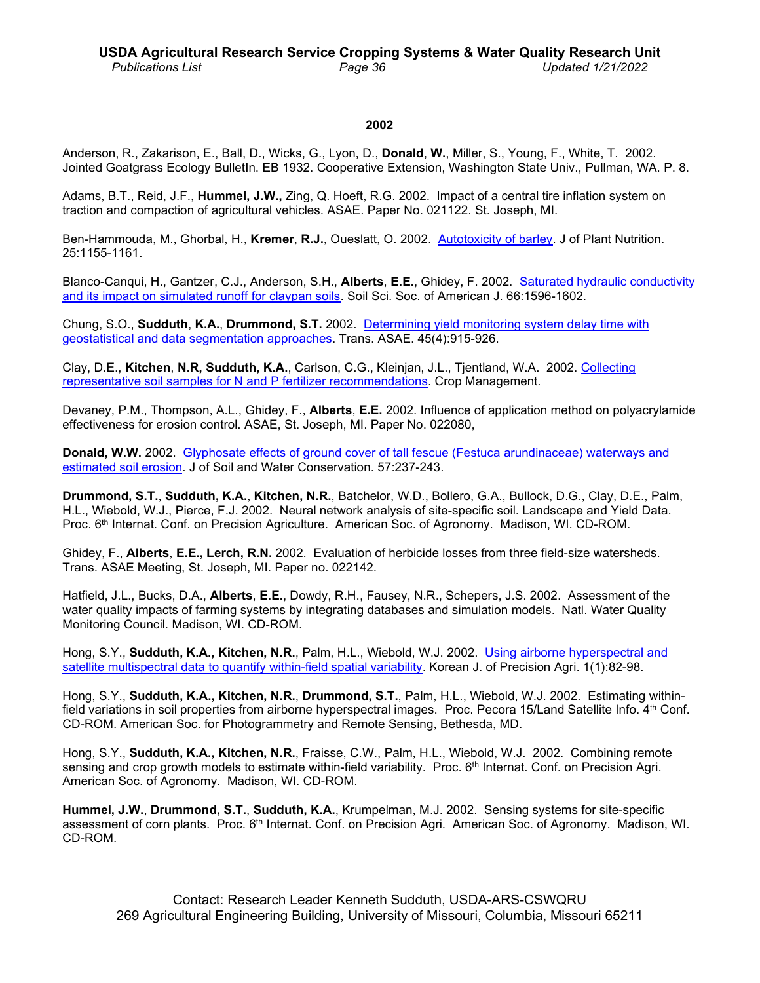### **2002**

Anderson, R., Zakarison, E., Ball, D., Wicks, G., Lyon, D., **Donald**, **W.**, Miller, S., Young, F., White, T. 2002. Jointed Goatgrass Ecology BulletIn. EB 1932. Cooperative Extension, Washington State Univ., Pullman, WA. P. 8.

Adams, B.T., Reid, J.F., **Hummel, J.W.,** Zing, Q. Hoeft, R.G. 2002. Impact of a central tire inflation system on traction and compaction of agricultural vehicles. ASAE. Paper No. 021122. St. Joseph, MI.

Ben-Hammouda, M., Ghorbal, H., **Kremer**, **R.J.**, Oueslatt, O. 2002. [Autotoxicity of barley.](http://www.ars.usda.gov/sp2UserFiles/Place/36221500/cswq-0043-127169.pdf) J of Plant Nutrition. 25:1155-1161.

Blanco-Canqui, H., Gantzer, C.J., Anderson, S.H., **Alberts**, **E.E.**, Ghidey, F. 2002. Saturated [hydraulic conductivity](http://www.ars.usda.gov/sp2UserFiles/Place/36221500/cswq-0039-129557.pdf)  [and its impact on simulated runoff for claypan soils.](http://www.ars.usda.gov/sp2UserFiles/Place/36221500/cswq-0039-129557.pdf) Soil Sci. Soc. of American J. 66:1596-1602.

Chung, S.O., **Sudduth**, **K.A.**, **Drummond, S.T.** 2002. [Determining yield monitoring system](http://www.ars.usda.gov/sp2UserFiles/Place/36221500/cswq-0036-128359.pdf) delay time with [geostatistical and data segmentation approaches.](http://www.ars.usda.gov/sp2UserFiles/Place/36221500/cswq-0036-128359.pdf) Trans. ASAE. 45(4):915-926.

Clay, D.E., **Kitchen**, **N.R, Sudduth, K.A.**, Carlson, C.G., Kleinjan, J.L., Tjentland, W.A. 2002. [Collecting](http://www.ars.usda.gov/sp2UserFiles/Place/36221500/cswq-0216-142409.pdf)  [representative soil samples for N and P fertilizer recommendations.](http://www.ars.usda.gov/sp2UserFiles/Place/36221500/cswq-0216-142409.pdf) Crop Management.

Devaney, P.M., Thompson, A.L., Ghidey, F., **Alberts**, **E.E.** 2002. Influence of application method on polyacrylamide effectiveness for erosion control. ASAE, St. Joseph, MI. Paper No. 022080,

**Donald, W.W.** 2002. [Glyphosate effects of ground cover of tall fescue \(Festuca arundinaceae\)](http://www.ars.usda.gov/sp2UserFiles/Place/36221500/cswq-0037-128810.pdf) waterways and [estimated soil erosion.](http://www.ars.usda.gov/sp2UserFiles/Place/36221500/cswq-0037-128810.pdf) J of Soil and Water Conservation. 57:237-243.

**Drummond, S.T.**, **Sudduth, K.A.**, **Kitchen, N.R.**, Batchelor, W.D., Bollero, G.A., Bullock, D.G., Clay, D.E., Palm, H.L., Wiebold, W.J., Pierce, F.J. 2002. Neural network analysis of site-specific soil. Landscape and Yield Data. Proc. 6th Internat. Conf. on Precision Agriculture. American Soc. of Agronomy. Madison, WI. CD-ROM.

Ghidey, F., **Alberts**, **E.E., Lerch, R.N.** 2002. Evaluation of herbicide losses from three field-size watersheds. Trans. ASAE Meeting, St. Joseph, MI. Paper no. 022142.

Hatfield, J.L., Bucks, D.A., **Alberts**, **E.E.**, Dowdy, R.H., Fausey, N.R., Schepers, J.S. 2002. Assessment of the water quality impacts of farming systems by integrating databases and simulation models. Natl. Water Quality Monitoring Council. Madison, WI. CD-ROM.

Hong, S.Y., **Sudduth, K.A., Kitchen, N.R.**, Palm, H.L., Wiebold, W.J. 2002. Using airborne [hyperspectral and](http://www.ars.usda.gov/sp2UserFiles/Place/36221500/cswq-0225-134882.pdf)  [satellite multispectral data to quantify within-field spatial](http://www.ars.usda.gov/sp2UserFiles/Place/36221500/cswq-0225-134882.pdf) variability. Korean J. of Precision Agri. 1(1):82-98.

Hong, S.Y., **Sudduth, K.A., Kitchen, N.R.**, **Drummond, S.T.**, Palm, H.L., Wiebold, W.J. 2002. Estimating withinfield variations in soil properties from airborne hyperspectral images. Proc. Pecora 15/Land Satellite Info. 4<sup>th</sup> Conf. CD-ROM. American Soc. for Photogrammetry and Remote Sensing, Bethesda, MD.

Hong, S.Y., **Sudduth, K.A., Kitchen, N.R.**, Fraisse, C.W., Palm, H.L., Wiebold, W.J. 2002. Combining remote sensing and crop growth models to estimate within-field variability. Proc. 6<sup>th</sup> Internat. Conf. on Precision Agri. American Soc. of Agronomy. Madison, WI. CD-ROM.

**Hummel, J.W.**, **Drummond, S.T.**, **Sudduth, K.A.**, Krumpelman, M.J. 2002. Sensing systems for site-specific assessment of corn plants. Proc. 6<sup>th</sup> Internat. Conf. on Precision Agri. American Soc. of Agronomy. Madison, WI. CD-ROM.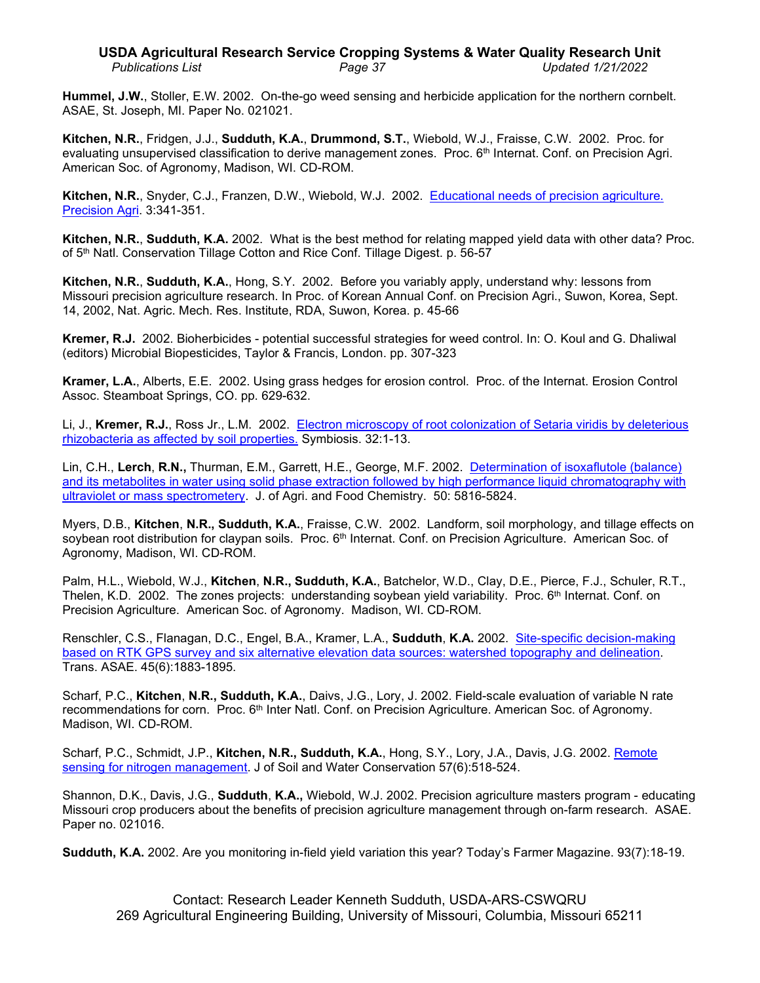# **USDA Agricultural Research Service Cropping Systems & Water Quality Research Unit** *Publications List Page 37 Updated 1/21/2022*

**Hummel, J.W.**, Stoller, E.W. 2002. On-the-go weed sensing and herbicide application for the northern cornbelt. ASAE, St. Joseph, MI. Paper No. 021021.

**Kitchen, N.R.**, Fridgen, J.J., **Sudduth, K.A.**, **Drummond, S.T.**, Wiebold, W.J., Fraisse, C.W. 2002. Proc. for evaluating unsupervised classification to derive management zones. Proc. 6th Internat. Conf. on Precision Agri. American Soc. of Agronomy, Madison, WI. CD-ROM.

**Kitchen, N.R.**, Snyder, C.J., Franzen, D.W., Wiebold, W.J. 2002. [Educational needs of precision](http://www.ars.usda.gov/sp2UserFiles/Place/36221500/cswq-0196-114689.pdf) agriculture. [Precision Agri.](http://www.ars.usda.gov/sp2UserFiles/Place/36221500/cswq-0196-114689.pdf) 3:341-351.

**Kitchen, N.R.**, **Sudduth, K.A.** 2002. What is the best method for relating mapped yield data with other data? Proc. of 5<sup>th</sup> Natl. Conservation Tillage Cotton and Rice Conf. Tillage Digest. p. 56-57

**Kitchen, N.R.**, **Sudduth, K.A.**, Hong, S.Y. 2002. Before you variably apply, understand why: lessons from Missouri precision agriculture research. In Proc. of Korean Annual Conf. on Precision Agri., Suwon, Korea, Sept. 14, 2002, Nat. Agric. Mech. Res. Institute, RDA, Suwon, Korea. p. 45-66

**Kremer, R.J.** 2002. Bioherbicides - potential successful strategies for weed control. In: O. Koul and G. Dhaliwal (editors) Microbial Biopesticides, Taylor & Francis, London. pp. 307-323

**Kramer, L.A.**, Alberts, E.E. 2002. Using grass hedges for erosion control. Proc. of the Internat. Erosion Control Assoc. Steamboat Springs, CO. pp. 629-632.

Li, J., **Kremer, R.J.**, Ross Jr., L.M. 2002. [Electron microscopy of root colonization of Setaria viridis](http://www.ars.usda.gov/sp2UserFiles/Place/36221500/cswq-0045-123259.pdf) by deleterious [rhizobacteria as affected by soil properties.](http://www.ars.usda.gov/sp2UserFiles/Place/36221500/cswq-0045-123259.pdf) Symbiosis. 32:1-13.

Lin, C.H., **Lerch**, **R.N.,** Thurman, E.M., Garrett, H.E., George, M.F. 2002. [Determination of isoxaflutole \(balance\)](http://www.ars.usda.gov/sp2UserFiles/Place/36221500/cswq-0038-134864.pdf)  [and its metabolites in water using solid phase extraction followed by high performance liquid chromatography with](http://www.ars.usda.gov/sp2UserFiles/Place/36221500/cswq-0038-134864.pdf)  ultraviolet [or mass spectrometery.](http://www.ars.usda.gov/sp2UserFiles/Place/36221500/cswq-0038-134864.pdf) J. of Agri. and Food Chemistry. 50: 5816-5824.

Myers, D.B., **Kitchen**, **N.R., Sudduth, K.A.**, Fraisse, C.W. 2002. Landform, soil morphology, and tillage effects on soybean root distribution for claypan soils. Proc. 6<sup>th</sup> Internat. Conf. on Precision Agriculture. American Soc. of Agronomy, Madison, WI. CD-ROM.

Palm, H.L., Wiebold, W.J., **Kitchen**, **N.R., Sudduth, K.A.**, Batchelor, W.D., Clay, D.E., Pierce, F.J., Schuler, R.T., Thelen, K.D. 2002. The zones projects: understanding soybean yield variability. Proc.  $6<sup>th</sup>$  Internat. Conf. on Precision Agriculture. American Soc. of Agronomy. Madison, WI. CD-ROM.

Renschler, C.S., Flanagan, D.C., Engel, B.A., Kramer, L.A., **Sudduth**, **K.A.** 2002. [Site-specific decision-making](http://www.ars.usda.gov/sp2UserFiles/Place/36221500/cswq-0033-133853.pdf)  based on RTK GPS survey and six alternative [elevation data sources: watershed topography and delineation.](http://www.ars.usda.gov/sp2UserFiles/Place/36221500/cswq-0033-133853.pdf) Trans. ASAE. 45(6):1883-1895.

Scharf, P.C., **Kitchen**, **N.R., Sudduth, K.A.**, Daivs, J.G., Lory, J. 2002. Field-scale evaluation of variable N rate recommendations for corn. Proc. 6<sup>th</sup> Inter Natl. Conf. on Precision Agriculture. American Soc. of Agronomy. Madison, WI. CD-ROM.

Scharf, P.C., Schmidt, J.P., **Kitchen, N.R., Sudduth, K.A.**, Hong, S.Y., Lory, J.A., Davis, J.G. 2002. [Remote](http://www.ars.usda.gov/sp2UserFiles/Place/36221500/cswq-0034-131362.pdf)  [sensing for nitrogen management.](http://www.ars.usda.gov/sp2UserFiles/Place/36221500/cswq-0034-131362.pdf) J of Soil and Water Conservation 57(6):518-524.

Shannon, D.K., Davis, J.G., **Sudduth**, **K.A.,** Wiebold, W.J. 2002. Precision agriculture masters program - educating Missouri crop producers about the benefits of precision agriculture management through on-farm research. ASAE. Paper no. 021016.

**Sudduth, K.A.** 2002. Are you monitoring in-field yield variation this year? Today's Farmer Magazine. 93(7):18-19.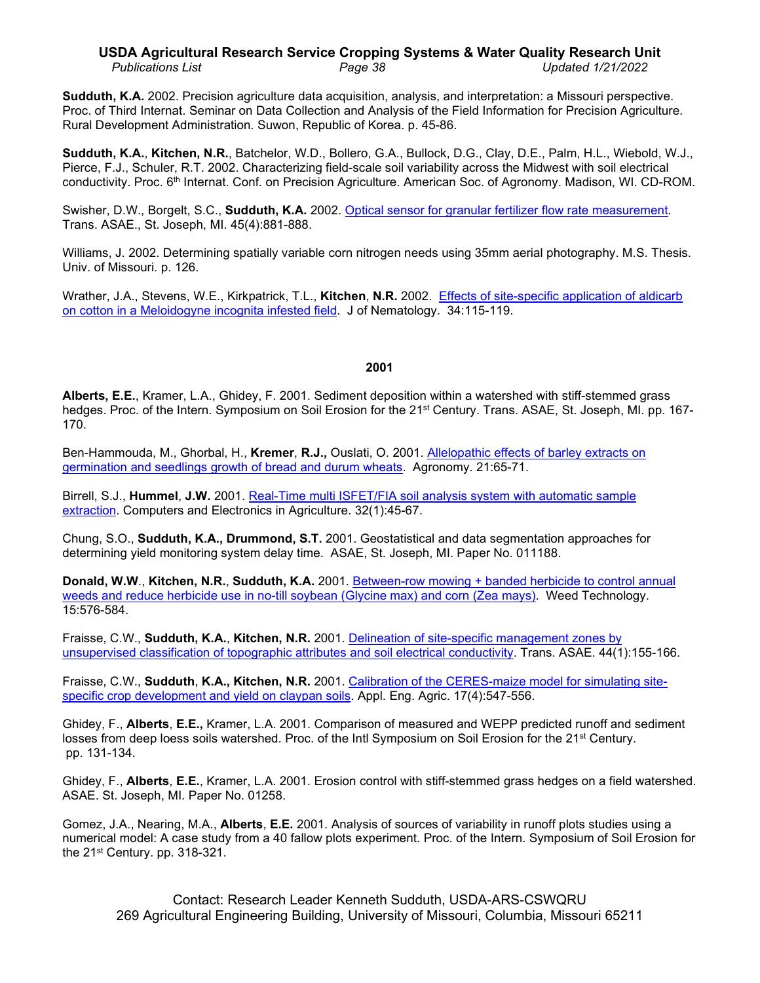# **USDA Agricultural Research Service Cropping Systems & Water Quality Research Unit** *Publications List Page 38 Updated 1/21/2022*

**Sudduth, K.A.** 2002. Precision agriculture data acquisition, analysis, and interpretation: a Missouri perspective. Proc. of Third Internat. Seminar on Data Collection and Analysis of the Field Information for Precision Agriculture. Rural Development Administration. Suwon, Republic of Korea. p. 45-86.

**Sudduth, K.A.**, **Kitchen, N.R.**, Batchelor, W.D., Bollero, G.A., Bullock, D.G., Clay, D.E., Palm, H.L., Wiebold, W.J., Pierce, F.J., Schuler, R.T. 2002. Characterizing field-scale soil variability across the Midwest with soil electrical conductivity. Proc. 6<sup>th</sup> Internat. Conf. on Precision Agriculture. American Soc. of Agronomy. Madison, WI. CD-ROM.

Swisher, D.W., Borgelt, S.C., **Sudduth, K.A.** 2002. [Optical sensor for granular fertilizer flow](http://www.ars.usda.gov/sp2UserFiles/Place/36221500/cswq-0035-119027.pdf) rate measurement. Trans. ASAE., St. Joseph, MI. 45(4):881-888.

Williams, J. 2002. Determining spatially variable corn nitrogen needs using 35mm aerial photography. M.S. Thesis. Univ. of Missouri. p. 126.

Wrather, J.A., Stevens, W.E., Kirkpatrick, T.L., **Kitchen**, **N.R.** 2002.[Effects of site-specific application of aldicarb](http://www.ars.usda.gov/sp2UserFiles/Place/36221500/cswq-0224-121451.pdf)  [on cotton in a Meloidogyne incognita infested field.](http://www.ars.usda.gov/sp2UserFiles/Place/36221500/cswq-0224-121451.pdf) J of Nematology. 34:115-119.

### **2001**

**Alberts, E.E.**, Kramer, L.A., Ghidey, F. 2001. Sediment deposition within a watershed with stiff-stemmed grass hedges. Proc. of the Intern. Symposium on Soil Erosion for the 21<sup>st</sup> Century. Trans. ASAE, St. Joseph, MI. pp. 167-170.

Ben-Hammouda, M., Ghorbal, H., **Kremer**, **R.J.,** Ouslati, O. 2001. [Allelopathic effects of barley extracts on](http://www.ars.usda.gov/sp2UserFiles/Place/36221500/cswq-0056-127168.pdf)  germination and seedlings [growth of bread and durum wheats.](http://www.ars.usda.gov/sp2UserFiles/Place/36221500/cswq-0056-127168.pdf) Agronomy. 21:65-71.

Birrell, S.J., **Hummel**, **J.W.** 2001. [Real-Time multi ISFET/FIA soil analysis system with](http://www.ars.usda.gov/sp2UserFiles/Place/36221500/cswq-0172-107448.pdf) automatic sample [extraction.](http://www.ars.usda.gov/sp2UserFiles/Place/36221500/cswq-0172-107448.pdf) Computers and Electronics in Agriculture. 32(1):45-67.

Chung, S.O., **Sudduth, K.A., Drummond, S.T.** 2001. Geostatistical and data segmentation approaches for determining yield monitoring system delay time. ASAE, St. Joseph, MI. Paper No. 011188.

**Donald, W.W**., **Kitchen, N.R.**, **Sudduth, K.A.** 2001. [Between-row mowing + banded herbicide to control annual](http://www.ars.usda.gov/sp2UserFiles/Place/36221500/cswq-0044-116209.pdf)  [weeds and reduce herbicide use in no-till soybean \(Glycine max\) and corn \(Zea mays\).](http://www.ars.usda.gov/sp2UserFiles/Place/36221500/cswq-0044-116209.pdf) Weed Technology. 15:576-584.

Fraisse, C.W., **Sudduth, K.A.**, **Kitchen, N.R.** 2001. [Delineation of site-specific management zones by](http://www.ars.usda.gov/sp2UserFiles/Place/36221500/cswq-0051-101971.pdf)  [unsupervised classification of topographic attributes and soil electrical conductivity.](http://www.ars.usda.gov/sp2UserFiles/Place/36221500/cswq-0051-101971.pdf) Trans. ASAE. 44(1):155-166.

Fraisse, C.W., **Sudduth**, **K.A., Kitchen, N.R.** 2001. [Calibration of the CERES-maize model for simulating site](http://www.ars.usda.gov/sp2UserFiles/Place/36221500/cswq-0046-fraisse.pdf)[specific crop development and yield on claypan soils.](http://www.ars.usda.gov/sp2UserFiles/Place/36221500/cswq-0046-fraisse.pdf) Appl. Eng. Agric. 17(4):547-556.

Ghidey, F., **Alberts**, **E.E.,** Kramer, L.A. 2001. Comparison of measured and WEPP predicted runoff and sediment losses from deep loess soils watershed. Proc. of the Intl Symposium on Soil Erosion for the 21<sup>st</sup> Century. pp. 131-134.

Ghidey, F., **Alberts**, **E.E.**, Kramer, L.A. 2001. Erosion control with stiff-stemmed grass hedges on a field watershed. ASAE. St. Joseph, MI. Paper No. 01258.

Gomez, J.A., Nearing, M.A., **Alberts**, **E.E.** 2001. Analysis of sources of variability in runoff plots studies using a numerical model: A case study from a 40 fallow plots experiment. Proc. of the Intern. Symposium of Soil Erosion for the 21st Century. pp. 318-321.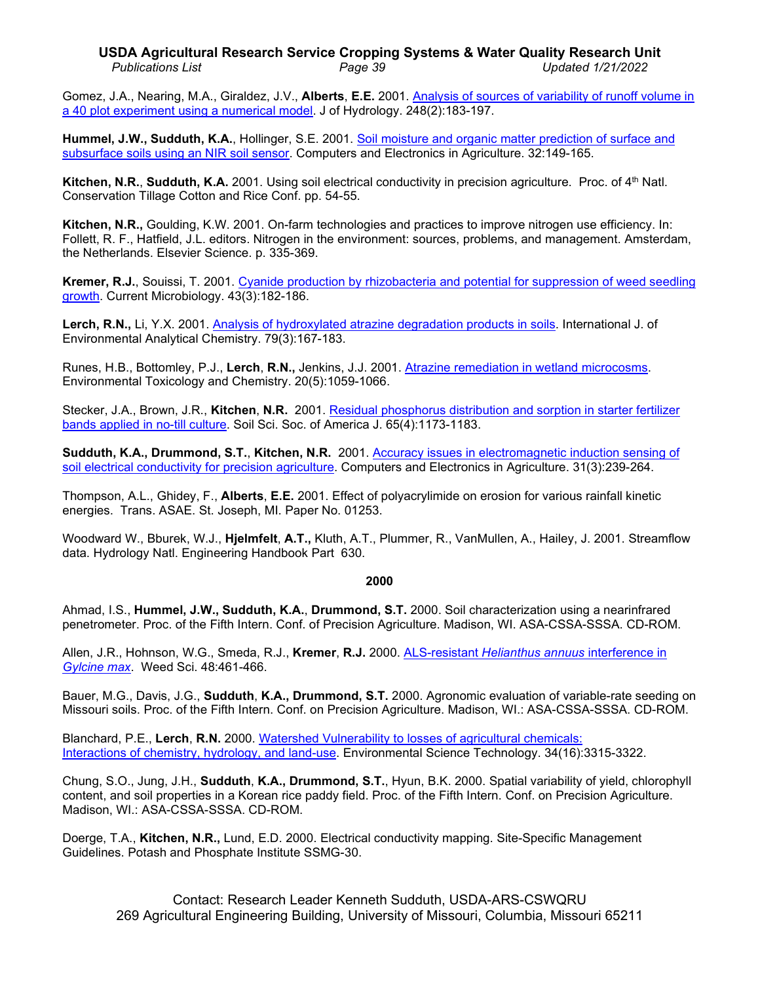## **USDA Agricultural Research Service Cropping Systems & Water Quality Research Unit** *Publications List Page 39 Updated 1/21/2022*

Gomez, J.A., Nearing, M.A., Giraldez, J.V., **Alberts**, **E.E.** 2001. [Analysis of sources of variability of runoff volume in](http://www.ars.usda.gov/sp2UserFiles/Place/36221500/cswq-0052-111491.pdf)  [a 40 plot experiment using a numerical model.](http://www.ars.usda.gov/sp2UserFiles/Place/36221500/cswq-0052-111491.pdf) J of Hydrology. 248(2):183-197.

**Hummel, J.W., Sudduth, K.A.**, Hollinger, S.E. 2001. [Soil moisture and organic matter prediction of surface](http://www.ars.usda.gov/sp2UserFiles/Place/36221500/cswq-0053-119036.pdf) and [subsurface soils using an NIR soil sensor.](http://www.ars.usda.gov/sp2UserFiles/Place/36221500/cswq-0053-119036.pdf) Computers and Electronics in Agriculture. 32:149-165.

**Kitchen, N.R., Sudduth, K.A.** 2001. Using soil electrical conductivity in precision agriculture. Proc. of 4<sup>th</sup> Natl. Conservation Tillage Cotton and Rice Conf. pp. 54-55.

**Kitchen, N.R.,** Goulding, K.W. 2001. On-farm technologies and practices to improve nitrogen use efficiency. In: Follett, R. F., Hatfield, J.L. editors. Nitrogen in the environment: sources, problems, and management. Amsterdam, the Netherlands. Elsevier Science. p. 335-369.

**Kremer, R.J.**, Souissi, T. 2001. [Cyanide production by rhizobacteria and potential for suppression of weed seedling](http://www.ars.usda.gov/sp2UserFiles/Place/36221500/cswq-0054-118437.pdf)  [growth.](http://www.ars.usda.gov/sp2UserFiles/Place/36221500/cswq-0054-118437.pdf) Current Microbiology. 43(3):182-186.

**Lerch, R.N.,** Li, Y.X. 2001. [Analysis of hydroxylated atrazine degradation products in soils.](http://www.ars.usda.gov/sp2UserFiles/Place/36221500/cswq-0049-109238.pdf) International J. of Environmental Analytical Chemistry. 79(3):167-183.

Runes, H.B., Bottomley, P.J., **Lerch**, **R.N.,** Jenkins, J.J. 2001. [Atrazine remediation in wetland](http://www.ars.usda.gov/sp2UserFiles/Place/36221500/cswq-0050-113803.pdf) microcosms. Environmental Toxicology and Chemistry. 20(5):1059-1066.

Stecker, J.A., Brown, J.R., **Kitchen**, **N.R.** 2001. [Residual phosphorus distribution and sorption in starter fertilizer](http://www.ars.usda.gov/sp2UserFiles/Place/36221500/cswq-0047-117738.pdf) [bands applied in no-till culture.](http://www.ars.usda.gov/sp2UserFiles/Place/36221500/cswq-0047-117738.pdf) Soil Sci. Soc. of America J. 65(4):1173-1183.

**Sudduth, K.A., Drummond, S.T.**, **Kitchen, N.R.** 2001. [Accuracy issues in electromagnetic induction sensing of](http://www.ars.usda.gov/sp2UserFiles/Place/36221500/cswq-0055-105288.pdf)  [soil electrical conductivity for precision agriculture.](http://www.ars.usda.gov/sp2UserFiles/Place/36221500/cswq-0055-105288.pdf) Computers and Electronics in Agriculture. 31(3):239-264.

Thompson, A.L., Ghidey, F., **Alberts**, **E.E.** 2001. Effect of polyacrylimide on erosion for various rainfall kinetic energies. Trans. ASAE. St. Joseph, MI. Paper No. 01253.

Woodward W., Bburek, W.J., **Hjelmfelt**, **A.T.,** Kluth, A.T., Plummer, R., VanMullen, A., Hailey, J. 2001. Streamflow data. Hydrology Natl. Engineering Handbook Part 630.

# **2000**

Ahmad, I.S., **Hummel, J.W., Sudduth, K.A.**, **Drummond, S.T.** 2000. Soil characterization using a nearinfrared penetrometer. Proc. of the Fifth Intern. Conf. of Precision Agriculture. Madison, WI. ASA-CSSA-SSSA. CD-ROM.

Allen, J.R., Hohnson, W.G., Smeda, R.J., **Kremer**, **R.J.** 2000. ALS-resistant *[Helianthus annuus](http://www.ars.usda.gov/sp2UserFiles/Place/36221500/cswq-0064-109741.pdf)* interference in *[Gylcine max](http://www.ars.usda.gov/sp2UserFiles/Place/36221500/cswq-0064-109741.pdf)*. Weed Sci. 48:461-466.

Bauer, M.G., Davis, J.G., **Sudduth**, **K.A., Drummond, S.T.** 2000. Agronomic evaluation of variable-rate seeding on Missouri soils. Proc. of the Fifth Intern. Conf. on Precision Agriculture. Madison, WI.: ASA-CSSA-SSSA. CD-ROM.

Blanchard, P.E., **Lerch**, **R.N.** 2000. [Watershed Vulnerability to losses of agricultural chemicals:](http://www.ars.usda.gov/sp2UserFiles/Place/36221500/cswq-0063-103541.pdf) [Interactions of chemistry, hydrology, and land-use.](http://www.ars.usda.gov/sp2UserFiles/Place/36221500/cswq-0063-103541.pdf) Environmental Science Technology. 34(16):3315-3322.

Chung, S.O., Jung, J.H., **Sudduth**, **K.A., Drummond, S.T.**, Hyun, B.K. 2000. Spatial variability of yield, chlorophyll content, and soil properties in a Korean rice paddy field. Proc. of the Fifth Intern. Conf. on Precision Agriculture. Madison, WI.: ASA-CSSA-SSSA. CD-ROM.

Doerge, T.A., **Kitchen, N.R.,** Lund, E.D. 2000. Electrical conductivity mapping. Site-Specific Management Guidelines. Potash and Phosphate Institute SSMG-30.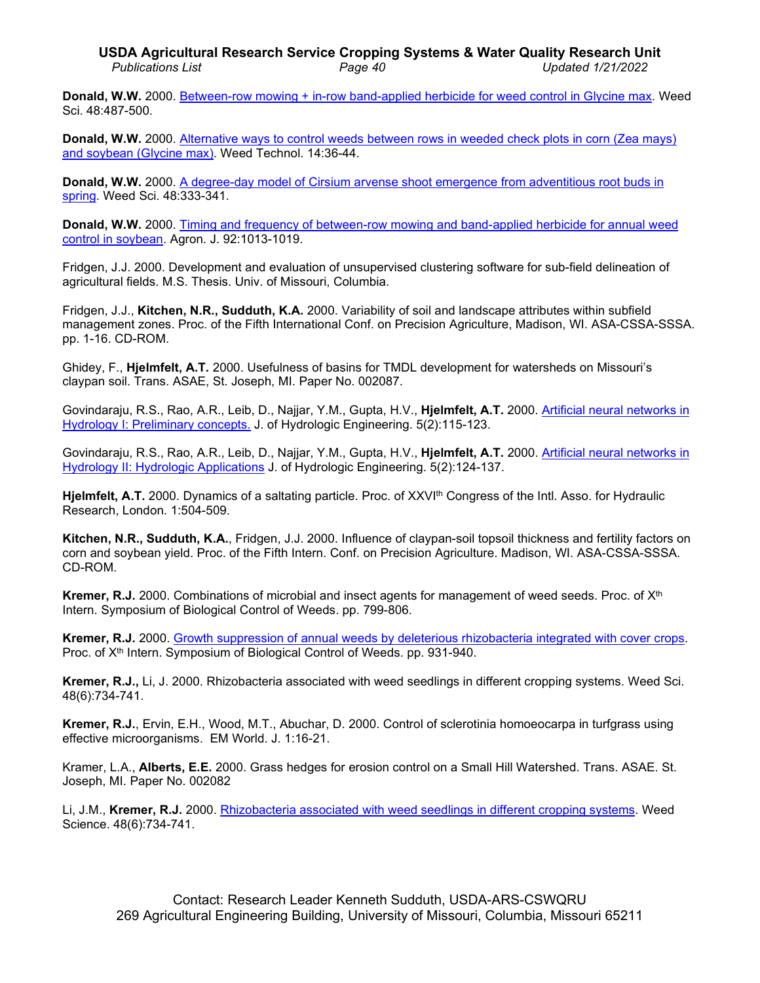**Donald, W.W.** 2000. [Between-row mowing + in-row band-applied herbicide for weed control in Glycine max.](http://www.ars.usda.gov/sp2UserFiles/Place/36221500/cswq-0065-104946.pdf) Weed Sci. 48:487-500.

**Donald, W.W.** 2000. [Alternative ways to control weeds between rows in weeded check plots in corn \(Zea mays\)](http://www.ars.usda.gov/sp2UserFiles/Place/36221500/cswq-0069-102555.pdf)  [and soybean \(Glycine max\).](http://www.ars.usda.gov/sp2UserFiles/Place/36221500/cswq-0069-102555.pdf) Weed Technol. 14:36-44.

**Donald, W.W.** 2000. A degree-day model of Cirsium [arvense shoot emergence from adventitious root buds in](http://www.ars.usda.gov/sp2UserFiles/Place/36221500/cswq-0068-106373.pdf)  [spring.](http://www.ars.usda.gov/sp2UserFiles/Place/36221500/cswq-0068-106373.pdf) Weed Sci. 48:333-341.

**Donald, W.W.** 2000. [Timing and frequency of between-row mowing and band-applied herbicide for](http://www.ars.usda.gov/sp2UserFiles/Place/36221500/cswq-0058-donald.pdf) annual weed [control in soybean.](http://www.ars.usda.gov/sp2UserFiles/Place/36221500/cswq-0058-donald.pdf) Agron. J. 92:1013-1019.

Fridgen, J.J. 2000. Development and evaluation of unsupervised clustering software for sub-field delineation of agricultural fields. M.S. Thesis. Univ. of Missouri, Columbia.

Fridgen, J.J., **Kitchen, N.R., Sudduth, K.A.** 2000. Variability of soil and landscape attributes within subfield management zones. Proc. of the Fifth International Conf. on Precision Agriculture, Madison, WI. ASA-CSSA-SSSA. pp. 1-16. CD-ROM.

Ghidey, F., **Hjelmfelt, A.T.** 2000. Usefulness of basins for TMDL development for watersheds on Missouri's claypan soil. Trans. ASAE, St. Joseph, MI. Paper No. 002087.

Govindaraju, R.S., Rao, A.R., Leib, D., Najjar, Y.M., Gupta, H.V., **Hjelmfelt, A.T.** 2000. [Artificial neural networks in](http://www.ars.usda.gov/sp2UserFiles/Place/36221500/cswq-0332-hjelmfelt.pdf)  [Hydrology I: Preliminary concepts.](http://www.ars.usda.gov/sp2UserFiles/Place/36221500/cswq-0332-hjelmfelt.pdf) J. of Hydrologic Engineering. 5(2):115-123.

Govindaraju, R.S., Rao, A.R., Leib, D., Najjar, Y.M., Gupta, H.V., **Hjelmfelt, A.T.** 2000. [Artificial neural networks in](http://www.ars.usda.gov/sp2UserFiles/Place/36221500/cswq-0333-hjelmfelt.pdf)  [Hydrology II: Hydrologic Applications](http://www.ars.usda.gov/sp2UserFiles/Place/36221500/cswq-0333-hjelmfelt.pdf) J. of Hydrologic Engineering. 5(2):124-137.

**Hjelmfelt, A.T.** 2000. Dynamics of a saltating particle. Proc. of XXVIth Congress of the Intl. Asso. for Hydraulic Research, London. 1:504-509.

**Kitchen, N.R., Sudduth, K.A.**, Fridgen, J.J. 2000. Influence of claypan-soil topsoil thickness and fertility factors on corn and soybean yield. Proc. of the Fifth Intern. Conf. on Precision Agriculture. Madison, WI. ASA-CSSA-SSSA. CD-ROM.

**Kremer, R.J.** 2000. Combinations of microbial and insect agents for management of weed seeds. Proc. of X<sup>th</sup> Intern. Symposium of Biological Control of Weeds. pp. 799-806.

**Kremer, R.J.** 2000. [Growth suppression of annual weeds by deleterious rhizobacteria integrated with cover crops.](http://www.ars.usda.gov/sp2UserFiles/Place/36221500/cswq-0197-kremer.pdf) Proc. of X<sup>th</sup> Intern. Symposium of Biological Control of Weeds. pp. 931-940.

**Kremer, R.J.,** Li, J. 2000. [Rhizobacteria associated with weed seedlings in different cropping systems.](http://www.fse.missouri.edu/ARS/Kremer/rhizobacteriaassociatedwithweedseedlingsindifferentcroppingsystems.pdf) Weed Sci. 48(6):734-741.

**Kremer, R.J.**, Ervin, E.H., Wood, M.T., Abuchar, D. 2000. Control of sclerotinia homoeocarpa in turfgrass using effective microorganisms. EM World. J. 1:16-21.

Kramer, L.A., **Alberts, E.E.** 2000. Grass hedges for erosion control on a Small Hill Watershed. Trans. ASAE. St. Joseph, MI. Paper No. 002082

Li, J.M., **Kremer, R.J.** 2000. [Rhizobacteria associated with weed seedlings in different cropping systems.](http://www.ars.usda.gov/sp2UserFiles/Place/36221500/cswq-0057-111486.pdf) Weed Science. 48(6):734-741.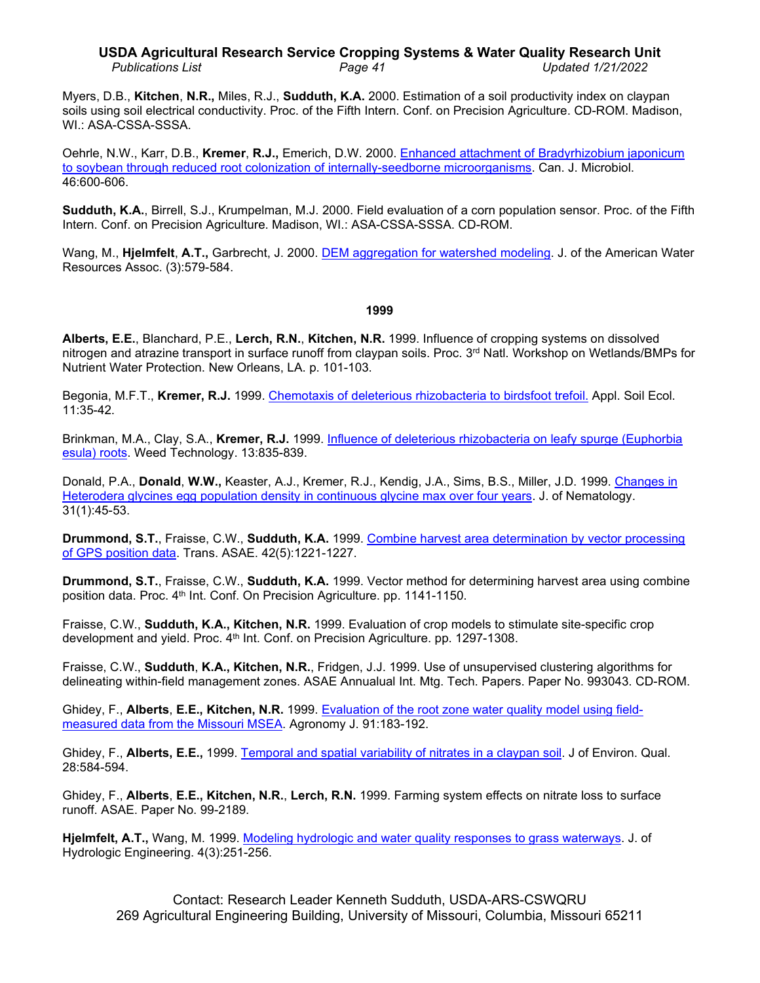### **USDA Agricultural Research Service Cropping Systems & Water Quality Research Unit** *Publications List Page 41 Updated 1/21/2022*

Myers, D.B., **Kitchen**, **N.R.,** Miles, R.J., **Sudduth, K.A.** 2000. Estimation of a soil productivity index on claypan soils using soil electrical conductivity. Proc. of the Fifth Intern. Conf. on Precision Agriculture. CD-ROM. Madison, WI.: ASA-CSSA-SSSA.

Oehrle, N.W., Karr, D.B., **Kremer**, **R.J.,** Emerich, D.W. 2000. [Enhanced attachment of Bradyrhizobium japonicum](http://www.ars.usda.gov/sp2UserFiles/Place/36221500/cswq-0067-109744.pdf) [to soybean through reduced root colonization of internally-seedborne microorganisms.](http://www.ars.usda.gov/sp2UserFiles/Place/36221500/cswq-0067-109744.pdf) Can. J. Microbiol. 46:600-606.

**Sudduth, K.A.**, Birrell, S.J., Krumpelman, M.J. 2000. Field evaluation of a corn population sensor. Proc. of the Fifth Intern. Conf. on Precision Agriculture. Madison, WI.: ASA-CSSA-SSSA. CD-ROM.

Wang, M., **Hjelmfelt**, **A.T.,** Garbrecht, J. 2000. [DEM aggregation for watershed modeling.](http://www.ars.usda.gov/sp2UserFiles/Place/36221500/cswq-0138-wang.pdf) J. of the American Water Resources Assoc. (3):579-584.

#### **1999**

**Alberts, E.E.**, Blanchard, P.E., **Lerch, R.N.**, **Kitchen, N.R.** 1999. Influence of cropping systems on dissolved nitrogen and atrazine transport in surface runoff from claypan soils. Proc. 3<sup>rd</sup> Natl. Workshop on Wetlands/BMPs for Nutrient Water Protection. New Orleans, LA. p. 101-103.

Begonia, M.F.T., **Kremer, R.J.** 1999. [Chemotaxis of deleterious rhizobacteria to birdsfoot trefoil.](http://www.ars.usda.gov/sp2UserFiles/Place/36221500/cswq-0080-begonia.pdf) Appl. Soil Ecol. 11:35-42.

Brinkman, M.A., Clay, S.A., **Kremer, R.J.** 1999. [Influence of deleterious rhizobacteria on leafy spurge \(Euphorbia](http://www.ars.usda.gov/sp2UserFiles/Place/36221500/cswq-0072-kremer.pdf)  [esula\) roots.](http://www.ars.usda.gov/sp2UserFiles/Place/36221500/cswq-0072-kremer.pdf) Weed Technology. 13:835-839.

Donald, P.A., **Donald**, **W.W.,** Keaster, A.J., Kremer, R.J., Kendig, J.A., Sims, B.S., Miller, J.D. 1999. [Changes in](http://www.ars.usda.gov/sp2UserFiles/Place/36221500/cswq-0077-donald.pdf)  [Heterodera glycines egg population density in continuous glycine max](http://www.ars.usda.gov/sp2UserFiles/Place/36221500/cswq-0077-donald.pdf) over four years. J. of Nematology. 31(1):45-53.

**Drummond, S.T.**, Fraisse, C.W., **Sudduth, K.A.** 1999. [Combine harvest area determination by vector processing](http://www.ars.usda.gov/sp2UserFiles/Place/36221500/cswq-0073-drummond.pdf)  of GPS [position data.](http://www.ars.usda.gov/sp2UserFiles/Place/36221500/cswq-0073-drummond.pdf) Trans. ASAE. 42(5):1221-1227.

**Drummond, S.T.**, Fraisse, C.W., **Sudduth, K.A.** 1999. Vector method for determining harvest area using combine position data. Proc. 4th Int. Conf. On Precision Agriculture. pp. 1141-1150.

Fraisse, C.W., **Sudduth, K.A., Kitchen, N.R.** 1999. Evaluation of crop models to stimulate site-specific crop development and yield. Proc. 4th Int. Conf. on Precision Agriculture. pp. 1297-1308.

Fraisse, C.W., **Sudduth**, **K.A., Kitchen, N.R.**, Fridgen, J.J. 1999. Use of unsupervised clustering algorithms for delineating within-field management zones. ASAE Annualual Int. Mtg. Tech. Papers. Paper No. 993043. CD-ROM.

Ghidey, F., **Alberts**, **E.E., Kitchen, N.R.** 1999. [Evaluation of the root zone water quality model](http://www.ars.usda.gov/sp2UserFiles/Place/36221500/cswq-0076-ghidey.pdf) using field[measured data from the Missouri MSEA.](http://www.ars.usda.gov/sp2UserFiles/Place/36221500/cswq-0076-ghidey.pdf) Agronomy J. 91:183-192.

Ghidey, F., **Alberts, E.E.,** 1999. [Temporal and spatial variability of nitrates in a claypan soil.](http://www.ars.usda.gov/sp2UserFiles/Place/36221500/cswq-0078-ghidey.pdf) J of Environ. Qual. 28:584-594.

Ghidey, F., **Alberts**, **E.E., Kitchen, N.R.**, **Lerch, R.N.** 1999. Farming system effects on nitrate loss to surface runoff. ASAE. Paper No. 99-2189.

**Hjelmfelt, A.T.,** Wang, M. 1999. [Modeling hydrologic and water quality responses to grass waterways.](http://www.ars.usda.gov/sp2UserFiles/Place/36221500/cswq-0334-hjelmfelt.pdf) J. of Hydrologic Engineering. 4(3):251-256.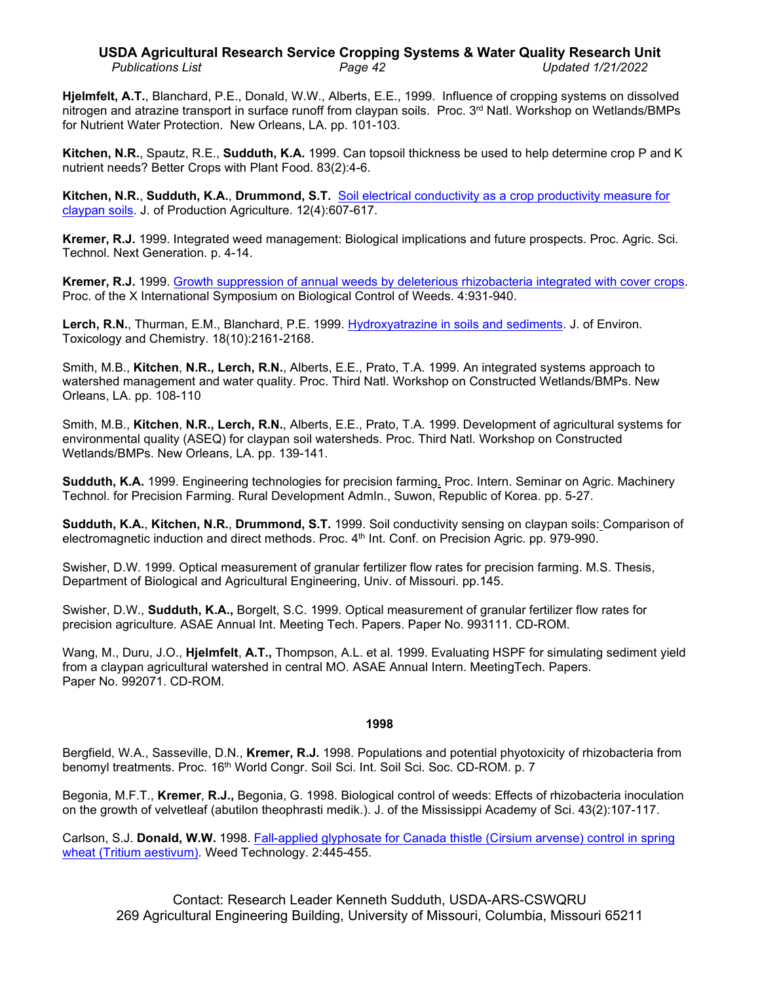# **USDA Agricultural Research Service Cropping Systems & Water Quality Research Unit** *Publications List Page 42 Updated 1/21/2022*

**Hjelmfelt, A.T.**, Blanchard, P.E., Donald, W.W., Alberts, E.E., 1999. Influence of cropping systems on dissolved nitrogen and atrazine transport in surface runoff from claypan soils. Proc. 3<sup>rd</sup> Natl. Workshop on Wetlands/BMPs for Nutrient Water Protection. New Orleans, LA. pp. 101-103.

**Kitchen, N.R.**, Spautz, R.E., **Sudduth, K.A.** 1999. Can topsoil thickness be used to help determine crop P and K nutrient needs? Better Crops with Plant Food. 83(2):4-6.

**Kitchen, N.R.**, **Sudduth, K.A.**, **Drummond, S.T.** [Soil electrical conductivity as a crop productivity](http://www.ars.usda.gov/sp2UserFiles/Place/36221500/cswq-0071-kitchen.pdf) measure for [claypan soils.](http://www.ars.usda.gov/sp2UserFiles/Place/36221500/cswq-0071-kitchen.pdf) J. of Production Agriculture. 12(4):607-617.

**Kremer, R.J.** 1999. Integrated weed management: Biological implications and future prospects. Proc. Agric. Sci. Technol. Next Generation. p. 4-14.

**Kremer, R.J.** 1999. [Growth suppression of annual weeds by deleterious rhizobacteria integrated with cover crops.](http://www.ars.usda.gov/sp2UserFiles/Place/36221500/cswq-0208-kremer.pdf) Proc. of the X International Symposium on Biological Control of Weeds. 4:931-940.

**Lerch, R.N.**, Thurman, E.M., Blanchard, P.E. 1999. Hydroxyatrazine in [soils and sediments.](http://www.ars.usda.gov/sp2UserFiles/Place/36221500/cswq-0075-lerch.pdf) J. of Environ. Toxicology and Chemistry. 18(10):2161-2168.

Smith, M.B., **Kitchen**, **N.R., Lerch, R.N.**, Alberts, E.E., Prato, T.A. 1999. An integrated systems approach to watershed management and water quality. Proc. Third Natl. Workshop on Constructed Wetlands/BMPs. New Orleans, LA. pp. 108-110

Smith, M.B., **Kitchen**, **N.R., Lerch, R.N.**, Alberts, E.E., Prato, T.A. 1999. Development of agricultural systems for environmental quality (ASEQ) for claypan soil watersheds. Proc. Third Natl. Workshop on Constructed Wetlands/BMPs. New Orleans, LA. pp. 139-141.

**Sudduth, K.A.** 1999. [Engineering technologies for precision farming.](http://www.fse.missouri.edu/ARS/pubs/eng_tech.pdf) Proc. Intern. Seminar on Agric. Machinery Technol. for Precision Farming. Rural Development AdmIn., Suwon, Republic of Korea. pp. 5-27.

**Sudduth, K.A.**, **Kitchen, N.R.**, **Drummond, S.T.** 1999. [Soil conductivity sensing on claypan soils:](http://www.fse.missouri.edu/ARS/pubs/mn98kas.PDF) Comparison of [electromagnetic induction and direct methods.](http://www.fse.missouri.edu/ARS/pubs/mn98kas.PDF) Proc. 4<sup>th</sup> Int. Conf. on Precision Agric. pp. 979-990.

Swisher, D.W. 1999. Optical measurement of granular fertilizer flow rates for precision farming. M.S. Thesis, Department of Biological and Agricultural Engineering, Univ. of Missouri. pp.145.

Swisher, D.W., **Sudduth, K.A.,** Borgelt, S.C. 1999. [Optical measurement of granular fertilizer flow rates for](http://www.fse.missouri.edu/ARS/Sudduth/granular_sensor.pdf)  [precision agriculture.](http://www.fse.missouri.edu/ARS/Sudduth/granular_sensor.pdf) ASAE Annual Int. Meeting Tech. Papers. Paper No. 993111. CD-ROM.

Wang, M., Duru, J.O., **Hjelmfelt**, **A.T.,** Thompson, A.L. et al. 1999. Evaluating HSPF for simulating sediment yield from a claypan agricultural watershed in central MO. ASAE Annual Intern. MeetingTech. Papers. Paper No. 992071. CD-ROM.

### **1998**

Bergfield, W.A., Sasseville, D.N., **Kremer, R.J.** 1998. Populations and potential phyotoxicity of rhizobacteria from benomyl treatments. Proc. 16th World Congr. Soil Sci. Int. Soil Sci. Soc. CD-ROM. p. 7

Begonia, M.F.T., **Kremer**, **R.J.,** Begonia, G. 1998. Biological control of weeds: Effects of rhizobacteria inoculation on the growth of velvetleaf (abutilon theophrasti medik.). J. of the Mississippi Academy of Sci. 43(2):107-117.

Carlson, S.J. **Donald, W.W.** 1998. [Fall-applied glyphosate for Canada thistle \(Cirsium](http://www.ars.usda.gov/sp2UserFiles/Place/36221500/cswq-0258-donald.pdf) arvense) control in spring [wheat \(Tritium](http://www.ars.usda.gov/sp2UserFiles/Place/36221500/cswq-0258-donald.pdf) aestivum). Weed Technology. 2:445-455.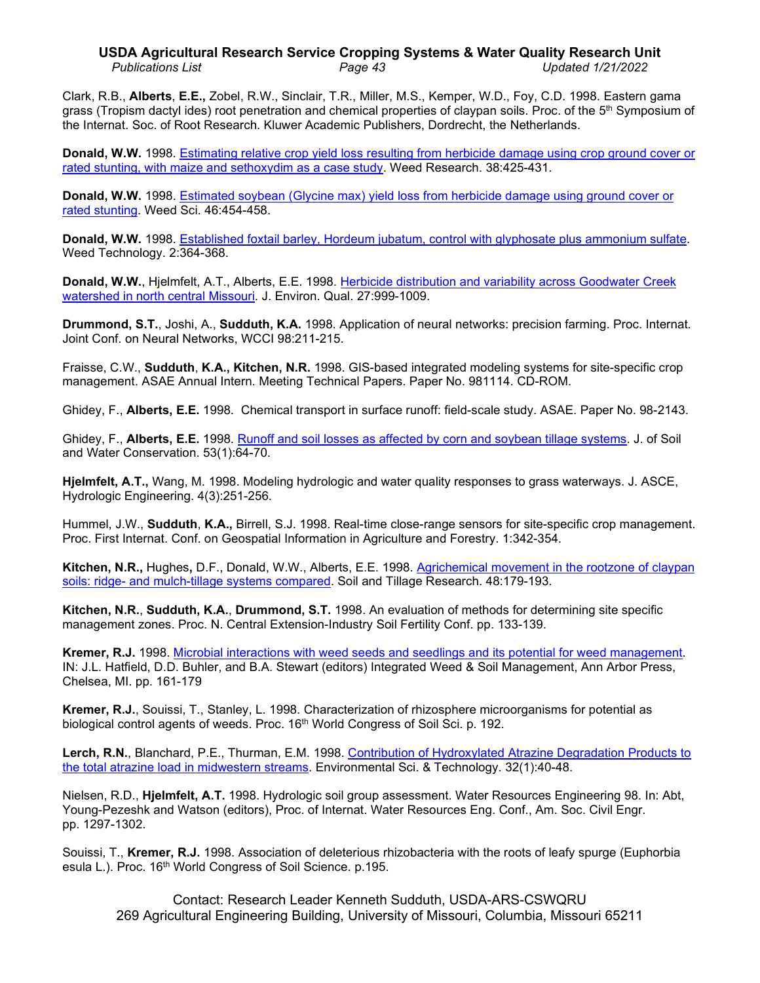# **USDA Agricultural Research Service Cropping Systems & Water Quality Research Unit** *Publications List Page 43 Updated 1/21/2022*

Clark, R.B., **Alberts**, **E.E.,** Zobel, R.W., Sinclair, T.R., Miller, M.S., Kemper, W.D., Foy, C.D. 1998. Eastern gama grass (Tropism dactyl ides) root penetration and chemical properties of claypan soils. Proc. of the 5<sup>th</sup> Symposium of the Internat. Soc. of Root Research. Kluwer Academic Publishers, Dordrecht, the Netherlands.

**Donald, W.W.** 1998. [Estimating relative crop yield loss resulting from herbicide damage using crop ground cover or](http://www.ars.usda.gov/sp2UserFiles/Place/36221500/cswq-0079-donald.pdf)  [rated stunting, with maize and sethoxydim as a case study.](http://www.ars.usda.gov/sp2UserFiles/Place/36221500/cswq-0079-donald.pdf) Weed Research. 38:425-431.

**Donald, W.W.** 1998. [Estimated soybean \(Glycine max\) yield loss from herbicide](http://www.ars.usda.gov/sp2UserFiles/Place/36221500/cswq-0085-donald.pdf) damage using ground cover or [rated stunting.](http://www.ars.usda.gov/sp2UserFiles/Place/36221500/cswq-0085-donald.pdf) Weed Sci. 46:454-458.

**Donald, W.W.** 1998. [Established foxtail barley, Hordeum jubatum, control with glyphosate plus ammonium sulfate.](http://www.ars.usda.gov/sp2UserFiles/Place/36221500/cswq-0257-donald.pdf) Weed Technology. 2:364-368.

**Donald, W.W.**, Hjelmfelt, A.T., Alberts, E.E. 1998. [Herbicide distribution and variability across Goodwater Creek](http://www.ars.usda.gov/sp2UserFiles/Place/36221500/cswq-0084-donald.pdf)  [watershed in north central Missouri.](http://www.ars.usda.gov/sp2UserFiles/Place/36221500/cswq-0084-donald.pdf) J. Environ. Qual. 27:999-1009.

**Drummond, S.T.**, Joshi, A., **Sudduth, K.A.** 1998. Application of neural networks: precision farming. Proc. Internat. Joint Conf. on Neural Networks, WCCI 98:211-215.

Fraisse, C.W., **Sudduth**, **K.A., Kitchen, N.R.** 1998. GIS-based integrated modeling systems for site-specific crop management. ASAE Annual Intern. Meeting Technical Papers. Paper No. 981114. CD-ROM.

Ghidey, F., **Alberts, E.E.** 1998. Chemical transport in surface runoff: field-scale study. ASAE. Paper No. 98-2143.

Ghidey, F., **Alberts, E.E.** 1998. [Runoff and soil losses as affected by corn and soybean tillage systems.](http://www.ars.usda.gov/sp2UserFiles/Place/36221500/cswq-0089-ghidey.pdf) J. of Soil and Water Conservation. 53(1):64-70.

**Hjelmfelt, A.T.,** Wang, M. 1998. Modeling hydrologic and water quality responses to grass waterways. J. ASCE, Hydrologic Engineering. 4(3):251-256.

Hummel, J.W., **Sudduth**, **K.A.,** Birrell, S.J. 1998. Real-time close-range sensors for site-specific crop management. Proc. First Internat. Conf. on Geospatial Information in Agriculture and Forestry. 1:342-354.

**Kitchen, N.R.,** Hughes**,** D.F., Donald, W.W., Alberts, E.E. 1998. [Agrichemical movement in the rootzone of claypan](http://www.ars.usda.gov/sp2UserFiles/Place/36221500/cswq-0082-kitchen.pdf)  soils: ridge- and mulch-tillage [systems compared.](http://www.ars.usda.gov/sp2UserFiles/Place/36221500/cswq-0082-kitchen.pdf) Soil and Tillage Research. 48:179-193.

**Kitchen, N.R.**, **Sudduth, K.A.**, **Drummond, S.T.** 1998. An evaluation of methods for determining site specific management zones. Proc. N. Central Extension-Industry Soil Fertility Conf. pp. 133-139.

**Kremer, R.J.** 1998. [Microbial interactions with weed seeds and seedlings and its potential for weed](http://www.ars.usda.gov/sp2UserFiles/Place/36221500/cswq-0198-kremer.pdf) management. IN: J.L. Hatfield, D.D. Buhler, and B.A. Stewart (editors) Integrated Weed & Soil Management, Ann Arbor Press, Chelsea, MI. pp. 161-179

**Kremer, R.J.**, Souissi, T., Stanley, L. 1998. Characterization of rhizosphere microorganisms for potential as biological control agents of weeds. Proc. 16<sup>th</sup> World Congress of Soil Sci. p. 192.

Lerch. R.N., Blanchard, P.E., Thurman, E.M. 1998. Contribution of Hydroxylated Atrazine Degradation Products to [the total atrazine load in midwestern streams.](http://www.ars.usda.gov/sp2UserFiles/Place/36221500/cswq-0091-lerch.pdfhttp:/www.fse.missouri.edu/ARS/LerchB/contributionofhydroxilatedatrazinedegradationproducts....pdf) Environmental Sci. & Technology. 32(1):40-48.

Nielsen, R.D., **Hjelmfelt, A.T.** 1998. Hydrologic soil group assessment. Water Resources Engineering 98. In: Abt, Young-Pezeshk and Watson (editors), Proc. of Internat. Water Resources Eng. Conf., Am. Soc. Civil Engr. pp. 1297-1302.

Souissi, T., **Kremer, R.J.** 1998. Association of deleterious rhizobacteria with the roots of leafy spurge (Euphorbia esula L.). Proc. 16<sup>th</sup> World Congress of Soil Science. p.195.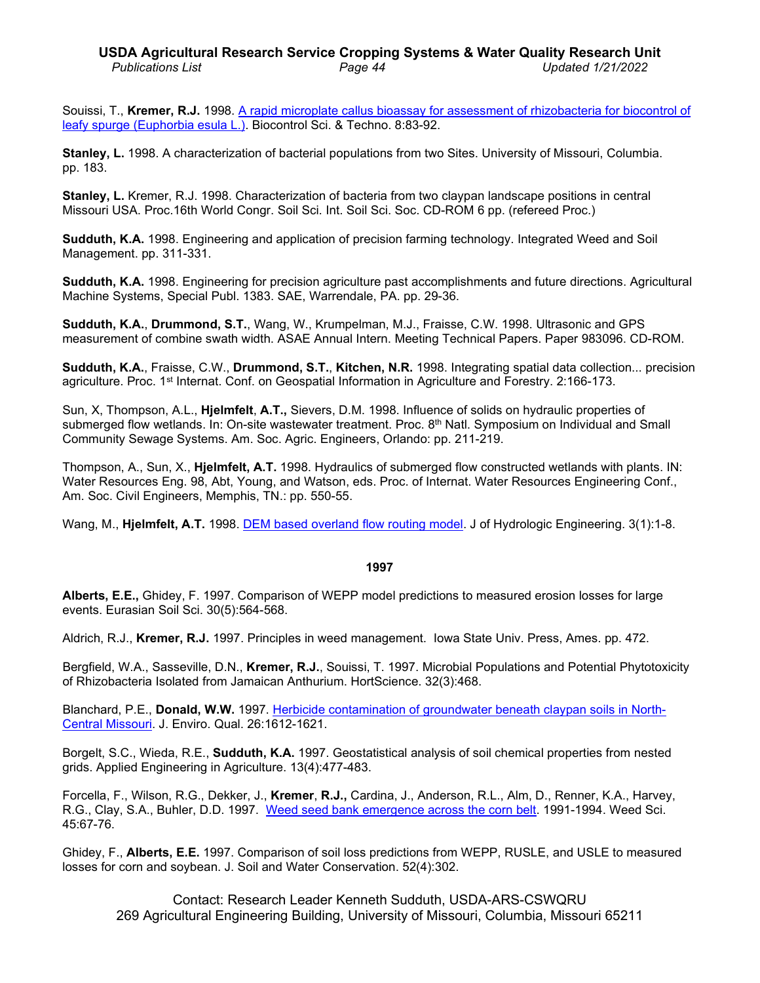Souissi, T., **Kremer, R.J.** 1998. [A rapid microplate callus bioassay for assessment of rhizobacteria for biocontrol](http://www.ars.usda.gov/sp2UserFiles/Place/36221500/cswq-0088-souissi.pdf) of leafy spurge [\(Euphorbia esula L.\).](http://www.ars.usda.gov/sp2UserFiles/Place/36221500/cswq-0088-souissi.pdf) Biocontrol Sci. & Techno. 8:83-92.

**Stanley, L.** 1998. A characterization of bacterial populations from two Sites. University of Missouri, Columbia. pp. 183.

**Stanley, L.** Kremer, R.J. 1998. Characterization of bacteria from two claypan landscape positions in central Missouri USA. Proc.16th World Congr. Soil Sci. Int. Soil Sci. Soc. CD-ROM 6 pp. (refereed Proc.)

**Sudduth, K.A.** 1998. Engineering and application of precision farming technology. Integrated Weed and Soil Management. pp. 311-331.

**Sudduth, K.A.** 1998. Engineering for precision agriculture past accomplishments and future directions. Agricultural Machine Systems, Special Publ. 1383. SAE, Warrendale, PA. pp. 29-36.

**Sudduth, K.A.**, **Drummond, S.T.**, Wang, W., Krumpelman, M.J., Fraisse, C.W. 1998. Ultrasonic and GPS measurement of combine swath width. ASAE Annual Intern. Meeting Technical Papers. Paper 983096. CD-ROM.

**Sudduth, K.A.**, Fraisse, C.W., **Drummond, S.T.**, **Kitchen, N.R.** 1998. [Integrating spatial data](http://www.fse.missouri.edu/ARS/pubs/erim_3.PDF) collection... precision [agriculture.](http://www.fse.missouri.edu/ARS/pubs/erim_3.PDF) Proc. 1st Internat. Conf. on Geospatial Information in Agriculture and Forestry. 2:166-173.

Sun, X, Thompson, A.L., **Hjelmfelt**, **A.T.,** Sievers, D.M. 1998. Influence of solids on hydraulic properties of submerged flow wetlands. In: On-site wastewater treatment. Proc. 8<sup>th</sup> Natl. Symposium on Individual and Small Community Sewage Systems. Am. Soc. Agric. Engineers, Orlando: pp. 211-219.

Thompson, A., Sun, X., **Hjelmfelt, A.T.** 1998. Hydraulics of submerged flow constructed wetlands with plants. IN: Water Resources Eng. 98, Abt, Young, and Watson, eds. Proc. of Internat. Water Resources Engineering Conf., Am. Soc. Civil Engineers, Memphis, TN.: pp. 550-55.

Wang, M., **Hjelmfelt, A.T.** 1998. [DEM based overland flow routing model.](http://www.ars.usda.gov/sp2UserFiles/Place/36221500/cswq-0335-wang.pdf) J of Hydrologic Engineering. 3(1):1-8.

#### **1997**

**Alberts, E.E.,** Ghidey, F. 1997. Comparison of WEPP model predictions to measured erosion losses for large events. Eurasian Soil Sci. 30(5):564-568.

Aldrich, R.J., **Kremer, R.J.** 1997. Principles in weed management. Iowa State Univ. Press, Ames. pp. 472.

Bergfield, W.A., Sasseville, D.N., **Kremer, R.J.**, Souissi, T. 1997. Microbial Populations and Potential Phytotoxicity of Rhizobacteria Isolated from Jamaican Anthurium. HortScience. 32(3):468.

Blanchard, P.E., **Donald, W.W.** 1997. [Herbicide contamination of groundwater beneath claypan soils in North-](http://www.ars.usda.gov/sp2UserFiles/Place/36221500/cswq-0093-donald.pdf)[Central Missouri.](http://www.ars.usda.gov/sp2UserFiles/Place/36221500/cswq-0093-donald.pdf) J. Enviro. Qual. 26:1612-1621.

Borgelt, S.C., Wieda, R.E., **Sudduth, K.A.** 1997. Geostatistical analysis of soil chemical properties from nested grids. Applied Engineering in Agriculture. 13(4):477-483.

Forcella, F., Wilson, R.G., Dekker, J., **Kremer**, **R.J.,** Cardina, J., Anderson, R.L., Alm, D., Renner, K.A., Harvey, R.G., Clay, S.A., Buhler, D.D. 1997. Weed seed [bank emergence across the corn belt.](http://www.ars.usda.gov/sp2UserFiles/Place/36221500/cswq-0102-kremer.pdf) 1991-1994. Weed Sci. 45:67-76.

Ghidey, F., **Alberts, E.E.** 1997. Comparison of soil loss predictions from WEPP, RUSLE, and USLE to measured losses for corn and soybean. J. Soil and Water Conservation. 52(4):302.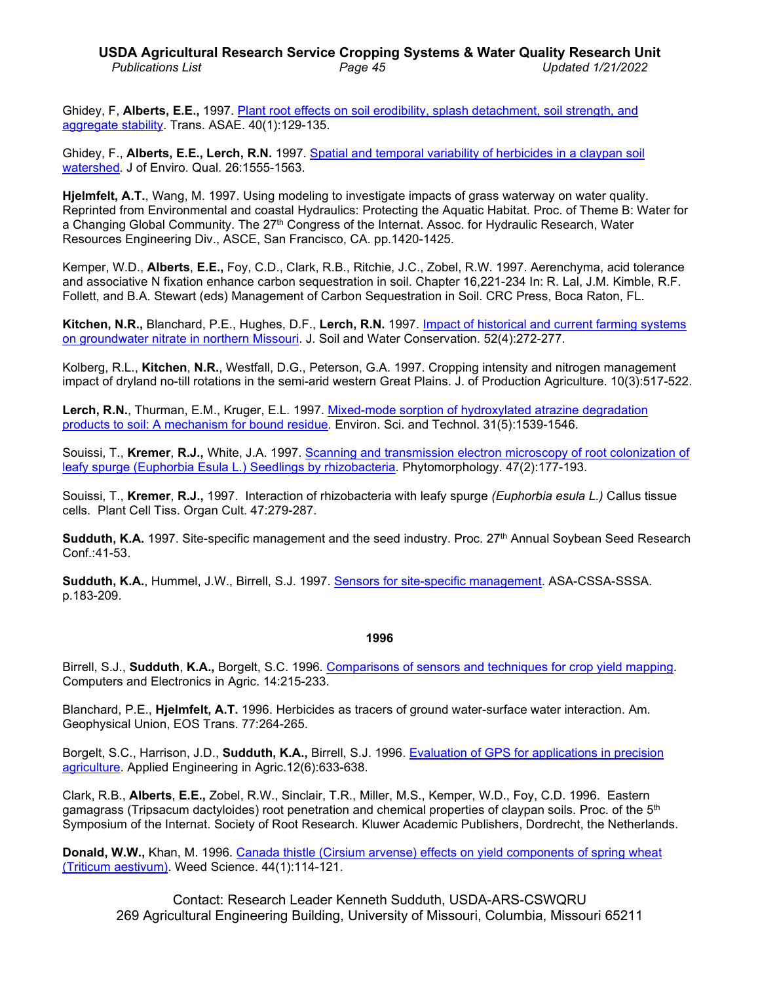# **USDA Agricultural Research Service Cropping Systems & Water Quality Research Unit** *Publications List Page 45 Updated 1/21/2022*

Ghidey, F, **Alberts, E.E.,** 1997. [Plant root effects on soil erodibility, splash detachment, soil strength, and](http://www.ars.usda.gov/sp2UserFiles/Place/36221500/cswq-0104-ghidey.pdf)  [aggregate stability.](http://www.ars.usda.gov/sp2UserFiles/Place/36221500/cswq-0104-ghidey.pdf) Trans. ASAE. 40(1):129-135.

Ghidey, F., **Alberts, E.E., Lerch, R.N.** 1997. Spatial and temporal [variability of herbicides in a claypan soil](http://www.ars.usda.gov/sp2UserFiles/Place/36221500/cswq-0092-ghidey.pdf)  [watershed.](http://www.ars.usda.gov/sp2UserFiles/Place/36221500/cswq-0092-ghidey.pdf) J of Enviro. Qual. 26:1555-1563.

**Hjelmfelt, A.T.**, Wang, M. 1997. Using modeling to investigate impacts of grass waterway on water quality. Reprinted from Environmental and coastal Hydraulics: Protecting the Aquatic Habitat. Proc. of Theme B: Water for a Changing Global Community. The 27<sup>th</sup> Congress of the Internat. Assoc. for Hydraulic Research, Water Resources Engineering Div., ASCE, San Francisco, CA. pp.1420-1425.

Kemper, W.D., **Alberts**, **E.E.,** Foy, C.D., Clark, R.B., Ritchie, J.C., Zobel, R.W. 1997. Aerenchyma, acid tolerance and associative N fixation enhance carbon sequestration in soil. Chapter 16,221-234 In: R. Lal, J.M. Kimble, R.F. Follett, and B.A. Stewart (eds) Management of Carbon Sequestration in Soil. CRC Press, Boca Raton, FL.

**Kitchen, N.R.,** Blanchard, P.E., Hughes, D.F., **Lerch, R.N.** 1997. [Impact of historical and current](http://www.ars.usda.gov/sp2UserFiles/Place/36221500/cswq-0097-kitchen.pdf) farming systems [on groundwater nitrate in northern Missouri.](http://www.ars.usda.gov/sp2UserFiles/Place/36221500/cswq-0097-kitchen.pdf) J. Soil and Water Conservation. 52(4):272-277.

Kolberg, R.L., **Kitchen**, **N.R.**, Westfall, D.G., Peterson, G.A. 1997. Cropping intensity and nitrogen management impact of dryland no-till rotations in the semi-arid western Great Plains. J. of Production Agriculture. 10(3):517-522.

**Lerch, R.N.**, Thurman, E.M., Kruger, E.L. 1997. [Mixed-mode sorption of hydroxylated atrazine](http://www.ars.usda.gov/sp2UserFiles/Place/36221500/cswq-0101-lerch.pdf) degradation [products to soil: A mechanism for bound residue.](http://www.ars.usda.gov/sp2UserFiles/Place/36221500/cswq-0101-lerch.pdf) Environ. Sci. and Technol. 31(5):1539-1546.

Souissi, T., **Kremer**, **R.J.,** White, J.A. 1997. [Scanning and transmission electron microscopy of root](http://www.ars.usda.gov/sp2UserFiles/Place/36221500/cswq-0223-kremer.pdf) colonization of [leafy spurge \(Euphorbia Esula L.\) Seedlings by rhizobacteria.](http://www.ars.usda.gov/sp2UserFiles/Place/36221500/cswq-0223-kremer.pdf) Phytomorphology. 47(2):177-193.

Souissi, T., **Kremer**, **R.J.,** 1997. Interaction of rhizobacteria with leafy spurge *(Euphorbia esula L.)* Callus tissue cells. Plant Cell Tiss. Organ Cult. 47:279-287.

**Sudduth, K.A.** 1997. Site-specific management and the seed industry. Proc. 27<sup>th</sup> Annual Soybean Seed Research Conf.:41-53.

**Sudduth, K.A.**, Hummel, J.W., Birrell, S.J. 1997. Sensors [for site-specific management.](http://www.ars.usda.gov/sp2UserFiles/Place/36221500/cswq-0267-sudduth.pdf) ASA-CSSA-SSSA. p.183-209.

#### **1996**

Birrell, S.J., **Sudduth**, **K.A.,** Borgelt, S.C. 1996. [Comparisons of sensors and techniques for crop yield mapping.](http://www.ars.usda.gov/sp2UserFiles/Place/36221500/cswq-0118-birrell.pdf) Computers and Electronics in Agric. 14:215-233.

Blanchard, P.E., **Hjelmfelt, A.T.** 1996. Herbicides as tracers of ground water-surface water interaction. Am. Geophysical Union, EOS Trans. 77:264-265.

Borgelt, S.C., Harrison, J.D., **Sudduth, K.A.,** Birrell, S.J. 1996. [Evaluation of GPS for applications in precision](http://www.ars.usda.gov/sp2UserFiles/Place/36221500/cswq-0271-borgelt.pdf)  [agriculture.](http://www.ars.usda.gov/sp2UserFiles/Place/36221500/cswq-0271-borgelt.pdf) Applied Engineering in Agric.12(6):633-638.

Clark, R.B., **Alberts**, **E.E.,** Zobel, R.W., Sinclair, T.R., Miller, M.S., Kemper, W.D., Foy, C.D. 1996. Eastern gamagrass (Tripsacum dactyloides) root penetration and chemical properties of claypan soils. Proc. of the 5<sup>th</sup> Symposium of the Internat. Society of Root Research. Kluwer Academic Publishers, Dordrecht, the Netherlands.

**Donald, W.W., Khan, M. 1996. Canada thistle (Cirsium arvense) effects on yield components of spring wheat** (Triticum [aestivum\).](http://www.jstor.org/stable/4045791) Weed Science. 44(1):114-121.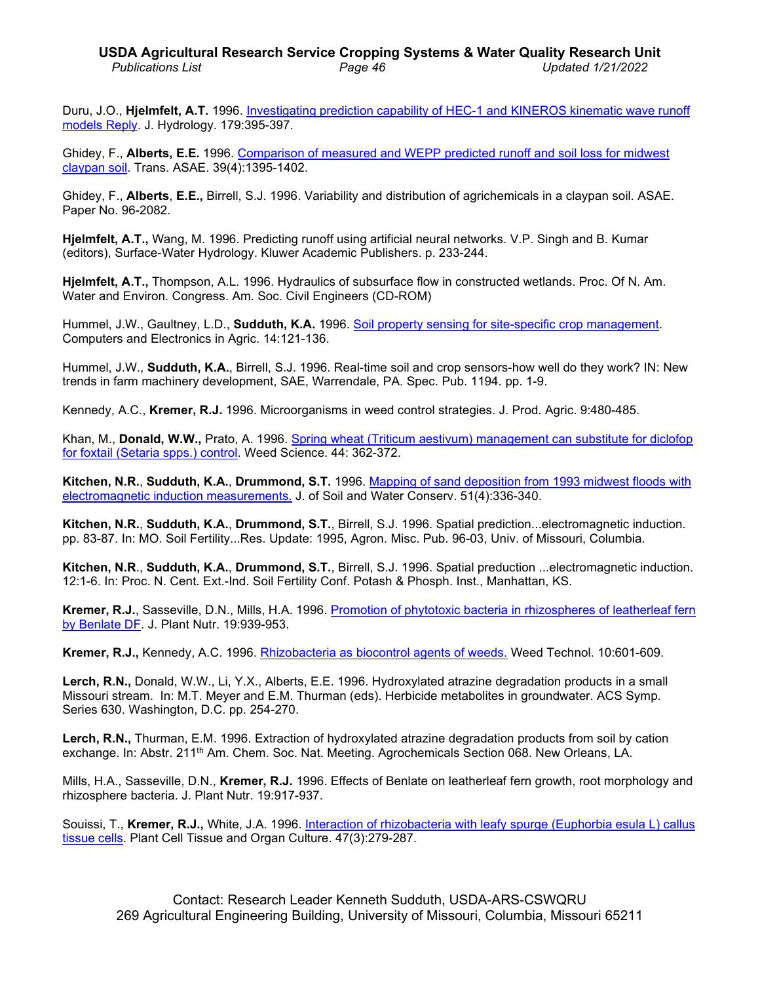# **USDA Agricultural Research Service Cropping Systems & Water Quality Research Unit** *Publications List Page 46 Updated 1/21/2022*

Duru, J.O., **Hjelmfelt, A.T.** 1996. [Investigating prediction capability of HEC-1 and KINEROS kinematic wave runoff](http://www.ars.usda.gov/sp2UserFiles/Place/36221500/cswq-0140-duru.pdf)  [models Reply.](http://www.ars.usda.gov/sp2UserFiles/Place/36221500/cswq-0140-duru.pdf) J. Hydrology. 179:395-397.

Ghidey, F., **Alberts, E.E.** 1996. [Comparison of measured and WEPP predicted runoff and soil loss for midwest](http://www.ars.usda.gov/sp2UserFiles/Place/36221500/cswq-0108-ghidey.pdf)  [claypan soil.](http://www.ars.usda.gov/sp2UserFiles/Place/36221500/cswq-0108-ghidey.pdf) Trans. ASAE. 39(4):1395-1402.

Ghidey, F., **Alberts**, **E.E.,** Birrell, S.J. 1996. Variability and distribution of agrichemicals in a claypan soil. ASAE. Paper No. 96-2082.

**Hjelmfelt, A.T.,** Wang, M. 1996. Predicting runoff using artificial neural networks. V.P. Singh and B. Kumar (editors), Surface-Water Hydrology. Kluwer Academic Publishers. p. 233-244.

**Hjelmfelt, A.T.,** Thompson, A.L. 1996. Hydraulics of subsurface flow in constructed wetlands. Proc. Of N. Am. Water and Environ. Congress. Am. Soc. Civil Engineers (CD-ROM)

Hummel, J.W., Gaultney, L.D., **Sudduth, K.A.** 1996. [Soil property sensing for site-specific crop](http://www.ars.usda.gov/sp2UserFiles/Place/36221500/cswq-0117-hummel.pdf) management. Computers and Electronics in Agric. 14:121-136.

Hummel, J.W., **Sudduth, K.A.**, Birrell, S.J. 1996. Real-time soil and crop sensors-how well do they work? IN: New trends in farm machinery development, SAE, Warrendale, PA. Spec. Pub. 1194. pp. 1-9.

Kennedy, A.C., **Kremer, R.J.** 1996. Microorganisms in weed control strategies. J. Prod. Agric. 9:480-485.

Khan, M., **Donald, W.W.,** Prato, A. 1996. Spring wheat (Triticum [aestivum\) management can substitute for diclofop](http://www.ars.usda.gov/sp2UserFiles/Place/36221500/cswq-0114-donald.pdf) [for foxtail \(Setaria spps.\) control.](http://www.ars.usda.gov/sp2UserFiles/Place/36221500/cswq-0114-donald.pdf) Weed Science. 44: 362-372.

**Kitchen, N.R.**, **Sudduth, K.A.**, **Drummond, S.T.** 1996. Mapping of sand deposition from [1993 midwest floods](http://www.ars.usda.gov/sp2UserFiles/Place/36221500/cswq-0111-kitchen.pdf) with [electromagnetic induction measurements.](http://www.ars.usda.gov/sp2UserFiles/Place/36221500/cswq-0111-kitchen.pdf) J. of Soil and Water Conserv. 51(4):336-340.

**Kitchen, N.R.**, **Sudduth, K.A.**, **Drummond, S.T.**, Birrell, S.J. 1996. Spatial prediction...electromagnetic induction. pp. 83-87. In: MO. Soil Fertility...Res. Update: 1995, Agron. Misc. Pub. 96-03, Univ. of Missouri, Columbia.

**Kitchen, N.R**., **Sudduth, K.A.**, **Drummond, S.T.**, Birrell, S.J. 1996. Spatial preduction ...electromagnetic induction. 12:1-6. In: Proc. N. Cent. Ext.-Ind. Soil Fertility Conf. Potash & Phosph. Inst., Manhattan, KS.

**Kremer, R.J.**, Sasseville, D.N., Mills, H.A. 1996. [Promotion of phytotoxic bacteria in rhizospheres of leatherleaf](http://www.ars.usda.gov/sp2UserFiles/Place/36221500/cswq-0113-kremer.pdf) fern [by Benlate](http://www.ars.usda.gov/sp2UserFiles/Place/36221500/cswq-0113-kremer.pdf) DF. J. Plant Nutr. 19:939-953.

**Kremer, R.J.,** Kennedy, A.C. 1996. [Rhizobacteria as biocontrol agents of weeds.](http://www.ars.usda.gov/sp2UserFiles/Place/36221500/cswq-0109-kremer.pdf) Weed Technol. 10:601-609.

**Lerch, R.N.,** Donald, W.W., Li, Y.X., Alberts, E.E. 1996. Hydroxylated atrazine degradation products in a small Missouri stream. In: M.T. Meyer and E.M. Thurman (eds). Herbicide metabolites in groundwater. ACS Symp. Series 630. Washington, D.C. pp. 254-270.

**Lerch, R.N.,** Thurman, E.M. 1996. Extraction of hydroxylated atrazine degradation products from soil by cation exchange. In: Abstr. 211<sup>th</sup> Am. Chem. Soc. Nat. Meeting. Agrochemicals Section 068. New Orleans, LA.

Mills, H.A., Sasseville, D.N., **Kremer, R.J.** 1996. Effects of Benlate on leatherleaf fern growth, root morphology and rhizosphere bacteria. J. Plant Nutr. 19:917-937.

Souissi, T., **Kremer, R.J.,** White, J.A. 1996. [Interaction of rhizobacteria with leafy spurge \(Euphorbia esula L\) callus](http://www.ars.usda.gov/sp2UserFiles/Place/36221500/cswq-0098-kremer.pdf)  [tissue cells.](http://www.ars.usda.gov/sp2UserFiles/Place/36221500/cswq-0098-kremer.pdf) Plant Cell Tissue and Organ Culture. 47(3):279-287.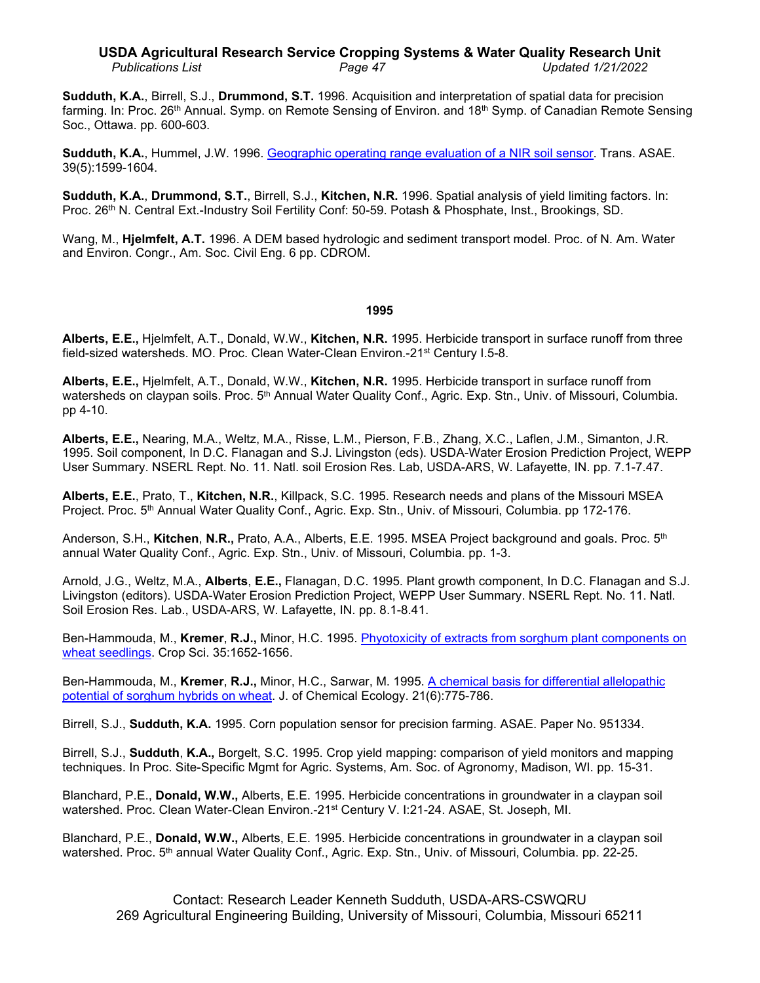### **USDA Agricultural Research Service Cropping Systems & Water Quality Research Unit** *Publications List Page 47 Updated 1/21/2022*

**Sudduth, K.A.**, Birrell, S.J., **Drummond, S.T.** 1996. Acquisition and interpretation of spatial data for precision farming. In: Proc. 26<sup>th</sup> Annual. Symp. on Remote Sensing of Environ. and 18<sup>th</sup> Symp. of Canadian Remote Sensing Soc., Ottawa. pp. 600-603.

**Sudduth, K.A.**, Hummel, J.W. 1996. [Geographic operating](http://www.ars.usda.gov/sp2UserFiles/Place/36221500/cswq-0107-sudduth.pdf) range evaluation of a NIR soil sensor. Trans. ASAE. 39(5):1599-1604.

**Sudduth, K.A.**, **Drummond, S.T.**, Birrell, S.J., **Kitchen, N.R.** 1996. Spatial analysis of yield limiting factors. In: Proc. 26th N. Central Ext.-Industry Soil Fertility Conf: 50-59. Potash & Phosphate, Inst., Brookings, SD.

Wang, M., **Hjelmfelt, A.T.** 1996. A DEM based hydrologic and sediment transport model. Proc. of N. Am. Water and Environ. Congr., Am. Soc. Civil Eng. 6 pp. CDROM.

### **1995**

**Alberts, E.E.,** Hjelmfelt, A.T., Donald, W.W., **Kitchen, N.R.** 1995. Herbicide transport in surface runoff from three field-sized watersheds. MO. Proc. Clean Water-Clean Environ.-21st Century I.5-8.

**Alberts, E.E.,** Hjelmfelt, A.T., Donald, W.W., **Kitchen, N.R.** 1995. Herbicide transport in surface runoff from watersheds on claypan soils. Proc. 5<sup>th</sup> Annual Water Quality Conf., Agric. Exp. Stn., Univ. of Missouri, Columbia. pp 4-10.

**Alberts, E.E.,** Nearing, M.A., Weltz, M.A., Risse, L.M., Pierson, F.B., Zhang, X.C., Laflen, J.M., Simanton, J.R. 1995. Soil component, In D.C. Flanagan and S.J. Livingston (eds). USDA-Water Erosion Prediction Project, WEPP User Summary. NSERL Rept. No. 11. Natl. soil Erosion Res. Lab, USDA-ARS, W. Lafayette, IN. pp. 7.1-7.47.

**Alberts, E.E.**, Prato, T., **Kitchen, N.R.**, Killpack, S.C. 1995. Research needs and plans of the Missouri MSEA Project. Proc. 5<sup>th</sup> Annual Water Quality Conf., Agric. Exp. Stn., Univ. of Missouri, Columbia. pp 172-176.

Anderson, S.H., **Kitchen**, **N.R.,** Prato, A.A., Alberts, E.E. 1995. MSEA Project background and goals. Proc. 5th annual Water Quality Conf., Agric. Exp. Stn., Univ. of Missouri, Columbia. pp. 1-3.

Arnold, J.G., Weltz, M.A., **Alberts**, **E.E.,** Flanagan, D.C. 1995. Plant growth component, In D.C. Flanagan and S.J. Livingston (editors). USDA-Water Erosion Prediction Project, WEPP User Summary. NSERL Rept. No. 11. Natl. Soil Erosion Res. Lab., USDA-ARS, W. Lafayette, IN. pp. 8.1-8.41.

Ben-Hammouda, M., **Kremer**, **R.J.,** Minor, H.C. 1995. Phyotoxicity [of extracts from sorghum plant](http://www.ars.usda.gov/sp2UserFiles/Place/36221500/cswq-0122-kremer.pdf) components on [wheat seedlings.](http://www.ars.usda.gov/sp2UserFiles/Place/36221500/cswq-0122-kremer.pdf) Crop Sci. 35:1652-1656.

Ben-Hammouda, M., **Kremer**, **R.J.,** Minor, H.C., Sarwar, M. 1995. A chemical [basis for differential](http://www.ars.usda.gov/sp2UserFiles/Place/36221500/cswq-0128-benhammouda.pdf) allelopathic [potential of sorghum hybrids on wheat.](http://www.ars.usda.gov/sp2UserFiles/Place/36221500/cswq-0128-benhammouda.pdf) J. of Chemical Ecology. 21(6):775-786.

Birrell, S.J., **Sudduth, K.A.** 1995. Corn population sensor for precision farming. ASAE. Paper No. 951334.

Birrell, S.J., **Sudduth**, **K.A.,** Borgelt, S.C. 1995. Crop yield mapping: comparison of yield monitors and mapping techniques. In Proc. Site-Specific Mgmt for Agric. Systems, Am. Soc. of Agronomy, Madison, WI. pp. 15-31.

Blanchard, P.E., **Donald, W.W.,** Alberts, E.E. 1995. Herbicide concentrations in groundwater in a claypan soil watershed. Proc. Clean Water-Clean Environ.-21<sup>st</sup> Century V. I:21-24. ASAE, St. Joseph, MI.

Blanchard, P.E., **Donald, W.W.,** Alberts, E.E. 1995. Herbicide concentrations in groundwater in a claypan soil watershed. Proc. 5<sup>th</sup> annual Water Quality Conf., Agric. Exp. Stn., Univ. of Missouri, Columbia. pp. 22-25.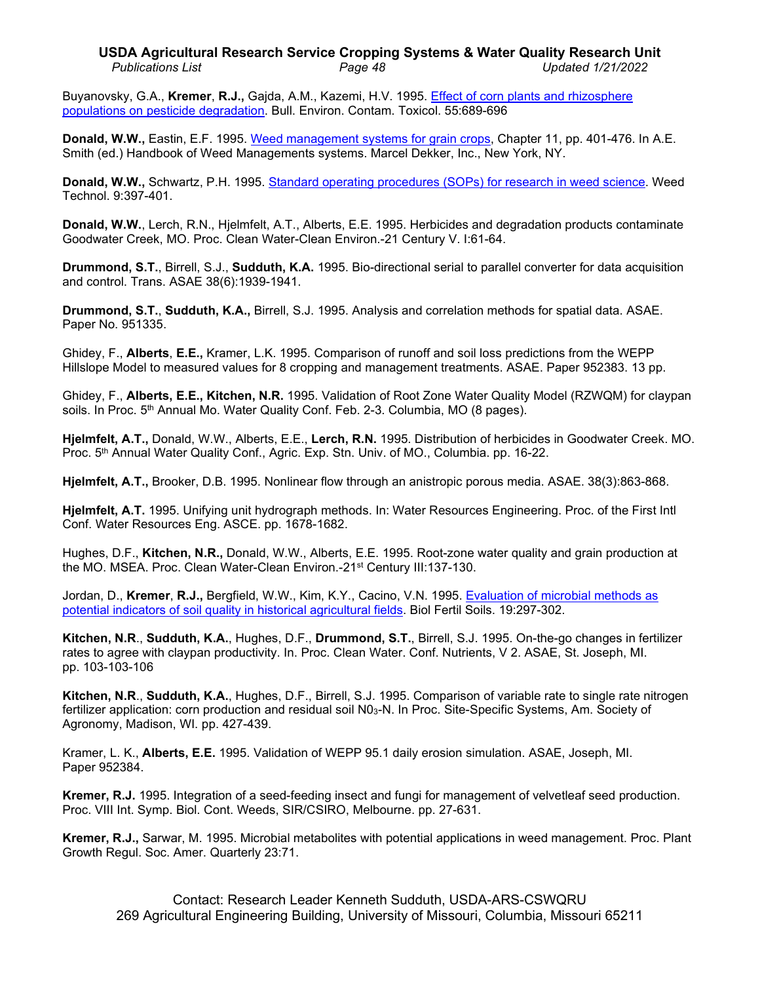### **USDA Agricultural Research Service Cropping Systems & Water Quality Research Unit** *Publications List Page 48 Updated 1/21/2022*

Buyanovsky, G.A., **Kremer**, **R.J.,** Gajda, A.M., Kazemi, H.V. 1995. [Effect of corn plants and rhizosphere](http://www.ars.usda.gov/sp2UserFiles/Place/36221500/cswq-0124-kremer.pdf)  [populations on pesticide degradation.](http://www.ars.usda.gov/sp2UserFiles/Place/36221500/cswq-0124-kremer.pdf) Bull. Environ. Contam. Toxicol. 55:689-696

**Donald, W.W.,** Eastin, E.F. 1995. [Weed management systems for grain crops,](http://www.ars.usda.gov/sp2UserFiles/Place/36221500/cswq-0298-donald.pdf) Chapter 11, pp. 401-476. In A.E. Smith (ed.) Handbook of Weed Managements systems. Marcel Dekker, Inc., New York, NY.

**Donald, W.W.,** Schwartz, P.H. 1995. [Standard operating procedures \(SOPs\) for research in weed](http://www.ars.usda.gov/sp2UserFiles/Place/36221500/cswq-0126-donald.pdf) science. Weed Technol. 9:397-401.

**Donald, W.W.**, Lerch, R.N., Hjelmfelt, A.T., Alberts, E.E. 1995. Herbicides and degradation products contaminate Goodwater Creek, MO. Proc. Clean Water-Clean Environ.-21 Century V. I:61-64.

**Drummond, S.T.**, Birrell, S.J., **Sudduth, K.A.** 1995. Bio-directional serial to parallel converter for data acquisition and control. Trans. ASAE 38(6):1939-1941.

**Drummond, S.T.**, **Sudduth, K.A.,** Birrell, S.J. 1995. Analysis and correlation methods for spatial data. ASAE. Paper No. 951335.

Ghidey, F., **Alberts**, **E.E.,** Kramer, L.K. 1995. Comparison of runoff and soil loss predictions from the WEPP Hillslope Model to measured values for 8 cropping and management treatments. ASAE. Paper 952383. 13 pp.

Ghidey, F., **Alberts, E.E., Kitchen, N.R.** 1995. Validation of Root Zone Water Quality Model (RZWQM) for claypan soils. In Proc. 5<sup>th</sup> Annual Mo. Water Quality Conf. Feb. 2-3. Columbia, MO (8 pages).

**Hjelmfelt, A.T.,** Donald, W.W., Alberts, E.E., **Lerch, R.N.** 1995. Distribution of herbicides in Goodwater Creek. MO. Proc. 5th Annual Water Quality Conf., Agric. Exp. Stn. Univ. of MO., Columbia. pp. 16-22.

**Hjelmfelt, A.T.,** Brooker, D.B. 1995. Nonlinear flow through an anistropic porous media. ASAE. 38(3):863-868.

**Hjelmfelt, A.T.** 1995. Unifying unit hydrograph methods. In: Water Resources Engineering. Proc. of the First Intl Conf. Water Resources Eng. ASCE. pp. 1678-1682.

Hughes, D.F., **Kitchen, N.R.,** Donald, W.W., Alberts, E.E. 1995. Root-zone water quality and grain production at the MO. MSEA. Proc. Clean Water-Clean Environ.-21st Century III:137-130.

Jordan, D., **Kremer**, **R.J.,** Bergfield, W.W., Kim, K.Y., Cacino, V.N. 1995. [Evaluation of microbial](http://www.ars.usda.gov/sp2UserFiles/Place/36221500/cswq-0131-jordan.pdf) methods as [potential indicators of soil quality in historical agricultural fields.](http://www.ars.usda.gov/sp2UserFiles/Place/36221500/cswq-0131-jordan.pdf) Biol Fertil Soils. 19:297-302.

**Kitchen, N.R**., **Sudduth, K.A.**, Hughes, D.F., **Drummond, S.T.**, Birrell, S.J. 1995. On-the-go changes in fertilizer rates to agree with claypan productivity. In. Proc. Clean Water. Conf. Nutrients, V 2. ASAE, St. Joseph, MI. pp. 103-103-106

**Kitchen, N.R**., **Sudduth, K.A.**, Hughes, D.F., Birrell, S.J. 1995. Comparison of variable rate to single rate nitrogen fertilizer application: corn production and residual soil N0<sub>3</sub>-N. In Proc. Site-Specific Systems, Am. Society of Agronomy, Madison, WI. pp. 427-439.

Kramer, L. K., **Alberts, E.E.** 1995. Validation of WEPP 95.1 daily erosion simulation. ASAE, Joseph, MI. Paper 952384.

**Kremer, R.J.** 1995. Integration of a seed-feeding insect and fungi for management of velvetleaf seed production. Proc. VIII Int. Symp. Biol. Cont. Weeds, SIR/CSIRO, Melbourne. pp. 27-631.

**Kremer, R.J.,** Sarwar, M. 1995. Microbial metabolites with potential applications in weed management. Proc. Plant Growth Regul. Soc. Amer. Quarterly 23:71.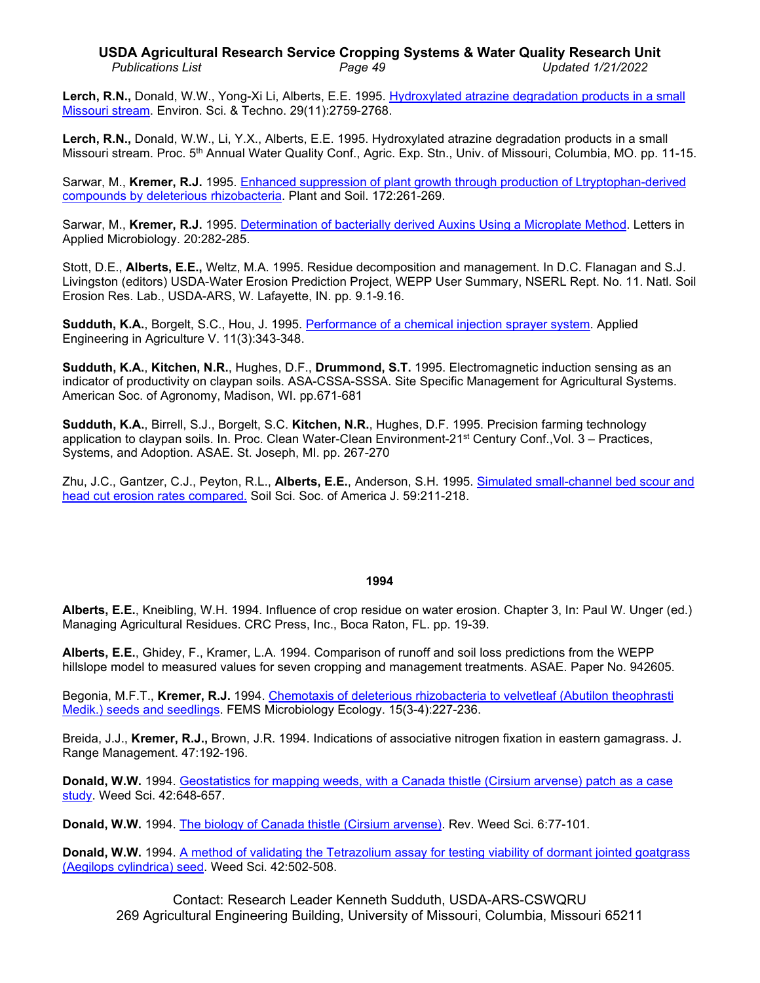# **USDA Agricultural Research Service Cropping Systems & Water Quality Research Unit** *Publications List Page 49 Updated 1/21/2022*

Lerch, R.N., Donald, W.W., Yong-Xi Li, Alberts, E.E. 1995. Hydroxylated atrazine degradation products in a small [Missouri stream.](http://www.ars.usda.gov/sp2UserFiles/Place/36221500/cswq-0125-lerch.pdf) Environ. Sci. & Techno. 29(11):2759-2768.

**Lerch, R.N.,** Donald, W.W., Li, Y.X., Alberts, E.E. 1995. Hydroxylated atrazine degradation products in a small Missouri stream. Proc. 5th Annual Water Quality Conf., Agric. Exp. Stn., Univ. of Missouri, Columbia, MO. pp. 11-15.

Sarwar, M., **Kremer, R.J.** 1995. [Enhanced suppression of plant growth through production of Ltryptophan-derived](http://www.ars.usda.gov/sp2UserFiles/Place/36221500/cswq-0127-kremer.pdf)  [compounds by deleterious rhizobacteria.](http://www.ars.usda.gov/sp2UserFiles/Place/36221500/cswq-0127-kremer.pdf) Plant and Soil. 172:261-269.

Sarwar, M., **Kremer, R.J.** 1995. [Determination of bacterially derived Auxins Using a Microplate Method.](http://www.ars.usda.gov/sp2UserFiles/Place/36221500/cswq-0130-kremer.pdf) Letters in Applied Microbiology. 20:282-285.

Stott, D.E., **Alberts, E.E.,** Weltz, M.A. 1995. Residue decomposition and management. In D.C. Flanagan and S.J. Livingston (editors) USDA-Water Erosion Prediction Project, WEPP User Summary, NSERL Rept. No. 11. Natl. Soil Erosion Res. Lab., USDA-ARS, W. Lafayette, IN. pp. 9.1-9.16.

**Sudduth, K.A.**, Borgelt, S.C., Hou, J. 1995. [Performance of a chemical injection sprayer system.](http://www.ars.usda.gov/sp2UserFiles/Place/36221500/cswq-0272-sudduth.pdf) Applied Engineering in Agriculture V. 11(3):343-348.

**Sudduth, K.A.**, **Kitchen, N.R.**, Hughes, D.F., **Drummond, S.T.** 1995. Electromagnetic induction sensing as an indicator of productivity on claypan soils. ASA-CSSA-SSSA. Site Specific Management for Agricultural Systems. American Soc. of Agronomy, Madison, WI. pp.671-681

**Sudduth, K.A.**, Birrell, S.J., Borgelt, S.C. **Kitchen, N.R.**, Hughes, D.F. 1995. Precision farming technology application to claypan soils. In. Proc. Clean Water-Clean Environment-21st Century Conf.,Vol. 3 – Practices, Systems, and Adoption. ASAE. St. Joseph, MI. pp. 267-270

Zhu, J.C., Gantzer, C.J., Peyton, R.L., **Alberts, E.E.**, Anderson, S.H. 1995. [Simulated small-channel bed scour and](http://www.ars.usda.gov/sp2UserFiles/Place/36221500/cswq-0134-zhu.pdf)  [head cut erosion rates compared.](http://www.ars.usda.gov/sp2UserFiles/Place/36221500/cswq-0134-zhu.pdf) Soil Sci. Soc. of America J. 59:211-218.

# **1994**

**Alberts, E.E.**, Kneibling, W.H. 1994. Influence of crop residue on water erosion. Chapter 3, In: Paul W. Unger (ed.) Managing Agricultural Residues. CRC Press, Inc., Boca Raton, FL. pp. 19-39.

**Alberts, E.E.**, Ghidey, F., Kramer, L.A. 1994. Comparison of runoff and soil loss predictions from the WEPP hillslope model to measured values for seven cropping and management treatments. ASAE. Paper No. 942605.

Begonia, M.F.T., **Kremer, R.J.** 1994. [Chemotaxis of deleterious rhizobacteria to velvetleaf \(Abutilon](http://dx.doi.org/10.1111/j.1574-6941.1994.tb00246.x) theophrasti [Medik.\) seeds and seedlings.](http://dx.doi.org/10.1111/j.1574-6941.1994.tb00246.x) FEMS Microbiology Ecology. 15(3-4):227-236.

Breida, J.J., **Kremer, R.J.,** Brown, J.R. 1994. Indications of associative nitrogen fixation in eastern gamagrass. J. Range Management. 47:192-196.

**Donald, W.W.** 1994. [Geostatistics for mapping weeds, with a Canada thistle \(Cirsium](http://www.ars.usda.gov/sp2UserFiles/Place/36221500/cswq-0136-donald.pdf) arvense) patch as a case [study.](http://www.ars.usda.gov/sp2UserFiles/Place/36221500/cswq-0136-donald.pdf) Weed Sci. 42:648-657.

**Donald, W.W.** 1994. [The biology of Canada thistle \(Cirsium](http://www.ars.usda.gov/sp2UserFiles/Place/36221500/cswq-0193-donald.pdf) arvense). Rev. Weed Sci. 6:77-101.

**Donald, W.W.** 1994. [A method of validating the Tetrazolium assay for testing viability of dormant jointed goatgrass](http://www.ars.usda.gov/sp2UserFiles/Place/36221500/cswq-0255-donald.pdf)  [\(Aegilops cylindrica\) seed.](http://www.ars.usda.gov/sp2UserFiles/Place/36221500/cswq-0255-donald.pdf) Weed Sci. 42:502-508.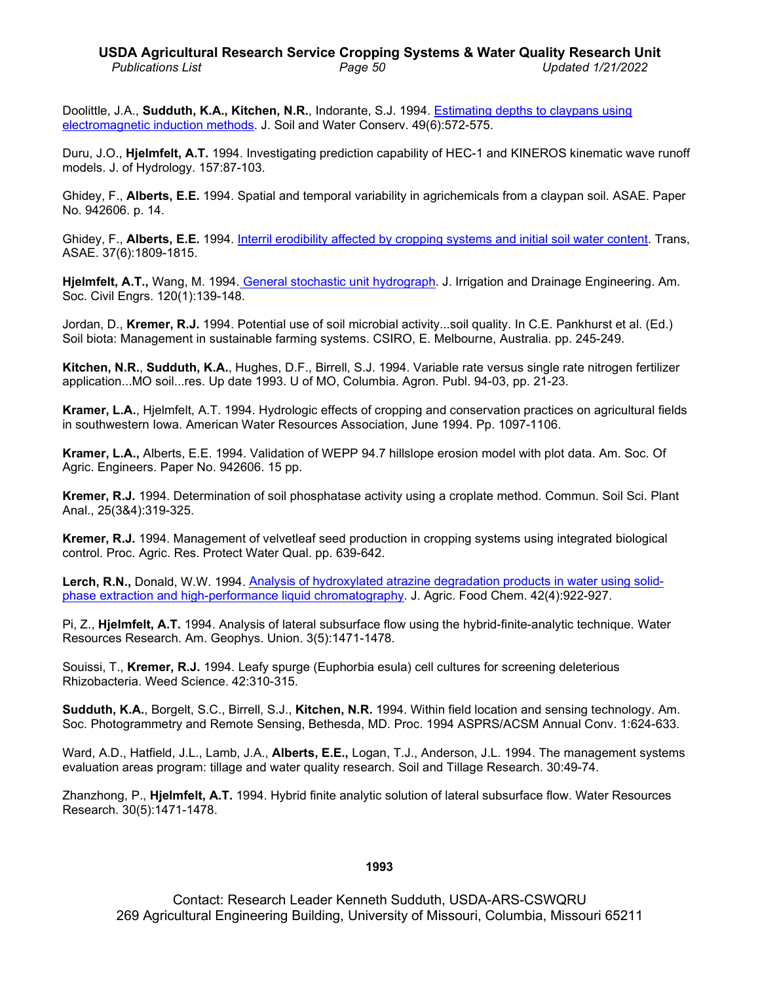# **USDA Agricultural Research Service Cropping Systems & Water Quality Research Unit** *Publications List Page 50 Updated 1/21/2022*

Doolittle, J.A., **Sudduth, K.A., Kitchen, N.R.**, Indorante, S.J. 1994. [Estimating depths to claypans using](http://www.ars.usda.gov/sp2UserFiles/Place/36221500/cswq-0270-doolittle.pdf)  [electromagnetic induction methods.](http://www.ars.usda.gov/sp2UserFiles/Place/36221500/cswq-0270-doolittle.pdf) J. Soil and Water Conserv. 49(6):572-575.

Duru, J.O., **Hjelmfelt, A.T.** 1994. Investigating prediction capability of HEC-1 and KINEROS kinematic wave runoff models. J. of Hydrology. 157:87-103.

Ghidey, F., **Alberts, E.E.** 1994. Spatial and temporal variability in agrichemicals from a claypan soil. ASAE. Paper No. 942606. p. 14.

Ghidey, F., **Alberts, E.E.** 1994. [Interril erodibility affected by cropping systems and initial soil water](http://www.ars.usda.gov/sp2UserFiles/Place/36221500/cswq-0133-ghidey.pdf) content. Trans, ASAE. 37(6):1809-1815.

**Hjelmfelt, A.T.,** Wang, M. 1994. [General stochastic unit hydrograph.](http://www.ars.usda.gov/sp2UserFiles/Place/36221500/cswq-0336-hjelmfelt.pdf) J. Irrigation and Drainage Engineering. Am. Soc. Civil Engrs. 120(1):139-148.

Jordan, D., **Kremer, R.J.** 1994. Potential use of soil microbial activity...soil quality. In C.E. Pankhurst et al. (Ed.) Soil biota: Management in sustainable farming systems. CSIRO, E. Melbourne, Australia. pp. 245-249.

**Kitchen, N.R.**, **Sudduth, K.A.**, Hughes, D.F., Birrell, S.J. 1994. Variable rate versus single rate nitrogen fertilizer application...MO soil...res. Up date 1993. U of MO, Columbia. Agron. Publ. 94-03, pp. 21-23.

**Kramer, L.A.**, Hjelmfelt, A.T. 1994. Hydrologic effects of cropping and conservation practices on agricultural fields in southwestern Iowa. American Water Resources Association, June 1994. Pp. 1097-1106.

**Kramer, L.A.,** Alberts, E.E. 1994. Validation of WEPP 94.7 hillslope erosion model with plot data. Am. Soc. Of Agric. Engineers. Paper No. 942606. 15 pp.

**Kremer, R.J.** 1994. Determination of soil phosphatase activity using a croplate method. Commun. Soil Sci. Plant Anal., 25(3&4):319-325.

**Kremer, R.J.** 1994. Management of velvetleaf seed production in cropping systems using integrated biological control. Proc. Agric. Res. Protect Water Qual. pp. 639-642.

**Lerch, R.N.,** Donald, W.W. 1994. [Analysis of hydroxylated atrazine](http://www.ars.usda.gov/sp2UserFiles/Place/36221500/cswq-0201-lerch.pdf) degradation products in water using solid[phase extraction and high-performance liquid chromatography.](http://www.ars.usda.gov/sp2UserFiles/Place/36221500/cswq-0201-lerch.pdf) J. Agric. Food Chem. 42(4):922-927.

Pi, Z., **Hjelmfelt, A.T.** 1994. Analysis of lateral subsurface flow using the hybrid-finite-analytic technique. Water Resources Research. Am. Geophys. Union. 3(5):1471-1478.

Souissi, T., **Kremer, R.J.** 1994. Leafy spurge (Euphorbia esula) cell cultures for screening deleterious Rhizobacteria. Weed Science. 42:310-315.

**Sudduth, K.A.**, Borgelt, S.C., Birrell, S.J., **Kitchen, N.R.** 1994. Within field location and sensing technology. Am. Soc. Photogrammetry and Remote Sensing, Bethesda, MD. Proc. 1994 ASPRS/ACSM Annual Conv. 1:624-633.

Ward, A.D., Hatfield, J.L., Lamb, J.A., **Alberts, E.E.,** Logan, T.J., Anderson, J.L. 1994. The management systems evaluation areas program: tillage and water quality research. Soil and Tillage Research. 30:49-74.

Zhanzhong, P., **Hjelmfelt, A.T.** 1994. Hybrid finite analytic solution of lateral subsurface flow. Water Resources Research. 30(5):1471-1478.

# **1993**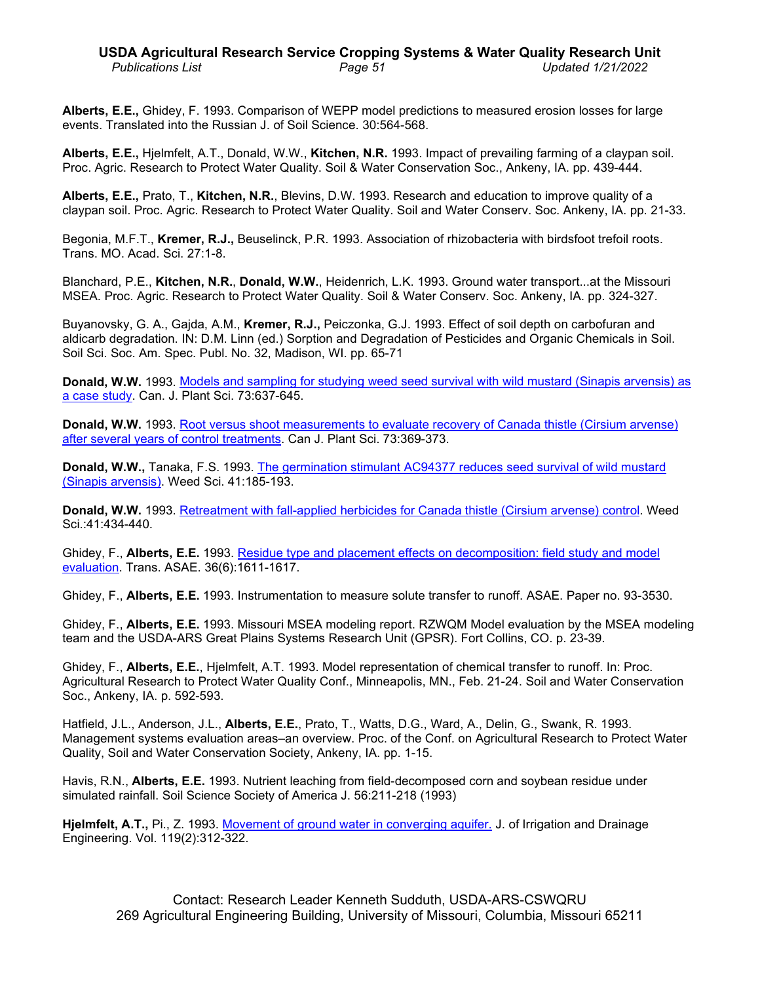# **USDA Agricultural Research Service Cropping Systems & Water Quality Research Unit** *Publications List Page 51 Updated 1/21/2022*

**Alberts, E.E.,** Ghidey, F. 1993. Comparison of WEPP model predictions to measured erosion losses for large events. Translated into the Russian J. of Soil Science. 30:564-568.

**Alberts, E.E.,** Hjelmfelt, A.T., Donald, W.W., **Kitchen, N.R.** 1993. Impact of prevailing farming of a claypan soil. Proc. Agric. Research to Protect Water Quality. Soil & Water Conservation Soc., Ankeny, IA. pp. 439-444.

**Alberts, E.E.,** Prato, T., **Kitchen, N.R.**, Blevins, D.W. 1993. Research and education to improve quality of a claypan soil. Proc. Agric. Research to Protect Water Quality. Soil and Water Conserv. Soc. Ankeny, IA. pp. 21-33.

Begonia, M.F.T., **Kremer, R.J.,** Beuselinck, P.R. 1993. Association of rhizobacteria with birdsfoot trefoil roots. Trans. MO. Acad. Sci. 27:1-8.

Blanchard, P.E., **Kitchen, N.R.**, **Donald, W.W.**, Heidenrich, L.K. 1993. Ground water transport...at the Missouri MSEA. Proc. Agric. Research to Protect Water Quality. Soil & Water Conserv. Soc. Ankeny, IA. pp. 324-327.

Buyanovsky, G. A., Gajda, A.M., **Kremer, R.J.,** Peiczonka, G.J. 1993. Effect of soil depth on carbofuran and aldicarb degradation. IN: D.M. Linn (ed.) Sorption and Degradation of Pesticides and Organic Chemicals in Soil. Soil Sci. Soc. Am. Spec. Publ. No. 32, Madison, WI. pp. 65-71

**Donald, W.W.** 1993. [Models and sampling for studying weed seed survival with wild mustard \(Sinapis arvensis\) as](http://www.ars.usda.gov/sp2UserFiles/Place/36221500/cswq-0239-donald.pdf)  [a case study.](http://www.ars.usda.gov/sp2UserFiles/Place/36221500/cswq-0239-donald.pdf) Can. J. Plant Sci. 73:637-645.

**Donald, W.W.** 1993. Root versus shoot measurements [to evaluate recovery of Canada thistle \(Cirsium](http://www.ars.usda.gov/sp2UserFiles/Place/36221500/cswq-0192-donald.pdf) arvense) [after several years of control treatments.](http://www.ars.usda.gov/sp2UserFiles/Place/36221500/cswq-0192-donald.pdf) Can J. Plant Sci. 73:369-373.

**Donald, W.W.,** Tanaka, F.S. 1993. [The germination stimulant AC94377 reduces seed survival of wild](http://www.ars.usda.gov/sp2UserFiles/Place/36221500/cswq-0254-donald.pdf) mustard [\(Sinapis arvensis\).](http://www.ars.usda.gov/sp2UserFiles/Place/36221500/cswq-0254-donald.pdf) Weed Sci. 41:185-193.

**Donald, W.W.** 1993. [Retreatment with fall-applied herbicides for Canada thistle \(Cirsium](http://www.ars.usda.gov/sp2UserFiles/Place/36221500/cswq-0194-donald.pdf) arvense) control. Weed Sci.:41:434-440.

Ghidey, F., **Alberts, E.E.** 1993. Residue [type and placement effects on decomposition: field study and model](http://www.ars.usda.gov/sp2UserFiles/Place/36221500/cswq-0265-ghidey.pdf)  [evaluation.](http://www.ars.usda.gov/sp2UserFiles/Place/36221500/cswq-0265-ghidey.pdf) Trans. ASAE. 36(6):1611-1617.

Ghidey, F., **Alberts, E.E.** 1993. Instrumentation to measure solute transfer to runoff. ASAE. Paper no. 93-3530.

Ghidey, F., **Alberts, E.E.** 1993. Missouri MSEA modeling report. RZWQM Model evaluation by the MSEA modeling team and the USDA-ARS Great Plains Systems Research Unit (GPSR). Fort Collins, CO. p. 23-39.

Ghidey, F., **Alberts, E.E.**, Hjelmfelt, A.T. 1993. Model representation of chemical transfer to runoff. In: Proc. Agricultural Research to Protect Water Quality Conf., Minneapolis, MN., Feb. 21-24. Soil and Water Conservation Soc., Ankeny, IA. p. 592-593.

Hatfield, J.L., Anderson, J.L., **Alberts, E.E.**, Prato, T., Watts, D.G., Ward, A., Delin, G., Swank, R. 1993. Management systems evaluation areas–an overview. Proc. of the Conf. on Agricultural Research to Protect Water Quality, Soil and Water Conservation Society, Ankeny, IA. pp. 1-15.

Havis, R.N., **Alberts, E.E.** 1993. Nutrient leaching from field-decomposed corn and soybean residue under simulated rainfall. Soil Science Society of America J. 56:211-218 (1993)

**Hjelmfelt, A.T.,** Pi., Z. 1993. [Movement of ground water in converging aquifer.](http://www.ars.usda.gov/sp2UserFiles/Place/36221500/cswq-0142-hjelmfelt.pdf) J. of Irrigation and Drainage Engineering. Vol. 119(2):312-322.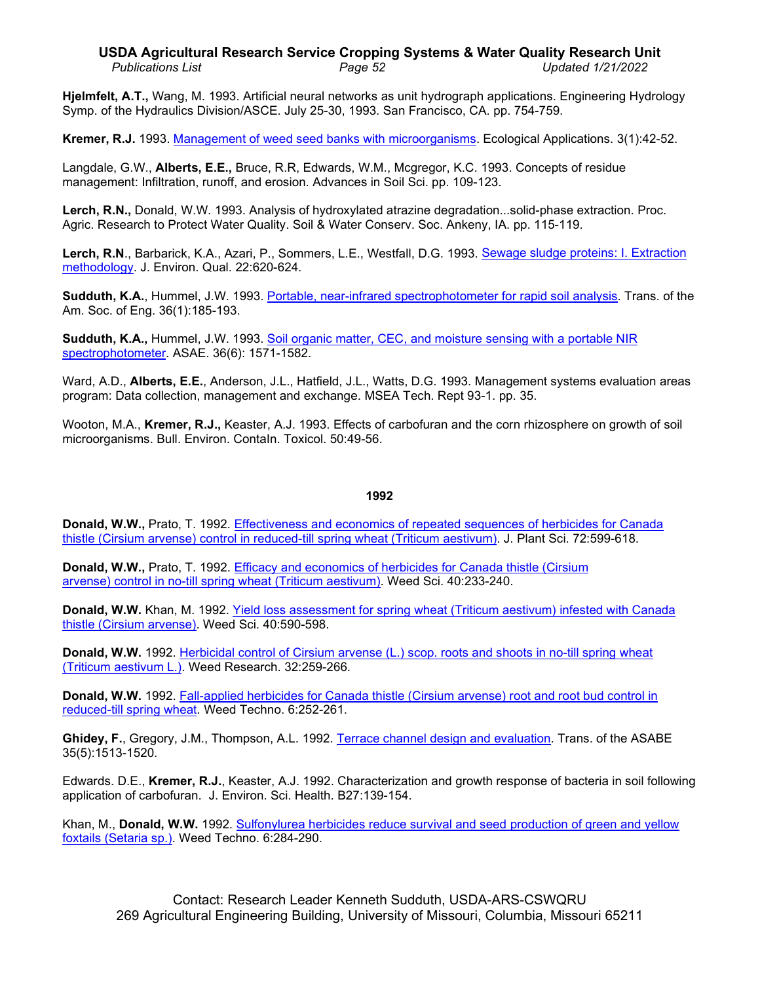### **USDA Agricultural Research Service Cropping Systems & Water Quality Research Unit** *Publications List Page 52 Updated 1/21/2022*

**Hjelmfelt, A.T.,** Wang, M. 1993. Artificial neural networks as unit hydrograph applications. Engineering Hydrology Symp. of the Hydraulics Division/ASCE. July 25-30, 1993. San Francisco, CA. pp. 754-759.

**Kremer, R.J.** 1993. Management of [weed seed banks with microorganisms.](http://www.ars.usda.gov/sp2UserFiles/Place/36221500/cswq-0202-kremer.pdf) Ecological Applications. 3(1):42-52.

Langdale, G.W., **Alberts, E.E.,** Bruce, R.R, Edwards, W.M., Mcgregor, K.C. 1993. Concepts of residue management: Infiltration, runoff, and erosion. Advances in Soil Sci. pp. 109-123.

**Lerch, R.N.,** Donald, W.W. 1993. Analysis of hydroxylated atrazine degradation...solid-phase extraction. Proc. Agric. Research to Protect Water Quality. Soil & Water Conserv. Soc. Ankeny, IA. pp. 115-119.

**Lerch, R.N**., Barbarick, K.A., Azari, P., Sommers, L.E., Westfall, D.G. 1993. [Sewage sludge proteins: I. Extraction](http://www.ars.usda.gov/sp2UserFiles/Place/36221500/cswq-0386-lerch.pdf)  [methodology.](http://www.ars.usda.gov/sp2UserFiles/Place/36221500/cswq-0386-lerch.pdf) J. Environ. Qual. 22:620-624.

**Sudduth, K.A.**, Hummel, J.W. 1993. [Portable, near-infrared spectrophotometer for rapid soil analysis.](http://www.ars.usda.gov/sp2UserFiles/Place/36221500/cswq-0183-sudduth.pdf) Trans. of the Am. Soc. of Eng. 36(1):185-193.

**Sudduth, K.A.,** Hummel, J.W. 1993. [Soil organic matter, CEC, and moisture sensing with a portable NIR](http://www.ars.usda.gov/sp2UserFiles/Place/36221500/cswq-0182-sudduth.pdf)  [spectrophotometer.](http://www.ars.usda.gov/sp2UserFiles/Place/36221500/cswq-0182-sudduth.pdf) ASAE. 36(6): 1571-1582.

Ward, A.D., **Alberts, E.E.**, Anderson, J.L., Hatfield, J.L., Watts, D.G. 1993. Management systems evaluation areas program: Data collection, management and exchange. MSEA Tech. Rept 93-1. pp. 35.

Wooton, M.A., **Kremer, R.J.,** Keaster, A.J. 1993. Effects of carbofuran and the corn rhizosphere on growth of soil microorganisms. Bull. Environ. ContaIn. Toxicol. 50:49-56.

#### **1992**

**Donald, W.W.,** Prato, T. 1992. [Effectiveness and economics of repeated sequences of herbicides for Canada](http://pubs.aic.ca/doi/pdf/10.4141/cjps92-075)  thistle (Cirsium [arvense\) control in reduced-till spring wheat \(Triticum](http://pubs.aic.ca/doi/pdf/10.4141/cjps92-075) aestivum). J. Plant Sci. 72:599-618.

**Donald, W.W.,** Prato, T. 1992. [Efficacy and economics of herbicides for Canada thistle \(Cirsium](http://www.ars.usda.gov/sp2UserFiles/Place/36221500/cswq-0252-donald.pdf) [arvense\) control in no-till spring wheat \(Triticum](http://www.ars.usda.gov/sp2UserFiles/Place/36221500/cswq-0252-donald.pdf) aestivum). Weed Sci. 40:233-240.

**Donald, W.W.** Khan, M. 1992. [Yield loss assessment for spring wheat \(Triticum](http://www.ars.usda.gov/sp2UserFiles/Place/36221500/cswq-0253-donald.pdf) aestivum) infested with Canada [thistle \(Cirsium](http://www.ars.usda.gov/sp2UserFiles/Place/36221500/cswq-0253-donald.pdf) arvense). Weed Sci. 40:590-598.

**Donald, W.W.** 1992. Herbicidal control of Cirsium arvense [\(L.\) scop. roots and shoots in no-till spring wheat](http://www.ars.usda.gov/sp2UserFiles/Place/36221500/cswq-0243-donald.pdf)  (Triticum [aestivum L.\).](http://www.ars.usda.gov/sp2UserFiles/Place/36221500/cswq-0243-donald.pdf) Weed Research. 32:259-266.

**Donald, W.W.** 1992. [Fall-applied herbicides for Canada thistle](http://www.ars.usda.gov/sp2UserFiles/Place/36221500/cswq-0261-donald.pdf) (Cirsium arvense) root and root bud control in [reduced-till spring wheat.](http://www.ars.usda.gov/sp2UserFiles/Place/36221500/cswq-0261-donald.pdf) Weed Techno. 6:252-261.

**Ghidey, F.**, Gregory, J.M., Thompson, A.L. 1992. Terrace channel [design and evaluation.](http://www.ars.usda.gov/sp2UserFiles/Place/36221500/cswq-0264-ghidey.pdf) Trans. of the ASABE 35(5):1513-1520.

Edwards. D.E., **Kremer, R.J.**, Keaster, A.J. 1992. Characterization and growth response of bacteria in soil following application of carbofuran. J. Environ. Sci. Health. B27:139-154.

Khan, M., **Donald, W.W.** 1992. [Sulfonylurea herbicides reduce survival and seed production of green and yellow](http://www.ars.usda.gov/sp2UserFiles/Place/36221500/cswq-0262-donald.pdf)  foxtails [\(Setaria sp.\).](http://www.ars.usda.gov/sp2UserFiles/Place/36221500/cswq-0262-donald.pdf) Weed Techno. 6:284-290.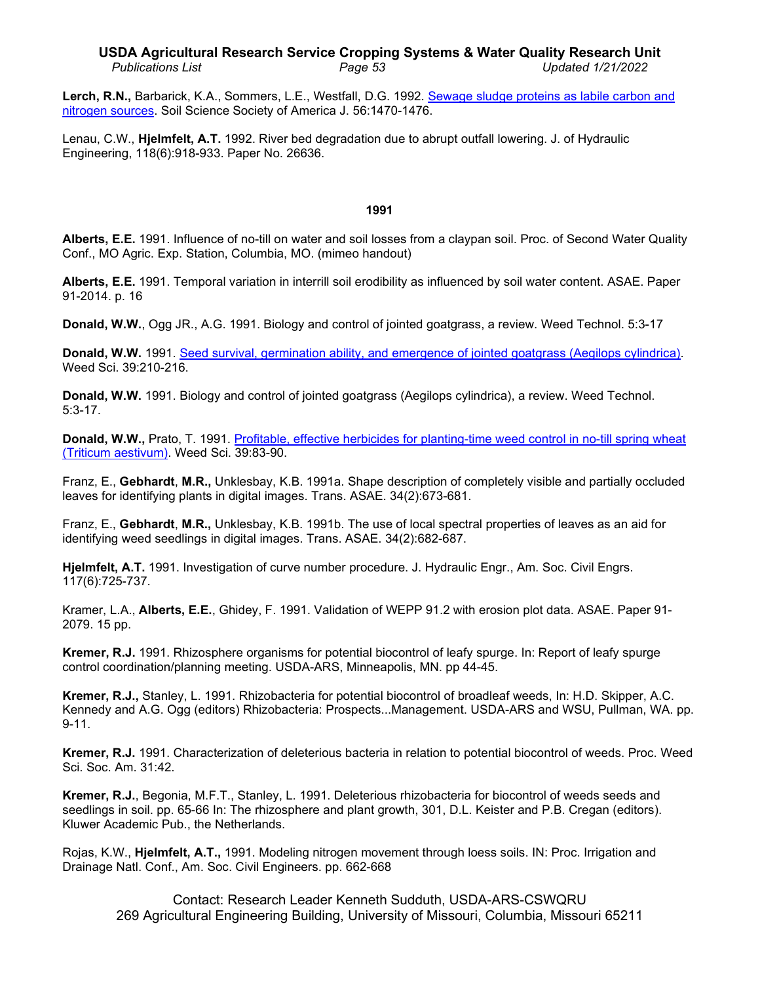### **USDA Agricultural Research Service Cropping Systems & Water Quality Research Unit** *Publications List Page 53 Updated 1/21/2022*

**Lerch, R.N.,** Barbarick, K.A., Sommers, L.E., Westfall, D.G. 1992. [Sewage sludge proteins as labile carbon and](http://www.ars.usda.gov/sp2UserFiles/Place/36221500/cswq-0200-lerch.pdf)  [nitrogen sources.](http://www.ars.usda.gov/sp2UserFiles/Place/36221500/cswq-0200-lerch.pdf) Soil Science Society of America J. 56:1470-1476.

Lenau, C.W., **Hjelmfelt, A.T.** 1992. River bed degradation due to abrupt outfall lowering. J. of Hydraulic Engineering, 118(6):918-933. Paper No. 26636.

### **1991**

**Alberts, E.E.** 1991. Influence of no-till on water and soil losses from a claypan soil. Proc. of Second Water Quality Conf., MO Agric. Exp. Station, Columbia, MO. (mimeo handout)

**Alberts, E.E.** 1991. Temporal variation in interrill soil erodibility as influenced by soil water content. ASAE. Paper 91-2014. p. 16

**Donald, W.W.**, Ogg JR., A.G. 1991. Biology and control of jointed goatgrass, a review. Weed Technol. 5:3-17

**Donald, W.W.** 1991. [Seed survival, germination ability, and emergence of jointed goatgrass \(Aegilops](http://www.ars.usda.gov/sp2UserFiles/Place/36221500/cswq-0251-donald.pdf) cylindrica). Weed Sci. 39:210-216.

**Donald, W.W.** 1991. Biology and control of jointed goatgrass (Aegilops cylindrica), a review. Weed Technol. 5:3-17.

**Donald, W.W.,** Prato, T. 1991. [Profitable, effective herbicides for planting-time weed control in no-till spring wheat](http://www.ars.usda.gov/sp2UserFiles/Place/36221500/cswq-0250-donald.pdf)  (Triticum [aestivum\).](http://www.ars.usda.gov/sp2UserFiles/Place/36221500/cswq-0250-donald.pdf) Weed Sci. 39:83-90.

Franz, E., **Gebhardt**, **M.R.,** Unklesbay, K.B. 1991a. Shape description of completely visible and partially occluded leaves for identifying plants in digital images. Trans. ASAE. 34(2):673-681.

Franz, E., **Gebhardt**, **M.R.,** Unklesbay, K.B. 1991b. The use of local spectral properties of leaves as an aid for identifying weed seedlings in digital images. Trans. ASAE. 34(2):682-687.

**Hjelmfelt, A.T.** 1991. Investigation of curve number procedure. J. Hydraulic Engr., Am. Soc. Civil Engrs. 117(6):725-737.

Kramer, L.A., **Alberts, E.E.**, Ghidey, F. 1991. Validation of WEPP 91.2 with erosion plot data. ASAE. Paper 91- 2079. 15 pp.

**Kremer, R.J.** 1991. Rhizosphere organisms for potential biocontrol of leafy spurge. In: Report of leafy spurge control coordination/planning meeting. USDA-ARS, Minneapolis, MN. pp 44-45.

**Kremer, R.J.,** Stanley, L. 1991. Rhizobacteria for potential biocontrol of broadleaf weeds, In: H.D. Skipper, A.C. Kennedy and A.G. Ogg (editors) Rhizobacteria: Prospects...Management. USDA-ARS and WSU, Pullman, WA. pp. 9-11.

**Kremer, R.J.** 1991. Characterization of deleterious bacteria in relation to potential biocontrol of weeds. Proc. Weed Sci. Soc. Am. 31:42.

**Kremer, R.J.**, Begonia, M.F.T., Stanley, L. 1991. Deleterious rhizobacteria for biocontrol of weeds seeds and seedlings in soil. pp. 65-66 In: The rhizosphere and plant growth, 301, D.L. Keister and P.B. Cregan (editors). Kluwer Academic Pub., the Netherlands.

Rojas, K.W., **Hjelmfelt, A.T.,** 1991. Modeling nitrogen movement through loess soils. IN: Proc. Irrigation and Drainage Natl. Conf., Am. Soc. Civil Engineers. pp. 662-668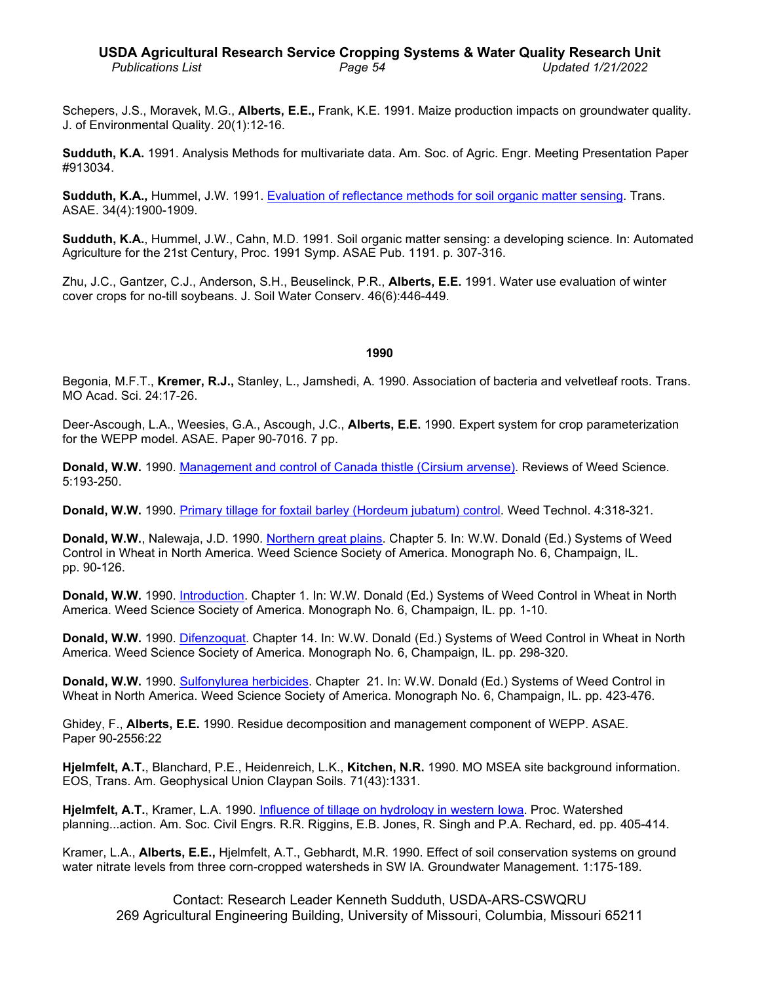Schepers, J.S., Moravek, M.G., **Alberts, E.E.,** Frank, K.E. 1991. Maize production impacts on groundwater quality. J. of Environmental Quality. 20(1):12-16.

**Sudduth, K.A.** 1991. Analysis Methods for multivariate data. Am. Soc. of Agric. Engr. Meeting Presentation Paper #913034.

**Sudduth, K.A.,** Hummel, J.W. 1991. [Evaluation of reflectance methods for soil organic matter sensing.](http://www.ars.usda.gov/sp2UserFiles/Place/36221500/cswq-0181-sudduth.pdf) Trans. ASAE. 34(4):1900-1909.

**Sudduth, K.A.**, Hummel, J.W., Cahn, M.D. 1991. Soil organic matter sensing: a developing science. In: Automated Agriculture for the 21st Century, Proc. 1991 Symp. ASAE Pub. 1191. p. 307-316.

Zhu, J.C., Gantzer, C.J., Anderson, S.H., Beuselinck, P.R., **Alberts, E.E.** 1991. Water use evaluation of winter cover crops for no-till soybeans. J. Soil Water Conserv. 46(6):446-449.

#### **1990**

Begonia, M.F.T., **Kremer, R.J.,** Stanley, L., Jamshedi, A. 1990. Association of bacteria and velvetleaf roots. Trans. MO Acad. Sci. 24:17-26.

Deer-Ascough, L.A., Weesies, G.A., Ascough, J.C., **Alberts, E.E.** 1990. Expert system for crop parameterization for the WEPP model. ASAE. Paper 90-7016. 7 pp.

**Donald, W.W.** 1990. [Management and control of Canada thistle \(Cirsium](http://www.ars.usda.gov/sp2UserFiles/Place/36221500/cswq-0241-donald.pdf) arvense). Reviews of Weed Science. 5:193-250.

**Donald, W.W.** 1990. [Primary tillage for foxtail barley \(Hordeum jubatum\) control.](http://www.ars.usda.gov/sp2UserFiles/Place/36221500/cswq-0259-donald.pdf) Weed Technol. 4:318-321.

**Donald, W.W.**, Nalewaja, J.D. 1990. [Northern great plains.](http://www.ars.usda.gov/sp2UserFiles/Place/36221500/cswq-0300-donald.pdf) Chapter 5. In: W.W. Donald (Ed.) Systems of Weed Control in Wheat in North America. Weed Science Society of America. Monograph No. 6, Champaign, IL. pp. 90-126.

**Donald, W.W.** 1990. [Introduction.](http://www.ars.usda.gov/sp2UserFiles/Place/36221500/cswq-0301-donald.pdf) Chapter 1. In: W.W. Donald (Ed.) Systems of Weed Control in Wheat in North America. Weed Science Society of America. Monograph No. 6, Champaign, IL. pp. 1-10.

**Donald, W.W.** 1990. [Difenzoquat.](http://www.ars.usda.gov/sp2UserFiles/Place/36221500/cswq-0302-donald.pdf) Chapter 14. In: W.W. Donald (Ed.) Systems of Weed Control in Wheat in North America. Weed Science Society of America. Monograph No. 6, Champaign, IL. pp. 298-320.

**Donald, W.W.** 1990. [Sulfonylurea herbicides.](http://www.ars.usda.gov/sp2UserFiles/Place/36221500/cswq-0303-donald.pdf) Chapter 21. In: W.W. Donald (Ed.) Systems of Weed Control in Wheat in North America. Weed Science Society of America. Monograph No. 6, Champaign, IL. pp. 423-476.

Ghidey, F., **Alberts, E.E.** 1990. Residue decomposition and management component of WEPP. ASAE. Paper 90-2556:22

**Hjelmfelt, A.T.**, Blanchard, P.E., Heidenreich, L.K., **Kitchen, N.R.** 1990. MO MSEA site background information. EOS, Trans. Am. Geophysical Union Claypan Soils. 71(43):1331.

**Hjelmfelt, A.T.**, Kramer, L.A. 1990. Influence of tillage [on hydrology in western Iowa.](http://www.ars.usda.gov/sp2UserFiles/Place/50701000/cswq-0379-hjelmfelt.pdf) Proc. Watershed planning...action. Am. Soc. Civil Engrs. R.R. Riggins, E.B. Jones, R. Singh and P.A. Rechard, ed. pp. 405-414.

Kramer, L.A., **Alberts, E.E.,** Hjelmfelt, A.T., Gebhardt, M.R. 1990. Effect of soil conservation systems on ground water nitrate levels from three corn-cropped watersheds in SW IA. Groundwater Management. 1:175-189.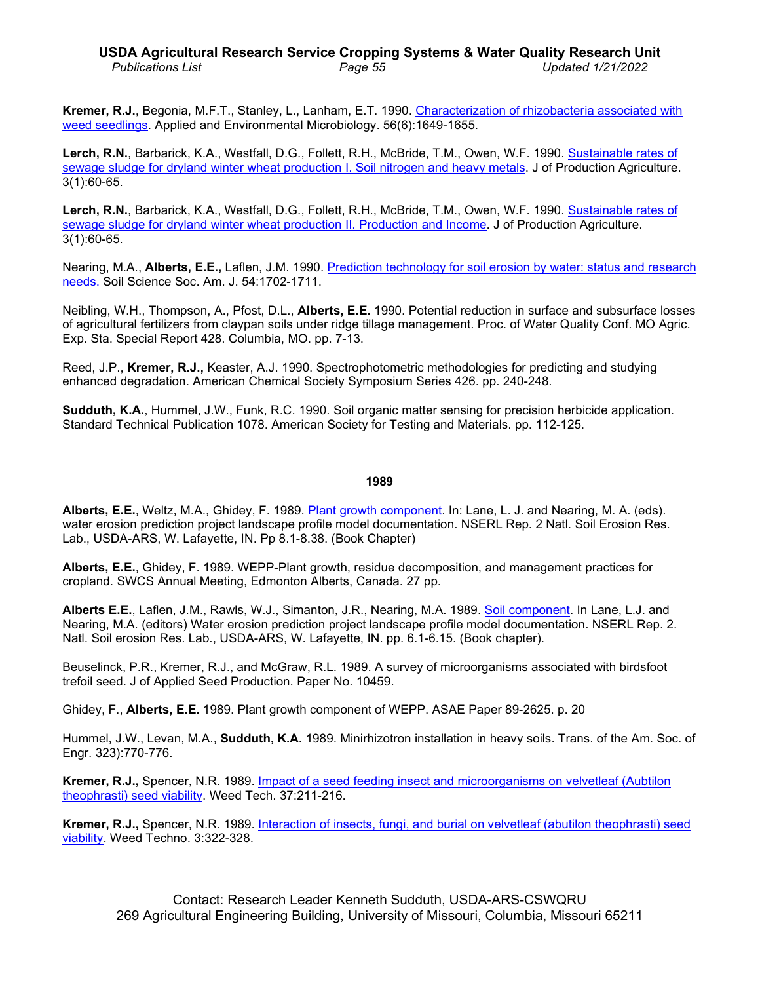# **USDA Agricultural Research Service Cropping Systems & Water Quality Research Unit** *Publications List Page 55 Updated 1/21/2022*

**Kremer, R.J.**, Begonia, M.F.T., Stanley, L., Lanham, E.T. 1990. [Characterization of rhizobacteria](http://www.ars.usda.gov/sp2UserFiles/Place/36221500/cswq-0205-kremer.pdf) associated with [weed seedlings.](http://www.ars.usda.gov/sp2UserFiles/Place/36221500/cswq-0205-kremer.pdf) Applied and Environmental Microbiology. 56(6):1649-1655.

**Lerch, R.N.**, Barbarick, K.A., Westfall, D.G., Follett, R.H., McBride, T.M., Owen, W.F. 1990. [Sustainable rates of](http://www.ars.usda.gov/sp2UserFiles/Place/36221500/cswq-0199-lerch.pdf)  [sewage sludge for dryland winter wheat production I. Soil nitrogen and heavy metals.](http://www.ars.usda.gov/sp2UserFiles/Place/36221500/cswq-0199-lerch.pdf) J of Production Agriculture. 3(1):60-65.

**Lerch, R.N.**, Barbarick, K.A., Westfall, D.G., Follett, R.H., McBride, T.M., Owen, W.F. 1990. [Sustainable rates of](http://www.ars.usda.gov/sp2UserFiles/Place/36221500/cswq-0387-lerch.pdf)  [sewage sludge for dryland winter wheat production II. Production and Income.](http://www.ars.usda.gov/sp2UserFiles/Place/36221500/cswq-0387-lerch.pdf) J of Production Agriculture. 3(1):60-65.

Nearing, M.A., **Alberts, E.E.,** Laflen, J.M. 1990. Prediction technology for [soil erosion by water: status and research](http://www.ars.usda.gov/sp2UserFiles/Place/36221500/cswq-0337-nearing.pdf)  [needs.](http://www.ars.usda.gov/sp2UserFiles/Place/36221500/cswq-0337-nearing.pdf) Soil Science Soc. Am. J. 54:1702-1711.

Neibling, W.H., Thompson, A., Pfost, D.L., **Alberts, E.E.** 1990. Potential reduction in surface and subsurface losses of agricultural fertilizers from claypan soils under ridge tillage management. Proc. of Water Quality Conf. MO Agric. Exp. Sta. Special Report 428. Columbia, MO. pp. 7-13.

Reed, J.P., **Kremer, R.J.,** Keaster, A.J. 1990. Spectrophotometric methodologies for predicting and studying enhanced degradation. American Chemical Society Symposium Series 426. pp. 240-248.

**Sudduth, K.A.**, Hummel, J.W., Funk, R.C. 1990. Soil organic matter sensing for precision herbicide application. Standard Technical Publication 1078. American Society for Testing and Materials. pp. 112-125.

#### **1989**

**Alberts, E.E.**, Weltz, M.A., Ghidey, F. 1989. [Plant growth component.](http://www.ars.usda.gov/sp2UserFiles/Place/50701000/cswq-0389-alberts.pdf) In: Lane, L. J. and Nearing, M. A. (eds). water erosion prediction project landscape profile model documentation. NSERL Rep. 2 Natl. Soil Erosion Res. Lab., USDA-ARS, W. Lafayette, IN. Pp 8.1-8.38. (Book Chapter)

**Alberts, E.E.**, Ghidey, F. 1989. WEPP-Plant growth, residue decomposition, and management practices for cropland. SWCS Annual Meeting, Edmonton Alberts, Canada. 27 pp.

**Alberts E.E.**, Laflen, J.M., Rawls, W.J., Simanton, J.R., Nearing, M.A. 1989. [Soil component.](http://www.ars.usda.gov/sp2UserFiles/Place/50701000/0388_Alberts.pdf) In Lane, L.J. and Nearing, M.A. (editors) Water erosion prediction project landscape profile model documentation. NSERL Rep. 2. Natl. Soil erosion Res. Lab., USDA-ARS, W. Lafayette, IN. pp. 6.1-6.15. (Book chapter).

Beuselinck, P.R., Kremer, R.J., and McGraw, R.L. 1989. A survey of microorganisms associated with birdsfoot trefoil seed. J of Applied Seed Production. Paper No. 10459.

Ghidey, F., **Alberts, E.E.** 1989. Plant growth component of WEPP. ASAE Paper 89-2625. p. 20

Hummel, J.W., Levan, M.A., **Sudduth, K.A.** 1989. Minirhizotron installation in heavy soils. Trans. of the Am. Soc. of Engr. 323):770-776.

**Kremer, R.J.,** Spencer, N.R. 1989. [Impact of a seed feeding insect and microorganisms](http://www.ars.usda.gov/sp2UserFiles/Place/36221500/cswq-0203-kremer.pdf) on velvetleaf (Aubtilon [theophrasti\) seed viability.](http://www.ars.usda.gov/sp2UserFiles/Place/36221500/cswq-0203-kremer.pdf) Weed Tech. 37:211-216.

**Kremer, R.J.,** Spencer, N.R. 1989. [Interaction of insects, fungi, and burial on velvetleaf \(abutilon](http://www.ars.usda.gov/sp2UserFiles/Place/36221500/cswq-0204-kremer.pdf) theophrasti) seed [viability.](http://www.ars.usda.gov/sp2UserFiles/Place/36221500/cswq-0204-kremer.pdf) Weed Techno. 3:322-328.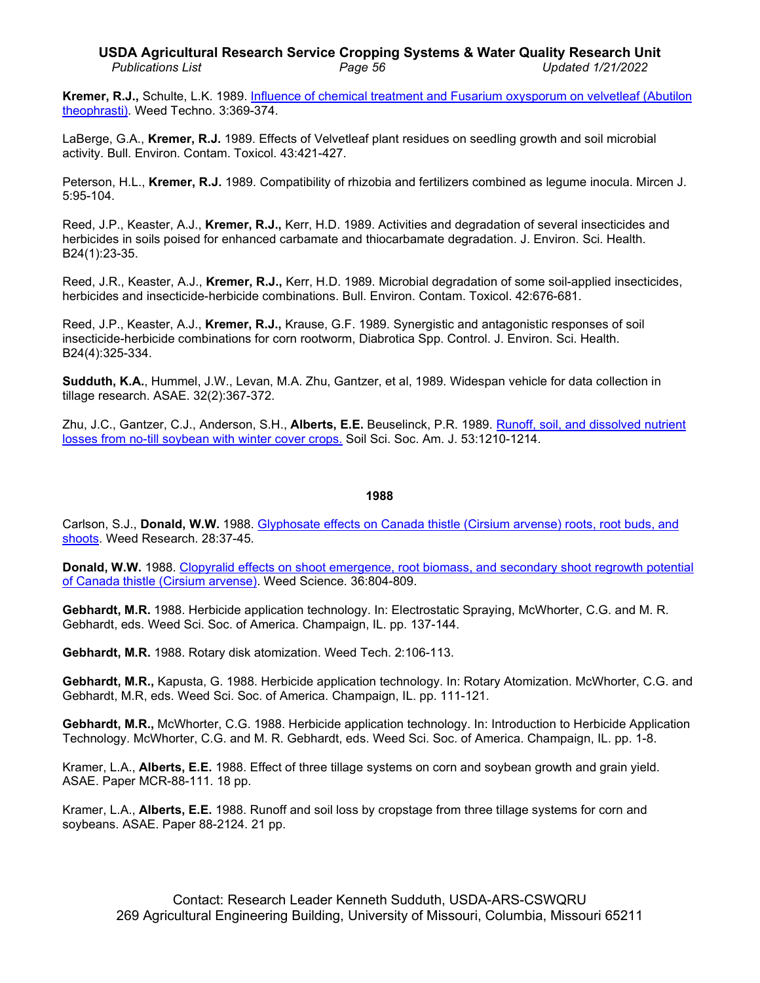# **USDA Agricultural Research Service Cropping Systems & Water Quality Research Unit** *Publications List Page 56 Updated 1/21/2022*

**Kremer, R.J.,** Schulte, L.K. 1989. Influence of [chemical treatment and Fusarium oxysporum on](http://www.ars.usda.gov/sp2UserFiles/Place/36221500/cswq-0209-kremer.pdf) velvetleaf (Abutilon [theophrasti\).](http://www.ars.usda.gov/sp2UserFiles/Place/36221500/cswq-0209-kremer.pdf) Weed Techno. 3:369-374.

LaBerge, G.A., **Kremer, R.J.** 1989. Effects of Velvetleaf plant residues on seedling growth and soil microbial activity. Bull. Environ. Contam. Toxicol. 43:421-427.

Peterson, H.L., **Kremer, R.J.** 1989. Compatibility of rhizobia and fertilizers combined as legume inocula. Mircen J. 5:95-104.

Reed, J.P., Keaster, A.J., **Kremer, R.J.,** Kerr, H.D. 1989. Activities and degradation of several insecticides and herbicides in soils poised for enhanced carbamate and thiocarbamate degradation. J. Environ. Sci. Health. B24(1):23-35.

Reed, J.R., Keaster, A.J., **Kremer, R.J.,** Kerr, H.D. 1989. Microbial degradation of some soil-applied insecticides, herbicides and insecticide-herbicide combinations. Bull. Environ. Contam. Toxicol. 42:676-681.

Reed, J.P., Keaster, A.J., **Kremer, R.J.,** Krause, G.F. 1989. Synergistic and antagonistic responses of soil insecticide-herbicide combinations for corn rootworm, Diabrotica Spp. Control. J. Environ. Sci. Health. B24(4):325-334.

**Sudduth, K.A.**, Hummel, J.W., Levan, M.A. Zhu, Gantzer, et al, 1989. Widespan vehicle for data collection in tillage research. ASAE. 32(2):367-372.

Zhu, J.C., Gantzer, C.J., Anderson, S.H., **Alberts, E.E.** Beuselinck, P.R. 1989. [Runoff, soil, and dissolved nutrient](http://www.ars.usda.gov/sp2UserFiles/Place/36221500/cswq-t5680-zhu.pdf) [losses from no-till soybean with winter cover crops.](http://www.ars.usda.gov/sp2UserFiles/Place/36221500/cswq-t5680-zhu.pdf) Soil Sci. Soc. Am. J. 53:1210-1214.

#### **1988**

Carlson, S.J., **Donald, W.W.** 1988. [Glyphosate effects on Canada thistle \(Cirsium](http://www.ars.usda.gov/sp2UserFiles/Place/36221500/cswq-0242-donald.pdf) arvense) roots, root buds, and [shoots.](http://www.ars.usda.gov/sp2UserFiles/Place/36221500/cswq-0242-donald.pdf) Weed Research. 28:37-45.

**Donald, W.W.** 1988. [Clopyralid effects on shoot emergence, root biomass, and secondary shoot regrowth potential](http://www.ars.usda.gov/sp2UserFiles/Place/36221500/cswq-0249-donald.pdf)  [of Canada thistle \(Cirsium](http://www.ars.usda.gov/sp2UserFiles/Place/36221500/cswq-0249-donald.pdf) arvense). Weed Science. 36:804-809.

**Gebhardt, M.R.** 1988. Herbicide application technology. In: Electrostatic Spraying, McWhorter, C.G. and M. R. Gebhardt, eds. Weed Sci. Soc. of America. Champaign, IL. pp. 137-144.

**Gebhardt, M.R.** 1988. Rotary disk atomization. Weed Tech. 2:106-113.

**Gebhardt, M.R.,** Kapusta, G. 1988. Herbicide application technology. In: Rotary Atomization. McWhorter, C.G. and Gebhardt, M.R, eds. Weed Sci. Soc. of America. Champaign, IL. pp. 111-121.

**Gebhardt, M.R.,** McWhorter, C.G. 1988. Herbicide application technology. In: Introduction to Herbicide Application Technology. McWhorter, C.G. and M. R. Gebhardt, eds. Weed Sci. Soc. of America. Champaign, IL. pp. 1-8.

Kramer, L.A., **Alberts, E.E.** 1988. Effect of three tillage systems on corn and soybean growth and grain yield. ASAE. Paper MCR-88-111. 18 pp.

Kramer, L.A., **Alberts, E.E.** 1988. Runoff and soil loss by cropstage from three tillage systems for corn and soybeans. ASAE. Paper 88-2124. 21 pp.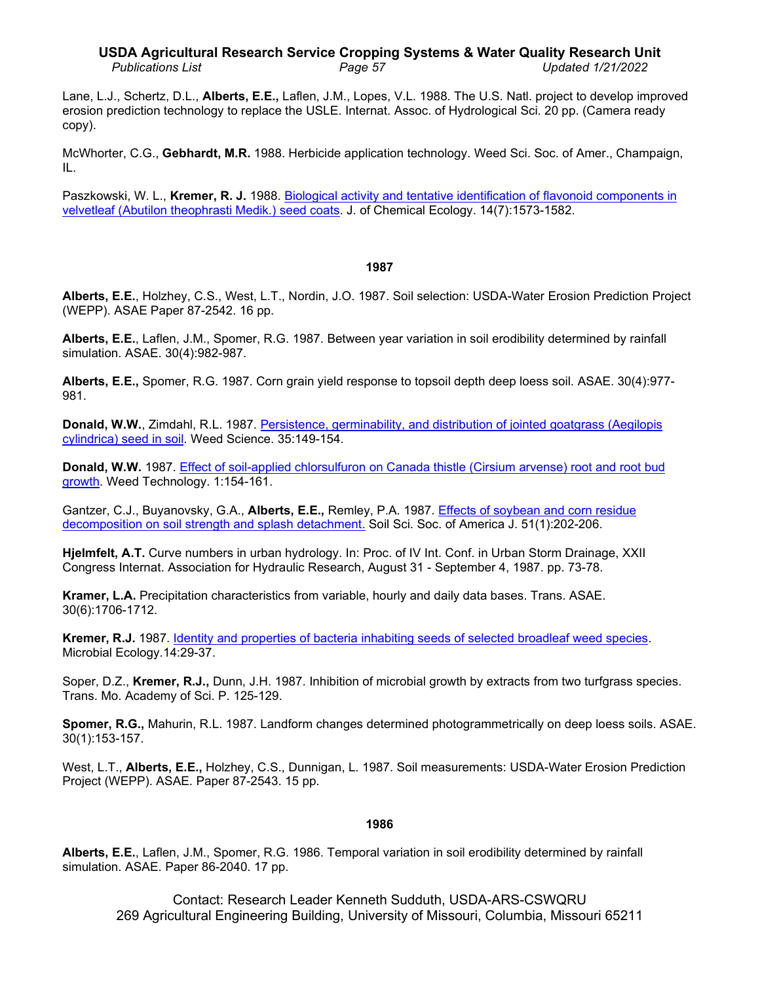### **USDA Agricultural Research Service Cropping Systems & Water Quality Research Unit** *Publications List Page 57 Updated 1/21/2022*

Lane, L.J., Schertz, D.L., **Alberts, E.E.,** Laflen, J.M., Lopes, V.L. 1988. The U.S. Natl. project to develop improved erosion prediction technology to replace the USLE. Internat. Assoc. of Hydrological Sci. 20 pp. (Camera ready copy).

McWhorter, C.G., **Gebhardt, M.R.** 1988. Herbicide application technology. Weed Sci. Soc. of Amer., Champaign, IL.

Paszkowski, W. L., **Kremer, R. J.** 1988. [Biological activity and tentative identification of flavonoid components in](http://dx.doi.org/10.1007/BF01012523)  [velvetleaf \(Abutilon theophrasti Medik.\) seed coats.](http://dx.doi.org/10.1007/BF01012523) J. of Chemical Ecology. 14(7):1573-1582.

### **1987**

**Alberts, E.E.**, Holzhey, C.S., West, L.T., Nordin, J.O. 1987. Soil selection: USDA-Water Erosion Prediction Project (WEPP). ASAE Paper 87-2542. 16 pp.

**Alberts, E.E.**, Laflen, J.M., Spomer, R.G. 1987. Between year variation in soil erodibility determined by rainfall simulation. ASAE. 30(4):982-987.

**Alberts, E.E.,** Spomer, R.G. 1987. Corn grain yield response to topsoil depth deep loess soil. ASAE. 30(4):977- 981.

**Donald, W.W.**, Zimdahl, R.L. 1987. Persistence, germinability, and distribution of jointed goatgrass (Aegilopis [cylindrica\) seed in soil.](http://www.ars.usda.gov/sp2UserFiles/Place/36221500/cswq-0248-donald.pdf) Weed Science. 35:149-154.

**Donald, W.W.** 1987. [Effect of soil-applied chlorsulfuron on Canada](http://www.ars.usda.gov/sp2UserFiles/Place/36221500/cswq-0256-donald.pdf) thistle (Cirsium arvense) root and root bud [growth.](http://www.ars.usda.gov/sp2UserFiles/Place/36221500/cswq-0256-donald.pdf) Weed Technology. 1:154-161.

Gantzer, C.J., Buyanovsky, G.A., **Alberts, E.E.,** Remley, P.A. 1987. [Effects of soybean and corn residue](http://www.ars.usda.gov/sp2UserFiles/Place/36221500/cswq-0338-gantzer.pdf) [decomposition on soil strength and splash detachment.](http://www.ars.usda.gov/sp2UserFiles/Place/36221500/cswq-0338-gantzer.pdf) Soil Sci. Soc. of America J. 51(1):202-206.

**Hjelmfelt, A.T.** Curve numbers in urban hydrology. In: Proc. of IV Int. Conf. in Urban Storm Drainage, XXII Congress Internat. Association for Hydraulic Research, August 31 - September 4, 1987. pp. 73-78.

**Kramer, L.A.** Precipitation characteristics from variable, hourly and daily data bases. Trans. ASAE. 30(6):1706-1712.

**Kremer, R.J.** 1987. [Identity and properties of bacteria inhabiting seeds of selected broadleaf weed species.](http://www.ars.usda.gov/sp2UserFiles/Place/36221500/cswq-0206-kremer.pdf) Microbial Ecology.14:29-37.

Soper, D.Z., **Kremer, R.J.,** Dunn, J.H. 1987. Inhibition of microbial growth by extracts from two turfgrass species. Trans. Mo. Academy of Sci. P. 125-129.

**Spomer, R.G.,** Mahurin, R.L. 1987. Landform changes determined photogrammetrically on deep loess soils. ASAE. 30(1):153-157.

West, L.T., **Alberts, E.E.,** Holzhey, C.S., Dunnigan, L. 1987. Soil measurements: USDA-Water Erosion Prediction Project (WEPP). ASAE. Paper 87-2543. 15 pp.

### **1986**

**Alberts, E.E.**, Laflen, J.M., Spomer, R.G. 1986. Temporal variation in soil erodibility determined by rainfall simulation. ASAE. Paper 86-2040. 17 pp.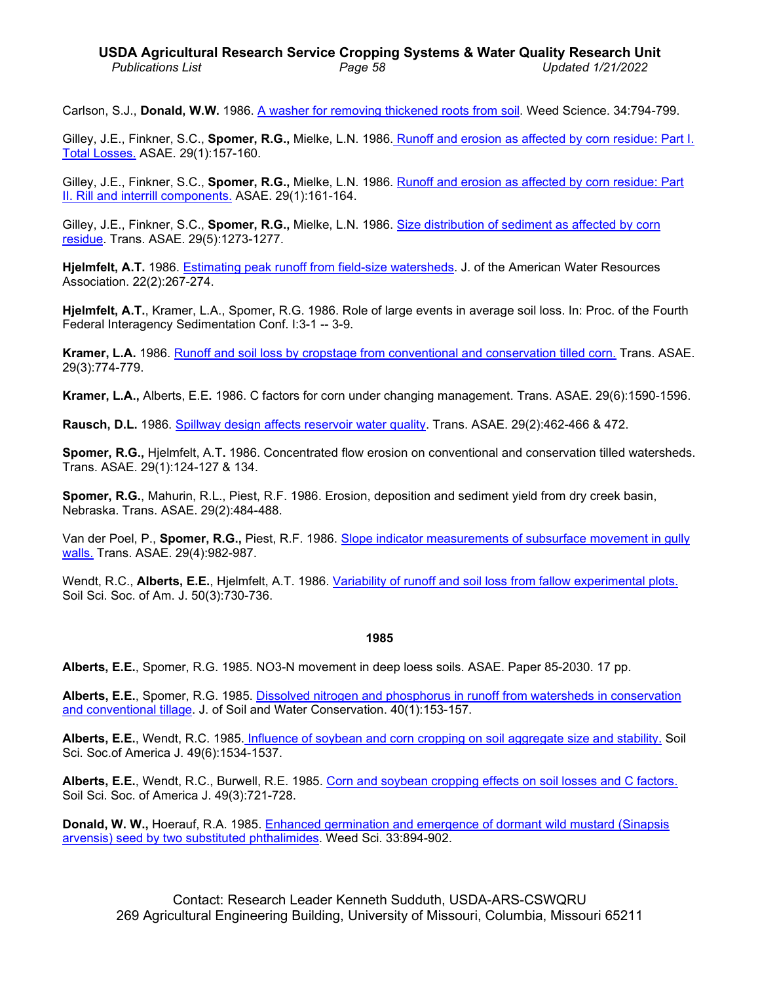Carlson, S.J., **Donald, W.W.** 1986. [A washer for removing thickened roots from soil.](http://www.ars.usda.gov/sp2UserFiles/Place/36221500/cswq-0247-donald.pdf) Weed Science. 34:794-799.

Gilley, J.E., Finkner, S.C., **Spomer, R.G.,** Mielke, L.N. 1986. [Runoff and erosion as affected by corn residue: Part I.](http://www.ars.usda.gov/sp2UserFiles/Place/36221500/cswq-t6489-gilley.pdf)  [Total Losses.](http://www.ars.usda.gov/sp2UserFiles/Place/36221500/cswq-t6489-gilley.pdf) ASAE. 29(1):157-160.

Gilley, J.E., Finkner, S.C., **Spomer, R.G.,** Mielke, L.N. 1986. Runoff and erosion [as affected by corn residue: Part](http://www.ars.usda.gov/sp2UserFiles/Place/36221500/cswq-t6482-gilley.pdf)  [II. Rill and interrill components.](http://www.ars.usda.gov/sp2UserFiles/Place/36221500/cswq-t6482-gilley.pdf) ASAE. 29(1):161-164.

Gilley, J.E., Finkner, S.C., **Spomer, R.G.,** Mielke, L.N. 1986. [Size distribution of sediment as affected by corn](http://digitalcommons.unl.edu/cgi/viewcontent.cgi?article=1123&context=biosysengfacpub)  [residue.](http://digitalcommons.unl.edu/cgi/viewcontent.cgi?article=1123&context=biosysengfacpub) Trans. ASAE. 29(5):1273-1277.

**Hjelmfelt, A.T.** 1986. [Estimating peak runoff from field-size watersheds.](http://dx.doi.org/10.1111/j.1752-1688.1986.tb01883.x) J. of the American Water Resources Association. 22(2):267-274.

**Hjelmfelt, A.T.**, Kramer, L.A., Spomer, R.G. 1986. Role of large events in average soil loss. In: Proc. of the Fourth Federal Interagency Sedimentation Conf. I:3-1 -- 3-9.

**Kramer, L.A.** 1986. [Runoff and soil loss by cropstage from conventional and conservation tilled corn.](http://www.ars.usda.gov/sp2UserFiles/Place/36221500/cswq-t1517-kramer.pdf) Trans. ASAE. 29(3):774-779.

**Kramer, L.A.,** Alberts, E.E**.** 1986. C factors for corn under changing management. Trans. ASAE. 29(6):1590-1596.

**Rausch, D.L.** 1986. [Spillway design affects reservoir water quality.](http://dx.doi.org/10.13031/2013.30173) Trans. ASAE. 29(2):462-466 & 472.

**Spomer, R.G.,** Hjelmfelt, A.T**.** 1986. Concentrated flow erosion on conventional and conservation tilled watersheds. Trans. ASAE. 29(1):124-127 & 134.

**Spomer, R.G.**, Mahurin, R.L., Piest, R.F. 1986. Erosion, deposition and sediment yield from dry creek basin, Nebraska. Trans. ASAE. 29(2):484-488.

Van der Poel, P., **Spomer, R.G.,** Piest, R.F. 1986. [Slope indicator measurements of subsurface](http://www.ars.usda.gov/sp2UserFiles/Place/36221500/cswq-t1109-vanderpoel.pdf) movement in gully [walls.](http://www.ars.usda.gov/sp2UserFiles/Place/36221500/cswq-t1109-vanderpoel.pdf) Trans. ASAE. 29(4):982-987.

Wendt, R.C., **Alberts, E.E.**, Hjelmfelt, A.T. 1986. [Variability of runoff and soil loss from fallow](http://www.ars.usda.gov/sp2UserFiles/Place/36221500/cswq-0339-wendt.pdf) experimental plots. Soil Sci. Soc. of Am. J. 50(3):730-736.

### **1985**

**Alberts, E.E.**, Spomer, R.G. 1985. NO3-N movement in deep loess soils. ASAE. Paper 85-2030. 17 pp.

**Alberts, E.E.**, Spomer, R.G. 1985. Dissolved nitrogen and [phosphorus in runoff from watersheds in conservation](http://www.jswconline.org/content/40/1/153.abstract)  and [conventional](http://www.jswconline.org/content/40/1/153.abstract) tillage. J. of Soil and Water Conservation. 40(1):153-157.

**Alberts, E.E.**, Wendt, R.C. 1985. [Influence of soybean and corn cropping on soil aggregate size and stability.](http://www.ars.usda.gov/sp2UserFiles/Place/36221500/cswq-0340-alberts.pdf) Soil Sci. Soc.of America J. 49(6):1534-1537.

**Alberts, E.E.**, Wendt, R.C., Burwell, R.E. 1985. [Corn and soybean cropping effects on soil losses and C factors.](http://www.ars.usda.gov/sp2UserFiles/Place/36221500/cswq-t5595-alberts.pdf) Soil Sci. Soc. of America J. 49(3):721-728.

**Donald, W. W.,** Hoerauf, R.A. 1985. [Enhanced germination and emergence of](http://www.jstor.org/stable/4044117) dormant wild mustard (Sinapsis [arvensis\) seed by two substituted phthalimides.](http://www.jstor.org/stable/4044117) Weed Sci. 33:894-902.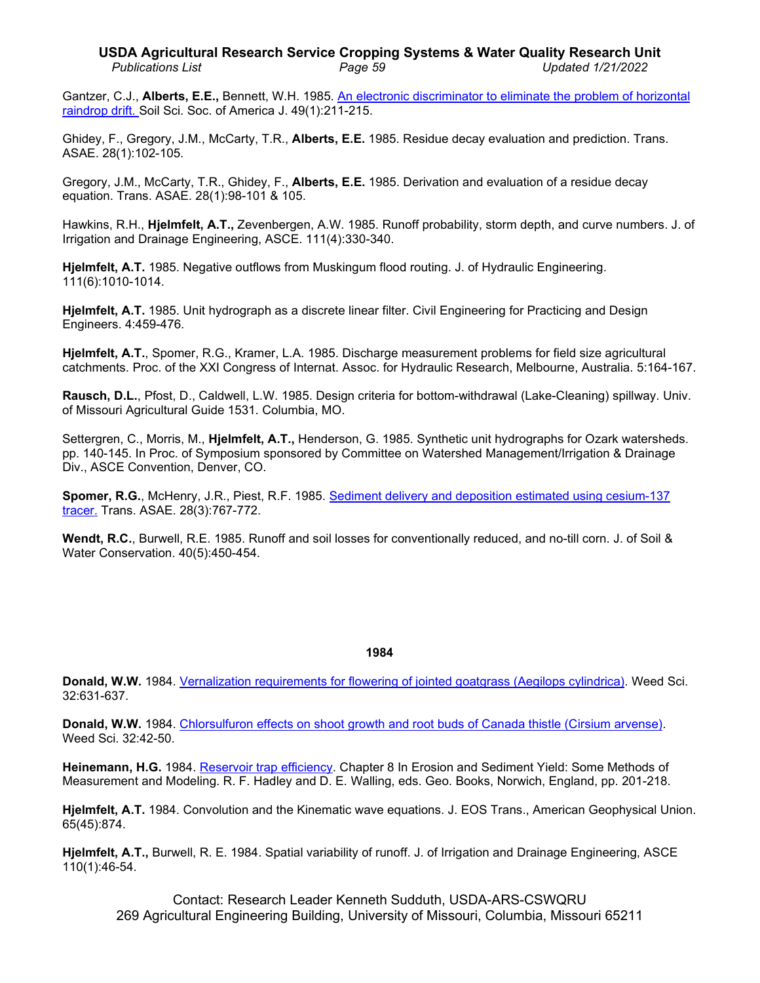Gantzer, C.J., **Alberts, E.E.,** Bennett, W.H. 1985. An electronic discriminator [to eliminate the problem of horizontal](http://www.ars.usda.gov/sp2UserFiles/Place/36221500/cswq-t5780-gantzer.pdf)  [raindrop drift. S](http://www.ars.usda.gov/sp2UserFiles/Place/36221500/cswq-t5780-gantzer.pdf)oil Sci. Soc. of America J. 49(1):211-215.

Ghidey, F., Gregory, J.M., McCarty, T.R., **Alberts, E.E.** 1985. Residue decay evaluation and prediction. Trans. ASAE. 28(1):102-105.

Gregory, J.M., McCarty, T.R., Ghidey, F., **Alberts, E.E.** 1985. Derivation and evaluation of a residue decay equation. Trans. ASAE. 28(1):98-101 & 105.

Hawkins, R.H., **Hjelmfelt, A.T.,** Zevenbergen, A.W. 1985. Runoff probability, storm depth, and curve numbers. J. of Irrigation and Drainage Engineering, ASCE. 111(4):330-340.

**Hjelmfelt, A.T.** 1985. Negative outflows from Muskingum flood routing. J. of Hydraulic Engineering. 111(6):1010-1014.

**Hjelmfelt, A.T.** 1985. Unit hydrograph as a discrete linear filter. Civil Engineering for Practicing and Design Engineers. 4:459-476.

**Hjelmfelt, A.T.**, Spomer, R.G., Kramer, L.A. 1985. Discharge measurement problems for field size agricultural catchments. Proc. of the XXI Congress of Internat. Assoc. for Hydraulic Research, Melbourne, Australia. 5:164-167.

**Rausch, D.L.**, Pfost, D., Caldwell, L.W. 1985. Design criteria for bottom-withdrawal (Lake-Cleaning) spillway. Univ. of Missouri Agricultural Guide 1531. Columbia, MO.

Settergren, C., Morris, M., **Hjelmfelt, A.T.,** Henderson, G. 1985. Synthetic unit hydrographs for Ozark watersheds. pp. 140-145. In Proc. of Symposium sponsored by Committee on Watershed Management/Irrigation & Drainage Div., ASCE Convention, Denver, CO.

**Spomer, R.G.**, McHenry, J.R., Piest, R.F. 1985. [Sediment delivery and deposition estimated using cesium-137](http://www.ars.usda.gov/sp2UserFiles/Place/36221500/cswq-t5216-piest.pdf)  [tracer.](http://www.ars.usda.gov/sp2UserFiles/Place/36221500/cswq-t5216-piest.pdf) Trans. ASAE. 28(3):767-772.

**Wendt, R.C.**, Burwell, R.E. 1985. Runoff and soil losses for conventionally reduced, and no-till corn. J. of Soil & Water Conservation. 40(5):450-454.

#### **1984**

**Donald, W.W.** 1984. [Vernalization requirements for flowering of jointed goatgrass \(Aegilops cylindrica\).](http://www.ars.usda.gov/sp2UserFiles/Place/36221500/cswq-0245-donald.pdf) Weed Sci. 32:631-637.

**Donald, W.W.** 1984. [Chlorsulfuron effects on shoot growth and root buds of Canada thistle \(Cirsium](http://www.ars.usda.gov/sp2UserFiles/Place/36221500/cswq-0244-donald.pdf) arvense). Weed Sci. 32:42-50.

**Heinemann, H.G.** 1984. [Reservoir trap efficiency.](http://www.ars.usda.gov/sp2UserFiles/Place/50701000/cswq-t5317-heinemann.pdf) Chapter 8 In Erosion and Sediment Yield: Some Methods of Measurement and Modeling. R. F. Hadley and D. E. Walling, eds. Geo. Books, Norwich, England, pp. 201-218.

**Hjelmfelt, A.T.** 1984. Convolution and the Kinematic wave equations. J. EOS Trans., American Geophysical Union. 65(45):874.

**Hjelmfelt, A.T.,** Burwell, R. E. 1984. Spatial variability of runoff. J. of Irrigation and Drainage Engineering, ASCE 110(1):46-54.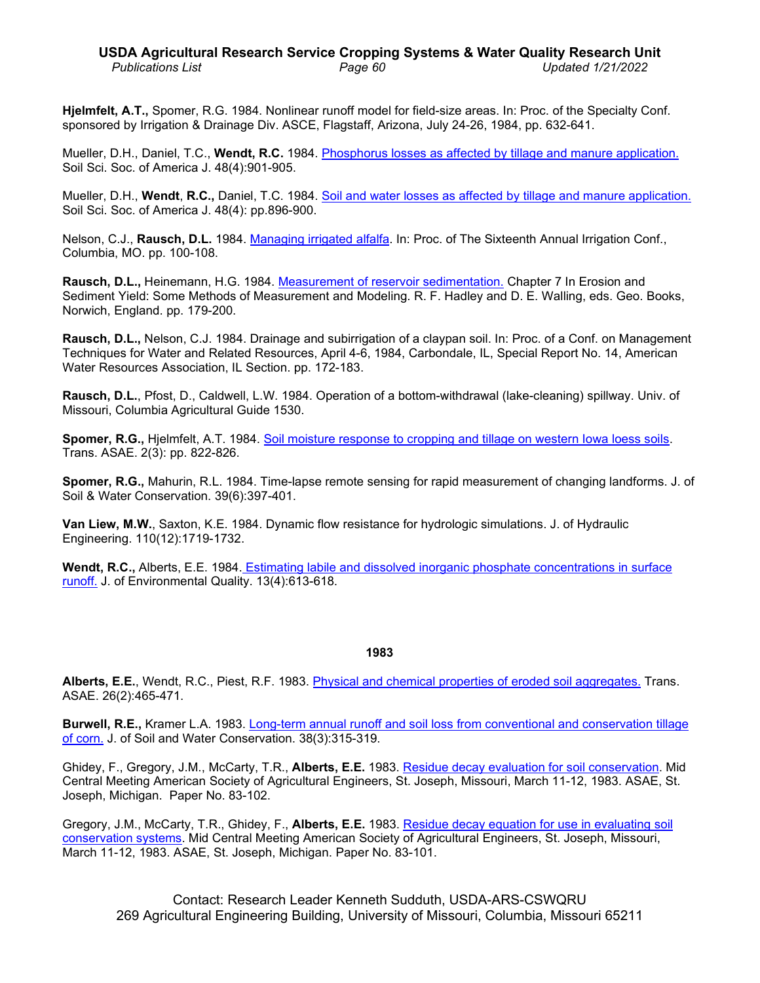**Hjelmfelt, A.T.,** Spomer, R.G. 1984. Nonlinear runoff model for field-size areas. In: Proc. of the Specialty Conf. sponsored by Irrigation & Drainage Div. ASCE, Flagstaff, Arizona, July 24-26, 1984, pp. 632-641.

Mueller, D.H., Daniel, T.C., **Wendt, R.C.** 1984. Phosphorus losses [as affected by tillage and manure application.](http://www.ars.usda.gov/sp2UserFiles/Place/36221500/cswq-t5491-mueller.pdf) Soil Sci. Soc. of America J. 48(4):901-905.

Mueller, D.H., **Wendt**, **R.C.,** Daniel, T.C. 1984. [Soil and water losses as affected by tillage and manure application.](http://www.ars.usda.gov/sp2UserFiles/Place/36221500/cswq-t5491-2-mueller.pdf)  Soil Sci. Soc. of America J. 48(4): pp.896-900.

Nelson, C.J., **Rausch, D.L.** 1984. [Managing irrigated alfalfa.](http://www.ars.usda.gov/sp2UserFiles/Place/36221500/cswq-t5539-nelson.pdf) In: Proc. of The Sixteenth Annual Irrigation Conf., Columbia, MO. pp. 100-108.

**Rausch, D.L.,** Heinemann, H.G. 1984. [Measurement of reservoir sedimentation.](http://www.ars.usda.gov/sp2UserFiles/Place/36221500/cswq-t5318-rausch.pdf) Chapter 7 In Erosion and Sediment Yield: Some Methods of Measurement and Modeling. R. F. Hadley and D. E. Walling, eds. Geo. Books, Norwich, England. pp. 179-200.

**Rausch, D.L.,** Nelson, C.J. 1984. Drainage and subirrigation of a claypan soil. In: Proc. of a Conf. on Management Techniques for Water and Related Resources, April 4-6, 1984, Carbondale, IL, Special Report No. 14, American Water Resources Association, IL Section. pp. 172-183.

**Rausch, D.L.**, Pfost, D., Caldwell, L.W. 1984. Operation of a bottom-withdrawal (lake-cleaning) spillway. Univ. of Missouri, Columbia Agricultural Guide 1530.

**Spomer, R.G.,** Hjelmfelt, A.T. 1984. [Soil moisture response to cropping and tillage on western Iowa loess soils.](http://dx.doi.org/10.13031/2013.32878) Trans. ASAE. 2(3): pp. 822-826.

**Spomer, R.G.,** Mahurin, R.L. 1984. Time-lapse remote sensing for rapid measurement of changing landforms. J. of Soil & Water Conservation. 39(6):397-401.

**Van Liew, M.W.**, Saxton, K.E. 1984. Dynamic flow resistance for hydrologic simulations. J. of Hydraulic Engineering. 110(12):1719-1732.

**Wendt, R.C.,** Alberts, E.E. 1984. [Estimating labile and dissolved inorganic phosphate concentrations](http://www.ars.usda.gov/sp2UserFiles/Place/36221500/cswq-t5503-wendt.pdf) in surface [runoff.](http://www.ars.usda.gov/sp2UserFiles/Place/36221500/cswq-t5503-wendt.pdf) J. of Environmental Quality. 13(4):613-618.

#### **1983**

**Alberts, E.E.**, Wendt, R.C., Piest, R.F. 1983. [Physical and chemical properties of eroded soil](http://www.ars.usda.gov/sp2UserFiles/Place/36221500/cswq-t5380-alberts.pdf) aggregates. Trans. ASAE. 26(2):465-471.

**Burwell, R.E.,** Kramer L.A. 1983. [Long-term annual runoff and soil loss from conventional and](http://www.ars.usda.gov/sp2UserFiles/Place/36221500/cswq-t5556-burwell.pdf) conservation tillage [of corn.](http://www.ars.usda.gov/sp2UserFiles/Place/36221500/cswq-t5556-burwell.pdf) J. of Soil and Water Conservation. 38(3):315-319.

Ghidey, F., Gregory, J.M., McCarty, T.R., **Alberts, E.E.** 1983. [Residue decay evaluation for soil](http://www.ars.usda.gov/sp2UserFiles/Place/36221500/cswq-t6773-ghidey.pdf) conservation. Mid Central Meeting American Society of Agricultural Engineers, St. Joseph, Missouri, March 11-12, 1983. ASAE, St. Joseph, Michigan. Paper No. 83-102.

Gregory, J.M., McCarty, T.R., Ghidey, F., **Alberts, E.E.** 1983. [Residue decay equation for use in](http://www.ars.usda.gov/sp2UserFiles/Place/50701000/6766_Gregory.pdf) evaluating soil [conservation systems.](http://www.ars.usda.gov/sp2UserFiles/Place/50701000/6766_Gregory.pdf) Mid Central Meeting American Society of Agricultural Engineers, St. Joseph, Missouri, March 11-12, 1983. ASAE, St. Joseph, Michigan. Paper No. 83-101.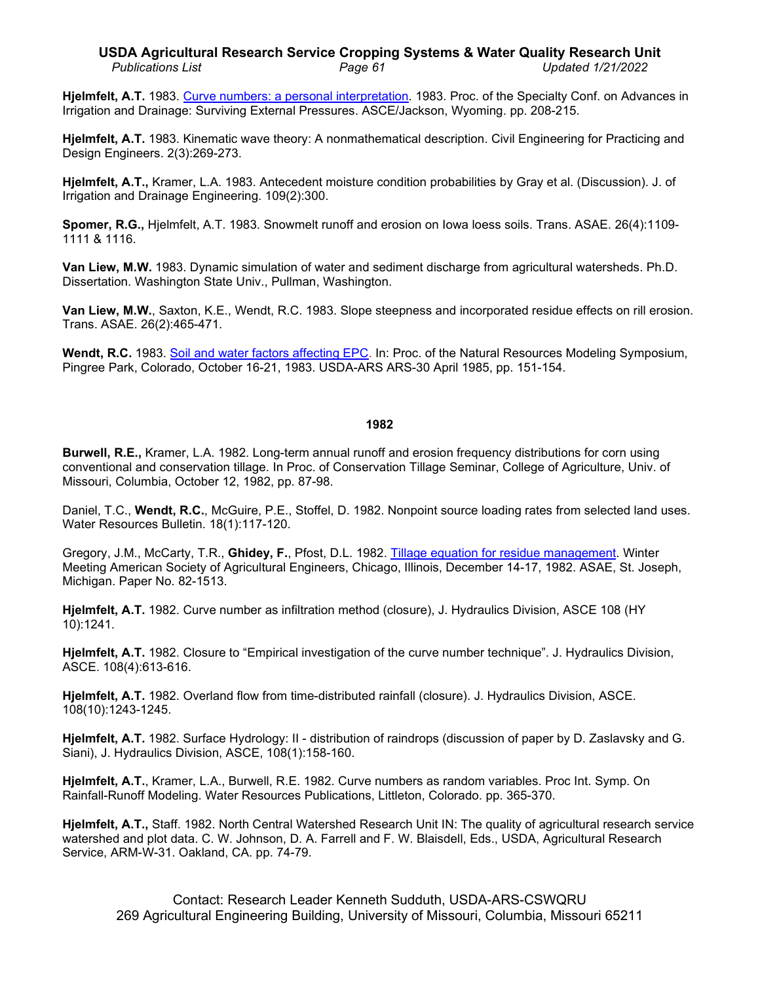### **USDA Agricultural Research Service Cropping Systems & Water Quality Research Unit** *Publications List Page 61 Updated 1/21/2022*

**Hjelmfelt, A.T.** 1983. Curve numbers: a [personal interpretation.](http://www.ars.usda.gov/sp2UserFiles/Place/36221500/cswq-t5502-hjelmfelt.pdf) 1983. Proc. of the Specialty Conf. on Advances in Irrigation and Drainage: Surviving External Pressures. ASCE/Jackson, Wyoming. pp. 208-215.

**Hjelmfelt, A.T.** 1983. Kinematic wave theory: A nonmathematical description. Civil Engineering for Practicing and Design Engineers. 2(3):269-273.

**Hjelmfelt, A.T.,** Kramer, L.A. 1983. Antecedent moisture condition probabilities by Gray et al. (Discussion). J. of Irrigation and Drainage Engineering. 109(2):300.

**Spomer, R.G.,** Hjelmfelt, A.T. 1983. Snowmelt runoff and erosion on Iowa loess soils. Trans. ASAE. 26(4):1109- 1111 & 1116.

**Van Liew, M.W.** 1983. Dynamic simulation of water and sediment discharge from agricultural watersheds. Ph.D. Dissertation. Washington State Univ., Pullman, Washington.

**Van Liew, M.W.**, Saxton, K.E., Wendt, R.C. 1983. Slope steepness and incorporated residue effects on rill erosion. Trans. ASAE. 26(2):465-471.

**Wendt, R.C.** 1983. [Soil and water factors affecting EPC.](http://www.ars.usda.gov/sp2UserFiles/Place/36221500/cswq-t5218-wendt.pdf) In: Proc. of the Natural Resources Modeling Symposium, Pingree Park, Colorado, October 16-21, 1983. USDA-ARS ARS-30 April 1985, pp. 151-154.

### **1982**

**Burwell, R.E.,** Kramer, L.A. 1982. Long-term annual runoff and erosion frequency distributions for corn using conventional and conservation tillage. In Proc. of Conservation Tillage Seminar, College of Agriculture, Univ. of Missouri, Columbia, October 12, 1982, pp. 87-98.

Daniel, T.C., **Wendt, R.C.**, McGuire, P.E., Stoffel, D. 1982. Nonpoint source loading rates from selected land uses. Water Resources Bulletin. 18(1):117-120.

Gregory, J.M., McCarty, T.R., **Ghidey, F.**, Pfost, D.L. 1982. [Tillage equation for residue management.](http://www.ars.usda.gov/sp2UserFiles/Place/50701000/cswq-t6775-gregory.pdf) Winter Meeting American Society of Agricultural Engineers, Chicago, Illinois, December 14-17, 1982. ASAE, St. Joseph, Michigan. Paper No. 82-1513.

**Hjelmfelt, A.T.** 1982. Curve number as infiltration method (closure), J. Hydraulics Division, ASCE 108 (HY 10):1241.

**Hjelmfelt, A.T.** 1982. Closure to "Empirical investigation of the curve number technique". J. Hydraulics Division, ASCE. 108(4):613-616.

**Hjelmfelt, A.T.** 1982. Overland flow from time-distributed rainfall (closure). J. Hydraulics Division, ASCE. 108(10):1243-1245.

**Hjelmfelt, A.T.** 1982. Surface Hydrology: II - distribution of raindrops (discussion of paper by D. Zaslavsky and G. Siani), J. Hydraulics Division, ASCE, 108(1):158-160.

**Hjelmfelt, A.T.**, Kramer, L.A., Burwell, R.E. 1982. Curve numbers as random variables. Proc Int. Symp. On Rainfall-Runoff Modeling. Water Resources Publications, Littleton, Colorado. pp. 365-370.

**Hjelmfelt, A.T.,** Staff. 1982. North Central Watershed Research Unit IN: The quality of agricultural research service watershed and plot data. C. W. Johnson, D. A. Farrell and F. W. Blaisdell, Eds., USDA, Agricultural Research Service, ARM-W-31. Oakland, CA. pp. 74-79.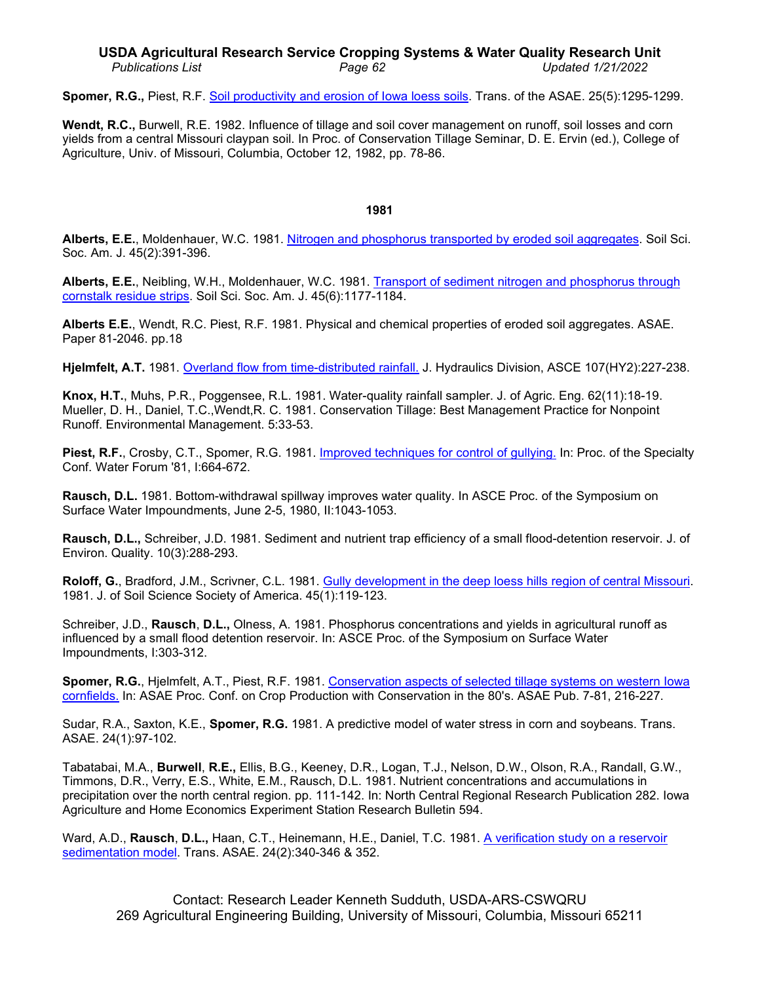### **USDA Agricultural Research Service Cropping Systems & Water Quality Research Unit** *Publications List Page 62 Updated 1/21/2022*

**Spomer, R.G.,** Piest, R.F. [Soil productivity and erosion of Iowa loess soils.](http://www.ars.usda.gov/sp2UserFiles/Place/36221500/cswq-t6870-spomer.pdf) Trans. of the ASAE. 25(5):1295-1299.

**Wendt, R.C.,** Burwell, R.E. 1982. Influence of tillage and soil cover management on runoff, soil losses and corn yields from a central Missouri claypan soil. In Proc. of Conservation Tillage Seminar, D. E. Ervin (ed.), College of Agriculture, Univ. of Missouri, Columbia, October 12, 1982, pp. 78-86.

### **1981**

**Alberts, E.E.**, Moldenhauer, W.C. 1981. [Nitrogen and phosphorus transported by eroded soil aggregates.](http://dx.doi.org/10.2136/sssaj1981.03615995004500020032x) Soil Sci. Soc. Am. J. 45(2):391-396.

**Alberts, E.E.**, Neibling, W.H., Moldenhauer, W.C. 1981. [Transport of sediment nitrogen and phosphorus through](http://www.ars.usda.gov/sp2UserFiles/Place/36221500/cswq-0341-alberts.pdf)  [cornstalk residue strips.](http://www.ars.usda.gov/sp2UserFiles/Place/36221500/cswq-0341-alberts.pdf) Soil Sci. Soc. Am. J. 45(6):1177-1184.

**Alberts E.E.**, Wendt, R.C. Piest, R.F. 1981. Physical and chemical properties of eroded soil aggregates. ASAE. Paper 81-2046. pp.18

**Hjelmfelt, A.T.** 1981. [Overland flow from time-distributed rainfall.](http://www.ars.usda.gov/sp2UserFiles/Place/36221500/cswq-t5535-hjelmfelt.pdf) J. Hydraulics Division, ASCE 107(HY2):227-238.

**Knox, H.T.**, Muhs, P.R., Poggensee, R.L. 1981. Water-quality rainfall sampler. J. of Agric. Eng. 62(11):18-19. Mueller, D. H., Daniel, T.C.,Wendt,R. C. 1981. Conservation Tillage: Best Management Practice for Nonpoint Runoff. Environmental Management. 5:33-53.

**Piest, R.F.**, Crosby, C.T., Spomer, R.G. 1981. [Improved techniques for control of gullying.](http://www.ars.usda.gov/sp2UserFiles/Place/36221500/cswq-t6421-piest.pdf) In: Proc. of the Specialty Conf. Water Forum '81, I:664-672.

**Rausch, D.L.** 1981. Bottom-withdrawal spillway improves water quality. In ASCE Proc. of the Symposium on Surface Water Impoundments, June 2-5, 1980, II:1043-1053.

**Rausch, D.L.,** Schreiber, J.D. 1981. Sediment and nutrient trap efficiency of a small flood-detention reservoir. J. of Environ. Quality. 10(3):288-293.

Roloff, G., Bradford, J.M., Scrivner, C.L. 1981. [Gully development in the deep loess hills](http://www.ars.usda.gov/sp2UserFiles/Place/36221500/cswq-t6453-roloff.pdf) region of central Missouri. 1981. J. of Soil Science Society of America. 45(1):119-123.

Schreiber, J.D., **Rausch**, **D.L.,** Olness, A. 1981. Phosphorus concentrations and yields in agricultural runoff as influenced by a small flood detention reservoir. In: ASCE Proc. of the Symposium on Surface Water Impoundments, I:303-312.

**Spomer, R.G.**, Hjelmfelt, A.T., Piest, R.F. 1981. [Conservation aspects of selected tillage systems on western Iowa](http://www.ars.usda.gov/sp2UserFiles/Place/36221500/cswq-t6853-spomer.pdf)  [cornfields.](http://www.ars.usda.gov/sp2UserFiles/Place/36221500/cswq-t6853-spomer.pdf) In: ASAE Proc. Conf. on Crop Production with Conservation in the 80's. ASAE Pub. 7-81, 216-227.

Sudar, R.A., Saxton, K.E., **Spomer, R.G.** 1981. A predictive model of water stress in corn and soybeans. Trans. ASAE. 24(1):97-102.

Tabatabai, M.A., **Burwell**, **R.E.,** Ellis, B.G., Keeney, D.R., Logan, T.J., Nelson, D.W., Olson, R.A., Randall, G.W., Timmons, D.R., Verry, E.S., White, E.M., Rausch, D.L. 1981. Nutrient concentrations and accumulations in precipitation over the north central region. pp. 111-142. In: North Central Regional Research Publication 282. Iowa Agriculture and Home Economics Experiment Station Research Bulletin 594.

Ward, A.D., **Rausch**, **D.L.,** Haan, C.T., Heinemann, H.E., Daniel, T.C. 1981. [A verification study on a reservoir](http://www.ars.usda.gov/sp2UserFiles/Place/36221500/cswq-t4170-ward.pdf) [sedimentation model.](http://www.ars.usda.gov/sp2UserFiles/Place/36221500/cswq-t4170-ward.pdf) Trans. ASAE. 24(2):340-346 & 352.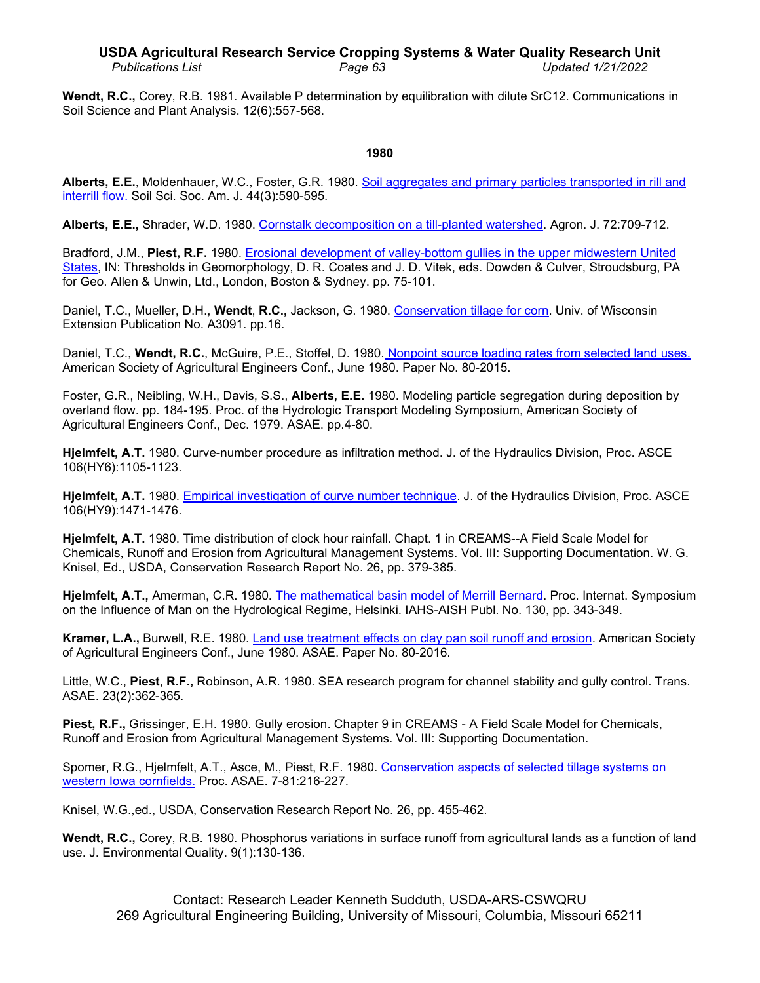# **USDA Agricultural Research Service Cropping Systems & Water Quality Research Unit** *Publications List Page 63 Updated 1/21/2022*

**Wendt, R.C.,** Corey, R.B. 1981. Available P determination by equilibration with dilute SrC12. Communications in Soil Science and Plant Analysis. 12(6):557-568.

### **1980**

**Alberts, E.E.**, Moldenhauer, W.C., Foster, G.R. 1980. [Soil aggregates and primary particles transported in rill and](http://www.ars.usda.gov/sp2UserFiles/Place/36221500/cswq-0342-alberts.pdf)  [interrill flow.](http://www.ars.usda.gov/sp2UserFiles/Place/36221500/cswq-0342-alberts.pdf) Soil Sci. Soc. Am. J. 44(3):590-595.

**Alberts, E.E.,** Shrader, W.D. 1980. [Cornstalk decomposition on a till-planted watershed.](http://dx.doi.org/10.2134/agronj1980.00021962007200050004x) Agron. J. 72:709-712.

Bradford, J.M., **Piest, R.F.** 1980. [Erosional development](http://www.ars.usda.gov/sp2UserFiles/Place/36221500/cswq-t5035-bradford.pdf) of valley-bottom gullies in the upper midwestern United [States,](http://www.ars.usda.gov/sp2UserFiles/Place/36221500/cswq-t5035-bradford.pdf) IN: Thresholds in Geomorphology, D. R. Coates and J. D. Vitek, eds. Dowden & Culver, Stroudsburg, PA for Geo. Allen & Unwin, Ltd., London, Boston & Sydney. pp. 75-101.

Daniel, T.C., Mueller, D.H., **Wendt**, **R.C.,** Jackson, G. 1980. [Conservation tillage for corn.](http://www.ars.usda.gov/sp2UserFiles/Place/36221500/cswq-t6898-daniel.pdf) Univ. of Wisconsin Extension Publication No. A3091. pp.16.

Daniel, T.C., **Wendt, R.C.**, McGuire, P.E., Stoffel, D. 1980. [Nonpoint source loading rates from selected land uses.](http://www.ars.usda.gov/sp2UserFiles/Place/36221500/cswq-t6685-daniel.pdf) American Society of Agricultural Engineers Conf., June 1980. Paper No. 80-2015.

Foster, G.R., Neibling, W.H., Davis, S.S., **Alberts, E.E.** 1980. Modeling particle segregation during deposition by overland flow. pp. 184-195. Proc. of the Hydrologic Transport Modeling Symposium, American Society of Agricultural Engineers Conf., Dec. 1979. ASAE. pp.4-80.

**Hjelmfelt, A.T.** 1980. Curve-number procedure as infiltration method. J. of the Hydraulics Division, Proc. ASCE 106(HY6):1105-1123.

**Hjelmfelt, A.T.** 1980. [Empirical investigation of curve number technique.](http://www.ars.usda.gov/sp2UserFiles/Place/36221500/cswq-t6032-hjelmfelt.pdf) J. of the Hydraulics Division, Proc. ASCE 106(HY9):1471-1476.

**Hjelmfelt, A.T.** 1980. Time distribution of clock hour rainfall. Chapt. 1 in CREAMS--A Field Scale Model for Chemicals, Runoff and Erosion from Agricultural Management Systems. Vol. III: Supporting Documentation. W. G. Knisel, Ed., USDA, Conservation Research Report No. 26, pp. 379-385.

**Hjelmfelt, A.T.,** Amerman, C.R. 1980. [The mathematical basin model of Merrill Bernard.](http://www.ars.usda.gov/sp2UserFiles/Place/36221500/cswq-t6059-hjelmfelt.pdf) Proc. Internat. Symposium on the Influence of Man on the Hydrological Regime, Helsinki. IAHS-AISH Publ. No. 130, pp. 343-349.

**Kramer, L.A.,** Burwell, R.E. 1980. [Land use treatment effects on clay](http://www.ars.usda.gov/sp2UserFiles/Place/36221500/cswq-t6529-kramer.pdf) pan soil runoff and erosion. American Society of Agricultural Engineers Conf., June 1980. ASAE. Paper No. 80-2016.

Little, W.C., **Piest**, **R.F.,** Robinson, A.R. 1980. SEA research program for channel stability and gully control. Trans. ASAE. 23(2):362-365.

**Piest, R.F.,** Grissinger, E.H. 1980. Gully erosion. Chapter 9 in CREAMS - A Field Scale Model for Chemicals, Runoff and Erosion from Agricultural Management Systems. Vol. III: Supporting Documentation.

Spomer, R.G., Hjelmfelt, A.T., Asce, M., Piest, R.F. 1980. [Conservation aspects of selected tillage systems on](http://www.ars.usda.gov/sp2UserFiles/Place/36221500/cswq-t5497-spomer.pdf)  [western Iowa cornfields.](http://www.ars.usda.gov/sp2UserFiles/Place/36221500/cswq-t5497-spomer.pdf) Proc. ASAE. 7-81:216-227.

Knisel, W.G.,ed., USDA, Conservation Research Report No. 26, pp. 455-462.

**Wendt, R.C.,** Corey, R.B. 1980. Phosphorus variations in surface runoff from agricultural lands as a function of land use. J. Environmental Quality. 9(1):130-136.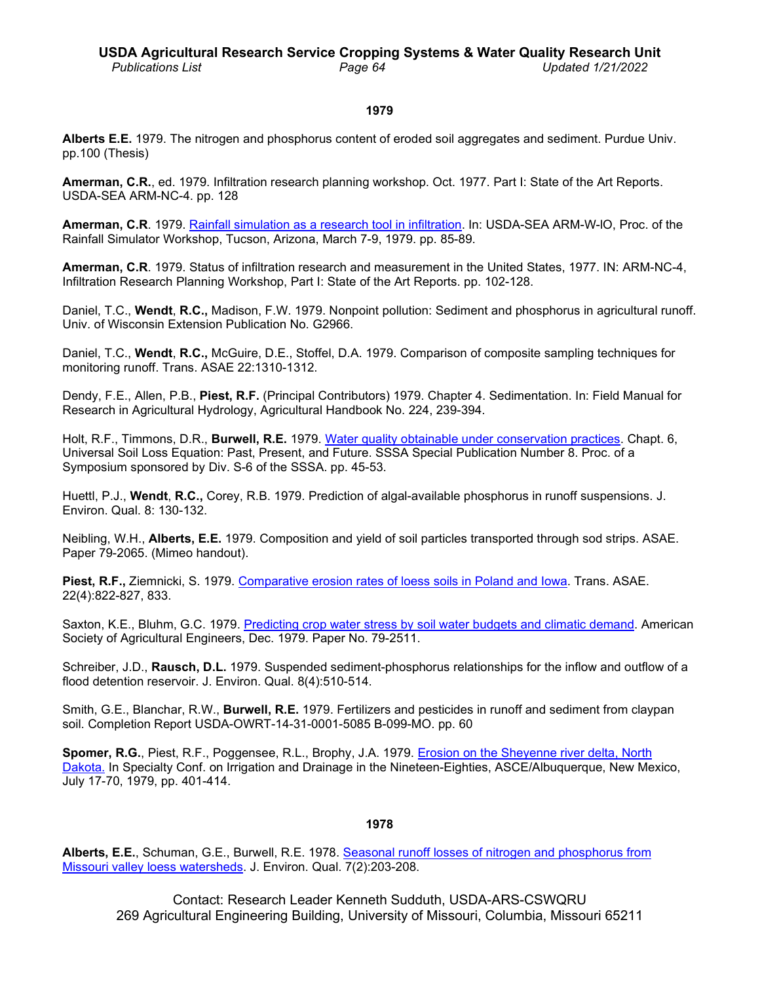### **1979**

**Alberts E.E.** 1979. The nitrogen and phosphorus content of eroded soil aggregates and sediment. Purdue Univ. pp.100 (Thesis)

**Amerman, C.R.**, ed. 1979. Infiltration research planning workshop. Oct. 1977. Part I: State of the Art Reports. USDA-SEA ARM-NC-4. pp. 128

**Amerman, C.R**. 1979. Rainfall simulation [as a research tool in infiltration.](http://www.ars.usda.gov/sp2UserFiles/Place/36221500/cswq-t5001-amerman.pdf) In: USDA-SEA ARM-W-lO, Proc. of the Rainfall Simulator Workshop, Tucson, Arizona, March 7-9, 1979. pp. 85-89.

**Amerman, C.R**. 1979. Status of infiltration research and measurement in the United States, 1977. IN: ARM-NC-4, Infiltration Research Planning Workshop, Part I: State of the Art Reports. pp. 102-128.

Daniel, T.C., **Wendt**, **R.C.,** Madison, F.W. 1979. Nonpoint pollution: Sediment and phosphorus in agricultural runoff. Univ. of Wisconsin Extension Publication No. G2966.

Daniel, T.C., **Wendt**, **R.C.,** McGuire, D.E., Stoffel, D.A. 1979. Comparison of composite sampling techniques for monitoring runoff. Trans. ASAE 22:1310-1312.

Dendy, F.E., Allen, P.B., **Piest, R.F.** (Principal Contributors) 1979. Chapter 4. Sedimentation. In: Field Manual for Research in Agricultural Hydrology, Agricultural Handbook No. 224, 239-394.

Holt, R.F., Timmons, D.R., **Burwell, R.E.** 1979. [Water quality obtainable under conservation practices.](http://dx.doi.org/10.2136/sssaspecpub8.c6) Chapt. 6, Universal Soil Loss Equation: Past, Present, and Future. SSSA Special Publication Number 8. Proc. of a Symposium sponsored by Div. S-6 of the SSSA. pp. 45-53.

Huettl, P.J., **Wendt**, **R.C.,** Corey, R.B. 1979. Prediction of algal-available phosphorus in runoff suspensions. J. Environ. Qual. 8: 130-132.

Neibling, W.H., **Alberts, E.E.** 1979. Composition and yield of soil particles transported through sod strips. ASAE. Paper 79-2065. (Mimeo handout).

Piest, R.F., Ziemnicki, S. 1979. [Comparative erosion rates of loess soils in Poland and Iowa.](http://www.ars.usda.gov/sp2UserFiles/Place/36221500/cswq-t6427-piest.pdf) Trans. ASAE. 22(4):822-827, 833.

Saxton, K.E., Bluhm, G.C. 1979. [Predicting crop water stress by soil water budgets and climatic demand.](http://www.ars.usda.gov/sp2UserFiles/Place/36221500/cswq-t6800-saxton.pdf) American Society of Agricultural Engineers, Dec. 1979. Paper No. 79-2511.

Schreiber, J.D., **Rausch, D.L.** 1979. Suspended sediment-phosphorus relationships for the inflow and outflow of a flood detention reservoir. J. Environ. Qual. 8(4):510-514.

Smith, G.E., Blanchar, R.W., **Burwell, R.E.** 1979. Fertilizers and pesticides in runoff and sediment from claypan soil. Completion Report USDA-OWRT-14-31-0001-5085 B-099-MO. pp. 60

**Spomer, R.G.**, Piest, R.F., Poggensee, R.L., Brophy, J.A. 1979. [Erosion on the Sheyenne river delta, North](http://www.ars.usda.gov/sp2UserFiles/Place/36221500/cswq-t4856-spomer.pdf) [Dakota.](http://www.ars.usda.gov/sp2UserFiles/Place/36221500/cswq-t4856-spomer.pdf) In Specialty Conf. on Irrigation and Drainage in the Nineteen-Eighties, ASCE/Albuquerque, New Mexico, July 17-70, 1979, pp. 401-414.

### **1978**

**Alberts, E.E.**, Schuman, G.E., Burwell, R.E. 1978. [Seasonal runoff losses](http://www.ars.usda.gov/sp2UserFiles/Place/36221500/cswq-t5688-alberts.pdf) of nitrogen and phosphorus from [Missouri valley loess watersheds.](http://www.ars.usda.gov/sp2UserFiles/Place/36221500/cswq-t5688-alberts.pdf) J. Environ. Qual. 7(2):203-208.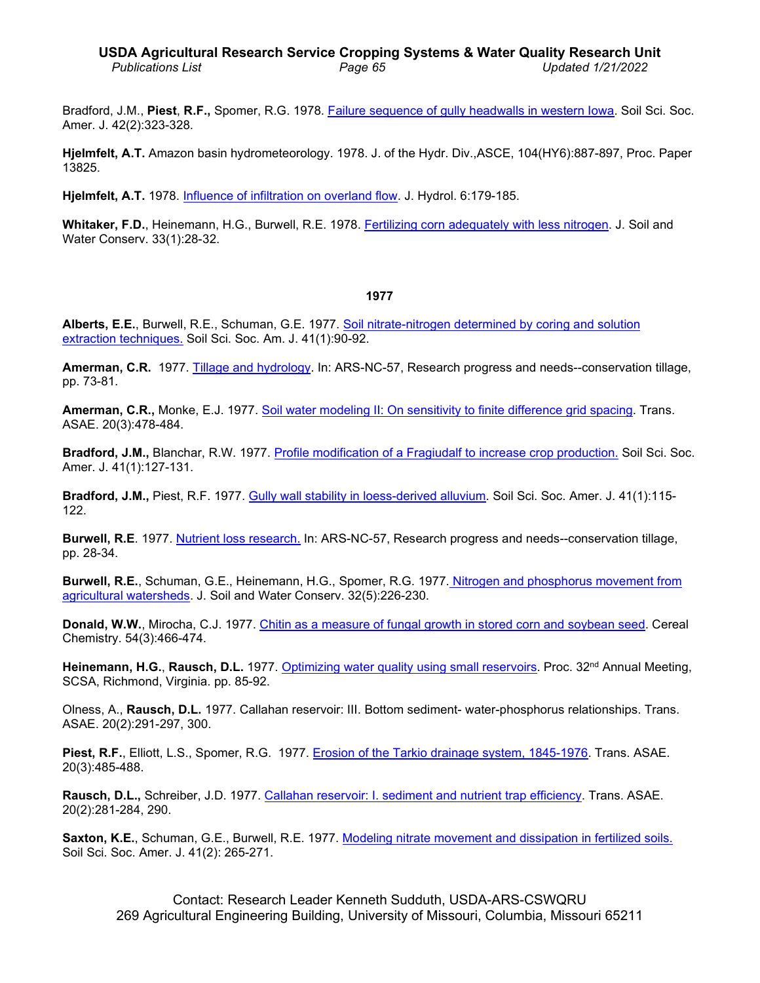Bradford, J.M., **Piest**, **R.F.,** Spomer, R.G. 1978. [Failure sequence of gully headwalls](http://www.ars.usda.gov/sp2UserFiles/Place/36221500/cswq-t6423-bradford.pdf) in western Iowa. Soil Sci. Soc. Amer. J. 42(2):323-328.

**Hjelmfelt, A.T.** Amazon basin hydrometeorology. 1978. J. of the Hydr. Div.,ASCE, 104(HY6):887-897, Proc. Paper 13825.

**Hjelmfelt, A.T.** 1978. Influence of [infiltration on overland flow.](http://www.ars.usda.gov/sp2UserFiles/Place/36221500/cswq-t4644-hjelmfelt.pdf) J. Hydrol. 6:179-185.

Whitaker, F.D., Heinemann, H.G., Burwell, R.E. 1978. [Fertilizing corn adequately with less nitrogen.](http://www.ars.usda.gov/sp2UserFiles/Place/36221500/cswq-t5427-whitaker.pdf) J. Soil and Water Conserv. 33(1):28-32.

#### **1977**

**Alberts, E.E.**, Burwell, R.E., Schuman, G.E. 1977. [Soil nitrate-nitrogen determined by coring and](http://www.ars.usda.gov/sp2UserFiles/Place/36221500/cswq-0343-alberts.pdf) solution [extraction techniques.](http://www.ars.usda.gov/sp2UserFiles/Place/36221500/cswq-0343-alberts.pdf) Soil Sci. Soc. Am. J. 41(1):90-92.

**Amerman, C.R.** 1977. [Tillage and](http://www.forgottenbooks.com/readbook_text/Research_Progress_and_Needs_Conservation_Tillage_Ars_Nc_57_1000705008/77) hydrology. In: ARS-NC-57, Research progress and needs--conservation tillage, pp. 73-81.

**Amerman, C.R.,** Monke, E.J. 1977. [Soil water modeling II: On sensitivity to](http://www.ars.usda.gov/sp2UserFiles/Place/36221500/cswq-t5125-amerman.pdf) finite difference grid spacing. Trans. ASAE. 20(3):478-484.

**Bradford, J.M.,** Blanchar, R.W. 1977. [Profile modification of a Fragiudalf to increase crop production.](http://www.ars.usda.gov/sp2UserFiles/Place/36221500/cswq-0344-bradford.pdf) Soil Sci. Soc. Amer. J. 41(1):127-131.

**Bradford, J.M.,** Piest, R.F. 1977. [Gully wall stability in loess-derived alluvium.](http://www.ars.usda.gov/sp2UserFiles/Place/36221500/cswq-t6761-bradford.pdf) Soil Sci. Soc. Amer. J. 41(1):115- 122.

**Burwell, R.E**. 1977. [Nutrient loss research.](http://www.forgottenbooks.com/readbook_text/Research_Progress_and_Needs_Conservation_Tillage_Ars_Nc_57_1000705008/33) In: ARS-NC-57, Research progress and needs--conservation tillage, pp. 28-34.

**Burwell, R.E.**, Schuman, G.E., Heinemann, H.G., Spomer, R.G. 1977. Nitrogen and phosphorus [movement from](http://www.ars.usda.gov/sp2UserFiles/Place/36221500/cswq-t5833-burwell.pdf)  [agricultural watersheds.](http://www.ars.usda.gov/sp2UserFiles/Place/36221500/cswq-t5833-burwell.pdf) J. Soil and Water Conserv. 32(5):226-230.

**Donald, W.W.**, Mirocha, C.J. 1977. Chitin as a measure of fungal growth in [stored corn and soybean seed.](http://www.ars.usda.gov/sp2UserFiles/Place/36221500/cswq-0240-donald.pdf) Cereal Chemistry. 54(3):466-474.

**Heinemann, H.G., Rausch, D.L.** 1977. [Optimizing water quality using small reservoirs.](http://www.ars.usda.gov/sp2UserFiles/Place/36221500/cswq-t6747-heinemann.pdf) Proc. 32<sup>nd</sup> Annual Meeting, SCSA, Richmond, Virginia. pp. 85-92.

Olness, A., **Rausch, D.L.** 1977. Callahan reservoir: III. Bottom sediment- water-phosphorus relationships. Trans. ASAE. 20(2):291-297, 300.

**Piest, R.F.**, Elliott, L.S., Spomer, R.G. 1977. Erosion of the [Tarkio drainage system, 1845-1976.](http://www.ars.usda.gov/sp2UserFiles/Place/36221500/cswq-t6425-piest.pdf) Trans. ASAE. 20(3):485-488.

**Rausch, D.L.,** Schreiber, J.D. 1977. [Callahan reservoir: I. sediment and nutrient](http://www.ars.usda.gov/sp2UserFiles/Place/36221500/cswq-t2808-rausch.pdf) trap efficiency. Trans. ASAE. 20(2):281-284, 290.

**Saxton, K.E.**, Schuman, G.E., Burwell, R.E. 1977. [Modeling nitrate movement and dissipation in](http://www.ars.usda.gov/sp2UserFiles/Place/36221500/cswq-t4035-saxton.pdf) fertilized soils. Soil Sci. Soc. Amer. J. 41(2): 265-271.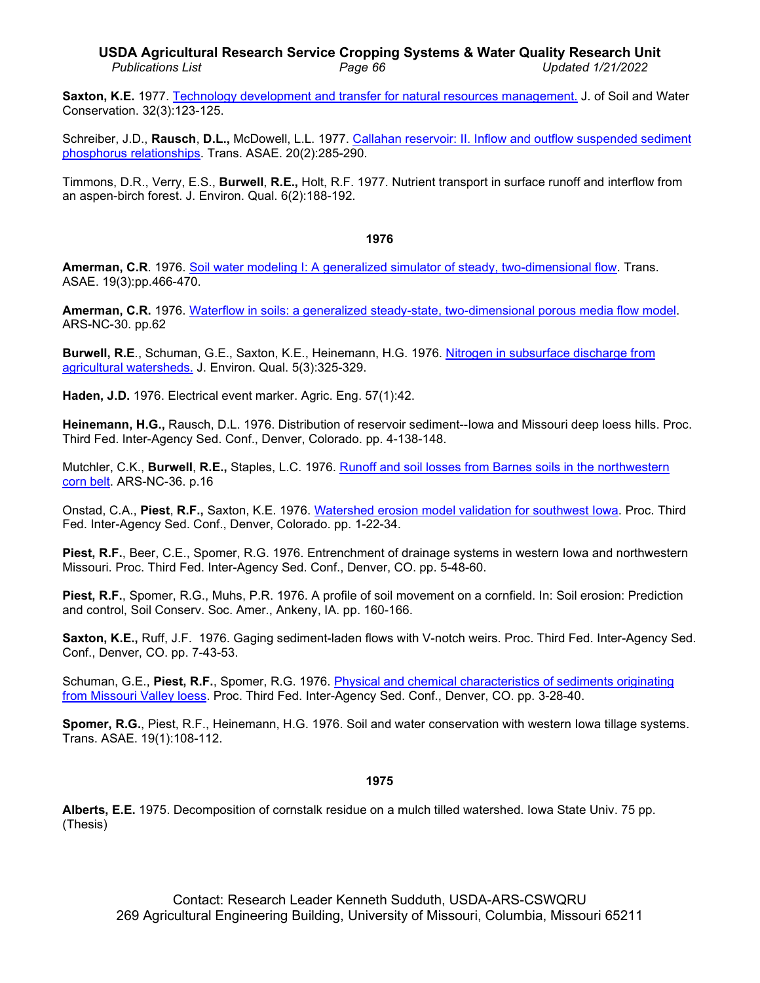## **USDA Agricultural Research Service Cropping Systems & Water Quality Research Unit** *Publications List Page 66 Updated 1/21/2022*

**Saxton, K.E.** 1977. Technology development [and transfer for natural resources management.](http://www.ars.usda.gov/sp2UserFiles/Place/36221500/cswq-t4671-saxton.pdf) J. of Soil and Water Conservation. 32(3):123-125.

Schreiber, J.D., **Rausch**, **D.L.,** McDowell, L.L. 1977. [Callahan reservoir: II. Inflow and outflow](http://www.ars.usda.gov/sp2UserFiles/Place/36221500/cswq-t2711-schreiber.pdf) suspended sediment [phosphorus relationships.](http://www.ars.usda.gov/sp2UserFiles/Place/36221500/cswq-t2711-schreiber.pdf) Trans. ASAE. 20(2):285-290.

Timmons, D.R., Verry, E.S., **Burwell**, **R.E.,** Holt, R.F. 1977. Nutrient transport in surface runoff and interflow from an aspen-birch forest. J. Environ. Qual. 6(2):188-192.

### **1976**

**Amerman, C.R**. 1976. [Soil water modeling I: A generalized simulator of steady, two-dimensional flow.](http://www.ars.usda.gov/sp2UserFiles/Place/36221500/cswq-0370-amerman.pdf) Trans. ASAE. 19(3):pp.466-470.

**Amerman, C.R.** 1976. Waterflow in soils: a [generalized steady-state, two-dimensional porous media flow model.](http://www.ars.usda.gov/sp2UserFiles/Place/36221500/cswq-t0709-amerman.pdf) ARS-NC-30. pp.62

**Burwell, R.E**., Schuman, G.E., Saxton, K.E., Heinemann, H.G. 1976. [Nitrogen in subsurface discharge from](http://www.ars.usda.gov/sp2UserFiles/Place/36221500/cswq-0369-burwell.pdf) [agricultural watersheds.](http://www.ars.usda.gov/sp2UserFiles/Place/36221500/cswq-0369-burwell.pdf) J. Environ. Qual. 5(3):325-329.

**Haden, J.D.** 1976. Electrical event marker. Agric. Eng. 57(1):42.

**Heinemann, H.G.,** Rausch, D.L. 1976. Distribution of reservoir sediment--Iowa and Missouri deep loess hills. Proc. Third Fed. Inter-Agency Sed. Conf., Denver, Colorado. pp. 4-138-148.

Mutchler, C.K., **Burwell**, **R.E.,** Staples, L.C. 1976. Runoff and [soil losses from Barnes soils in the](http://www.ars.usda.gov/sp2UserFiles/Place/36221500/cswq-t3355-mutchler.pdf) northwestern [corn belt.](http://www.ars.usda.gov/sp2UserFiles/Place/36221500/cswq-t3355-mutchler.pdf) ARS-NC-36. p.16

Onstad, C.A., **Piest**, **R.F.,** Saxton, K.E. 1976. [Watershed erosion model validation for southwest Iowa.](http://www.ars.usda.gov/sp2UserFiles/Place/36221500/cswq-t4887-onstad.pdf) Proc. Third Fed. Inter-Agency Sed. Conf., Denver, Colorado. pp. 1-22-34.

**Piest, R.F.**, Beer, C.E., Spomer, R.G. 1976. Entrenchment of drainage systems in western Iowa and northwestern Missouri. Proc. Third Fed. Inter-Agency Sed. Conf., Denver, CO. pp. 5-48-60.

**Piest, R.F.**, Spomer, R.G., Muhs, P.R. 1976. A profile of soil movement on a cornfield. In: Soil erosion: Prediction and control, Soil Conserv. Soc. Amer., Ankeny, IA. pp. 160-166.

**Saxton, K.E.,** Ruff, J.F. 1976. Gaging sediment-laden flows with V-notch weirs. Proc. Third Fed. Inter-Agency Sed. Conf., Denver, CO. pp. 7-43-53.

Schuman, G.E., **Piest, R.F.**, Spomer, R.G. 1976. [Physical and chemical characteristics of sediments originating](http://www.ars.usda.gov/sp2UserFiles/Place/36221500/cswq-t4460-schuman.pdf)  [from Missouri Valley loess.](http://www.ars.usda.gov/sp2UserFiles/Place/36221500/cswq-t4460-schuman.pdf) Proc. Third Fed. Inter-Agency Sed. Conf., Denver, CO. pp. 3-28-40.

**Spomer, R.G.**, Piest, R.F., Heinemann, H.G. 1976. Soil and water conservation with western Iowa tillage systems. Trans. ASAE. 19(1):108-112.

### **1975**

**Alberts, E.E.** 1975. Decomposition of cornstalk residue on a mulch tilled watershed. Iowa State Univ. 75 pp. (Thesis)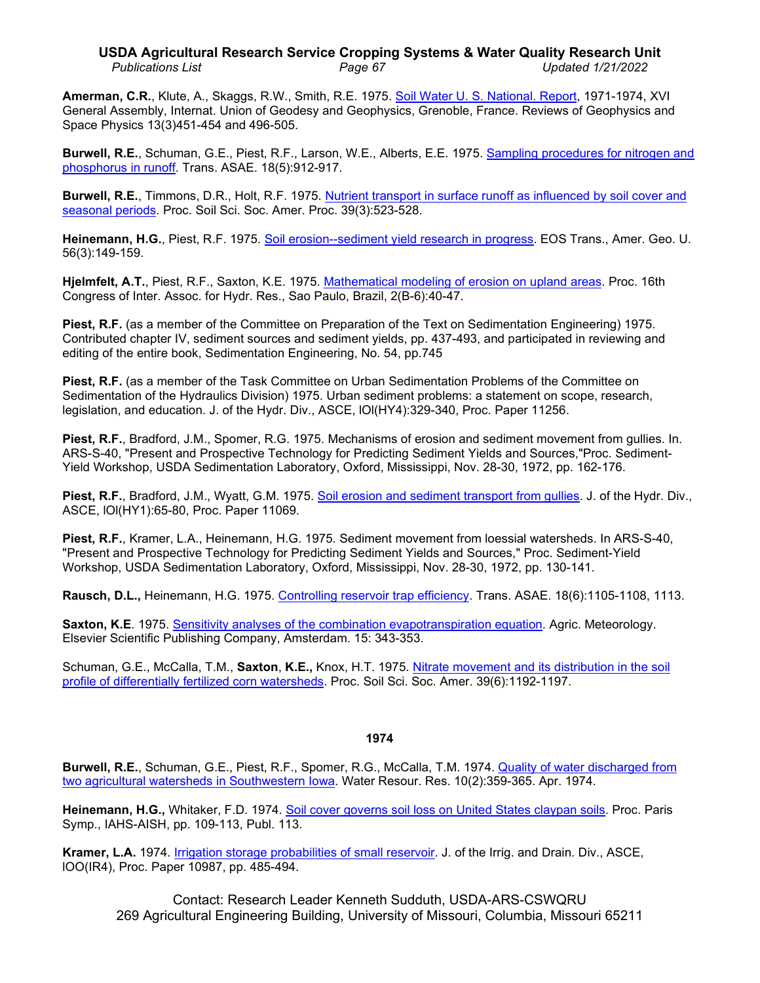# **USDA Agricultural Research Service Cropping Systems & Water Quality Research Unit** *Publications List Page 67 Updated 1/21/2022*

**Amerman, C.R.**, Klute, A., Skaggs, R.W., Smith, R.E. 1975. [Soil Water U. S.](http://www.ars.usda.gov/sp2UserFiles/Place/36221500/cswq-t1765-amerman.pdf) National. Report, 1971-1974, XVI General Assembly, Internat. Union of Geodesy and Geophysics, Grenoble, France. Reviews of Geophysics and Space Physics 13(3)451-454 and 496-505.

**Burwell, R.E.**, Schuman, G.E., Piest, R.F., Larson, W.E., Alberts, E.E. 1975. [Sampling procedures for nitrogen and](http://www.ars.usda.gov/sp2UserFiles/Place/36221500/cswq-t4462-burwell.pdf)  [phosphorus in runoff.](http://www.ars.usda.gov/sp2UserFiles/Place/36221500/cswq-t4462-burwell.pdf) Trans. ASAE. 18(5):912-917.

**Burwell, R.E.**, Timmons, D.R., Holt, R.F. 1975. [Nutrient transport in surface runoff as influenced by soil cover and](http://www.ars.usda.gov/sp2UserFiles/Place/36221500/cswq-t3429-burwell.pdf)  [seasonal periods.](http://www.ars.usda.gov/sp2UserFiles/Place/36221500/cswq-t3429-burwell.pdf) Proc. Soil Sci. Soc. Amer. Proc. 39(3):523-528.

**Heinemann, H.G.**, Piest, R.F. 1975. [Soil erosion--sediment yield research in](http://www.ars.usda.gov/sp2UserFiles/Place/36221500/cswq-t6422-heinemann.pdf) progress. EOS Trans., Amer. Geo. U. 56(3):149-159.

**Hjelmfelt, A.T.**, Piest, R.F., Saxton, K.E. 1975. [Mathematical modeling of erosion on upland areas.](http://www.ars.usda.gov/sp2UserFiles/Place/36221500/cswq-t4616-hjelmfelt.pdf) Proc. 16th Congress of Inter. Assoc. for Hydr. Res., Sao Paulo, Brazil, 2(B-6):40-47.

**Piest, R.F.** (as a member of the Committee on Preparation of the Text on Sedimentation Engineering) 1975. Contributed chapter IV, sediment sources and sediment yields, pp. 437-493, and participated in reviewing and editing of the entire book, Sedimentation Engineering, No. 54, pp.745

**Piest, R.F.** (as a member of the Task Committee on Urban Sedimentation Problems of the Committee on Sedimentation of the Hydraulics Division) 1975. Urban sediment problems: a statement on scope, research, legislation, and education. J. of the Hydr. Div., ASCE, lOl(HY4):329-340, Proc. Paper 11256.

**Piest, R.F.**, Bradford, J.M., Spomer, R.G. 1975. Mechanisms of erosion and sediment movement from gullies. In. ARS-S-40, "Present and Prospective Technology for Predicting Sediment Yields and Sources,"Proc. Sediment-Yield Workshop, USDA Sedimentation Laboratory, Oxford, Mississippi, Nov. 28-30, 1972, pp. 162-176.

**Piest, R.F.**, Bradford, J.M., Wyatt, G.M. 1975. [Soil erosion and sediment transport from gullies.](http://www.ars.usda.gov/sp2UserFiles/Place/36221500/cswq-t3714-piest.pdf) J. of the Hydr. Div., ASCE, lOl(HY1):65-80, Proc. Paper 11069.

**Piest, R.F.**, Kramer, L.A., Heinemann, H.G. 1975. Sediment movement from loessial watersheds. In ARS-S-40, "Present and Prospective Technology for Predicting Sediment Yields and Sources," Proc. Sediment-Yield Workshop, USDA Sedimentation Laboratory, Oxford, Mississippi, Nov. 28-30, 1972, pp. 130-141.

**Rausch, D.L.,** Heinemann, H.G. 1975. [Controlling reservoir trap efficiency.](http://www.ars.usda.gov/sp2UserFiles/Place/36221500/cswq-t6154-rausch.pdf) Trans. ASAE. 18(6):1105-1108, 1113.

**Saxton, K.E**. 1975. [Sensitivity analyses of the combination](http://www.ars.usda.gov/sp2UserFiles/Place/36221500/cswq-t1341-saxton.pdf) evapotranspiration equation. Agric. Meteorology. Elsevier Scientific Publishing Company, Amsterdam. 15: 343-353.

Schuman, G.E., McCalla, T.M., **Saxton**, **K.E.,** Knox, H.T. 1975. [Nitrate movement and its distribution in the soil](http://www.ars.usda.gov/sp2UserFiles/Place/36221500/cswq-t4443-schuman.pdf)  [profile of differentially fertilized corn watersheds.](http://www.ars.usda.gov/sp2UserFiles/Place/36221500/cswq-t4443-schuman.pdf) Proc. Soil Sci. Soc. Amer. 39(6):1192-1197.

# **1974**

**Burwell, R.E.**, Schuman, G.E., Piest, R.F., Spomer, R.G., McCalla, T.M. 1974. [Quality of water discharged from](http://www.ars.usda.gov/sp2UserFiles/Place/36221500/cswq-t3529-burwell.pdf)  [two agricultural watersheds in Southwestern Iowa.](http://www.ars.usda.gov/sp2UserFiles/Place/36221500/cswq-t3529-burwell.pdf) Water Resour. Res. 10(2):359-365. Apr. 1974.

**Heinemann, H.G.,** Whitaker, F.D. 1974. [Soil cover governs soil loss on United States claypan soils.](http://www.ars.usda.gov/sp2UserFiles/Place/36221500/cswq-t3716-heinemann.pdf) Proc. Paris Symp., IAHS-AISH, pp. 109-113, Publ. 113.

**Kramer, L.A.** 1974. [Irrigation storage probabilities of small reservoir.](http://www.ars.usda.gov/sp2UserFiles/Place/36221500/cswq-t2634-kramer.pdf) J. of the Irrig. and Drain. Div., ASCE, lOO(IR4), Proc. Paper 10987, pp. 485-494.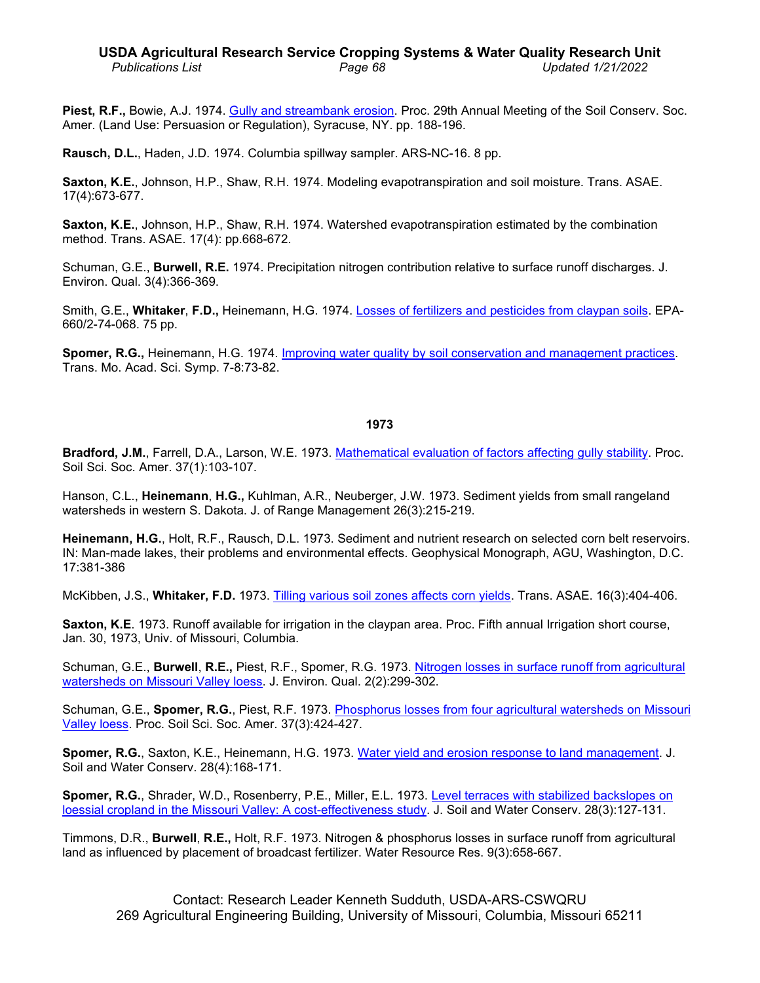# **USDA Agricultural Research Service Cropping Systems & Water Quality Research Unit** *Publications List Page 68 Updated 1/21/2022*

**Piest, R.F.,** Bowie, A.J. 1974. [Gully and streambank erosion.](http://www.ars.usda.gov/sp2UserFiles/Place/36221500/cswq-t6428-piest.pdf) Proc. 29th Annual Meeting of the Soil Conserv. Soc. Amer. (Land Use: Persuasion or Regulation), Syracuse, NY. pp. 188-196.

**Rausch, D.L.**, Haden, J.D. 1974. Columbia spillway sampler. ARS-NC-16. 8 pp.

**Saxton, K.E.**, Johnson, H.P., Shaw, R.H. 1974. Modeling evapotranspiration and soil moisture. Trans. ASAE. 17(4):673-677.

**Saxton, K.E.**, Johnson, H.P., Shaw, R.H. 1974. Watershed evapotranspiration estimated by the combination method. Trans. ASAE. 17(4): pp.668-672.

Schuman, G.E., **Burwell, R.E.** 1974. Precipitation nitrogen contribution relative to surface runoff discharges. J. Environ. Qual. 3(4):366-369.

Smith, G.E., **Whitaker**, **F.D.,** Heinemann, H.G. 1974. Losses of [fertilizers and pesticides from claypan soils.](http://nepis.epa.gov/Exe/ZyNET.exe/9101GJL0.txt?ZyActionD=ZyDocument&Client=EPA&Index=Prior%20to%201976&Docs=&Query=&Time=&EndTime=&SearchMethod=1&TocRestrict=n&Toc=&TocEntry=&QField=&QFieldYear=&QFieldMonth=&QFieldDay=&UseQField=&IntQFieldOp=0&ExtQFieldOp=0&XmlQuery=&File=D%3A%5CZYFILES%5CINDEX%20DATA%5C70THRU75%5CTXT%5C00000022%5C9101GJL0.txt&User=ANONYMOUS&Password=anonymous&SortMethod=h%7C-&MaximumDocuments=1&FuzzyDegree=0&ImageQuality=r75g8/r75g8/x150y150g16/i425&Display=p%7Cf&DefSeekPage=x&SearchBack=ZyActionL&Back=ZyActionS&BackDesc=Results%20page&MaximumPages=1&ZyEntry=1#area) EPA-660/2-74-068. 75 pp.

**Spomer, R.G.,** Heinemann, H.G. 1974. [Improving water quality by soil conservation and management practices.](http://www.ars.usda.gov/sp2UserFiles/Place/36221500/cswq-t4465-spomer.pdf) Trans. Mo. Acad. Sci. Symp. 7-8:73-82.

# **1973**

**Bradford, J.M.**, Farrell, D.A., Larson, W.E. 1973. [Mathematical evaluation of factors affecting gully stability.](http://www.ars.usda.gov/sp2UserFiles/Place/36221500/cswq-t5311-bradford.pdf) Proc. Soil Sci. Soc. Amer. 37(1):103-107.

Hanson, C.L., **Heinemann**, **H.G.,** Kuhlman, A.R., Neuberger, J.W. 1973. Sediment yields from small rangeland watersheds in western S. Dakota. J. of Range Management 26(3):215-219.

**Heinemann, H.G.**, Holt, R.F., Rausch, D.L. 1973. Sediment and nutrient research on selected corn belt reservoirs. IN: Man-made lakes, their problems and environmental effects. Geophysical Monograph, AGU, Washington, D.C. 17:381-386

McKibben, J.S., **Whitaker, F.D.** 1973. [Tilling various soil zones affects corn yields.](http://www.ars.usda.gov/sp2UserFiles/Place/36221500/cswq-t6872-mckibben.pdf) Trans. ASAE. 16(3):404-406.

**Saxton, K.E**. 1973. Runoff available for irrigation in the claypan area. Proc. Fifth annual Irrigation short course, Jan. 30, 1973, Univ. of Missouri, Columbia.

Schuman, G.E., **Burwell**, **R.E.,** Piest, R.F., Spomer, R.G. 1973. Nitrogen losses [in surface runoff from agricultural](http://www.ars.usda.gov/sp2UserFiles/Place/36221500/cswq-t4461-schuman.pdf)  watersheds on [Missouri Valley loess.](http://www.ars.usda.gov/sp2UserFiles/Place/36221500/cswq-t4461-schuman.pdf) J. Environ. Qual. 2(2):299-302.

Schuman, G.E., **Spomer, R.G.**, Piest, R.F. 1973. Phosphorus [losses from four agricultural watersheds on Missouri](http://www.ars.usda.gov/sp2UserFiles/Place/36221500/cswq-t4466-schuman.pdf)  [Valley loess.](http://www.ars.usda.gov/sp2UserFiles/Place/36221500/cswq-t4466-schuman.pdf) Proc. Soil Sci. Soc. Amer. 37(3):424-427.

**Spomer, R.G.**, Saxton, K.E., Heinemann, H.G. 1973. [Water yield and erosion response to land](http://www.ars.usda.gov/sp2UserFiles/Place/36221500/cswq-t5280-spomer.pdf) management. J. Soil and Water Conserv. 28(4):168-171.

**Spomer, R.G.**, Shrader, W.D., Rosenberry, P.E., Miller, E.L. 1973. [Level terraces with stabilized](http://www.ars.usda.gov/sp2UserFiles/Place/36221500/cswq-t1792-spomer.pdf) backslopes on [loessial cropland in the Missouri Valley: A](http://www.ars.usda.gov/sp2UserFiles/Place/36221500/cswq-t1792-spomer.pdf) cost-effectiveness study. J. Soil and Water Conserv. 28(3):127-131.

Timmons, D.R., **Burwell**, **R.E.,** Holt, R.F. 1973. Nitrogen & phosphorus losses in surface runoff from agricultural land as influenced by placement of broadcast fertilizer. Water Resource Res. 9(3):658-667.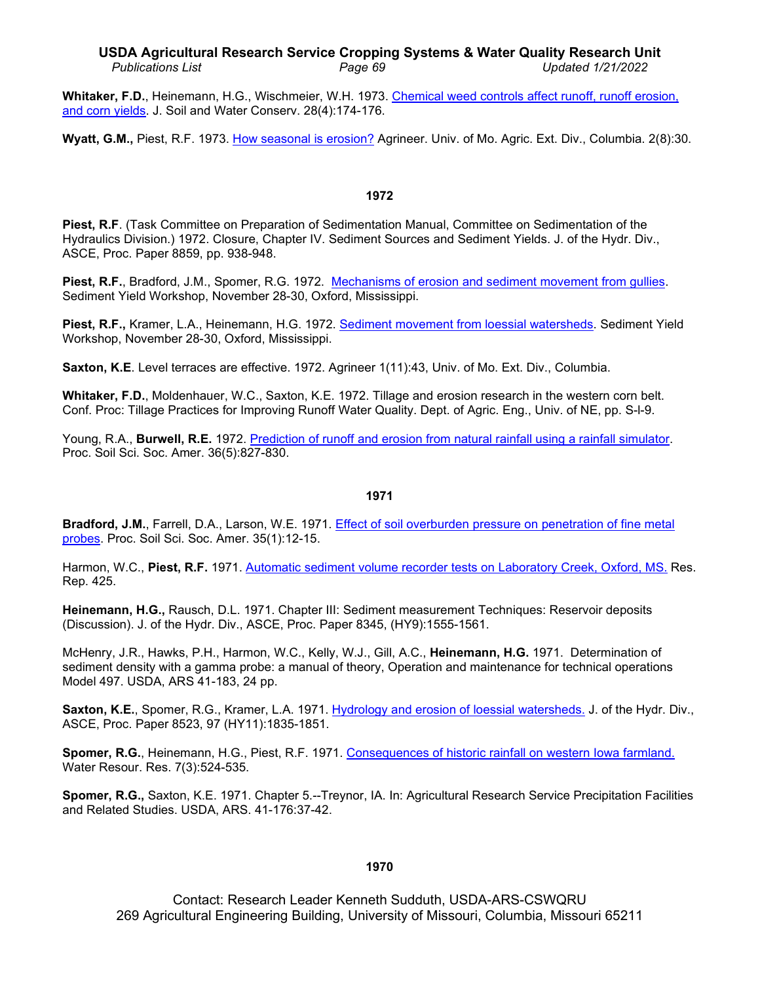# **USDA Agricultural Research Service Cropping Systems & Water Quality Research Unit** *Publications List Page 69 Updated 1/21/2022*

**Whitaker, F.D.**, Heinemann, H.G., Wischmeier, W.H. 1973. Chemical [weed controls affect runoff,](http://www.ars.usda.gov/sp2UserFiles/Place/36221500/cswq-t4311-whitaker.pdf) runoff erosion, [and corn yields.](http://www.ars.usda.gov/sp2UserFiles/Place/36221500/cswq-t4311-whitaker.pdf) J. Soil and Water Conserv. 28(4):174-176.

**Wyatt, G.M.,** Piest, R.F. 1973. [How seasonal](http://www.ars.usda.gov/sp2UserFiles/Place/36221500/cswq-t6892-wyatt.pdf) is erosion? Agrineer. Univ. of Mo. Agric. Ext. Div., Columbia. 2(8):30.

### **1972**

**Piest, R.F**. (Task Committee on Preparation of Sedimentation Manual, Committee on Sedimentation of the Hydraulics Division.) 1972. Closure, Chapter IV. Sediment Sources and Sediment Yields. J. of the Hydr. Div., ASCE, Proc. Paper 8859, pp. 938-948.

**Piest, R.F.**, Bradford, J.M., Spomer, R.G. 1972. [Mechanisms of erosion and sediment movement from gullies.](http://www.ars.usda.gov/sp2UserFiles/Place/36221500/cswq-t4435-piest.pdf) Sediment Yield Workshop, November 28-30, Oxford, Mississippi.

**Piest, R.F.,** Kramer, L.A., Heinemann, H.G. 1972. [Sediment movement from loessial watersheds.](http://www.ars.usda.gov/sp2UserFiles/Place/36221500/cswq-t4445-piest.pdf) Sediment Yield Workshop, November 28-30, Oxford, Mississippi.

**Saxton, K.E**. Level terraces are effective. 1972. Agrineer 1(11):43, Univ. of Mo. Ext. Div., Columbia.

**Whitaker, F.D.**, Moldenhauer, W.C., Saxton, K.E. 1972. Tillage and erosion research in the western corn belt. Conf. Proc: Tillage Practices for Improving Runoff Water Quality. Dept. of Agric. Eng., Univ. of NE, pp. S-l-9.

Young, R.A., **Burwell, R.E.** 1972. [Prediction of runoff and erosion from natural rainfall using a rainfall simulator.](http://www.ars.usda.gov/sp2UserFiles/Place/36221500/cswq-t3311-young.pdf) Proc. Soil Sci. Soc. Amer. 36(5):827-830.

#### **1971**

**Bradford, J.M.**, Farrell, D.A., Larson, W.E. 1971. [Effect of soil overburden pressure on penetration of fine metal](http://www.ars.usda.gov/sp2UserFiles/Place/36221500/cswq-t2979-bradford.pdf)  [probes.](http://www.ars.usda.gov/sp2UserFiles/Place/36221500/cswq-t2979-bradford.pdf) Proc. Soil Sci. Soc. Amer. 35(1):12-15.

Harmon, W.C., **Piest, R.F.** 1971. [Automatic sediment volume recorder tests on Laboratory Creek,](http://www.ars.usda.gov/sp2UserFiles/Place/36221500/cswq-t3053-harmon.pdf) Oxford, MS. Res. Rep. 425.

**Heinemann, H.G.,** Rausch, D.L. 1971. Chapter III: Sediment measurement Techniques: Reservoir deposits (Discussion). J. of the Hydr. Div., ASCE, Proc. Paper 8345, (HY9):1555-1561.

McHenry, J.R., Hawks, P.H., Harmon, W.C., Kelly, W.J., Gill, A.C., **Heinemann, H.G.** 1971. Determination of sediment density with a gamma probe: a manual of theory, Operation and maintenance for technical operations Model 497. USDA, ARS 41-183, 24 pp.

**Saxton, K.E.**, Spomer, R.G., Kramer, L.A. 1971. [Hydrology and erosion of loessial watersheds.](http://www.ars.usda.gov/sp2UserFiles/Place/36221500/cswq-t3607-saxton.pdf) J. of the Hydr. Div., ASCE, Proc. Paper 8523, 97 (HY11):1835-1851.

**Spomer, R.G.**, Heinemann, H.G., Piest, R.F. 1971. [Consequences of historic rainfall on western Iowa farmland.](http://www.ars.usda.gov/sp2UserFiles/Place/36221500/cswq-t1214-spomer.pdf) Water Resour. Res. 7(3):524-535.

**Spomer, R.G.,** Saxton, K.E. 1971. Chapter 5.--Treynor, IA. In: Agricultural Research Service Precipitation Facilities and Related Studies. USDA, ARS. 41-176:37-42.

# **1970**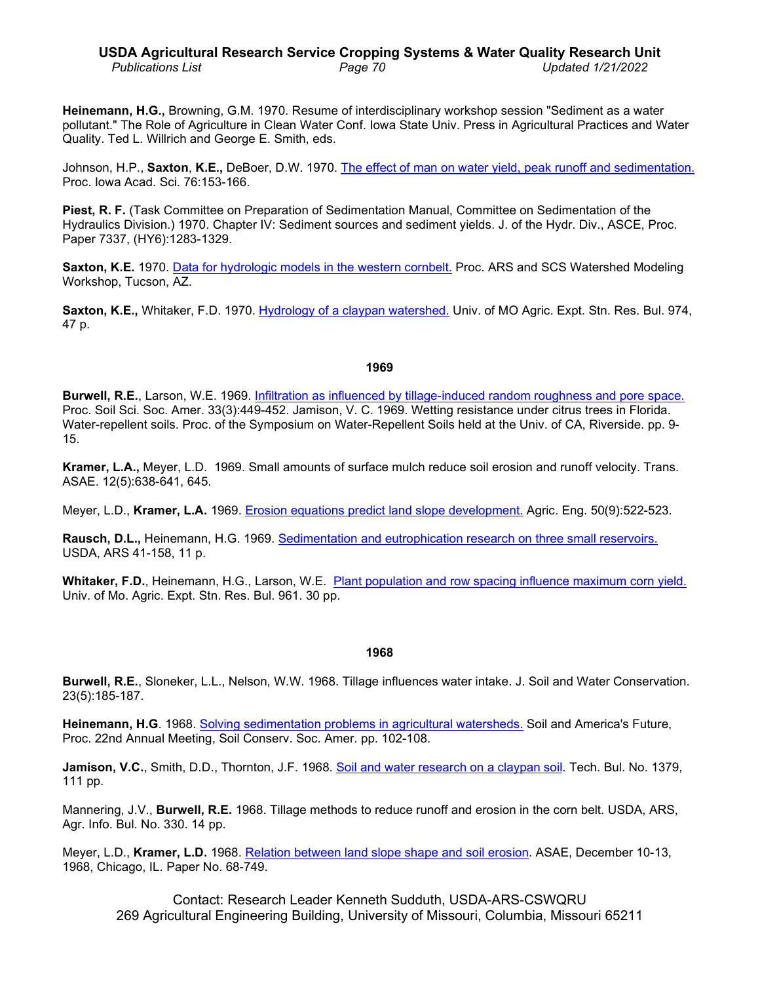**Heinemann, H.G.,** Browning, G.M. 1970. Resume of interdisciplinary workshop session "Sediment as a water pollutant." The Role of Agriculture in Clean Water Conf. Iowa State Univ. Press in Agricultural Practices and Water Quality. Ted L. Willrich and George E. Smith, eds.

Johnson, H.P., **Saxton**, **K.E.,** DeBoer, D.W. 1970. [The effect of man on water yield, peak](http://www.ars.usda.gov/sp2UserFiles/Place/36221500/cswq-t5007-johnson.pdf) runoff and sedimentation. Proc. Iowa Acad. Sci. 76:153-166.

**Piest, R. F.** (Task Committee on Preparation of Sedimentation Manual, Committee on Sedimentation of the Hydraulics Division.) 1970. Chapter IV: Sediment sources and sediment yields. J. of the Hydr. Div., ASCE, Proc. Paper 7337, (HY6):1283-1329.

**Saxton, K.E.** 1970. Data for hydrologic [models in the western cornbelt.](http://www.ars.usda.gov/sp2UserFiles/Place/36221500/cswq-t4083-saxton.pdf) Proc. ARS and SCS Watershed Modeling Workshop, Tucson, AZ.

**Saxton, K.E.,** Whitaker, F.D. 1970. [Hydrology of a claypan watershed.](http://www.ars.usda.gov/sp2UserFiles/Place/36221500/cswq-t4806-saxton.pdf) Univ. of MO Agric. Expt. Stn. Res. Bul. 974, 47 p.

#### **1969**

**Burwell, R.E.**, Larson, W.E. 1969. [Infiltration as influenced by tillage-induced random roughness and pore space.](http://www.ars.usda.gov/sp2UserFiles/Place/36221500/cswq-t2582-burwell.pdf) Proc. Soil Sci. Soc. Amer. 33(3):449-452. Jamison, V. C. 1969. Wetting resistance under citrus trees in Florida. Water-repellent soils. Proc. of the Symposium on Water-Repellent Soils held at the Univ. of CA, Riverside. pp. 9- 15.

**Kramer, L.A.,** Meyer, L.D. 1969. Small amounts of surface mulch reduce soil erosion and runoff velocity. Trans. ASAE. 12(5):638-641, 645.

Meyer, L.D., **Kramer, L.A.** 1969. [Erosion equations predict land slope development.](http://www.ars.usda.gov/sp2UserFiles/Place/36221500/cswq-t2637-meyer.pdf) Agric. Eng. 50(9):522-523.

**Rausch, D.L.,** Heinemann, H.G. 1969. [Sedimentation and eutrophication research on three](http://www.ars.usda.gov/sp2UserFiles/Place/36221500/cswq-t3380-rausch.pdf) small reservoirs. USDA, ARS 41-158, 11 p.

**Whitaker, F.D.**, Heinemann, H.G., Larson, W.E. Plant population and row [spacing influence maximum corn yield.](http://www.ars.usda.gov/sp2UserFiles/Place/36221500/cswq-t3318-whitaker.pdf) Univ. of Mo. Agric. Expt. Stn. Res. Bul. 961. 30 pp.

#### **1968**

**Burwell, R.E.**, Sloneker, L.L., Nelson, W.W. 1968. Tillage influences water intake. J. Soil and Water Conservation. 23(5):185-187.

**Heinemann, H.G**. 1968. [Solving sedimentation problems in agricultural watersheds.](http://www.ars.usda.gov/sp2UserFiles/Place/36221500/cswq-t0826-heinemann.pdf) Soil and America's Future, Proc. 22nd Annual Meeting, Soil Conserv. Soc. Amer. pp. 102-108.

**Jamison, V.C.**, Smith, D.D., Thornton, J.F. 1968. Soil and water [research on a claypan soil.](http://www.ars.usda.gov/sp2UserFiles/Place/36221500/cswq-t4209-jamison.pdf) Tech. Bul. No. 1379, 111 pp.

Mannering, J.V., **Burwell, R.E.** 1968. Tillage methods to reduce runoff and erosion in the corn belt. USDA, ARS, Agr. Info. Bul. No. 330. 14 pp.

Meyer, L.D., **Kramer, L.D.** 1968. [Relation between land slope shape and soil erosion.](http://www.ars.usda.gov/sp2UserFiles/Place/50701000/2995_Kramer.pdf) ASAE, December 10-13, 1968, Chicago, IL. Paper No. 68-749.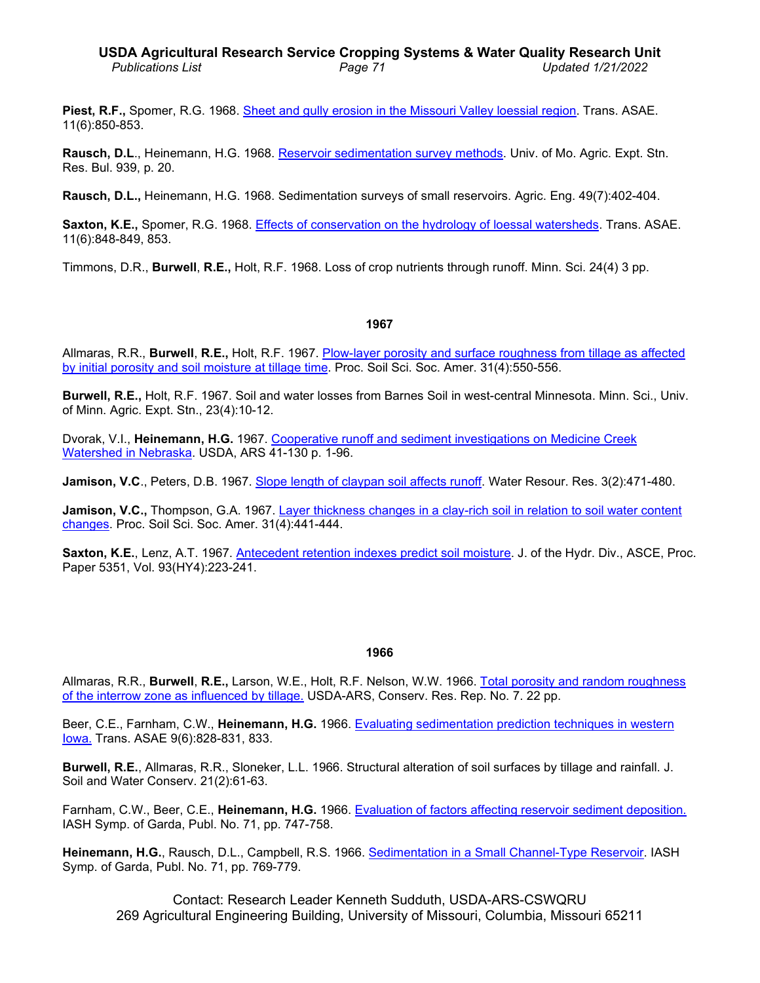**Piest, R.F.,** Spomer, R.G. 1968. [Sheet and gully erosion in the Missouri Valley loessial region.](http://www.ars.usda.gov/sp2UserFiles/Place/36221500/cswq-t0468-piest.pdf) Trans. ASAE. 11(6):850-853.

**Rausch, D.L**., Heinemann, H.G. 1968. [Reservoir sedimentation survey methods.](http://www.ars.usda.gov/sp2UserFiles/Place/36221500/cswq-t6160-rausch.pdf) Univ. of Mo. Agric. Expt. Stn. Res. Bul. 939, p. 20.

**Rausch, D.L.,** Heinemann, H.G. 1968. Sedimentation surveys of small reservoirs. Agric. Eng. 49(7):402-404.

Saxton, K.E., Spomer, R.G. 1968. [Effects of conservation on the hydrology of loessal watersheds.](http://www.ars.usda.gov/sp2UserFiles/Place/36221500/cswq-t3606-saxton.pdf) Trans. ASAE. 11(6):848-849, 853.

Timmons, D.R., **Burwell**, **R.E.,** Holt, R.F. 1968. Loss of crop nutrients through runoff. Minn. Sci. 24(4) 3 pp.

#### **1967**

Allmaras, R.R., **Burwell**, **R.E.,** Holt, R.F. 1967. [Plow-layer porosity and surface roughness from tillage as affected](http://www.ars.usda.gov/sp2UserFiles/Place/36221500/cswq-t2394-allmaras.pdf)  [by initial porosity and soil moisture at tillage time.](http://www.ars.usda.gov/sp2UserFiles/Place/36221500/cswq-t2394-allmaras.pdf) Proc. Soil Sci. Soc. Amer. 31(4):550-556.

**Burwell, R.E.,** Holt, R.F. 1967. Soil and water losses from Barnes Soil in west-central Minnesota. Minn. Sci., Univ. of Minn. Agric. Expt. Stn., 23(4):10-12.

Dvorak, V.I., **Heinemann, H.G.** 1967. [Cooperative runoff and sediment investigations on Medicine Creek](http://www.ars.usda.gov/sp2UserFiles/Place/36221500/cswq-t2712-dvorak.pdf)  [Watershed in Nebraska.](http://www.ars.usda.gov/sp2UserFiles/Place/36221500/cswq-t2712-dvorak.pdf) USDA, ARS 41-130 p. 1-96.

**Jamison, V.C**., Peters, D.B. 1967. [Slope length of claypan soil affects runoff.](http://www.ars.usda.gov/sp2UserFiles/Place/36221500/cswq-t1190-jamison.pdf) Water Resour. Res. 3(2):471-480.

Jamison, V.C., Thompson, G.A. 1967. [Layer thickness changes in a clay-rich soil in relation to](http://www.ars.usda.gov/sp2UserFiles/Place/36221500/cswq-t2510-jamison.pdf) soil water content [changes.](http://www.ars.usda.gov/sp2UserFiles/Place/36221500/cswq-t2510-jamison.pdf) Proc. Soil Sci. Soc. Amer. 31(4):441-444.

**Saxton, K.E.**, Lenz, A.T. 1967. [Antecedent retention indexes predict soil moisture.](http://www.ars.usda.gov/sp2UserFiles/Place/36221500/cswq-t0330-saxton.pdf) J. of the Hydr. Div., ASCE, Proc. Paper 5351, Vol. 93(HY4):223-241.

#### **1966**

Allmaras, R.R., **Burwell**, **R.E.,** Larson, W.E., Holt, R.F. Nelson, W.W. 1966. [Total porosity and random roughness](http://www.ars.usda.gov/sp2UserFiles/Place/36221500/cswq-t1914-allmaras.pdf)  [of the interrow zone as influenced by tillage.](http://www.ars.usda.gov/sp2UserFiles/Place/36221500/cswq-t1914-allmaras.pdf) USDA-ARS, Conserv. Res. Rep. No. 7. 22 pp.

Beer, C.E., Farnham, C.W., **Heinemann, H.G.** 1966. [Evaluating sedimentation prediction techniques in western](http://www.ars.usda.gov/sp2UserFiles/Place/36221500/cswq-t5006-beer.pdf)  [Iowa.](http://www.ars.usda.gov/sp2UserFiles/Place/36221500/cswq-t5006-beer.pdf) Trans. ASAE 9(6):828-831, 833.

**Burwell, R.E.**, Allmaras, R.R., Sloneker, L.L. 1966. Structural alteration of soil surfaces by tillage and rainfall. J. Soil and Water Conserv. 21(2):61-63.

Farnham, C.W., Beer, C.E., **Heinemann, H.G.** 1966. [Evaluation of factors affecting reservoir](http://www.ars.usda.gov/sp2UserFiles/Place/36221500/cswq-t2255-farnham.pdf) sediment deposition. IASH Symp. of Garda, Publ. No. 71, pp. 747-758.

**Heinemann, H.G.**, Rausch, D.L., Campbell, R.S. 1966. Sedimentation in [a Small Channel-Type](http://www.ars.usda.gov/sp2UserFiles/Place/36221500/cswq-t2247-heinemann.pdf) Reservoir. IASH Symp. of Garda, Publ. No. 71, pp. 769-779.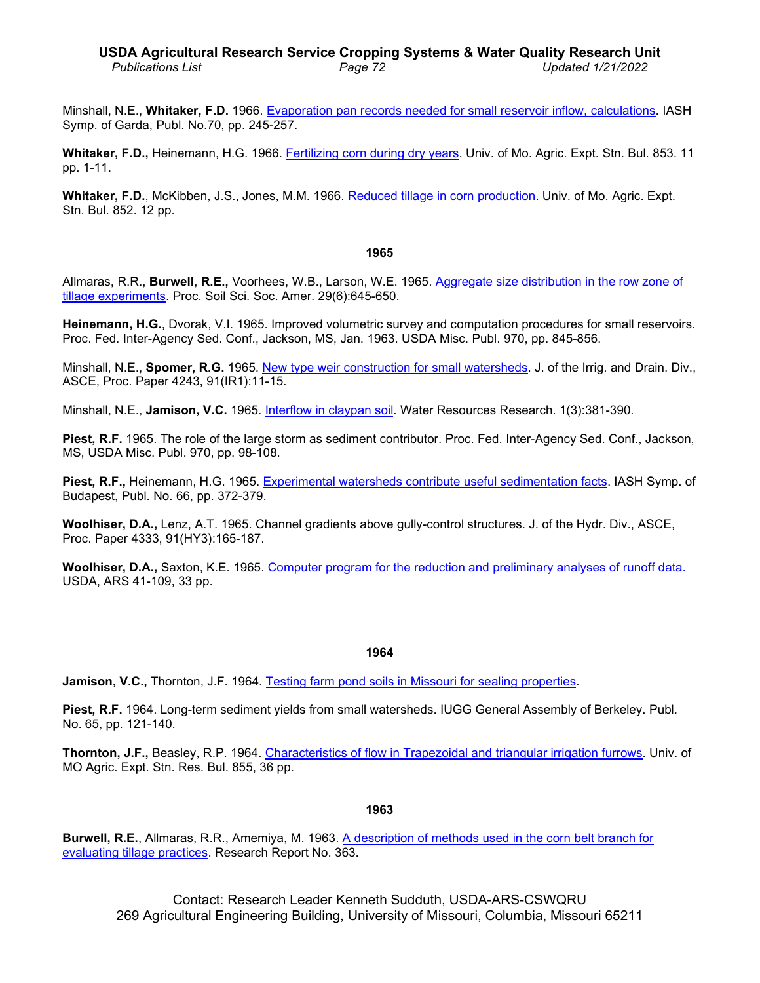# **USDA Agricultural Research Service Cropping Systems & Water Quality Research Unit** *Publications List Page 72 Updated 1/21/2022*

Minshall, N.E., **Whitaker, F.D.** 1966. Evaporation pan records [needed for small reservoir inflow,](http://www.ars.usda.gov/sp2UserFiles/Place/36221500/cswq-t2360-minshall.pdf) calculations. IASH Symp. of Garda, Publ. No.70, pp. 245-257.

**Whitaker, F.D.,** Heinemann, H.G. 1966. [Fertilizing corn during dry years.](http://www.ars.usda.gov/sp2UserFiles/Place/36221500/cswq-t2365-whitaker.pdf) Univ. of Mo. Agric. Expt. Stn. Bul. 853. 11 pp. 1-11.

**Whitaker, F.D.**, McKibben, J.S., Jones, M.M. 1966. [Reduced tillage in corn production.](http://www.ars.usda.gov/sp2UserFiles/Place/36221500/cswq-t2364-whitaker.pdf) Univ. of Mo. Agric. Expt. Stn. Bul. 852. 12 pp.

#### **1965**

Allmaras, R.R., **Burwell**, **R.E.,** Voorhees, W.B., Larson, W.E. 1965. [Aggregate size distribution in the row zone of](http://www.ars.usda.gov/sp2UserFiles/Place/36221500/cswq-t2020-allmaras.pdf)  [tillage experiments.](http://www.ars.usda.gov/sp2UserFiles/Place/36221500/cswq-t2020-allmaras.pdf) Proc. Soil Sci. Soc. Amer. 29(6):645-650.

**Heinemann, H.G.**, Dvorak, V.I. 1965. Improved volumetric survey and computation procedures for small reservoirs. Proc. Fed. Inter-Agency Sed. Conf., Jackson, MS, Jan. 1963. USDA Misc. Publ. 970, pp. 845-856.

Minshall, N.E., **Spomer, R.G.** 1965. [New type weir construction for small watersheds.](http://www.ars.usda.gov/sp2UserFiles/Place/36221500/cswq-t0658-minshall.pdf) J. of the Irrig. and Drain. Div., ASCE, Proc. Paper 4243, 91(IR1):11-15.

Minshall, N.E., **Jamison, V.C.** 1965. [Interflow in claypan soil.](http://www.ars.usda.gov/sp2UserFiles/Place/36221500/cswq-t1794-minshall.pdf) Water Resources Research. 1(3):381-390.

**Piest, R.F.** 1965. The role of the large storm as sediment contributor. Proc. Fed. Inter-Agency Sed. Conf., Jackson, MS, USDA Misc. Publ. 970, pp. 98-108.

**Piest, R.F.,** Heinemann, H.G. 1965. [Experimental watersheds contribute](http://www.ars.usda.gov/sp2UserFiles/Place/36221500/cswq-t2239-piest.pdf) useful sedimentation facts. IASH Symp. of Budapest, Publ. No. 66, pp. 372-379.

**Woolhiser, D.A.,** Lenz, A.T. 1965. Channel gradients above gully-control structures. J. of the Hydr. Div., ASCE, Proc. Paper 4333, 91(HY3):165-187.

**Woolhiser, D.A.,** Saxton, K.E. 1965. [Computer program for the reduction and](http://www.ars.usda.gov/sp2UserFiles/Place/36221500/cswq-t2096-woolhiser.pdf) preliminary analyses of runoff data. USDA, ARS 41-109, 33 pp.

#### **1964**

**Jamison, V.C.,** Thornton, J.F. 1964. [Testing farm pond soils in Missouri for](http://www.ars.usda.gov/sp2UserFiles/Place/36221500/cswq-t078-jamison.pdf) sealing properties.

**Piest, R.F.** 1964. Long-term sediment yields from small watersheds. IUGG General Assembly of Berkeley. Publ. No. 65, pp. 121-140.

**Thornton, J.F.,** Beasley, R.P. 1964. [Characteristics of flow in Trapezoidal and triangular irrigation](http://cdm.sos.mo.gov/cdm/ref/collection/agexptstn/id/87198) furrows. Univ. of MO Agric. Expt. Stn. Res. Bul. 855, 36 pp.

#### **1963**

**Burwell, R.E.**, Allmaras, R.R., Amemiya, M. 1963. [A description of methods used in the corn belt branch for](http://www.ars.usda.gov/sp2UserFiles/Place/36221500/cswq-t1251-burwell.pdf) [evaluating tillage practices.](http://www.ars.usda.gov/sp2UserFiles/Place/36221500/cswq-t1251-burwell.pdf) Research Report No. 363.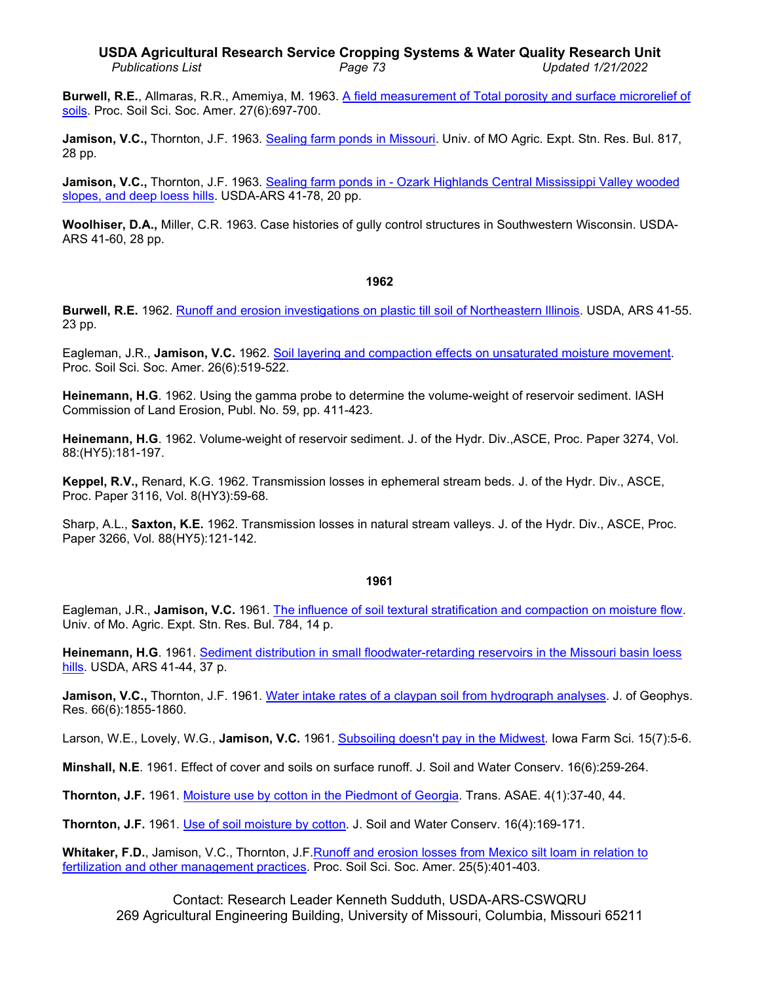**Burwell, R.E.**, Allmaras, R.R., Amemiya, M. 1963. [A field measurement of Total porosity and](http://www.ars.usda.gov/sp2UserFiles/Place/36221500/cswq-t1456-burwell.pdf) surface microrelief of [soils.](http://www.ars.usda.gov/sp2UserFiles/Place/36221500/cswq-t1456-burwell.pdf) Proc. Soil Sci. Soc. Amer. 27(6):697-700.

**Jamison, V.C.,** Thornton, J.F. 1963. [Sealing farm ponds in Missouri.](http://www.ars.usda.gov/sp2UserFiles/Place/36221500/cswq-t1239-jamison.pdf) Univ. of MO Agric. Expt. Stn. Res. Bul. 817, 28 pp.

**Jamison, V.C.,** Thornton, J.F. 1963. Sealing farm ponds in - [Ozark Highlands Central Mississippi](http://www.ars.usda.gov/sp2UserFiles/Place/36221500/cswq-t1922-jamison.pdf) Valley wooded [slopes, and deep loess](http://www.ars.usda.gov/sp2UserFiles/Place/36221500/cswq-t1922-jamison.pdf) hills. USDA-ARS 41-78, 20 pp.

**Woolhiser, D.A.,** Miller, C.R. 1963. Case histories of gully control structures in Southwestern Wisconsin. USDA-ARS 41-60, 28 pp.

## **1962**

**Burwell, R.E.** 1962. [Runoff and erosion investigations on plastic till soil of Northeastern Illinois.](http://www.ars.usda.gov/sp2UserFiles/Place/36221500/cswq-t0624-burwell.pdf) USDA, ARS 41-55. 23 pp.

Eagleman, J.R., **Jamison, V.C.** 1962. [Soil layering and compaction effects on unsaturated moisture movement.](http://www.ars.usda.gov/sp2UserFiles/Place/36221500/cswq-t2249-eagleman.pdf) Proc. Soil Sci. Soc. Amer. 26(6):519-522.

**Heinemann, H.G**. 1962. Using the gamma probe to determine the volume-weight of reservoir sediment. IASH Commission of Land Erosion, Publ. No. 59, pp. 411-423.

**Heinemann, H.G**. 1962. Volume-weight of reservoir sediment. J. of the Hydr. Div.,ASCE, Proc. Paper 3274, Vol. 88:(HY5):181-197.

**Keppel, R.V.,** Renard, K.G. 1962. Transmission losses in ephemeral stream beds. J. of the Hydr. Div., ASCE, Proc. Paper 3116, Vol. 8(HY3):59-68.

Sharp, A.L., **Saxton, K.E.** 1962. Transmission losses in natural stream valleys. J. of the Hydr. Div., ASCE, Proc. Paper 3266, Vol. 88(HY5):121-142.

# **1961**

Eagleman, J.R., **Jamison, V.C.** 1961. The [influence of soil textural stratification and compaction on moisture flow.](http://www.ars.usda.gov/sp2UserFiles/Place/36221500/cswq-t2151-eagleman.pdf) Univ. of Mo. Agric. Expt. Stn. Res. Bul. 784, 14 p.

**Heinemann, H.G**. 1961. [Sediment distribution in small floodwater-retarding reservoirs in the Missouri basin loess](http://www.ars.usda.gov/sp2UserFiles/Place/36221500/cswq-t1152-heinemann.pdf)  [hills.](http://www.ars.usda.gov/sp2UserFiles/Place/36221500/cswq-t1152-heinemann.pdf) USDA, ARS 41-44, 37 p.

**Jamison, V.C.,** Thornton, J.F. 1961. [Water intake rates of a claypan](http://www.ars.usda.gov/sp2UserFiles/Place/36221500/cswq-t2244-jamison.pdf) soil from hydrograph analyses. J. of Geophys. Res. 66(6):1855-1860.

Larson, W.E., Lovely, W.G., **Jamison, V.C.** 1961. [Subsoiling doesn't pay in the Midwest.](http://www.ars.usda.gov/sp2UserFiles/Place/36221500/cswq-t3323-larson.pdf) Iowa Farm Sci. 15(7):5-6.

**Minshall, N.E**. 1961. Effect of cover and soils on surface runoff. J. Soil and Water Conserv. 16(6):259-264.

**Thornton, J.F.** 1961. [Moisture use by cotton in the Piedmont of Georgia.](http://www.ars.usda.gov/sp2UserFiles/Place/36221500/cswq-t6906-thornton.pdf) Trans. ASAE. 4(1):37-40, 44.

**Thornton, J.F.** 1961. [Use of soil moisture by cotton.](http://www.ars.usda.gov/sp2UserFiles/Place/50701000/6908_Thornton.pdf) J. Soil and Water Conserv. 16(4):169-171.

Whitaker, F.D., Jamison, V.C., Thornton, J.F. Runoff and erosion losses from Mexico silt loam in relation to [fertilization and other management practices.](http://www.ars.usda.gov/sp2UserFiles/Place/36221500/cswq-t3254-whitaker.pdf) Proc. Soil Sci. Soc. Amer. 25(5):401-403.

Contact: Research Leader Kenneth Sudduth, USDA-ARS-CSWQRU 269 Agricultural Engineering Building, University of Missouri, Columbia, Missouri 65211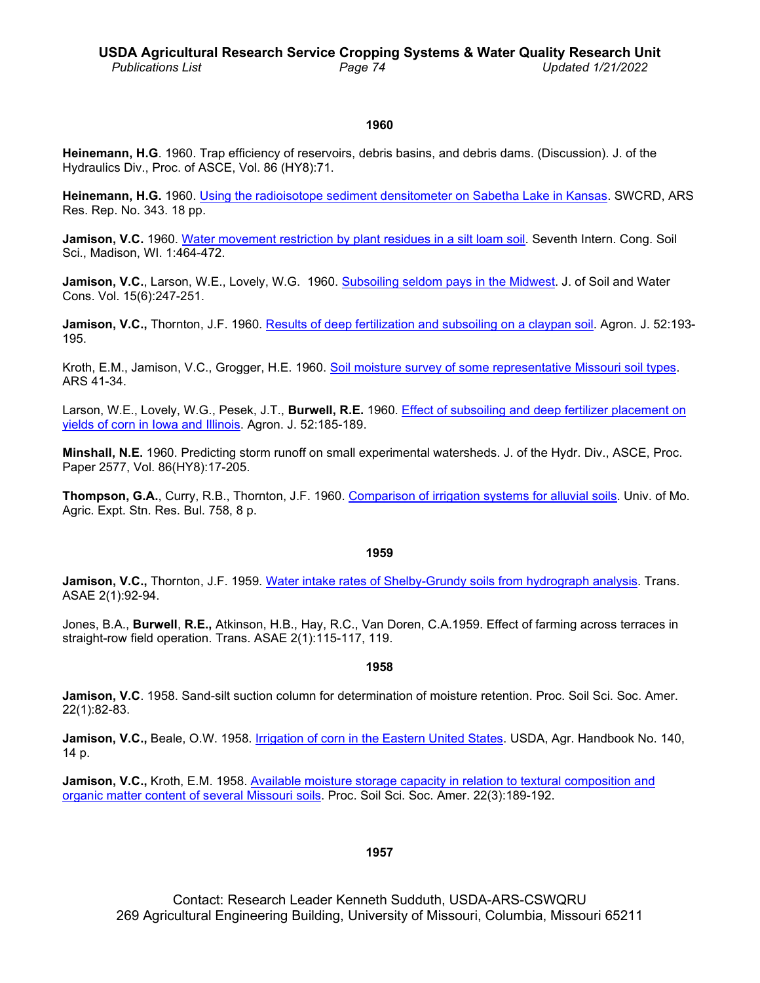# **1960**

**Heinemann, H.G**. 1960. Trap efficiency of reservoirs, debris basins, and debris dams. (Discussion). J. of the Hydraulics Div., Proc. of ASCE, Vol. 86 (HY8):71.

**Heinemann, H.G.** 1960. [Using the radioisotope sediment densitometer on Sabetha Lake in Kansas.](http://www.ars.usda.gov/sp2UserFiles/Place/36221500/cswq-t0154-heinemann.pdf) SWCRD, ARS Res. Rep. No. 343. 18 pp.

**Jamison, V.C.** 1960. [Water movement restriction by plant residues in a silt loam soil.](http://www.ars.usda.gov/sp2UserFiles/Place/50701000/0148_Jamison.pdf) Seventh Intern. Cong. Soil Sci., Madison, WI. 1:464-472.

**Jamison, V.C.**, Larson, W.E., Lovely, W.G. 1960. [Subsoiling seldom pays in the Midwest.](http://www.ars.usda.gov/sp2UserFiles/Place/36221500/cswq-t0773-jamison.pdf) J. of Soil and Water Cons. Vol. 15(6):247-251.

**Jamison, V.C.,** Thornton, J.F. 1960. Results of [deep fertilization and subsoiling on](http://www.ars.usda.gov/sp2UserFiles/Place/50701000/1974_Jamison.pdf) a claypan soil. Agron. J. 52:193-195.

Kroth, E.M., Jamison, V.C., Grogger, H.E. 1960. [Soil moisture survey of some representative](http://www.ars.usda.gov/sp2UserFiles/Place/36221500/cswq-t1918-kroth.pdf) Missouri soil types. ARS 41-34.

Larson, W.E., Lovely, W.G., Pesek, J.T., **Burwell, R.E.** 1960. Effect of subsoiling [and deep fertilizer placement on](http://www.ars.usda.gov/sp2UserFiles/Place/36221500/cswq-t0772-larson.pdf)  [yields of corn in Iowa and](http://www.ars.usda.gov/sp2UserFiles/Place/36221500/cswq-t0772-larson.pdf) Illinois. Agron. J. 52:185-189.

**Minshall, N.E.** 1960. Predicting storm runoff on small experimental watersheds. J. of the Hydr. Div., ASCE, Proc. Paper 2577, Vol. 86(HY8):17-205.

**Thompson, G.A.**, Curry, R.B., Thornton, J.F. 1960. [Comparison of irrigation systems for alluvial](http://www.ars.usda.gov/sp2UserFiles/Place/36221500/cswq-t0075-thompson.pdf) soils. Univ. of Mo. Agric. Expt. Stn. Res. Bul. 758, 8 p.

#### **1959**

**Jamison, V.C.,** Thornton, J.F. 1959. [Water intake rates of Shelby-Grundy soils from hydrograph](http://www.ars.usda.gov/sp2UserFiles/Place/36221500/cswq-t0721-jamison.pdf) analysis. Trans. ASAE 2(1):92-94.

Jones, B.A., **Burwell**, **R.E.,** Atkinson, H.B., Hay, R.C., Van Doren, C.A.1959. Effect of farming across terraces in straight-row field operation. Trans. ASAE 2(1):115-117, 119.

#### **1958**

**Jamison, V.C**. 1958. Sand-silt suction column for determination of moisture retention. Proc. Soil Sci. Soc. Amer. 22(1):82-83.

**Jamison, V.C.,** Beale, O.W. 1958. [Irrigation of corn in the Eastern United States.](http://www.ars.usda.gov/sp2UserFiles/Place/36221500/cswq-t0177-jamison.pdf) USDA, Agr. Handbook No. 140, 14 p.

**Jamison, V.C.,** Kroth, E.M. 1958. [Available moisture storage capacity](http://www.ars.usda.gov/sp2UserFiles/Place/36221500/cswq-t2370-jamison.pdf) in relation to textural composition and [organic matter content of several Missouri soils.](http://www.ars.usda.gov/sp2UserFiles/Place/36221500/cswq-t2370-jamison.pdf) Proc. Soil Sci. Soc. Amer. 22(3):189-192.

## **1957**

Contact: Research Leader Kenneth Sudduth, USDA-ARS-CSWQRU 269 Agricultural Engineering Building, University of Missouri, Columbia, Missouri 65211